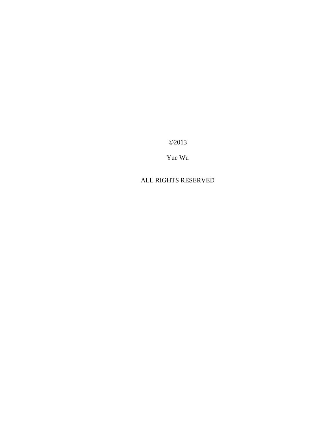©2013

Yue Wu

#### ALL RIGHTS RESERVED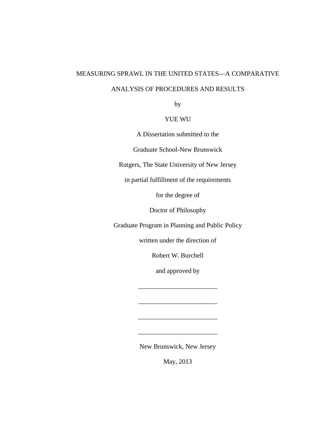# MEASURING SPRAWL IN THE UNITED STATES—A COMPARATIVE

#### ANALYSIS OF PROCEDURES AND RESULTS

by

#### YUE WU

A Dissertation submitted to the

Graduate School-New Brunswick

Rutgers, The State University of New Jersey

in partial fulfillment of the requirements

for the degree of

Doctor of Philosophy

Graduate Program in Planning and Public Policy

written under the direction of

Robert W. Burchell

and approved by

\_\_\_\_\_\_\_\_\_\_\_\_\_\_\_\_\_\_\_\_\_\_\_\_

\_\_\_\_\_\_\_\_\_\_\_\_\_\_\_\_\_\_\_\_\_\_\_\_

\_\_\_\_\_\_\_\_\_\_\_\_\_\_\_\_\_\_\_\_\_\_\_\_

\_\_\_\_\_\_\_\_\_\_\_\_\_\_\_\_\_\_\_\_\_\_\_\_

New Brunswick, New Jersey

May, 2013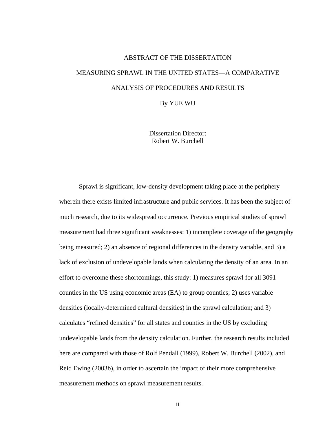# ABSTRACT OF THE DISSERTATION MEASURING SPRAWL IN THE UNITED STATES—A COMPARATIVE ANALYSIS OF PROCEDURES AND RESULTS

By YUE WU

Dissertation Director: Robert W. Burchell

Sprawl is significant, low-density development taking place at the periphery wherein there exists limited infrastructure and public services. It has been the subject of much research, due to its widespread occurrence. Previous empirical studies of sprawl measurement had three significant weaknesses: 1) incomplete coverage of the geography being measured; 2) an absence of regional differences in the density variable, and 3) a lack of exclusion of undevelopable lands when calculating the density of an area. In an effort to overcome these shortcomings, this study: 1) measures sprawl for all 3091 counties in the US using economic areas (EA) to group counties; 2) uses variable densities (locally-determined cultural densities) in the sprawl calculation; and 3) calculates "refined densities" for all states and counties in the US by excluding undevelopable lands from the density calculation. Further, the research results included here are compared with those of Rolf Pendall (1999), Robert W. Burchell (2002), and Reid Ewing (2003b), in order to ascertain the impact of their more comprehensive measurement methods on sprawl measurement results.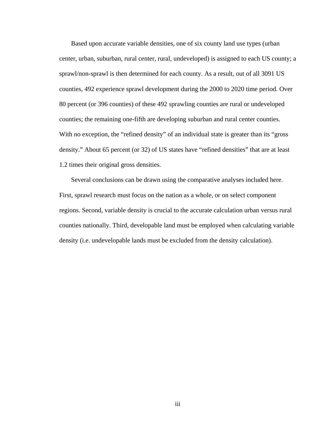Based upon accurate variable densities, one of six county land use types (urban center, urban, suburban, rural center, rural, undeveloped) is assigned to each US county; a sprawl/non-sprawl is then determined for each county. As a result, out of all 3091 US counties, 492 experience sprawl development during the 2000 to 2020 time period. Over 80 percent (or 396 counties) of these 492 sprawling counties are rural or undeveloped counties; the remaining one-fifth are developing suburban and rural center counties. With no exception, the "refined density" of an individual state is greater than its "gross" density." About 65 percent (or 32) of US states have "refined densities" that are at least 1.2 times their original gross densities.

Several conclusions can be drawn using the comparative analyses included here. First, sprawl research must focus on the nation as a whole, or on select component regions. Second, variable density is crucial to the accurate calculation urban versus rural counties nationally. Third, developable land must be employed when calculating variable density (i.e. undevelopable lands must be excluded from the density calculation).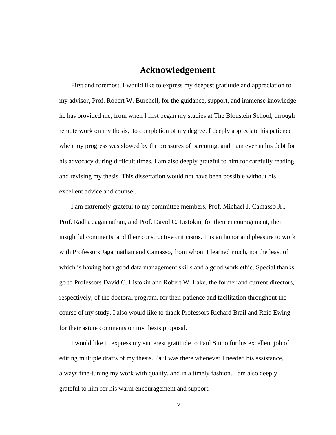#### **Acknowledgement**

First and foremost, I would like to express my deepest gratitude and appreciation to my advisor, Prof. Robert W. Burchell, for the guidance, support, and immense knowledge he has provided me, from when I first began my studies at The Bloustein School, through remote work on my thesis, to completion of my degree. I deeply appreciate his patience when my progress was slowed by the pressures of parenting, and I am ever in his debt for his advocacy during difficult times. I am also deeply grateful to him for carefully reading and revising my thesis. This dissertation would not have been possible without his excellent advice and counsel.

I am extremely grateful to my committee members, Prof. Michael J. Camasso Jr., Prof. Radha Jagannathan, and Prof. David C. Listokin, for their encouragement, their insightful comments, and their constructive criticisms. It is an honor and pleasure to work with Professors Jagannathan and Camasso, from whom I learned much, not the least of which is having both good data management skills and a good work ethic. Special thanks go to Professors David C. Listokin and Robert W. Lake, the former and current directors, respectively, of the doctoral program, for their patience and facilitation throughout the course of my study. I also would like to thank Professors Richard Brail and Reid Ewing for their astute comments on my thesis proposal.

I would like to express my sincerest gratitude to Paul Suino for his excellent job of editing multiple drafts of my thesis. Paul was there whenever I needed his assistance, always fine-tuning my work with quality, and in a timely fashion. I am also deeply grateful to him for his warm encouragement and support.

iv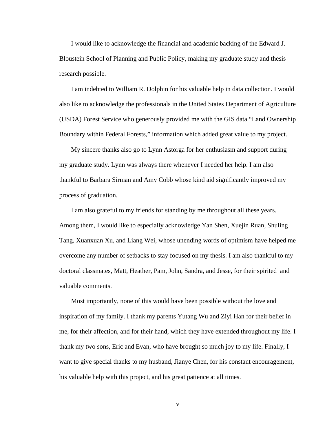I would like to acknowledge the financial and academic backing of the Edward J. Bloustein School of Planning and Public Policy, making my graduate study and thesis research possible.

I am indebted to William R. Dolphin for his valuable help in data collection. I would also like to acknowledge the professionals in the United States Department of Agriculture (USDA) Forest Service who generously provided me with the GIS data "Land Ownership Boundary within Federal Forests," information which added great value to my project.

My sincere thanks also go to Lynn Astorga for her enthusiasm and support during my graduate study. Lynn was always there whenever I needed her help. I am also thankful to Barbara Sirman and Amy Cobb whose kind aid significantly improved my process of graduation.

I am also grateful to my friends for standing by me throughout all these years. Among them, I would like to especially acknowledge Yan Shen, Xuejin Ruan, Shuling Tang, Xuanxuan Xu, and Liang Wei, whose unending words of optimism have helped me overcome any number of setbacks to stay focused on my thesis. I am also thankful to my doctoral classmates, Matt, Heather, Pam, John, Sandra, and Jesse, for their spirited and valuable comments.

Most importantly, none of this would have been possible without the love and inspiration of my family. I thank my parents Yutang Wu and Ziyi Han for their belief in me, for their affection, and for their hand, which they have extended throughout my life. I thank my two sons, Eric and Evan, who have brought so much joy to my life. Finally, I want to give special thanks to my husband, Jianye Chen, for his constant encouragement, his valuable help with this project, and his great patience at all times.

v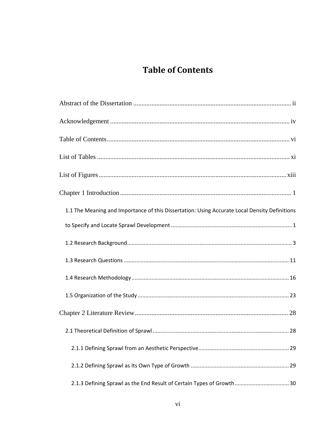### **Table of Contents**

| 1.1 The Meaning and Importance of this Dissertation: Using Accurate Local Density Definitions |  |
|-----------------------------------------------------------------------------------------------|--|
|                                                                                               |  |
|                                                                                               |  |
|                                                                                               |  |
|                                                                                               |  |
|                                                                                               |  |
|                                                                                               |  |
|                                                                                               |  |
|                                                                                               |  |
|                                                                                               |  |
| 2.1.3 Defining Sprawl as the End Result of Certain Types of Growth 30                         |  |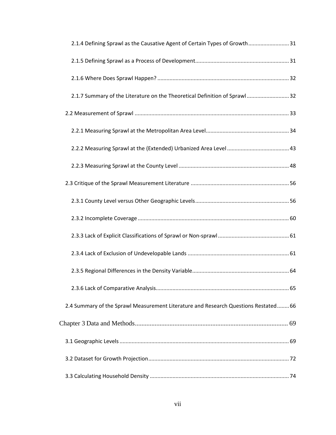| 2.1.4 Defining Sprawl as the Causative Agent of Certain Types of Growth31           |  |
|-------------------------------------------------------------------------------------|--|
|                                                                                     |  |
|                                                                                     |  |
| 2.1.7 Summary of the Literature on the Theoretical Definition of Sprawl32           |  |
|                                                                                     |  |
|                                                                                     |  |
|                                                                                     |  |
|                                                                                     |  |
|                                                                                     |  |
|                                                                                     |  |
|                                                                                     |  |
|                                                                                     |  |
|                                                                                     |  |
|                                                                                     |  |
|                                                                                     |  |
| 2.4 Summary of the Sprawl Measurement Literature and Research Questions Restated 66 |  |
|                                                                                     |  |
|                                                                                     |  |
|                                                                                     |  |
|                                                                                     |  |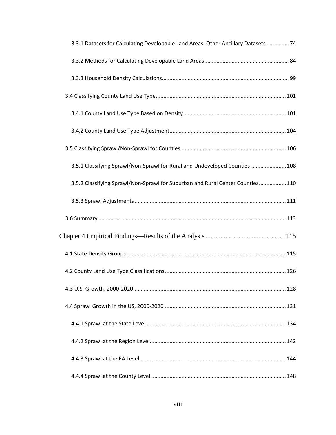| 3.3.1 Datasets for Calculating Developable Land Areas; Other Ancillary Datasets  74 |  |
|-------------------------------------------------------------------------------------|--|
|                                                                                     |  |
|                                                                                     |  |
|                                                                                     |  |
|                                                                                     |  |
|                                                                                     |  |
|                                                                                     |  |
| 3.5.1 Classifying Sprawl/Non-Sprawl for Rural and Undeveloped Counties  108         |  |
| 3.5.2 Classifying Sprawl/Non-Sprawl for Suburban and Rural Center Counties 110      |  |
|                                                                                     |  |
|                                                                                     |  |
|                                                                                     |  |
|                                                                                     |  |
|                                                                                     |  |
|                                                                                     |  |
|                                                                                     |  |
|                                                                                     |  |
|                                                                                     |  |
|                                                                                     |  |
|                                                                                     |  |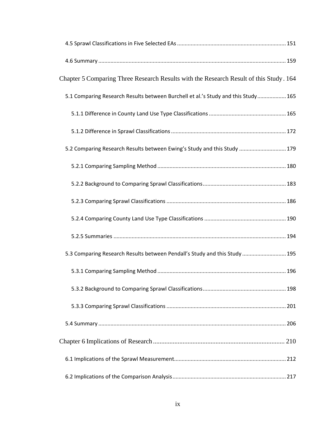| Chapter 5 Comparing Three Research Results with the Research Result of this Study. 164 |  |
|----------------------------------------------------------------------------------------|--|
| 5.1 Comparing Research Results between Burchell et al.'s Study and this Study 165      |  |
|                                                                                        |  |
|                                                                                        |  |
| 5.2 Comparing Research Results between Ewing's Study and this Study  179               |  |
|                                                                                        |  |
|                                                                                        |  |
|                                                                                        |  |
|                                                                                        |  |
|                                                                                        |  |
| 5.3 Comparing Research Results between Pendall's Study and this Study  195             |  |
|                                                                                        |  |
|                                                                                        |  |
|                                                                                        |  |
|                                                                                        |  |
|                                                                                        |  |
|                                                                                        |  |
|                                                                                        |  |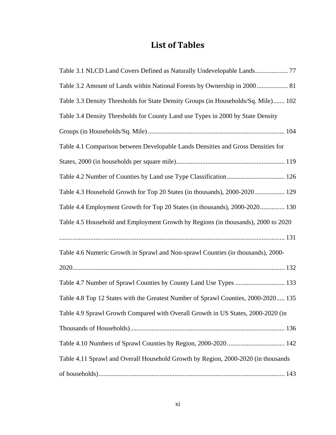### **List of Tables**

| Table 3.2 Amount of Lands within National Forests by Ownership in 2000 81          |
|------------------------------------------------------------------------------------|
| Table 3.3 Density Thresholds for State Density Groups (in Households/Sq. Mile) 102 |
| Table 3.4 Density Thresholds for County Land use Types in 2000 by State Density    |
|                                                                                    |
| Table 4.1 Comparison between Developable Lands Densities and Gross Densities for   |
|                                                                                    |
| Table 4.2 Number of Counties by Land use Type Classification  126                  |
| Table 4.3 Household Growth for Top 20 States (in thousands), 2000-2020  129        |
| Table 4.4 Employment Growth for Top 20 States (in thousands), 2000-2020 130        |
| Table 4.5 Household and Employment Growth by Regions (in thousands), 2000 to 2020  |
|                                                                                    |
| Table 4.6 Numeric Growth in Sprawl and Non-sprawl Counties (in thousands), 2000-   |
|                                                                                    |
| Table 4.7 Number of Sprawl Counties by County Land Use Types  133                  |
| Table 4.8 Top 12 States with the Greatest Number of Sprawl Counties, 2000-2020 135 |
| Table 4.9 Sprawl Growth Compared with Overall Growth in US States, 2000-2020 (in   |
|                                                                                    |
|                                                                                    |
| Table 4.11 Sprawl and Overall Household Growth by Region, 2000-2020 (in thousands  |
|                                                                                    |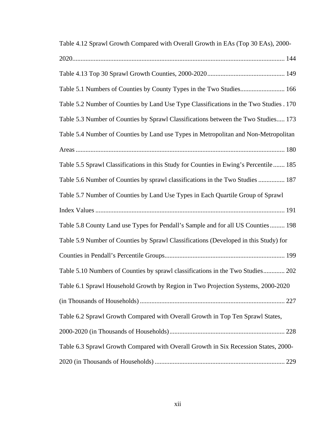| Table 4.12 Sprawl Growth Compared with Overall Growth in EAs (Top 30 EAs), 2000-       |
|----------------------------------------------------------------------------------------|
|                                                                                        |
|                                                                                        |
| Table 5.1 Numbers of Counties by County Types in the Two Studies 166                   |
| Table 5.2 Number of Counties by Land Use Type Classifications in the Two Studies . 170 |
| Table 5.3 Number of Counties by Sprawl Classifications between the Two Studies 173     |
| Table 5.4 Number of Counties by Land use Types in Metropolitan and Non-Metropolitan    |
|                                                                                        |
| Table 5.5 Sprawl Classifications in this Study for Counties in Ewing's Percentile 185  |
| Table 5.6 Number of Counties by sprawl classifications in the Two Studies  187         |
| Table 5.7 Number of Counties by Land Use Types in Each Quartile Group of Sprawl        |
|                                                                                        |
| Table 5.8 County Land use Types for Pendall's Sample and for all US Counties 198       |
| Table 5.9 Number of Counties by Sprawl Classifications (Developed in this Study) for   |
|                                                                                        |
| Table 5.10 Numbers of Counties by sprawl classifications in the Two Studies 202        |
| Table 6.1 Sprawl Household Growth by Region in Two Projection Systems, 2000-2020       |
|                                                                                        |
| Table 6.2 Sprawl Growth Compared with Overall Growth in Top Ten Sprawl States,         |
|                                                                                        |
| Table 6.3 Sprawl Growth Compared with Overall Growth in Six Recession States, 2000-    |
|                                                                                        |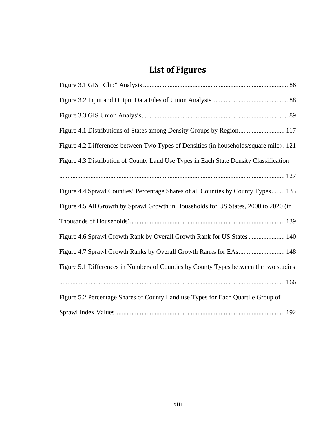## **List of Figures**

| Figure 4.1 Distributions of States among Density Groups by Region 117                  |
|----------------------------------------------------------------------------------------|
| Figure 4.2 Differences between Two Types of Densities (in households/square mile). 121 |
| Figure 4.3 Distribution of County Land Use Types in Each State Density Classification  |
|                                                                                        |
| Figure 4.4 Sprawl Counties' Percentage Shares of all Counties by County Types 133      |
| Figure 4.5 All Growth by Sprawl Growth in Households for US States, 2000 to 2020 (in   |
|                                                                                        |
| Figure 4.6 Sprawl Growth Rank by Overall Growth Rank for US States  140                |
| Figure 4.7 Sprawl Growth Ranks by Overall Growth Ranks for EAs 148                     |
| Figure 5.1 Differences in Numbers of Counties by County Types between the two studies  |
|                                                                                        |
| Figure 5.2 Percentage Shares of County Land use Types for Each Quartile Group of       |
|                                                                                        |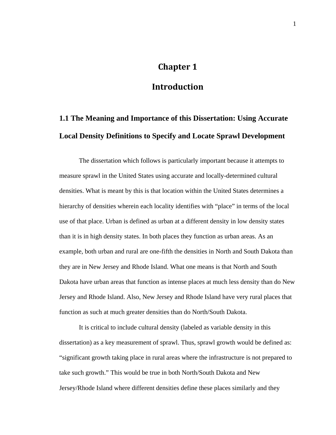#### **Chapter 1**

#### **Introduction**

## **1.1 The Meaning and Importance of this Dissertation: Using Accurate Local Density Definitions to Specify and Locate Sprawl Development**

The dissertation which follows is particularly important because it attempts to measure sprawl in the United States using accurate and locally-determined cultural densities. What is meant by this is that location within the United States determines a hierarchy of densities wherein each locality identifies with "place" in terms of the local use of that place. Urban is defined as urban at a different density in low density states than it is in high density states. In both places they function as urban areas. As an example, both urban and rural are one-fifth the densities in North and South Dakota than they are in New Jersey and Rhode Island. What one means is that North and South Dakota have urban areas that function as intense places at much less density than do New Jersey and Rhode Island. Also, New Jersey and Rhode Island have very rural places that function as such at much greater densities than do North/South Dakota.

It is critical to include cultural density (labeled as variable density in this dissertation) as a key measurement of sprawl. Thus, sprawl growth would be defined as: "significant growth taking place in rural areas where the infrastructure is not prepared to take such growth." This would be true in both North/South Dakota and New Jersey/Rhode Island where different densities define these places similarly and they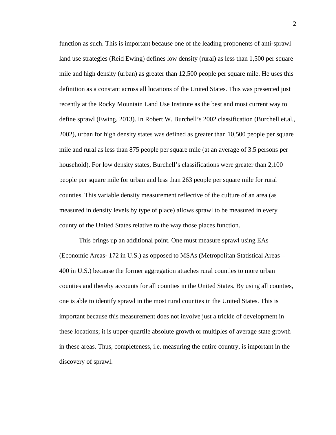function as such. This is important because one of the leading proponents of anti-sprawl land use strategies (Reid Ewing) defines low density (rural) as less than 1,500 per square mile and high density (urban) as greater than 12,500 people per square mile. He uses this definition as a constant across all locations of the United States. This was presented just recently at the Rocky Mountain Land Use Institute as the best and most current way to define sprawl (Ewing, 2013). In Robert W. Burchell's 2002 classification (Burchell et.al., 2002), urban for high density states was defined as greater than 10,500 people per square mile and rural as less than 875 people per square mile (at an average of 3.5 persons per household). For low density states, Burchell's classifications were greater than 2,100 people per square mile for urban and less than 263 people per square mile for rural counties. This variable density measurement reflective of the culture of an area (as measured in density levels by type of place) allows sprawl to be measured in every county of the United States relative to the way those places function.

This brings up an additional point. One must measure sprawl using EAs (Economic Areas- 172 in U.S.) as opposed to MSAs (Metropolitan Statistical Areas – 400 in U.S.) because the former aggregation attaches rural counties to more urban counties and thereby accounts for all counties in the United States. By using all counties, one is able to identify sprawl in the most rural counties in the United States. This is important because this measurement does not involve just a trickle of development in these locations; it is upper-quartile absolute growth or multiples of average state growth in these areas. Thus, completeness, i.e. measuring the entire country, is important in the discovery of sprawl.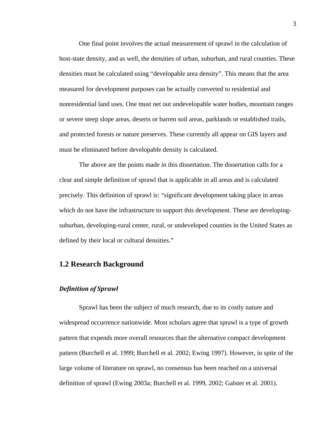One final point involves the actual measurement of sprawl in the calculation of host-state density, and as well, the densities of urban, suburban, and rural counties. These densities must be calculated using "developable area density". This means that the area measured for development purposes can be actually converted to residential and nonresidential land uses. One must net out undevelopable water bodies, mountain ranges or severe steep slope areas, deserts or barren soil areas, parklands or established trails, and protected forests or nature preserves. These currently all appear on GIS layers and must be eliminated before developable density is calculated.

The above are the points made in this dissertation. The dissertation calls for a clear and simple definition of sprawl that is applicable in all areas and is calculated precisely. This definition of sprawl is: "significant development taking place in areas which do not have the infrastructure to support this development. These are developingsuburban, developing-rural center, rural, or undeveloped counties in the United States as defined by their local or cultural densities."

#### **1.2 Research Background**

#### *Definition of Sprawl*

Sprawl has been the subject of much research, due to its costly nature and widespread occurrence nationwide. Most scholars agree that sprawl is a type of growth pattern that expends more overall resources than the alternative compact development pattern (Burchell et al. 1999; Burchell et al. 2002; Ewing 1997). However, in spite of the large volume of literature on sprawl, no consensus has been reached on a universal definition of sprawl (Ewing 2003a; Burchell et al. 1999, 2002; Galster et al. 2001).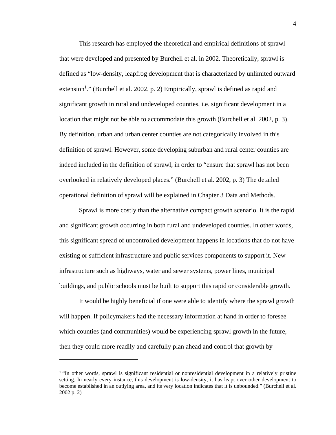This research has employed the theoretical and empirical definitions of sprawl that were developed and presented by Burchell et al. in 2002. Theoretically, sprawl is defined as "low-density, leapfrog development that is characterized by unlimited outward extension<sup>1</sup>." (Burchell et al. 2002, p. 2) Empirically, sprawl is defined as rapid and significant growth in rural and undeveloped counties, i.e. significant development in a location that might not be able to accommodate this growth (Burchell et al. 2002, p. 3). By definition, urban and urban center counties are not categorically involved in this definition of sprawl. However, some developing suburban and rural center counties are indeed included in the definition of sprawl, in order to "ensure that sprawl has not been overlooked in relatively developed places." (Burchell et al. 2002, p. 3) The detailed operational definition of sprawl will be explained in Chapter 3 Data and Methods.

Sprawl is more costly than the alternative compact growth scenario. It is the rapid and significant growth occurring in both rural and undeveloped counties. In other words, this significant spread of uncontrolled development happens in locations that do not have existing or sufficient infrastructure and public services components to support it. New infrastructure such as highways, water and sewer systems, power lines, municipal buildings, and public schools must be built to support this rapid or considerable growth.

It would be highly beneficial if one were able to identify where the sprawl growth will happen. If policymakers had the necessary information at hand in order to foresee which counties (and communities) would be experiencing sprawl growth in the future, then they could more readily and carefully plan ahead and control that growth by

<sup>&</sup>lt;sup>1</sup> "In other words, sprawl is significant residential or nonresidential development in a relatively pristine setting. In nearly every instance, this development is low-density, it has leapt over other development to become established in an outlying area, and its very location indicates that it is unbounded." (Burchell et al. 2002 p. 2)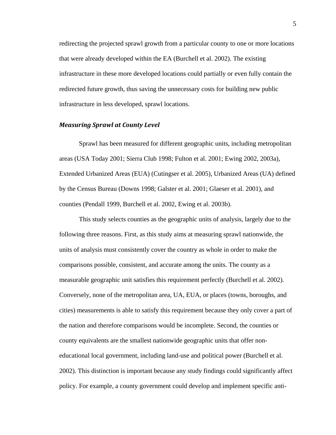redirecting the projected sprawl growth from a particular county to one or more locations that were already developed within the EA (Burchell et al. 2002). The existing infrastructure in these more developed locations could partially or even fully contain the redirected future growth, thus saving the unnecessary costs for building new public infrastructure in less developed, sprawl locations.

#### *Measuring Sprawl at County Level*

Sprawl has been measured for different geographic units, including metropolitan areas (USA Today 2001; Sierra Club 1998; Fulton et al. 2001; Ewing 2002, 2003a), Extended Urbanized Areas (EUA) (Cutingser et al. 2005), Urbanized Areas (UA) defined by the Census Bureau (Downs 1998; Galster et al. 2001; Glaeser et al. 2001), and counties (Pendall 1999, Burchell et al. 2002, Ewing et al. 2003b).

This study selects counties as the geographic units of analysis, largely due to the following three reasons. First, as this study aims at measuring sprawl nationwide, the units of analysis must consistently cover the country as whole in order to make the comparisons possible, consistent, and accurate among the units. The county as a measurable geographic unit satisfies this requirement perfectly (Burchell et al. 2002). Conversely, none of the metropolitan area, UA, EUA, or places (towns, boroughs, and cities) measurements is able to satisfy this requirement because they only cover a part of the nation and therefore comparisons would be incomplete. Second, the counties or county equivalents are the smallest nationwide geographic units that offer noneducational local government, including land-use and political power (Burchell et al. 2002). This distinction is important because any study findings could significantly affect policy. For example, a county government could develop and implement specific anti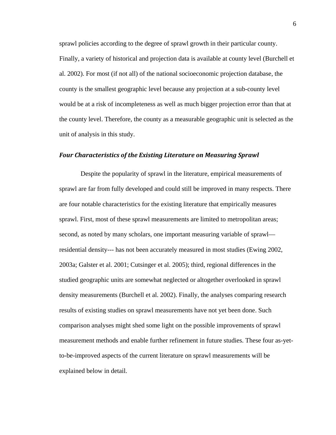sprawl policies according to the degree of sprawl growth in their particular county. Finally, a variety of historical and projection data is available at county level (Burchell et al. 2002). For most (if not all) of the national socioeconomic projection database, the county is the smallest geographic level because any projection at a sub-county level would be at a risk of incompleteness as well as much bigger projection error than that at the county level. Therefore, the county as a measurable geographic unit is selected as the unit of analysis in this study.

#### *Four Characteristics of the Existing Literature on Measuring Sprawl*

 Despite the popularity of sprawl in the literature, empirical measurements of sprawl are far from fully developed and could still be improved in many respects. There are four notable characteristics for the existing literature that empirically measures sprawl. First, most of these sprawl measurements are limited to metropolitan areas; second, as noted by many scholars, one important measuring variable of sprawl residential density--- has not been accurately measured in most studies (Ewing 2002, 2003a; Galster et al. 2001; Cutsinger et al. 2005); third, regional differences in the studied geographic units are somewhat neglected or altogether overlooked in sprawl density measurements (Burchell et al. 2002). Finally, the analyses comparing research results of existing studies on sprawl measurements have not yet been done. Such comparison analyses might shed some light on the possible improvements of sprawl measurement methods and enable further refinement in future studies. These four as-yetto-be-improved aspects of the current literature on sprawl measurements will be explained below in detail.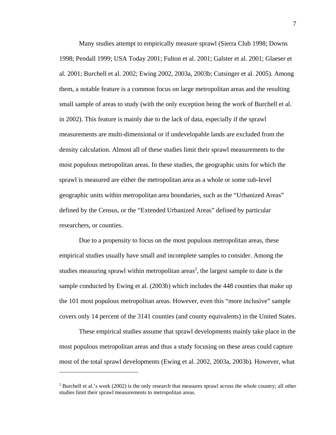Many studies attempt to empirically measure sprawl (Sierra Club 1998; Downs 1998; Pendall 1999; USA Today 2001; Fulton et al. 2001; Galster et al. 2001; Glaeser et al. 2001; Burchell et al. 2002; Ewing 2002, 2003a, 2003b; Cutsinger et al. 2005). Among them, a notable feature is a common focus on large metropolitan areas and the resulting small sample of areas to study (with the only exception being the work of Burchell et al. in 2002). This feature is mainly due to the lack of data, especially if the sprawl measurements are multi-dimensional or if undevelopable lands are excluded from the density calculation. Almost all of these studies limit their sprawl measurements to the most populous metropolitan areas. In these studies, the geographic units for which the sprawl is measured are either the metropolitan area as a whole or some sub-level geographic units within metropolitan area boundaries, such as the "Urbanized Areas" defined by the Census, or the "Extended Urbanized Areas" defined by particular researchers, or counties.

Due to a propensity to focus on the most populous metropolitan areas, these empirical studies usually have small and incomplete samples to consider. Among the studies measuring sprawl within metropolitan areas<sup>2</sup>, the largest sample to date is the sample conducted by Ewing et al. (2003b) which includes the 448 counties that make up the 101 most populous metropolitan areas. However, even this "more inclusive" sample covers only 14 percent of the 3141 counties (and county equivalents) in the United States.

These empirical studies assume that sprawl developments mainly take place in the most populous metropolitan areas and thus a study focusing on these areas could capture most of the total sprawl developments (Ewing et al. 2002, 2003a, 2003b). However, what

<sup>&</sup>lt;sup>2</sup> Burchell et al.'s work (2002) is the only research that measures sprawl across the whole country; all other studies limit their sprawl measurements to metropolitan areas.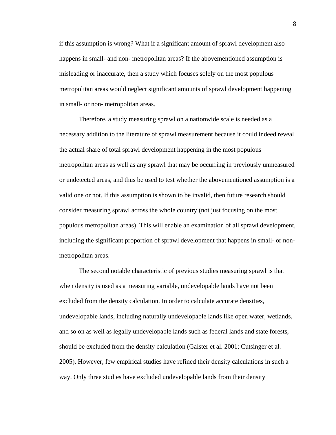if this assumption is wrong? What if a significant amount of sprawl development also happens in small- and non- metropolitan areas? If the abovementioned assumption is misleading or inaccurate, then a study which focuses solely on the most populous metropolitan areas would neglect significant amounts of sprawl development happening in small- or non- metropolitan areas.

Therefore, a study measuring sprawl on a nationwide scale is needed as a necessary addition to the literature of sprawl measurement because it could indeed reveal the actual share of total sprawl development happening in the most populous metropolitan areas as well as any sprawl that may be occurring in previously unmeasured or undetected areas, and thus be used to test whether the abovementioned assumption is a valid one or not. If this assumption is shown to be invalid, then future research should consider measuring sprawl across the whole country (not just focusing on the most populous metropolitan areas). This will enable an examination of all sprawl development, including the significant proportion of sprawl development that happens in small- or nonmetropolitan areas.

The second notable characteristic of previous studies measuring sprawl is that when density is used as a measuring variable, undevelopable lands have not been excluded from the density calculation. In order to calculate accurate densities, undevelopable lands, including naturally undevelopable lands like open water, wetlands, and so on as well as legally undevelopable lands such as federal lands and state forests, should be excluded from the density calculation (Galster et al. 2001; Cutsinger et al. 2005). However, few empirical studies have refined their density calculations in such a way. Only three studies have excluded undevelopable lands from their density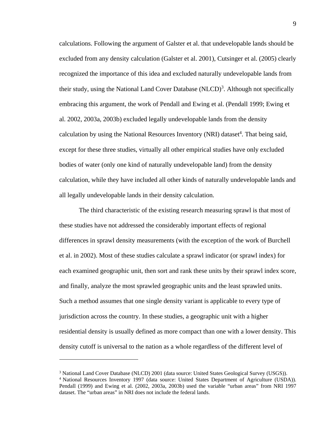calculations. Following the argument of Galster et al. that undevelopable lands should be excluded from any density calculation (Galster et al. 2001), Cutsinger et al. (2005) clearly recognized the importance of this idea and excluded naturally undevelopable lands from their study, using the National Land Cover Database  $(NLCD)^3$ . Although not specifically embracing this argument, the work of Pendall and Ewing et al. (Pendall 1999; Ewing et al. 2002, 2003a, 2003b) excluded legally undevelopable lands from the density calculation by using the National Resources Inventory (NRI) dataset<sup>4</sup>. That being said, except for these three studies, virtually all other empirical studies have only excluded bodies of water (only one kind of naturally undevelopable land) from the density calculation, while they have included all other kinds of naturally undevelopable lands and all legally undevelopable lands in their density calculation.

The third characteristic of the existing research measuring sprawl is that most of these studies have not addressed the considerably important effects of regional differences in sprawl density measurements (with the exception of the work of Burchell et al. in 2002). Most of these studies calculate a sprawl indicator (or sprawl index) for each examined geographic unit, then sort and rank these units by their sprawl index score, and finally, analyze the most sprawled geographic units and the least sprawled units. Such a method assumes that one single density variant is applicable to every type of jurisdiction across the country. In these studies, a geographic unit with a higher residential density is usually defined as more compact than one with a lower density. This density cutoff is universal to the nation as a whole regardless of the different level of

<sup>&</sup>lt;sup>3</sup> National Land Cover Database (NLCD) 2001 (data source: United States Geological Survey (USGS)).

<sup>&</sup>lt;sup>4</sup> National Resources Inventory 1997 (data source: United States Department of Agriculture (USDA)). Pendall (1999) and Ewing et al. (2002, 2003a, 2003b) used the variable "urban areas" from NRI 1997 dataset. The "urban areas" in NRI does not include the federal lands.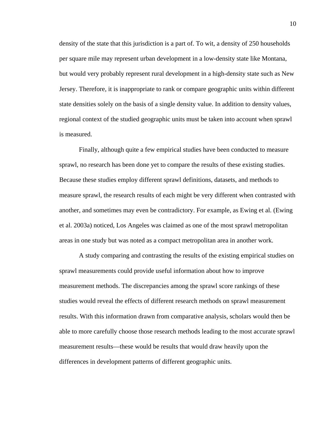density of the state that this jurisdiction is a part of. To wit, a density of 250 households per square mile may represent urban development in a low-density state like Montana, but would very probably represent rural development in a high-density state such as New Jersey. Therefore, it is inappropriate to rank or compare geographic units within different state densities solely on the basis of a single density value. In addition to density values, regional context of the studied geographic units must be taken into account when sprawl is measured.

Finally, although quite a few empirical studies have been conducted to measure sprawl, no research has been done yet to compare the results of these existing studies. Because these studies employ different sprawl definitions, datasets, and methods to measure sprawl, the research results of each might be very different when contrasted with another, and sometimes may even be contradictory. For example, as Ewing et al. (Ewing et al. 2003a) noticed, Los Angeles was claimed as one of the most sprawl metropolitan areas in one study but was noted as a compact metropolitan area in another work.

A study comparing and contrasting the results of the existing empirical studies on sprawl measurements could provide useful information about how to improve measurement methods. The discrepancies among the sprawl score rankings of these studies would reveal the effects of different research methods on sprawl measurement results. With this information drawn from comparative analysis, scholars would then be able to more carefully choose those research methods leading to the most accurate sprawl measurement results—these would be results that would draw heavily upon the differences in development patterns of different geographic units.

10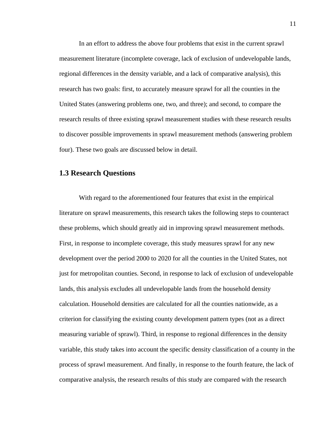In an effort to address the above four problems that exist in the current sprawl measurement literature (incomplete coverage, lack of exclusion of undevelopable lands, regional differences in the density variable, and a lack of comparative analysis), this research has two goals: first, to accurately measure sprawl for all the counties in the United States (answering problems one, two, and three); and second, to compare the research results of three existing sprawl measurement studies with these research results to discover possible improvements in sprawl measurement methods (answering problem four). These two goals are discussed below in detail.

#### **1.3 Research Questions**

With regard to the aforementioned four features that exist in the empirical literature on sprawl measurements, this research takes the following steps to counteract these problems, which should greatly aid in improving sprawl measurement methods. First, in response to incomplete coverage, this study measures sprawl for any new development over the period 2000 to 2020 for all the counties in the United States, not just for metropolitan counties. Second, in response to lack of exclusion of undevelopable lands, this analysis excludes all undevelopable lands from the household density calculation. Household densities are calculated for all the counties nationwide, as a criterion for classifying the existing county development pattern types (not as a direct measuring variable of sprawl). Third, in response to regional differences in the density variable, this study takes into account the specific density classification of a county in the process of sprawl measurement. And finally, in response to the fourth feature, the lack of comparative analysis, the research results of this study are compared with the research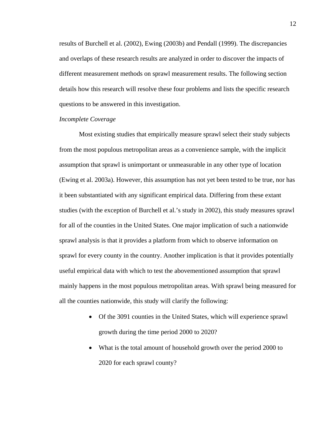results of Burchell et al. (2002), Ewing (2003b) and Pendall (1999). The discrepancies and overlaps of these research results are analyzed in order to discover the impacts of different measurement methods on sprawl measurement results. The following section details how this research will resolve these four problems and lists the specific research questions to be answered in this investigation.

#### *Incomplete Coverage*

Most existing studies that empirically measure sprawl select their study subjects from the most populous metropolitan areas as a convenience sample, with the implicit assumption that sprawl is unimportant or unmeasurable in any other type of location (Ewing et al. 2003a). However, this assumption has not yet been tested to be true, nor has it been substantiated with any significant empirical data. Differing from these extant studies (with the exception of Burchell et al.'s study in 2002), this study measures sprawl for all of the counties in the United States. One major implication of such a nationwide sprawl analysis is that it provides a platform from which to observe information on sprawl for every county in the country. Another implication is that it provides potentially useful empirical data with which to test the abovementioned assumption that sprawl mainly happens in the most populous metropolitan areas. With sprawl being measured for all the counties nationwide, this study will clarify the following:

- Of the 3091 counties in the United States, which will experience sprawl growth during the time period 2000 to 2020?
- What is the total amount of household growth over the period 2000 to 2020 for each sprawl county?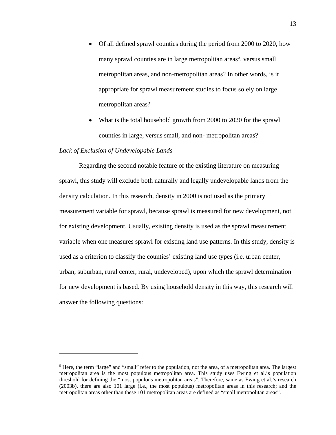- Of all defined sprawl counties during the period from 2000 to 2020, how many sprawl counties are in large metropolitan areas<sup>5</sup>, versus small metropolitan areas, and non-metropolitan areas? In other words, is it appropriate for sprawl measurement studies to focus solely on large metropolitan areas?
- What is the total household growth from 2000 to 2020 for the sprawl counties in large, versus small, and non- metropolitan areas?

#### *Lack of Exclusion of Undevelopable Lands*

 $\overline{a}$ 

Regarding the second notable feature of the existing literature on measuring sprawl, this study will exclude both naturally and legally undevelopable lands from the density calculation. In this research, density in 2000 is not used as the primary measurement variable for sprawl, because sprawl is measured for new development, not for existing development. Usually, existing density is used as the sprawl measurement variable when one measures sprawl for existing land use patterns. In this study, density is used as a criterion to classify the counties' existing land use types (i.e. urban center, urban, suburban, rural center, rural, undeveloped), upon which the sprawl determination for new development is based. By using household density in this way, this research will answer the following questions:

<sup>&</sup>lt;sup>5</sup> Here, the term "large" and "small" refer to the population, not the area, of a metropolitan area. The largest metropolitan area is the most populous metropolitan area. This study uses Ewing et al.'s population threshold for defining the "most populous metropolitan areas". Therefore, same as Ewing et al.'s research (2003b), there are also 101 large (i.e., the most populous) metropolitan areas in this research; and the metropolitan areas other than these 101 metropolitan areas are defined as "small metropolitan areas".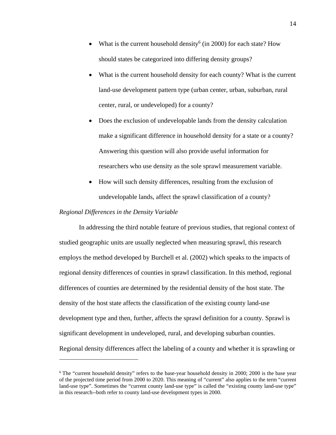- What is the current household density<sup>6</sup> (in 2000) for each state? How should states be categorized into differing density groups?
- What is the current household density for each county? What is the current land-use development pattern type (urban center, urban, suburban, rural center, rural, or undeveloped) for a county?
- Does the exclusion of undevelopable lands from the density calculation make a significant difference in household density for a state or a county? Answering this question will also provide useful information for researchers who use density as the sole sprawl measurement variable.
- How will such density differences, resulting from the exclusion of undevelopable lands, affect the sprawl classification of a county?

#### *Regional Differences in the Density Variable*

 $\overline{a}$ 

In addressing the third notable feature of previous studies, that regional context of studied geographic units are usually neglected when measuring sprawl, this research employs the method developed by Burchell et al. (2002) which speaks to the impacts of regional density differences of counties in sprawl classification. In this method, regional differences of counties are determined by the residential density of the host state. The density of the host state affects the classification of the existing county land-use development type and then, further, affects the sprawl definition for a county. Sprawl is significant development in undeveloped, rural, and developing suburban counties. Regional density differences affect the labeling of a county and whether it is sprawling or

<sup>&</sup>lt;sup>6</sup> The "current household density" refers to the base-year household density in 2000; 2000 is the base year of the projected time period from 2000 to 2020. This meaning of "current" also applies to the term "current land-use type". Sometimes the "current county land-use type" is called the "existing county land-use type" in this research--both refer to county land-use development types in 2000.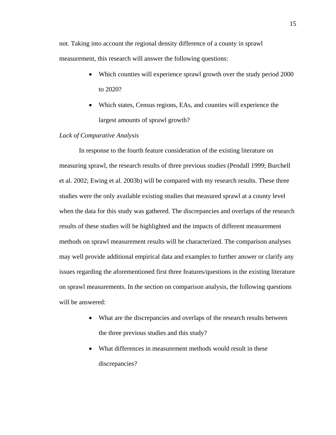not. Taking into account the regional density difference of a county in sprawl measurement, this research will answer the following questions:

- Which counties will experience sprawl growth over the study period 2000 to 2020?
- Which states, Census regions, EAs, and counties will experience the largest amounts of sprawl growth?

#### *Lack of Comparative Analysis*

In response to the fourth feature consideration of the existing literature on measuring sprawl, the research results of three previous studies (Pendall 1999; Burchell et al. 2002; Ewing et al. 2003b) will be compared with my research results. These three studies were the only available existing studies that measured sprawl at a county level when the data for this study was gathered. The discrepancies and overlaps of the research results of these studies will be highlighted and the impacts of different measurement methods on sprawl measurement results will be characterized. The comparison analyses may well provide additional empirical data and examples to further answer or clarify any issues regarding the aforementioned first three features/questions in the existing literature on sprawl measurements. In the section on comparison analysis, the following questions will be answered:

- What are the discrepancies and overlaps of the research results between the three previous studies and this study?
- What differences in measurement methods would result in these discrepancies?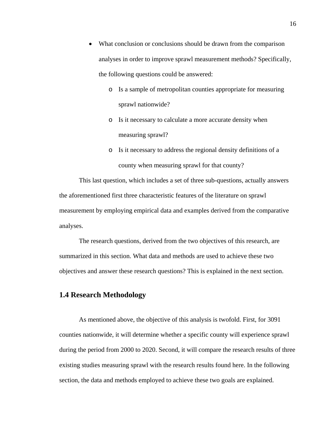- What conclusion or conclusions should be drawn from the comparison analyses in order to improve sprawl measurement methods? Specifically, the following questions could be answered:
	- o Is a sample of metropolitan counties appropriate for measuring sprawl nationwide?
	- o Is it necessary to calculate a more accurate density when measuring sprawl?
	- o Is it necessary to address the regional density definitions of a county when measuring sprawl for that county?

This last question, which includes a set of three sub-questions, actually answers the aforementioned first three characteristic features of the literature on sprawl measurement by employing empirical data and examples derived from the comparative analyses.

The research questions, derived from the two objectives of this research, are summarized in this section. What data and methods are used to achieve these two objectives and answer these research questions? This is explained in the next section.

#### **1.4 Research Methodology**

As mentioned above, the objective of this analysis is twofold. First, for 3091 counties nationwide, it will determine whether a specific county will experience sprawl during the period from 2000 to 2020. Second, it will compare the research results of three existing studies measuring sprawl with the research results found here. In the following section, the data and methods employed to achieve these two goals are explained.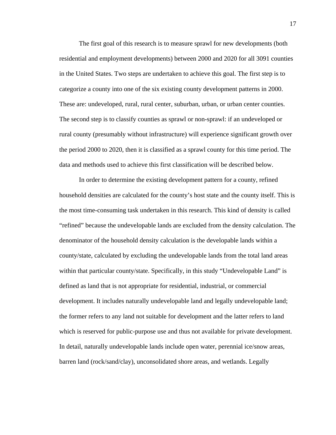The first goal of this research is to measure sprawl for new developments (both residential and employment developments) between 2000 and 2020 for all 3091 counties in the United States. Two steps are undertaken to achieve this goal. The first step is to categorize a county into one of the six existing county development patterns in 2000. These are: undeveloped, rural, rural center, suburban, urban, or urban center counties. The second step is to classify counties as sprawl or non-sprawl: if an undeveloped or rural county (presumably without infrastructure) will experience significant growth over the period 2000 to 2020, then it is classified as a sprawl county for this time period. The data and methods used to achieve this first classification will be described below.

In order to determine the existing development pattern for a county, refined household densities are calculated for the county's host state and the county itself. This is the most time-consuming task undertaken in this research. This kind of density is called "refined" because the undevelopable lands are excluded from the density calculation. The denominator of the household density calculation is the developable lands within a county/state, calculated by excluding the undevelopable lands from the total land areas within that particular county/state. Specifically, in this study "Undevelopable Land" is defined as land that is not appropriate for residential, industrial, or commercial development. It includes naturally undevelopable land and legally undevelopable land; the former refers to any land not suitable for development and the latter refers to land which is reserved for public-purpose use and thus not available for private development. In detail, naturally undevelopable lands include open water, perennial ice/snow areas, barren land (rock/sand/clay), unconsolidated shore areas, and wetlands. Legally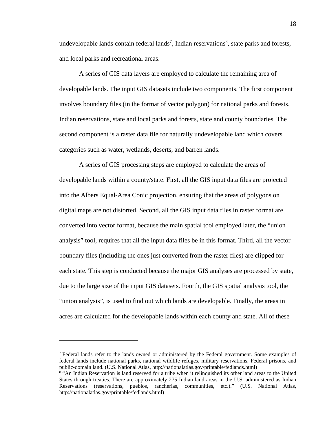undevelopable lands contain federal lands<sup>7</sup>, Indian reservations<sup>8</sup>, state parks and forests, and local parks and recreational areas.

A series of GIS data layers are employed to calculate the remaining area of developable lands. The input GIS datasets include two components. The first component involves boundary files (in the format of vector polygon) for national parks and forests, Indian reservations, state and local parks and forests, state and county boundaries. The second component is a raster data file for naturally undevelopable land which covers categories such as water, wetlands, deserts, and barren lands.

A series of GIS processing steps are employed to calculate the areas of developable lands within a county/state. First, all the GIS input data files are projected into the Albers Equal-Area Conic projection, ensuring that the areas of polygons on digital maps are not distorted. Second, all the GIS input data files in raster format are converted into vector format, because the main spatial tool employed later, the "union analysis" tool, requires that all the input data files be in this format. Third, all the vector boundary files (including the ones just converted from the raster files) are clipped for each state. This step is conducted because the major GIS analyses are processed by state, due to the large size of the input GIS datasets. Fourth, the GIS spatial analysis tool, the "union analysis", is used to find out which lands are developable. Finally, the areas in acres are calculated for the developable lands within each county and state. All of these

<sup>&</sup>lt;sup>7</sup> Federal lands refer to the lands owned or administered by the Federal government. Some examples of federal lands include national parks, national wildlife refuges, military reservations, Federal prisons, and public-domain land. (U.S. National Atlas, http://nationalatlas.gov/printable/fedlands.html) 8

<sup>&</sup>lt;sup>8</sup> "An Indian Reservation is land reserved for a tribe when it relinquished its other land areas to the United States through treaties. There are approximately 275 Indian land areas in the U.S. administered as Indian Reservations (reservations, pueblos, rancherias, communities, etc.)." (U.S. National Atlas, http://nationalatlas.gov/printable/fedlands.html)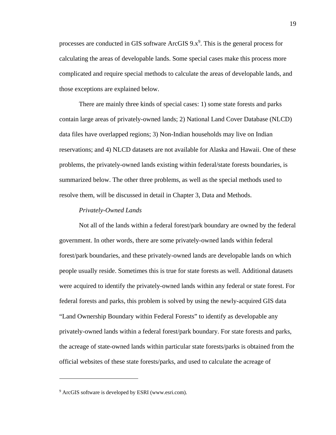processes are conducted in GIS software ArcGIS  $9.x<sup>9</sup>$ . This is the general process for calculating the areas of developable lands. Some special cases make this process more complicated and require special methods to calculate the areas of developable lands, and those exceptions are explained below.

There are mainly three kinds of special cases: 1) some state forests and parks contain large areas of privately-owned lands; 2) National Land Cover Database (NLCD) data files have overlapped regions; 3) Non-Indian households may live on Indian reservations; and 4) NLCD datasets are not available for Alaska and Hawaii. One of these problems, the privately-owned lands existing within federal/state forests boundaries, is summarized below. The other three problems, as well as the special methods used to resolve them, will be discussed in detail in Chapter 3, Data and Methods.

#### *Privately-Owned Lands*

Not all of the lands within a federal forest/park boundary are owned by the federal government. In other words, there are some privately-owned lands within federal forest/park boundaries, and these privately-owned lands are developable lands on which people usually reside. Sometimes this is true for state forests as well. Additional datasets were acquired to identify the privately-owned lands within any federal or state forest. For federal forests and parks, this problem is solved by using the newly-acquired GIS data "Land Ownership Boundary within Federal Forests" to identify as developable any privately-owned lands within a federal forest/park boundary. For state forests and parks, the acreage of state-owned lands within particular state forests/parks is obtained from the official websites of these state forests/parks, and used to calculate the acreage of

<sup>&</sup>lt;sup>9</sup> ArcGIS software is developed by ESRI (www.esri.com).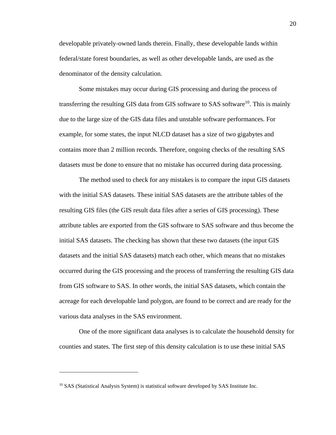developable privately-owned lands therein. Finally, these developable lands within federal/state forest boundaries, as well as other developable lands, are used as the denominator of the density calculation.

Some mistakes may occur during GIS processing and during the process of transferring the resulting GIS data from GIS software to SAS software<sup>10</sup>. This is mainly due to the large size of the GIS data files and unstable software performances. For example, for some states, the input NLCD dataset has a size of two gigabytes and contains more than 2 million records. Therefore, ongoing checks of the resulting SAS datasets must be done to ensure that no mistake has occurred during data processing.

The method used to check for any mistakes is to compare the input GIS datasets with the initial SAS datasets. These initial SAS datasets are the attribute tables of the resulting GIS files (the GIS result data files after a series of GIS processing). These attribute tables are exported from the GIS software to SAS software and thus become the initial SAS datasets. The checking has shown that these two datasets (the input GIS datasets and the initial SAS datasets) match each other, which means that no mistakes occurred during the GIS processing and the process of transferring the resulting GIS data from GIS software to SAS. In other words, the initial SAS datasets, which contain the acreage for each developable land polygon, are found to be correct and are ready for the various data analyses in the SAS environment.

One of the more significant data analyses is to calculate the household density for counties and states. The first step of this density calculation is to use these initial SAS

<sup>&</sup>lt;sup>10</sup> SAS (Statistical Analysis System) is statistical software developed by SAS Institute Inc.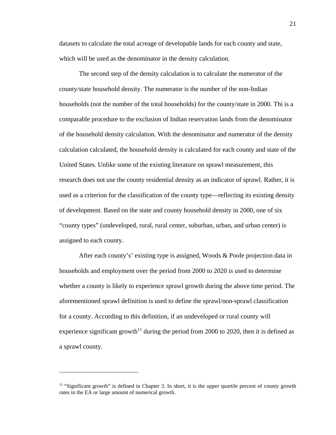datasets to calculate the total acreage of developable lands for each county and state, which will be used as the denominator in the density calculation.

The second step of the density calculation is to calculate the numerator of the county/state household density. The numerator is the number of the non-Indian households (not the number of the total households) for the county/state in 2000. Thi is a comparable procedure to the exclusion of Indian reservation lands from the denominator of the household density calculation. With the denominator and numerator of the density calculation calculated, the household density is calculated for each county and state of the United States. Unlike some of the existing literature on sprawl measurement, this research does not use the county residential density as an indicator of sprawl. Rather, it is used as a criterion for the classification of the county type—reflecting its existing density of development. Based on the state and county household density in 2000, one of six "county types" (undeveloped, rural, rural center, suburban, urban, and urban center) is assigned to each county.

After each county's' existing type is assigned, Woods & Poole projection data in households and employment over the period from 2000 to 2020 is used to determine whether a county is likely to experience sprawl growth during the above time period. The aforementioned sprawl definition is used to define the sprawl/non-sprawl classification for a county. According to this definition, if an undeveloped or rural county will experience significant growth<sup>11</sup> during the period from 2000 to 2020, then it is defined as a sprawl county.

<sup>&</sup>lt;sup>11</sup> "Significant growth" is defined in Chapter 3. In short, it is the upper quartile percent of county growth rates in the EA or large amount of numerical growth.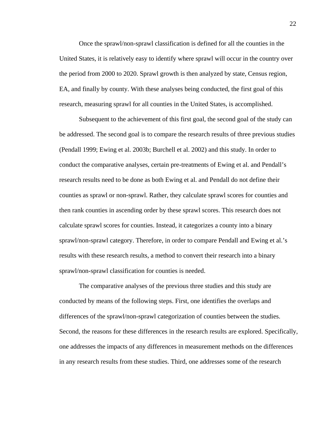Once the sprawl/non-sprawl classification is defined for all the counties in the United States, it is relatively easy to identify where sprawl will occur in the country over the period from 2000 to 2020. Sprawl growth is then analyzed by state, Census region, EA, and finally by county. With these analyses being conducted, the first goal of this research, measuring sprawl for all counties in the United States, is accomplished.

Subsequent to the achievement of this first goal, the second goal of the study can be addressed. The second goal is to compare the research results of three previous studies (Pendall 1999; Ewing et al. 2003b; Burchell et al. 2002) and this study. In order to conduct the comparative analyses, certain pre-treatments of Ewing et al. and Pendall's research results need to be done as both Ewing et al. and Pendall do not define their counties as sprawl or non-sprawl. Rather, they calculate sprawl scores for counties and then rank counties in ascending order by these sprawl scores. This research does not calculate sprawl scores for counties. Instead, it categorizes a county into a binary sprawl/non-sprawl category. Therefore, in order to compare Pendall and Ewing et al.'s results with these research results, a method to convert their research into a binary sprawl/non-sprawl classification for counties is needed.

The comparative analyses of the previous three studies and this study are conducted by means of the following steps. First, one identifies the overlaps and differences of the sprawl/non-sprawl categorization of counties between the studies. Second, the reasons for these differences in the research results are explored. Specifically, one addresses the impacts of any differences in measurement methods on the differences in any research results from these studies. Third, one addresses some of the research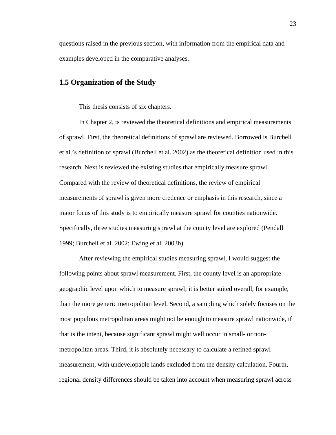questions raised in the previous section, with information from the empirical data and examples developed in the comparative analyses.

## **1.5 Organization of the Study**

This thesis consists of six chapters.

In Chapter 2, is reviewed the theoretical definitions and empirical measurements of sprawl. First, the theoretical definitions of sprawl are reviewed. Borrowed is Burchell et al.'s definition of sprawl (Burchell et al. 2002) as the theoretical definition used in this research. Next is reviewed the existing studies that empirically measure sprawl. Compared with the review of theoretical definitions, the review of empirical measurements of sprawl is given more credence or emphasis in this research, since a major focus of this study is to empirically measure sprawl for counties nationwide. Specifically, three studies measuring sprawl at the county level are explored (Pendall 1999; Burchell et al. 2002; Ewing et al. 2003b).

After reviewing the empirical studies measuring sprawl, I would suggest the following points about sprawl measurement. First, the county level is an appropriate geographic level upon which to measure sprawl; it is better suited overall, for example, than the more generic metropolitan level. Second, a sampling which solely focuses on the most populous metropolitan areas might not be enough to measure sprawl nationwide, if that is the intent, because significant sprawl might well occur in small- or nonmetropolitan areas. Third, it is absolutely necessary to calculate a refined sprawl measurement, with undevelopable lands excluded from the density calculation. Fourth, regional density differences should be taken into account when measuring sprawl across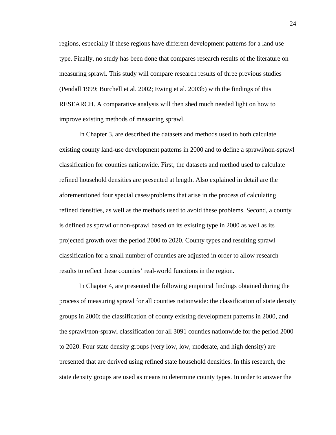regions, especially if these regions have different development patterns for a land use type. Finally, no study has been done that compares research results of the literature on measuring sprawl. This study will compare research results of three previous studies (Pendall 1999; Burchell et al. 2002; Ewing et al. 2003b) with the findings of this RESEARCH. A comparative analysis will then shed much needed light on how to improve existing methods of measuring sprawl.

In Chapter 3, are described the datasets and methods used to both calculate existing county land-use development patterns in 2000 and to define a sprawl/non-sprawl classification for counties nationwide. First, the datasets and method used to calculate refined household densities are presented at length. Also explained in detail are the aforementioned four special cases/problems that arise in the process of calculating refined densities, as well as the methods used to avoid these problems. Second, a county is defined as sprawl or non-sprawl based on its existing type in 2000 as well as its projected growth over the period 2000 to 2020. County types and resulting sprawl classification for a small number of counties are adjusted in order to allow research results to reflect these counties' real-world functions in the region.

In Chapter 4, are presented the following empirical findings obtained during the process of measuring sprawl for all counties nationwide: the classification of state density groups in 2000; the classification of county existing development patterns in 2000, and the sprawl/non-sprawl classification for all 3091 counties nationwide for the period 2000 to 2020. Four state density groups (very low, low, moderate, and high density) are presented that are derived using refined state household densities. In this research, the state density groups are used as means to determine county types. In order to answer the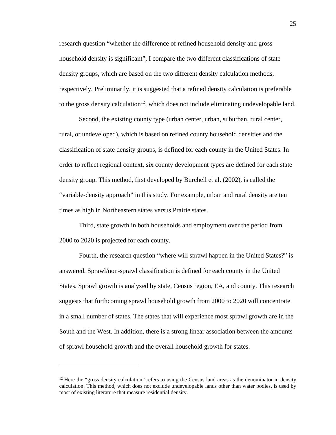research question "whether the difference of refined household density and gross household density is significant", I compare the two different classifications of state density groups, which are based on the two different density calculation methods, respectively. Preliminarily, it is suggested that a refined density calculation is preferable to the gross density calculation<sup>12</sup>, which does not include eliminating undevelopable land.

Second, the existing county type (urban center, urban, suburban, rural center, rural, or undeveloped), which is based on refined county household densities and the classification of state density groups, is defined for each county in the United States. In order to reflect regional context, six county development types are defined for each state density group. This method, first developed by Burchell et al. (2002), is called the "variable-density approach" in this study. For example, urban and rural density are ten times as high in Northeastern states versus Prairie states.

Third, state growth in both households and employment over the period from 2000 to 2020 is projected for each county.

Fourth, the research question "where will sprawl happen in the United States?" is answered. Sprawl/non-sprawl classification is defined for each county in the United States. Sprawl growth is analyzed by state, Census region, EA, and county. This research suggests that forthcoming sprawl household growth from 2000 to 2020 will concentrate in a small number of states. The states that will experience most sprawl growth are in the South and the West. In addition, there is a strong linear association between the amounts of sprawl household growth and the overall household growth for states.

 $12$  Here the "gross density calculation" refers to using the Census land areas as the denominator in density calculation. This method, which does not exclude undevelopable lands other than water bodies, is used by most of existing literature that measure residential density.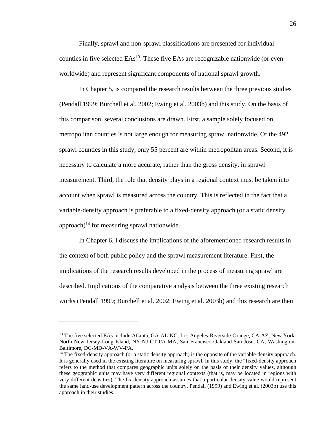Finally, sprawl and non-sprawl classifications are presented for individual counties in five selected  $EAs<sup>13</sup>$ . These five EAs are recognizable nationwide (or even worldwide) and represent significant components of national sprawl growth.

In Chapter 5, is compared the research results between the three previous studies (Pendall 1999; Burchell et al. 2002; Ewing et al. 2003b) and this study. On the basis of this comparison, several conclusions are drawn. First, a sample solely focused on metropolitan counties is not large enough for measuring sprawl nationwide. Of the 492 sprawl counties in this study, only 55 percent are within metropolitan areas. Second, it is necessary to calculate a more accurate, rather than the gross density, in sprawl measurement. Third, the role that density plays in a regional context must be taken into account when sprawl is measured across the country. This is reflected in the fact that a variable-density approach is preferable to a fixed-density approach (or a static density approach)<sup>14</sup> for measuring sprawl nationwide.

In Chapter 6, I discuss the implications of the aforementioned research results in the context of both public policy and the sprawl measurement literature. First, the implications of the research results developed in the process of measuring sprawl are described. Implications of the comparative analysis between the three existing research works (Pendall 1999; Burchell et al. 2002; Ewing et al. 2003b) and this research are then

<sup>&</sup>lt;sup>13</sup> The five selected EAs include Atlanta, GA-AL-NC; Los Angeles-Riverside-Orange, CA-AZ; New York-North New Jersey-Long Island, NY-NJ-CT-PA-MA; San Francisco-Oakland-San Jose, CA; Washington-Baltimore, DC-MD-VA-WV-PA.

<sup>&</sup>lt;sup>14</sup> The fixed-density approach (or a static density approach) is the opposite of the variable-density approach. It is generally used in the existing literature on measuring sprawl. In this study, the "fixed-density approach" refers to the method that compares geographic units solely on the basis of their density values, although these geographic units may have very different regional contexts (that is, may be located in regions with very different densities). The fix-density approach assumes that a particular density value would represent the same land-use development pattern across the country. Pendall (1999) and Ewing et al. (2003b) use this approach in their studies.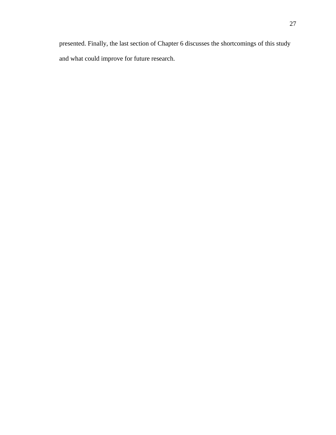presented. Finally, the last section of Chapter 6 discusses the shortcomings of this study and what could improve for future research.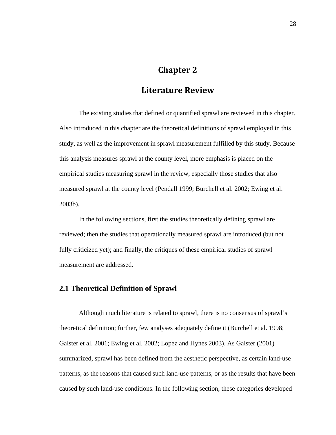# **Chapter 2**

## **Literature Review**

The existing studies that defined or quantified sprawl are reviewed in this chapter. Also introduced in this chapter are the theoretical definitions of sprawl employed in this study, as well as the improvement in sprawl measurement fulfilled by this study. Because this analysis measures sprawl at the county level, more emphasis is placed on the empirical studies measuring sprawl in the review, especially those studies that also measured sprawl at the county level (Pendall 1999; Burchell et al. 2002; Ewing et al. 2003b).

In the following sections, first the studies theoretically defining sprawl are reviewed; then the studies that operationally measured sprawl are introduced (but not fully criticized yet); and finally, the critiques of these empirical studies of sprawl measurement are addressed.

## **2.1 Theoretical Definition of Sprawl**

Although much literature is related to sprawl, there is no consensus of sprawl's theoretical definition; further, few analyses adequately define it (Burchell et al. 1998; Galster et al. 2001; Ewing et al. 2002; Lopez and Hynes 2003). As Galster (2001) summarized, sprawl has been defined from the aesthetic perspective, as certain land-use patterns, as the reasons that caused such land-use patterns, or as the results that have been caused by such land-use conditions. In the following section, these categories developed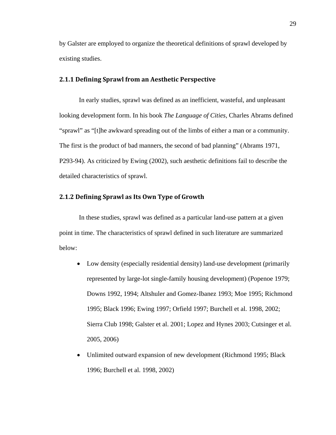by Galster are employed to organize the theoretical definitions of sprawl developed by existing studies.

## **2.1.1 Defining Sprawl from an Aesthetic Perspective**

In early studies, sprawl was defined as an inefficient, wasteful, and unpleasant looking development form. In his book *The Language of Cities,* Charles Abrams defined "sprawl" as "[t]he awkward spreading out of the limbs of either a man or a community. The first is the product of bad manners, the second of bad planning" (Abrams 1971, P293-94). As criticized by Ewing (2002), such aesthetic definitions fail to describe the detailed characteristics of sprawl.

## **2.1.2 Defining Sprawl as Its Own Type of Growth**

In these studies, sprawl was defined as a particular land-use pattern at a given point in time. The characteristics of sprawl defined in such literature are summarized below:

- Low density (especially residential density) land-use development (primarily represented by large-lot single-family housing development) (Popenoe 1979; Downs 1992, 1994; Altshuler and Gomez-Ibanez 1993; Moe 1995; Richmond 1995; Black 1996; Ewing 1997; Orfield 1997; Burchell et al. 1998, 2002; Sierra Club 1998; Galster et al. 2001; Lopez and Hynes 2003; Cutsinger et al. 2005, 2006)
- Unlimited outward expansion of new development (Richmond 1995; Black 1996; Burchell et al. 1998, 2002)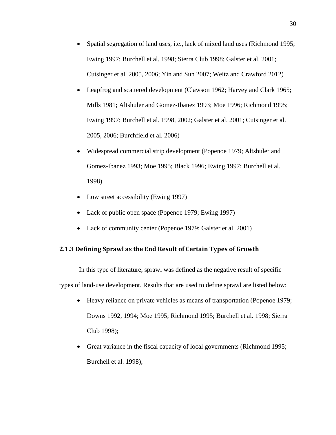- Spatial segregation of land uses, i.e., lack of mixed land uses (Richmond 1995; Ewing 1997; Burchell et al. 1998; Sierra Club 1998; Galster et al. 2001; Cutsinger et al. 2005, 2006; Yin and Sun 2007; Weitz and Crawford 2012)
- Leapfrog and scattered development (Clawson 1962; Harvey and Clark 1965; Mills 1981; Altshuler and Gomez-Ibanez 1993; Moe 1996; Richmond 1995; Ewing 1997; Burchell et al. 1998, 2002; Galster et al. 2001; Cutsinger et al. 2005, 2006; Burchfield et al. 2006)
- Widespread commercial strip development (Popenoe 1979; Altshuler and Gomez-Ibanez 1993; Moe 1995; Black 1996; Ewing 1997; Burchell et al. 1998)
- Low street accessibility (Ewing 1997)
- Lack of public open space (Popenoe 1979; Ewing 1997)
- Lack of community center (Popenoe 1979; Galster et al. 2001)

## **2.1.3 Defining Sprawl as the End Result of Certain Types of Growth**

In this type of literature, sprawl was defined as the negative result of specific types of land-use development. Results that are used to define sprawl are listed below:

- Heavy reliance on private vehicles as means of transportation (Popenoe 1979; Downs 1992, 1994; Moe 1995; Richmond 1995; Burchell et al. 1998; Sierra Club 1998);
- Great variance in the fiscal capacity of local governments (Richmond 1995; Burchell et al. 1998);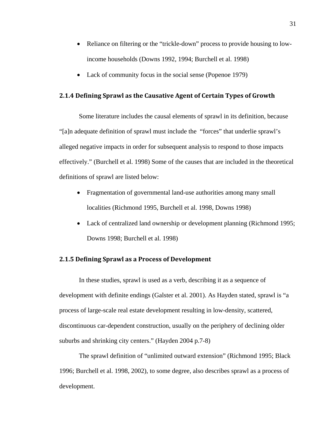- Reliance on filtering or the "trickle-down" process to provide housing to lowincome households (Downs 1992, 1994; Burchell et al. 1998)
- Lack of community focus in the social sense (Popenoe 1979)

## **2.1.4 Defining Sprawl as the Causative Agent of Certain Types of Growth**

Some literature includes the causal elements of sprawl in its definition, because "[a]n adequate definition of sprawl must include the "forces" that underlie sprawl's alleged negative impacts in order for subsequent analysis to respond to those impacts effectively." (Burchell et al. 1998) Some of the causes that are included in the theoretical definitions of sprawl are listed below:

- Fragmentation of governmental land-use authorities among many small localities (Richmond 1995, Burchell et al. 1998, Downs 1998)
- Lack of centralized land ownership or development planning (Richmond 1995; Downs 1998; Burchell et al. 1998)

## **2.1.5 Defining Sprawl as a Process of Development**

In these studies, sprawl is used as a verb, describing it as a sequence of development with definite endings (Galster et al. 2001). As Hayden stated, sprawl is "a process of large-scale real estate development resulting in low-density, scattered, discontinuous car-dependent construction, usually on the periphery of declining older suburbs and shrinking city centers." (Hayden 2004 p.7-8)

The sprawl definition of "unlimited outward extension" (Richmond 1995; Black 1996; Burchell et al. 1998, 2002), to some degree, also describes sprawl as a process of development.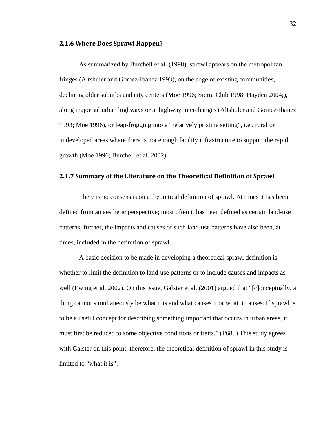#### **2.1.6 Where Does Sprawl Happen?**

As summarized by Burchell et al. (1998), sprawl appears on the metropolitan fringes (Altshuler and Gomez-Ibanez 1993), on the edge of existing communities, declining older suburbs and city centers (Moe 1996; Sierra Club 1998; Hayden 2004;), along major suburban highways or at highway interchanges (Altshuler and Gomez-Ibanez 1993; Moe 1996), or leap-frogging into a "relatively pristine setting", i.e., rural or undeveloped areas where there is not enough facility infrastructure to support the rapid growth (Moe 1996; Burchell et al. 2002).

### **2.1.7 Summary of the Literature on the Theoretical Definition of Sprawl**

There is no consensus on a theoretical definition of sprawl. At times it has been defined from an aesthetic perspective; most often it has been defined as certain land-use patterns; further, the impacts and causes of such land-use patterns have also been, at times, included in the definition of sprawl.

A basic decision to be made in developing a theoretical sprawl definition is whether to limit the definition to land-use patterns or to include causes and impacts as well (Ewing et al. 2002). On this issue, Galster et al. (2001) argued that "[c]onceptually, a thing cannot simultaneously be what it is and what causes it or what it causes. If sprawl is to be a useful concept for describing something important that occurs in urban areas, it must first be reduced to some objective conditions or traits." (P685) This study agrees with Galster on this point; therefore, the theoretical definition of sprawl in this study is limited to "what it is".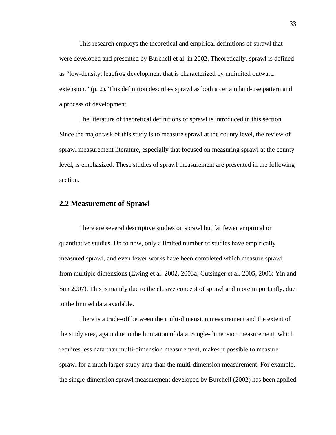This research employs the theoretical and empirical definitions of sprawl that were developed and presented by Burchell et al. in 2002. Theoretically, sprawl is defined as "low-density, leapfrog development that is characterized by unlimited outward extension." (p. 2). This definition describes sprawl as both a certain land-use pattern and a process of development.

The literature of theoretical definitions of sprawl is introduced in this section. Since the major task of this study is to measure sprawl at the county level, the review of sprawl measurement literature, especially that focused on measuring sprawl at the county level, is emphasized. These studies of sprawl measurement are presented in the following section.

## **2.2 Measurement of Sprawl**

There are several descriptive studies on sprawl but far fewer empirical or quantitative studies. Up to now, only a limited number of studies have empirically measured sprawl, and even fewer works have been completed which measure sprawl from multiple dimensions (Ewing et al. 2002, 2003a; Cutsinger et al. 2005, 2006; Yin and Sun 2007). This is mainly due to the elusive concept of sprawl and more importantly, due to the limited data available.

There is a trade-off between the multi-dimension measurement and the extent of the study area, again due to the limitation of data. Single-dimension measurement, which requires less data than multi-dimension measurement, makes it possible to measure sprawl for a much larger study area than the multi-dimension measurement. For example, the single-dimension sprawl measurement developed by Burchell (2002) has been applied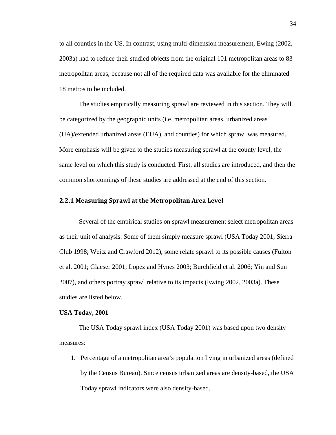to all counties in the US. In contrast, using multi-dimension measurement, Ewing (2002, 2003a) had to reduce their studied objects from the original 101 metropolitan areas to 83 metropolitan areas, because not all of the required data was available for the eliminated 18 metros to be included.

The studies empirically measuring sprawl are reviewed in this section. They will be categorized by the geographic units (i.e. metropolitan areas, urbanized areas (UA)/extended urbanized areas (EUA), and counties) for which sprawl was measured. More emphasis will be given to the studies measuring sprawl at the county level, the same level on which this study is conducted. First, all studies are introduced, and then the common shortcomings of these studies are addressed at the end of this section.

## **2.2.1 Measuring Sprawl at the Metropolitan Area Level**

Several of the empirical studies on sprawl measurement select metropolitan areas as their unit of analysis. Some of them simply measure sprawl (USA Today 2001; Sierra Club 1998; Weitz and Crawford 2012), some relate sprawl to its possible causes (Fulton et al. 2001; Glaeser 2001; Lopez and Hynes 2003; Burchfield et al. 2006; Yin and Sun 2007), and others portray sprawl relative to its impacts (Ewing 2002, 2003a). These studies are listed below.

#### **USA Today, 2001**

The USA Today sprawl index (USA Today 2001) was based upon two density measures:

1. Percentage of a metropolitan area's population living in urbanized areas (defined by the Census Bureau). Since census urbanized areas are density-based, the USA Today sprawl indicators were also density-based.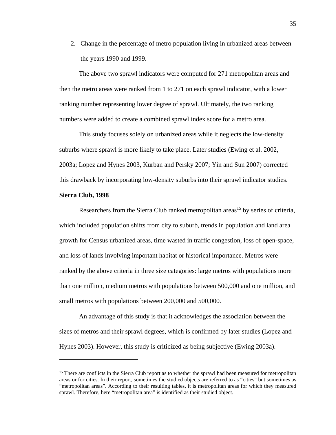2. Change in the percentage of metro population living in urbanized areas between the years 1990 and 1999.

The above two sprawl indicators were computed for 271 metropolitan areas and then the metro areas were ranked from 1 to 271 on each sprawl indicator, with a lower ranking number representing lower degree of sprawl. Ultimately, the two ranking numbers were added to create a combined sprawl index score for a metro area.

This study focuses solely on urbanized areas while it neglects the low-density suburbs where sprawl is more likely to take place. Later studies (Ewing et al. 2002, 2003a; Lopez and Hynes 2003, Kurban and Persky 2007; Yin and Sun 2007) corrected this drawback by incorporating low-density suburbs into their sprawl indicator studies.

#### **Sierra Club, 1998**

 $\overline{a}$ 

Researchers from the Sierra Club ranked metropolitan areas<sup>15</sup> by series of criteria, which included population shifts from city to suburb, trends in population and land area growth for Census urbanized areas, time wasted in traffic congestion, loss of open-space, and loss of lands involving important habitat or historical importance. Metros were ranked by the above criteria in three size categories: large metros with populations more than one million, medium metros with populations between 500,000 and one million, and small metros with populations between 200,000 and 500,000.

An advantage of this study is that it acknowledges the association between the sizes of metros and their sprawl degrees, which is confirmed by later studies (Lopez and Hynes 2003). However, this study is criticized as being subjective (Ewing 2003a).

<sup>&</sup>lt;sup>15</sup> There are conflicts in the Sierra Club report as to whether the sprawl had been measured for metropolitan areas or for cities. In their report, sometimes the studied objects are referred to as "cities" but sometimes as "metropolitan areas". According to their resulting tables, it is metropolitan areas for which they measured sprawl. Therefore, here "metropolitan area" is identified as their studied object.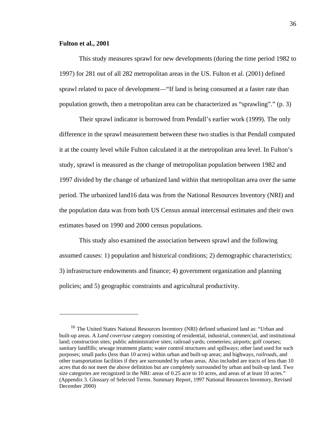#### **Fulton et al., 2001**

1

This study measures sprawl for new developments (during the time period 1982 to 1997) for 281 out of all 282 metropolitan areas in the US. Fulton et al. (2001) defined sprawl related to pace of development—"If land is being consumed at a faster rate than population growth, then a metropolitan area can be characterized as "sprawling"." (p. 3)

Their sprawl indicator is borrowed from Pendall's earlier work (1999). The only difference in the sprawl measurement between these two studies is that Pendall computed it at the county level while Fulton calculated it at the metropolitan area level. In Fulton's study, sprawl is measured as the change of metropolitan population between 1982 and 1997 divided by the change of urbanized land within that metropolitan area over the same period. The urbanized land16 data was from the National Resources Inventory (NRI) and the population data was from both US Census annual intercensal estimates and their own estimates based on 1990 and 2000 census populations.

This study also examined the association between sprawl and the following assumed causes: 1) population and historical conditions; 2) demographic characteristics; 3) infrastructure endowments and finance; 4) government organization and planning policies; and 5) geographic constraints and agricultural productivity.

<sup>&</sup>lt;sup>16</sup> The United States National Resources Inventory (NRI) defined urbanized land as: "Urban and built-up areas. A *Land cover/use* category consisting of residential, industrial, commercial, and institutional land; construction sites*;* public administrative sites; railroad yards; cemeteries; airports; golf courses; sanitary landfills; sewage treatment plants; water control structures and spillways; other land used for such purposes; small parks (less than 10 acres) within urban and built-up areas; and highways, *railroads*, and other transportation facilities if they are surrounded by urban areas. Also included are tracts of less than 10 acres that do not meet the above definition but are completely surrounded by urban and built-up land. Two size categories are recognized in the NRI: areas of 0.25 acre to 10 acres, and areas of at least 10 acres." (Appendix 3. Glossary of Selected Terms. Summary Report, 1997 National Resources Inventory, Revised December 2000)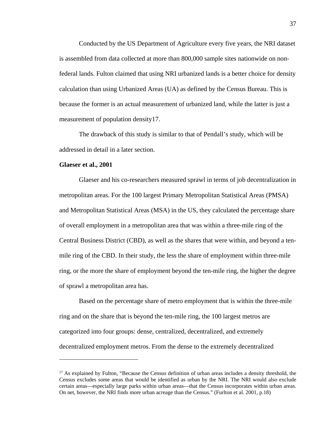Conducted by the US Department of Agriculture every five years, the NRI dataset is assembled from data collected at more than 800,000 sample sites nationwide on nonfederal lands. Fulton claimed that using NRI urbanized lands is a better choice for density calculation than using Urbanized Areas (UA) as defined by the Census Bureau. This is because the former is an actual measurement of urbanized land, while the latter is just a measurement of population density17.

The drawback of this study is similar to that of Pendall's study, which will be addressed in detail in a later section.

#### **Glaeser et al., 2001**

1

Glaeser and his co-researchers measured sprawl in terms of job decentralization in metropolitan areas. For the 100 largest Primary Metropolitan Statistical Areas (PMSA) and Metropolitan Statistical Areas (MSA) in the US, they calculated the percentage share of overall employment in a metropolitan area that was within a three-mile ring of the Central Business District (CBD), as well as the shares that were within, and beyond a tenmile ring of the CBD. In their study, the less the share of employment within three-mile ring, or the more the share of employment beyond the ten-mile ring, the higher the degree of sprawl a metropolitan area has.

Based on the percentage share of metro employment that is within the three-mile ring and on the share that is beyond the ten-mile ring, the 100 largest metros are categorized into four groups: dense, centralized, decentralized, and extremely decentralized employment metros. From the dense to the extremely decentralized

 $17$  As explained by Fulton, "Because the Census definition of urban areas includes a density threshold, the Census excludes some areas that would be identified as urban by the NRI. The NRI would also exclude certain areas—especially large parks within urban areas—that the Census incorporates within urban areas. On net, however, the NRI finds more urban acreage than the Census." (Furlton et al. 2001, p.18)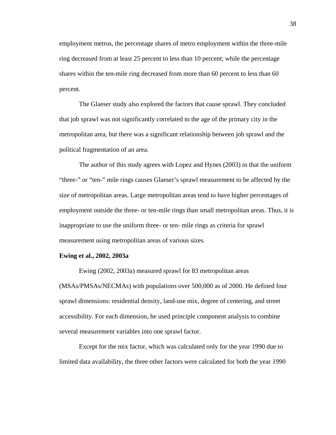employment metros, the percentage shares of metro employment within the three-mile ring decreased from at least 25 percent to less than 10 percent; while the percentage shares within the ten-mile ring decreased from more than 60 percent to less than 60 percent.

The Glaeser study also explored the factors that cause sprawl. They concluded that job sprawl was not significantly correlated to the age of the primary city in the metropolitan area, but there was a significant relationship between job sprawl and the political fragmentation of an area.

The author of this study agrees with Lopez and Hynes (2003) in that the uniform "three-" or "ten-" mile rings causes Glaeser's sprawl measurement to be affected by the size of metropolitan areas. Large metropolitan areas tend to have higher percentages of employment outside the three- or ten-mile rings than small metropolitan areas. Thus, it is inappropriate to use the uniform three- or ten- mile rings as criteria for sprawl measurement using metropolitan areas of various sizes.

#### **Ewing et al., 2002, 2003a**

Ewing (2002, 2003a) measured sprawl for 83 metropolitan areas (MSAs/PMSAs/NECMAs) with populations over 500,000 as of 2000. He defined four sprawl dimensions: residential density, land-use mix, degree of centering, and street accessibility. For each dimension, he used principle component analysis to combine several measurement variables into one sprawl factor.

Except for the mix factor, which was calculated only for the year 1990 due to limited data availability, the three other factors were calculated for both the year 1990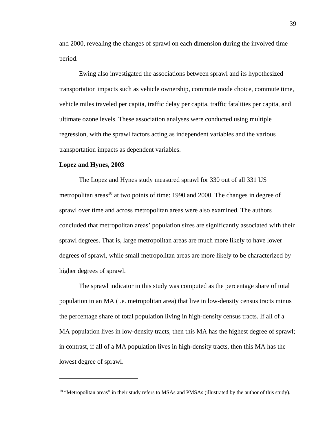and 2000, revealing the changes of sprawl on each dimension during the involved time period.

Ewing also investigated the associations between sprawl and its hypothesized transportation impacts such as vehicle ownership, commute mode choice, commute time, vehicle miles traveled per capita, traffic delay per capita, traffic fatalities per capita, and ultimate ozone levels. These association analyses were conducted using multiple regression, with the sprawl factors acting as independent variables and the various transportation impacts as dependent variables.

#### **Lopez and Hynes, 2003**

 $\overline{a}$ 

The Lopez and Hynes study measured sprawl for 330 out of all 331 US metropolitan areas<sup>18</sup> at two points of time: 1990 and 2000. The changes in degree of sprawl over time and across metropolitan areas were also examined. The authors concluded that metropolitan areas' population sizes are significantly associated with their sprawl degrees. That is, large metropolitan areas are much more likely to have lower degrees of sprawl, while small metropolitan areas are more likely to be characterized by higher degrees of sprawl.

The sprawl indicator in this study was computed as the percentage share of total population in an MA (i.e. metropolitan area) that live in low-density census tracts minus the percentage share of total population living in high-density census tracts. If all of a MA population lives in low-density tracts, then this MA has the highest degree of sprawl; in contrast, if all of a MA population lives in high-density tracts, then this MA has the lowest degree of sprawl.

<sup>&</sup>lt;sup>18</sup> "Metropolitan areas" in their study refers to MSAs and PMSAs (illustrated by the author of this study).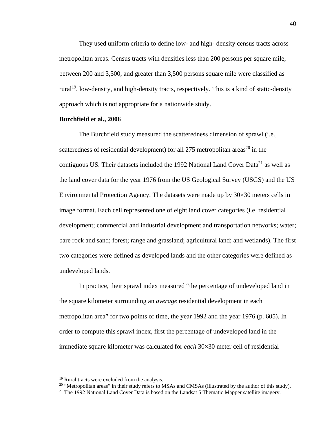They used uniform criteria to define low- and high- density census tracts across metropolitan areas. Census tracts with densities less than 200 persons per square mile, between 200 and 3,500, and greater than 3,500 persons square mile were classified as rural<sup>19</sup>, low-density, and high-density tracts, respectively. This is a kind of static-density approach which is not appropriate for a nationwide study.

### **Burchfield et al., 2006**

The Burchfield study measured the scatteredness dimension of sprawl (i.e., scateredness of residential development) for all 275 metropolitan areas<sup>20</sup> in the contiguous US. Their datasets included the 1992 National Land Cover Data<sup>21</sup> as well as the land cover data for the year 1976 from the US Geological Survey (USGS) and the US Environmental Protection Agency. The datasets were made up by 30×30 meters cells in image format. Each cell represented one of eight land cover categories (i.e. residential development; commercial and industrial development and transportation networks; water; bare rock and sand; forest; range and grassland; agricultural land; and wetlands). The first two categories were defined as developed lands and the other categories were defined as undeveloped lands.

In practice, their sprawl index measured "the percentage of undeveloped land in the square kilometer surrounding an *average* residential development in each metropolitan area" for two points of time, the year 1992 and the year 1976 (p. 605). In order to compute this sprawl index, first the percentage of undeveloped land in the immediate square kilometer was calculated for *each* 30×30 meter cell of residential

<sup>19</sup> Rural tracts were excluded from the analysis.

<sup>&</sup>lt;sup>20</sup> "Metropolitan areas" in their study refers to MSAs and CMSAs (illustrated by the author of this study).<br><sup>21</sup> The 1992 National Land Cover Data is based on the Landsat 5 Thematic Mapper satellite imagery.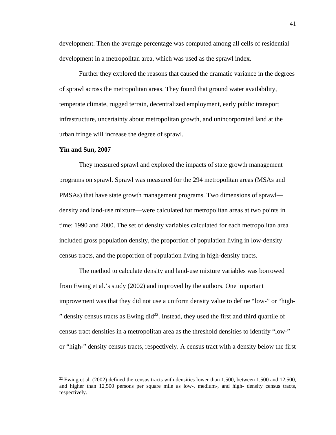development. Then the average percentage was computed among all cells of residential development in a metropolitan area, which was used as the sprawl index.

Further they explored the reasons that caused the dramatic variance in the degrees of sprawl across the metropolitan areas. They found that ground water availability, temperate climate, rugged terrain, decentralized employment, early public transport infrastructure, uncertainty about metropolitan growth, and unincorporated land at the urban fringe will increase the degree of sprawl.

#### **Yin and Sun, 2007**

 $\overline{a}$ 

They measured sprawl and explored the impacts of state growth management programs on sprawl. Sprawl was measured for the 294 metropolitan areas (MSAs and PMSAs) that have state growth management programs. Two dimensions of sprawl density and land-use mixture—were calculated for metropolitan areas at two points in time: 1990 and 2000. The set of density variables calculated for each metropolitan area included gross population density, the proportion of population living in low-density census tracts, and the proportion of population living in high-density tracts.

The method to calculate density and land-use mixture variables was borrowed from Ewing et al.'s study (2002) and improved by the authors. One important improvement was that they did not use a uniform density value to define "low-" or "high- " density census tracts as Ewing  $\text{did}^{22}$ . Instead, they used the first and third quartile of census tract densities in a metropolitan area as the threshold densities to identify "low-" or "high-" density census tracts, respectively. A census tract with a density below the first

<sup>&</sup>lt;sup>22</sup> Ewing et al. (2002) defined the census tracts with densities lower than 1,500, between 1,500 and 12,500, and higher than 12,500 persons per square mile as low-, medium-, and high- density census tracts, respectively.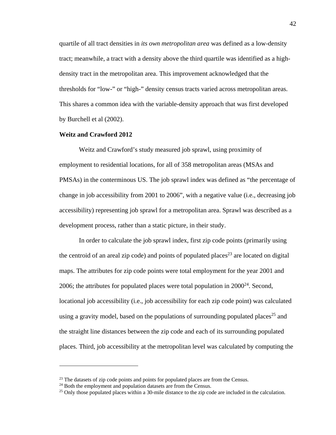quartile of all tract densities in *its own metropolitan area* was defined as a low-density tract; meanwhile, a tract with a density above the third quartile was identified as a highdensity tract in the metropolitan area. This improvement acknowledged that the thresholds for "low-" or "high-" density census tracts varied across metropolitan areas. This shares a common idea with the variable-density approach that was first developed by Burchell et al (2002).

#### **Weitz and Crawford 2012**

Weitz and Crawford's study measured job sprawl, using proximity of employment to residential locations, for all of 358 metropolitan areas (MSAs and PMSAs) in the conterminous US. The job sprawl index was defined as "the percentage of change in job accessibility from 2001 to 2006", with a negative value (i.e., decreasing job accessibility) representing job sprawl for a metropolitan area. Sprawl was described as a development process, rather than a static picture, in their study.

In order to calculate the job sprawl index, first zip code points (primarily using the centroid of an areal zip code) and points of populated places<sup>23</sup> are located on digital maps. The attributes for zip code points were total employment for the year 2001 and 2006; the attributes for populated places were total population in  $2000^{24}$ . Second, locational job accessibility (i.e., job accessibility for each zip code point) was calculated using a gravity model, based on the populations of surrounding populated places<sup>25</sup> and the straight line distances between the zip code and each of its surrounding populated places. Third, job accessibility at the metropolitan level was calculated by computing the

<u>.</u>

 $23$  The datasets of zip code points and points for populated places are from the Census.  $24$  Both the employment and population datasets are from the Census.

 $25$  Only those populated places within a 30-mile distance to the zip code are included in the calculation.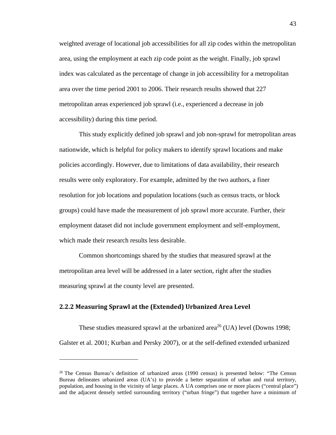weighted average of locational job accessibilities for all zip codes within the metropolitan area, using the employment at each zip code point as the weight. Finally, job sprawl index was calculated as the percentage of change in job accessibility for a metropolitan area over the time period 2001 to 2006. Their research results showed that 227 metropolitan areas experienced job sprawl (i.e., experienced a decrease in job accessibility) during this time period.

This study explicitly defined job sprawl and job non-sprawl for metropolitan areas nationwide, which is helpful for policy makers to identify sprawl locations and make policies accordingly. However, due to limitations of data availability, their research results were only exploratory. For example, admitted by the two authors, a finer resolution for job locations and population locations (such as census tracts, or block groups) could have made the measurement of job sprawl more accurate. Further, their employment dataset did not include government employment and self-employment, which made their research results less desirable.

Common shortcomings shared by the studies that measured sprawl at the metropolitan area level will be addressed in a later section, right after the studies measuring sprawl at the county level are presented.

## **2.2.2 Measuring Sprawl at the (Extended) Urbanized Area Level**

 $\overline{a}$ 

These studies measured sprawl at the urbanized area<sup>26</sup> (UA) level (Downs 1998; Galster et al. 2001; Kurban and Persky 2007), or at the self-defined extended urbanized

<sup>&</sup>lt;sup>26</sup> The Census Bureau's definition of urbanized areas (1990 census) is presented below: "The Census Bureau delineates urbanized areas (UA's) to provide a better separation of urban and rural territory, population, and housing in the vicinity of large places. A UA comprises one or more places ("central place") and the adjacent densely settled surrounding territory ("urban fringe") that together have a minimum of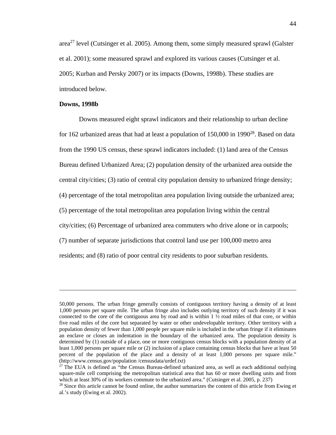area<sup>27</sup> level (Cutsinger et al. 2005). Among them, some simply measured sprawl (Galster et al. 2001); some measured sprawl and explored its various causes (Cutsinger et al. 2005; Kurban and Persky 2007) or its impacts (Downs, 1998b). These studies are introduced below.

#### **Downs, 1998b**

 $\overline{a}$ 

Downs measured eight sprawl indicators and their relationship to urban decline for 162 urbanized areas that had at least a population of  $150,000$  in  $1990^{28}$ . Based on data from the 1990 US census, these sprawl indicators included: (1) land area of the Census Bureau defined Urbanized Area; (2) population density of the urbanized area outside the central city/cities; (3) ratio of central city population density to urbanized fringe density; (4) percentage of the total metropolitan area population living outside the urbanized area; (5) percentage of the total metropolitan area population living within the central city/cities; (6) Percentage of urbanized area commuters who drive alone or in carpools; (7) number of separate jurisdictions that control land use per 100,000 metro area residents; and (8) ratio of poor central city residents to poor suburban residents.

<sup>50,000</sup> persons. The urban fringe generally consists of contiguous territory having a density of at least 1,000 persons per square mile. The urban fringe also includes outlying territory of such density if it was connected to the core of the contiguous area by road and is within  $1 \frac{1}{2}$  road miles of that core, or within five road miles of the core but separated by water or other undevelopable territory. Other territory with a population density of fewer than 1,000 people per square mile is included in the urban fringe if it eliminates an enclave or closes an indentation in the boundary of the urbanized area. The population density is determined by (1) outside of a place, one or more contiguous census blocks with a population density of at least 1,000 persons per square mile or (2) inclusion of a place containing census blocks that have at least 50 percent of the population of the place and a density of at least 1,000 persons per square mile." (http://www.census.gov/population /censusdata/urdef.txt)

<sup>&</sup>lt;sup>27</sup> The EUA is defined as "the Census Bureau-defined urbanized area, as well as each additional outlying square-mile cell comprising the metropolitan statistical area that has 60 or more dwelling units and from which at least 30% of its workers commute to the urbanized area." (Cutsinger et al. 2005, p. 237)

<sup>&</sup>lt;sup>28</sup> Since this article cannot be found online, the author summarizes the content of this article from Ewing et al.'s study (Ewing et al. 2002).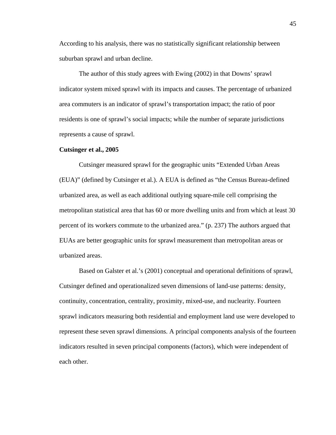According to his analysis, there was no statistically significant relationship between suburban sprawl and urban decline.

The author of this study agrees with Ewing (2002) in that Downs' sprawl indicator system mixed sprawl with its impacts and causes. The percentage of urbanized area commuters is an indicator of sprawl's transportation impact; the ratio of poor residents is one of sprawl's social impacts; while the number of separate jurisdictions represents a cause of sprawl.

#### **Cutsinger et al., 2005**

Cutsinger measured sprawl for the geographic units "Extended Urban Areas (EUA)" (defined by Cutsinger et al.). A EUA is defined as "the Census Bureau-defined urbanized area, as well as each additional outlying square-mile cell comprising the metropolitan statistical area that has 60 or more dwelling units and from which at least 30 percent of its workers commute to the urbanized area." (p. 237) The authors argued that EUAs are better geographic units for sprawl measurement than metropolitan areas or urbanized areas.

Based on Galster et al.'s (2001) conceptual and operational definitions of sprawl, Cutsinger defined and operationalized seven dimensions of land-use patterns: density, continuity, concentration, centrality, proximity, mixed-use, and nuclearity. Fourteen sprawl indicators measuring both residential and employment land use were developed to represent these seven sprawl dimensions. A principal components analysis of the fourteen indicators resulted in seven principal components (factors), which were independent of each other.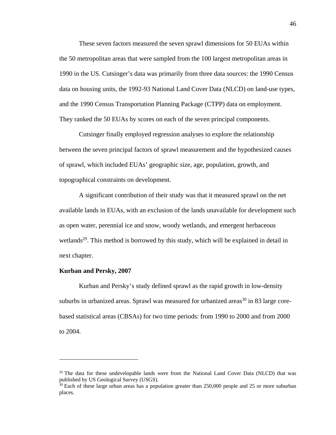These seven factors measured the seven sprawl dimensions for 50 EUAs within the 50 metropolitan areas that were sampled from the 100 largest metropolitan areas in 1990 in the US. Cutsinger's data was primarily from three data sources: the 1990 Census data on housing units, the 1992-93 National Land Cover Data (NLCD) on land-use types, and the 1990 Census Transportation Planning Package (CTPP) data on employment. They ranked the 50 EUAs by scores on each of the seven principal components.

Cutsinger finally employed regression analyses to explore the relationship between the seven principal factors of sprawl measurement and the hypothesized causes of sprawl, which included EUAs' geographic size, age, population, growth, and topographical constraints on development.

A significant contribution of their study was that it measured sprawl on the net available lands in EUAs, with an exclusion of the lands unavailable for development such as open water, perennial ice and snow, woody wetlands, and emergent herbaceous wetlands<sup>29</sup>. This method is borrowed by this study, which will be explained in detail in next chapter.

### **Kurban and Persky, 2007**

 $\overline{a}$ 

Kurban and Persky's study defined sprawl as the rapid growth in low-density suburbs in urbanized areas. Sprawl was measured for urbanized areas<sup>30</sup> in 83 large corebased statistical areas (CBSAs) for two time periods: from 1990 to 2000 and from 2000 to 2004.

 $29$  The data for these undevelopable lands were from the National Land Cover Data (NLCD) that was published by US Geological Survey (USGS).

<sup>&</sup>lt;sup>30</sup> Each of these large urban areas has a population greater than 250,000 people and 25 or more suburban places.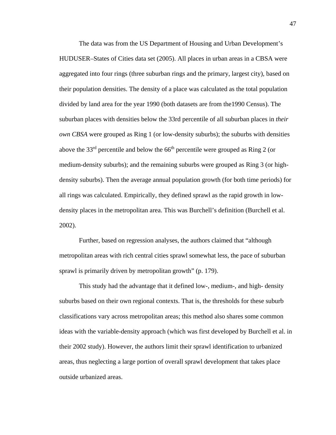The data was from the US Department of Housing and Urban Development's HUDUSER–States of Cities data set (2005). All places in urban areas in a CBSA were aggregated into four rings (three suburban rings and the primary, largest city), based on their population densities. The density of a place was calculated as the total population divided by land area for the year 1990 (both datasets are from the1990 Census). The suburban places with densities below the 33rd percentile of all suburban places in *their own CBSA* were grouped as Ring 1 (or low-density suburbs); the suburbs with densities above the 33rd percentile and below the 66th percentile were grouped as Ring 2 (or medium-density suburbs); and the remaining suburbs were grouped as Ring 3 (or highdensity suburbs). Then the average annual population growth (for both time periods) for all rings was calculated. Empirically, they defined sprawl as the rapid growth in lowdensity places in the metropolitan area. This was Burchell's definition (Burchell et al. 2002).

Further, based on regression analyses, the authors claimed that "although metropolitan areas with rich central cities sprawl somewhat less, the pace of suburban sprawl is primarily driven by metropolitan growth" (p. 179).

This study had the advantage that it defined low-, medium-, and high- density suburbs based on their own regional contexts. That is, the thresholds for these suburb classifications vary across metropolitan areas; this method also shares some common ideas with the variable-density approach (which was first developed by Burchell et al. in their 2002 study). However, the authors limit their sprawl identification to urbanized areas, thus neglecting a large portion of overall sprawl development that takes place outside urbanized areas.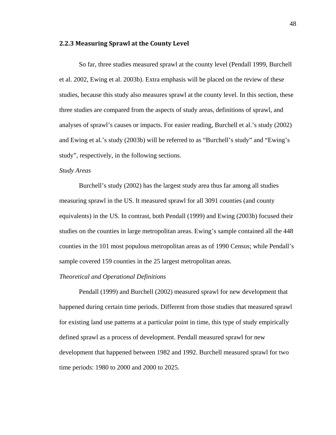#### **2.2.3 Measuring Sprawl at the County Level**

So far, three studies measured sprawl at the county level (Pendall 1999, Burchell et al. 2002, Ewing et al. 2003b). Extra emphasis will be placed on the review of these studies, because this study also measures sprawl at the county level. In this section, these three studies are compared from the aspects of study areas, definitions of sprawl, and analyses of sprawl's causes or impacts. For easier reading, Burchell et al.'s study (2002) and Ewing et al.'s study (2003b) will be referred to as "Burchell's study" and "Ewing's study", respectively, in the following sections.

#### *Study Areas*

Burchell's study (2002) has the largest study area thus far among all studies measuring sprawl in the US. It measured sprawl for all 3091 counties (and county equivalents) in the US. In contrast, both Pendall (1999) and Ewing (2003b) focused their studies on the counties in large metropolitan areas. Ewing's sample contained all the 448 counties in the 101 most populous metropolitan areas as of 1990 Census; while Pendall's sample covered 159 counties in the 25 largest metropolitan areas.

#### *Theoretical and Operational Definitions*

Pendall (1999) and Burchell (2002) measured sprawl for new development that happened during certain time periods. Different from those studies that measured sprawl for existing land use patterns at a particular point in time, this type of study empirically defined sprawl as a process of development. Pendall measured sprawl for new development that happened between 1982 and 1992. Burchell measured sprawl for two time periods: 1980 to 2000 and 2000 to 2025.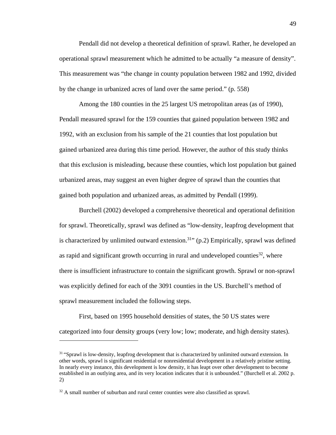Pendall did not develop a theoretical definition of sprawl. Rather, he developed an operational sprawl measurement which he admitted to be actually "a measure of density". This measurement was "the change in county population between 1982 and 1992, divided by the change in urbanized acres of land over the same period." (p. 558)

Among the 180 counties in the 25 largest US metropolitan areas (as of 1990), Pendall measured sprawl for the 159 counties that gained population between 1982 and 1992, with an exclusion from his sample of the 21 counties that lost population but gained urbanized area during this time period. However, the author of this study thinks that this exclusion is misleading, because these counties, which lost population but gained urbanized areas, may suggest an even higher degree of sprawl than the counties that gained both population and urbanized areas, as admitted by Pendall (1999).

Burchell (2002) developed a comprehensive theoretical and operational definition for sprawl. Theoretically, sprawl was defined as "low-density, leapfrog development that is characterized by unlimited outward extension.<sup>31</sup> $(p.2)$  Empirically, sprawl was defined as rapid and significant growth occurring in rural and undeveloped counties $32$ , where there is insufficient infrastructure to contain the significant growth. Sprawl or non-sprawl was explicitly defined for each of the 3091 counties in the US. Burchell's method of sprawl measurement included the following steps.

First, based on 1995 household densities of states, the 50 US states were categorized into four density groups (very low; low; moderate, and high density states).

1

<sup>&</sup>lt;sup>31</sup> "Sprawl is low-density, leapfrog development that is characterized by unlimited outward extension. In other words, sprawl is significant residential or nonresidential development in a relatively pristine setting. In nearly every instance, this development is low density, it has leapt over other development to become established in an outlying area, and its very location indicates that it is unbounded." (Burchell et al. 2002 p. 2)

 $32$  A small number of suburban and rural center counties were also classified as sprawl.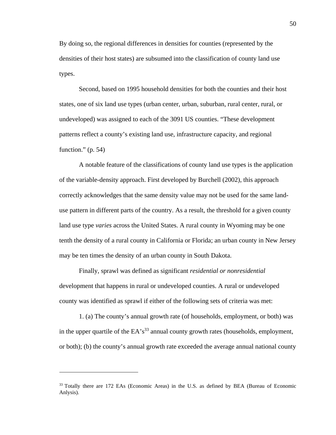By doing so, the regional differences in densities for counties (represented by the densities of their host states) are subsumed into the classification of county land use types.

Second, based on 1995 household densities for both the counties and their host states, one of six land use types (urban center, urban, suburban, rural center, rural, or undeveloped) was assigned to each of the 3091 US counties. "These development patterns reflect a county's existing land use, infrastructure capacity, and regional function."  $(p. 54)$ 

A notable feature of the classifications of county land use types is the application of the variable-density approach. First developed by Burchell (2002), this approach correctly acknowledges that the same density value may not be used for the same landuse pattern in different parts of the country. As a result, the threshold for a given county land use type *varies* across the United States. A rural county in Wyoming may be one tenth the density of a rural county in California or Florida; an urban county in New Jersey may be ten times the density of an urban county in South Dakota.

Finally, sprawl was defined as significant *residential or nonresidential* development that happens in rural or undeveloped counties. A rural or undeveloped county was identified as sprawl if either of the following sets of criteria was met:

1. (a) The county's annual growth rate (of households, employment, or both) was in the upper quartile of the  $EA's^{33}$  annual county growth rates (households, employment, or both); (b) the county's annual growth rate exceeded the average annual national county

<sup>33</sup> Totally there are 172 EAs (Economic Areas) in the U.S. as defined by BEA (Bureau of Economic Anlysis).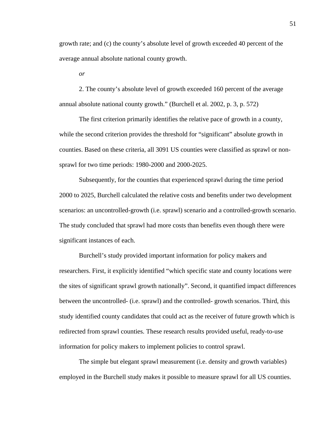growth rate; and (c) the county's absolute level of growth exceeded 40 percent of the average annual absolute national county growth.

*or* 

2. The county's absolute level of growth exceeded 160 percent of the average annual absolute national county growth." (Burchell et al. 2002, p. 3, p. 572)

The first criterion primarily identifies the relative pace of growth in a county, while the second criterion provides the threshold for "significant" absolute growth in counties. Based on these criteria, all 3091 US counties were classified as sprawl or nonsprawl for two time periods: 1980-2000 and 2000-2025.

Subsequently, for the counties that experienced sprawl during the time period 2000 to 2025, Burchell calculated the relative costs and benefits under two development scenarios: an uncontrolled-growth (i.e. sprawl) scenario and a controlled-growth scenario. The study concluded that sprawl had more costs than benefits even though there were significant instances of each.

Burchell's study provided important information for policy makers and researchers. First, it explicitly identified "which specific state and county locations were the sites of significant sprawl growth nationally". Second, it quantified impact differences between the uncontrolled- (i.e. sprawl) and the controlled- growth scenarios. Third, this study identified county candidates that could act as the receiver of future growth which is redirected from sprawl counties. These research results provided useful, ready-to-use information for policy makers to implement policies to control sprawl.

The simple but elegant sprawl measurement (i.e. density and growth variables) employed in the Burchell study makes it possible to measure sprawl for all US counties.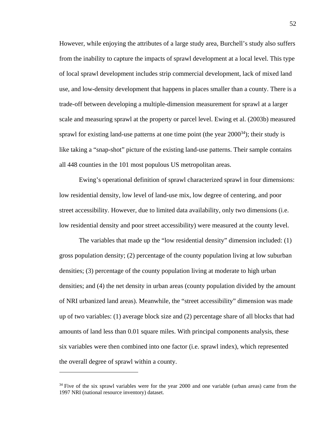However, while enjoying the attributes of a large study area, Burchell's study also suffers from the inability to capture the impacts of sprawl development at a local level. This type of local sprawl development includes strip commercial development, lack of mixed land use, and low-density development that happens in places smaller than a county. There is a trade-off between developing a multiple-dimension measurement for sprawl at a larger scale and measuring sprawl at the property or parcel level. Ewing et al. (2003b) measured sprawl for existing land-use patterns at one time point (the year  $2000^{34}$ ); their study is like taking a "snap-shot" picture of the existing land-use patterns. Their sample contains all 448 counties in the 101 most populous US metropolitan areas.

Ewing's operational definition of sprawl characterized sprawl in four dimensions: low residential density, low level of land-use mix, low degree of centering, and poor street accessibility. However, due to limited data availability, only two dimensions (i.e. low residential density and poor street accessibility) were measured at the county level.

The variables that made up the "low residential density" dimension included: (1) gross population density; (2) percentage of the county population living at low suburban densities; (3) percentage of the county population living at moderate to high urban densities; and (4) the net density in urban areas (county population divided by the amount of NRI urbanized land areas). Meanwhile, the "street accessibility" dimension was made up of two variables: (1) average block size and (2) percentage share of all blocks that had amounts of land less than 0.01 square miles. With principal components analysis, these six variables were then combined into one factor (i.e. sprawl index), which represented the overall degree of sprawl within a county.

<sup>&</sup>lt;sup>34</sup> Five of the six sprawl variables were for the year 2000 and one variable (urban areas) came from the 1997 NRI (national resource inventory) dataset.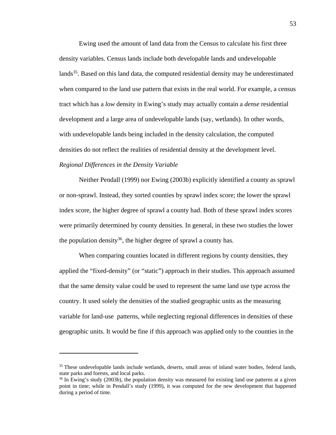Ewing used the amount of land data from the Census to calculate his first three density variables. Census lands include both developable lands and undevelopable lands<sup>35</sup>. Based on this land data, the computed residential density may be underestimated when compared to the land use pattern that exists in the real world. For example, a census tract which has a *low* density in Ewing's study may actually contain a *dense* residential development and a large area of undevelopable lands (say, wetlands). In other words, with undevelopable lands being included in the density calculation, the computed densities do not reflect the realities of residential density at the development level. *Regional Differences in the Density Variable* 

Neither Pendall (1999) nor Ewing (2003b) explicitly identified a county as sprawl or non-sprawl. Instead, they sorted counties by sprawl index score; the lower the sprawl index score, the higher degree of sprawl a county had. Both of these sprawl index scores were primarily determined by county densities. In general, in these two studies the lower the population density<sup>36</sup>, the higher degree of sprawl a county has.

When comparing counties located in different regions by county densities, they applied the "fixed-density" (or "static") approach in their studies. This approach assumed that the same density value could be used to represent the same land use type across the country. It used solely the densities of the studied geographic units as the measuring variable for land-use patterns, while neglecting regional differences in densities of these geographic units. It would be fine if this approach was applied only to the counties in the

<sup>&</sup>lt;sup>35</sup> These undevelopable lands include wetlands, deserts, small areas of inland water bodies, federal lands, state parks and forests, and local parks.

<sup>&</sup>lt;sup>36</sup> In Ewing's study (2003b), the population density was measured for existing land use patterns at a given point in time; while in Pendall's study (1999), it was computed for the new development that happened during a period of time.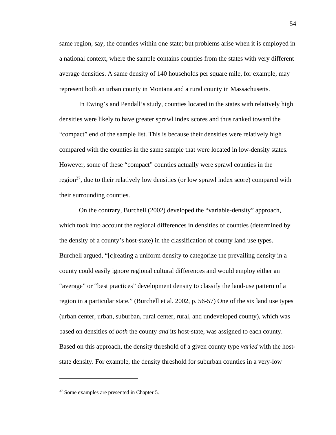same region, say, the counties within one state; but problems arise when it is employed in a national context, where the sample contains counties from the states with very different average densities. A same density of 140 households per square mile, for example, may represent both an urban county in Montana and a rural county in Massachusetts.

In Ewing's and Pendall's study, counties located in the states with relatively high densities were likely to have greater sprawl index scores and thus ranked toward the "compact" end of the sample list. This is because their densities were relatively high compared with the counties in the same sample that were located in low-density states. However, some of these "compact" counties actually were sprawl counties in the region<sup>37</sup>, due to their relatively low densities (or low sprawl index score) compared with their surrounding counties.

On the contrary, Burchell (2002) developed the "variable-density" approach, which took into account the regional differences in densities of counties (determined by the density of a county's host-state) in the classification of county land use types. Burchell argued, "[c]reating a uniform density to categorize the prevailing density in a county could easily ignore regional cultural differences and would employ either an "average" or "best practices" development density to classify the land-use pattern of a region in a particular state." (Burchell et al. 2002, p. 56-57) One of the six land use types (urban center, urban, suburban, rural center, rural, and undeveloped county), which was based on densities of *both* the county *and* its host-state, was assigned to each county. Based on this approach, the density threshold of a given county type *varied* with the hoststate density. For example, the density threshold for suburban counties in a very-low

<sup>&</sup>lt;sup>37</sup> Some examples are presented in Chapter 5.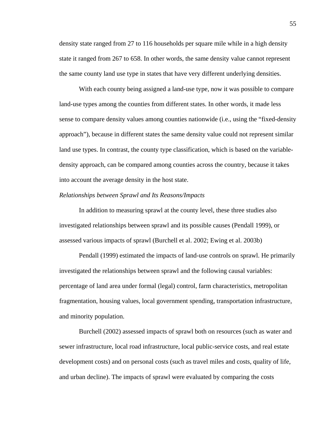density state ranged from 27 to 116 households per square mile while in a high density state it ranged from 267 to 658. In other words, the same density value cannot represent the same county land use type in states that have very different underlying densities.

With each county being assigned a land-use type, now it was possible to compare land-use types among the counties from different states. In other words, it made less sense to compare density values among counties nationwide (i.e., using the "fixed-density approach"), because in different states the same density value could not represent similar land use types. In contrast, the county type classification, which is based on the variabledensity approach, can be compared among counties across the country, because it takes into account the average density in the host state.

#### *Relationships between Sprawl and Its Reasons/Impacts*

In addition to measuring sprawl at the county level, these three studies also investigated relationships between sprawl and its possible causes (Pendall 1999), or assessed various impacts of sprawl (Burchell et al. 2002; Ewing et al. 2003b)

Pendall (1999) estimated the impacts of land-use controls on sprawl. He primarily investigated the relationships between sprawl and the following causal variables: percentage of land area under formal (legal) control, farm characteristics, metropolitan fragmentation, housing values, local government spending, transportation infrastructure, and minority population.

Burchell (2002) assessed impacts of sprawl both on resources (such as water and sewer infrastructure, local road infrastructure, local public-service costs, and real estate development costs) and on personal costs (such as travel miles and costs, quality of life, and urban decline). The impacts of sprawl were evaluated by comparing the costs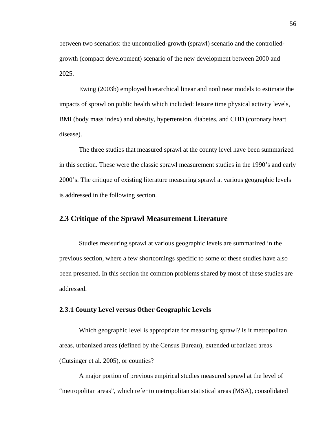between two scenarios: the uncontrolled-growth (sprawl) scenario and the controlledgrowth (compact development) scenario of the new development between 2000 and 2025.

Ewing (2003b) employed hierarchical linear and nonlinear models to estimate the impacts of sprawl on public health which included: leisure time physical activity levels, BMI (body mass index) and obesity, hypertension, diabetes, and CHD (coronary heart disease).

The three studies that measured sprawl at the county level have been summarized in this section. These were the classic sprawl measurement studies in the 1990's and early 2000's. The critique of existing literature measuring sprawl at various geographic levels is addressed in the following section.

## **2.3 Critique of the Sprawl Measurement Literature**

Studies measuring sprawl at various geographic levels are summarized in the previous section, where a few shortcomings specific to some of these studies have also been presented. In this section the common problems shared by most of these studies are addressed.

## **2.3.1 County Level versus Other Geographic Levels**

Which geographic level is appropriate for measuring sprawl? Is it metropolitan areas, urbanized areas (defined by the Census Bureau), extended urbanized areas (Cutsinger et al. 2005), or counties?

A major portion of previous empirical studies measured sprawl at the level of "metropolitan areas", which refer to metropolitan statistical areas (MSA), consolidated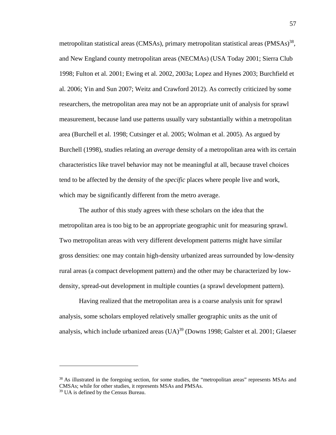metropolitan statistical areas (CMSAs), primary metropolitan statistical areas (PMSAs)<sup>38</sup>, and New England county metropolitan areas (NECMAs) (USA Today 2001; Sierra Club 1998; Fulton et al. 2001; Ewing et al. 2002, 2003a; Lopez and Hynes 2003; Burchfield et al. 2006; Yin and Sun 2007; Weitz and Crawford 2012). As correctly criticized by some researchers, the metropolitan area may not be an appropriate unit of analysis for sprawl measurement, because land use patterns usually vary substantially within a metropolitan area (Burchell et al. 1998; Cutsinger et al. 2005; Wolman et al. 2005). As argued by Burchell (1998), studies relating an *average* density of a metropolitan area with its certain characteristics like travel behavior may not be meaningful at all, because travel choices tend to be affected by the density of the *specific* places where people live and work, which may be significantly different from the metro average.

The author of this study agrees with these scholars on the idea that the metropolitan area is too big to be an appropriate geographic unit for measuring sprawl. Two metropolitan areas with very different development patterns might have similar gross densities: one may contain high-density urbanized areas surrounded by low-density rural areas (a compact development pattern) and the other may be characterized by lowdensity, spread-out development in multiple counties (a sprawl development pattern).

Having realized that the metropolitan area is a coarse analysis unit for sprawl analysis, some scholars employed relatively smaller geographic units as the unit of analysis, which include urbanized areas  $(UA)^{39}$  (Downs 1998; Galster et al. 2001; Glaeser

<sup>&</sup>lt;sup>38</sup> As illustrated in the foregoing section, for some studies, the "metropolitan areas" represents MSAs and CMSAs; while for other studies, it represents MSAs and PMSAs.

<sup>&</sup>lt;sup>39</sup> UA is defined by the Census Bureau.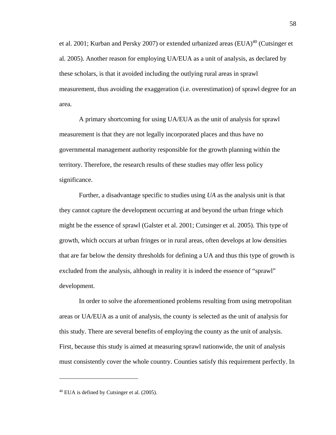et al. 2001; Kurban and Persky 2007) or extended urbanized areas  $(EUA)^{40}$  (Cutsinger et al. 2005). Another reason for employing UA/EUA as a unit of analysis, as declared by these scholars, is that it avoided including the outlying rural areas in sprawl measurement, thus avoiding the exaggeration (i.e. overestimation) of sprawl degree for an area.

A primary shortcoming for using UA/EUA as the unit of analysis for sprawl measurement is that they are not legally incorporated places and thus have no governmental management authority responsible for the growth planning within the territory. Therefore, the research results of these studies may offer less policy significance.

Further, a disadvantage specific to studies using *UA* as the analysis unit is that they cannot capture the development occurring at and beyond the urban fringe which might be the essence of sprawl (Galster et al. 2001; Cutsinger et al. 2005). This type of growth, which occurs at urban fringes or in rural areas, often develops at low densities that are far below the density thresholds for defining a UA and thus this type of growth is excluded from the analysis, although in reality it is indeed the essence of "sprawl" development.

In order to solve the aforementioned problems resulting from using metropolitan areas or UA/EUA as a unit of analysis, the county is selected as the unit of analysis for this study. There are several benefits of employing the county as the unit of analysis. First, because this study is aimed at measuring sprawl nationwide, the unit of analysis must consistently cover the whole country. Counties satisfy this requirement perfectly. In

<sup>40</sup> EUA is defined by Cutsinger et al. (2005).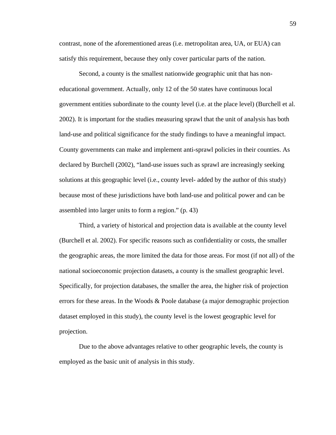contrast, none of the aforementioned areas (i.e. metropolitan area, UA, or EUA) can satisfy this requirement, because they only cover particular parts of the nation.

Second, a county is the smallest nationwide geographic unit that has noneducational government. Actually, only 12 of the 50 states have continuous local government entities subordinate to the county level (i.e. at the place level) (Burchell et al. 2002). It is important for the studies measuring sprawl that the unit of analysis has both land-use and political significance for the study findings to have a meaningful impact. County governments can make and implement anti-sprawl policies in their counties. As declared by Burchell (2002), "land-use issues such as sprawl are increasingly seeking solutions at this geographic level (i.e., county level- added by the author of this study) because most of these jurisdictions have both land-use and political power and can be assembled into larger units to form a region." (p. 43)

Third, a variety of historical and projection data is available at the county level (Burchell et al. 2002). For specific reasons such as confidentiality or costs, the smaller the geographic areas, the more limited the data for those areas. For most (if not all) of the national socioeconomic projection datasets, a county is the smallest geographic level. Specifically, for projection databases, the smaller the area, the higher risk of projection errors for these areas. In the Woods & Poole database (a major demographic projection dataset employed in this study), the county level is the lowest geographic level for projection.

Due to the above advantages relative to other geographic levels, the county is employed as the basic unit of analysis in this study.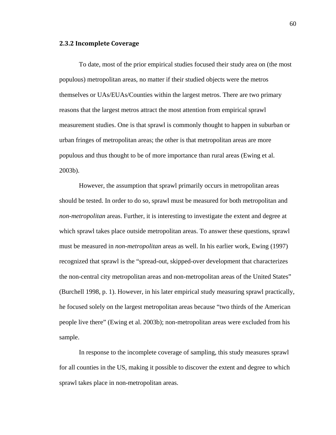#### **2.3.2 Incomplete Coverage**

To date, most of the prior empirical studies focused their study area on (the most populous) metropolitan areas, no matter if their studied objects were the metros themselves or UAs/EUAs/Counties within the largest metros. There are two primary reasons that the largest metros attract the most attention from empirical sprawl measurement studies. One is that sprawl is commonly thought to happen in suburban or urban fringes of metropolitan areas; the other is that metropolitan areas are more populous and thus thought to be of more importance than rural areas (Ewing et al. 2003b).

However, the assumption that sprawl primarily occurs in metropolitan areas should be tested. In order to do so, sprawl must be measured for both metropolitan and *non-metropolitan* areas. Further, it is interesting to investigate the extent and degree at which sprawl takes place outside metropolitan areas. To answer these questions, sprawl must be measured in *non-metropolitan* areas as well. In his earlier work, Ewing (1997) recognized that sprawl is the "spread-out, skipped-over development that characterizes the non-central city metropolitan areas and non-metropolitan areas of the United States" (Burchell 1998, p. 1). However, in his later empirical study measuring sprawl practically, he focused solely on the largest metropolitan areas because "two thirds of the American people live there" (Ewing et al. 2003b); non-metropolitan areas were excluded from his sample.

In response to the incomplete coverage of sampling, this study measures sprawl for all counties in the US, making it possible to discover the extent and degree to which sprawl takes place in non-metropolitan areas.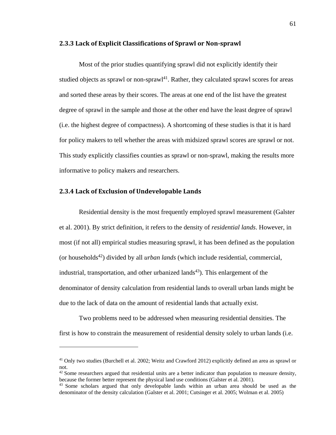#### **2.3.3 Lack of Explicit Classifications of Sprawl or Non‐sprawl**

Most of the prior studies quantifying sprawl did not explicitly identify their studied objects as sprawl or non-sprawl<sup>41</sup>. Rather, they calculated sprawl scores for areas and sorted these areas by their scores. The areas at one end of the list have the greatest degree of sprawl in the sample and those at the other end have the least degree of sprawl (i.e. the highest degree of compactness). A shortcoming of these studies is that it is hard for policy makers to tell whether the areas with midsized sprawl scores are sprawl or not. This study explicitly classifies counties as sprawl or non-sprawl, making the results more informative to policy makers and researchers.

#### **2.3.4 Lack of Exclusion of Undevelopable Lands**

 $\overline{a}$ 

Residential density is the most frequently employed sprawl measurement (Galster et al. 2001). By strict definition, it refers to the density of *residential lands*. However, in most (if not all) empirical studies measuring sprawl, it has been defined as the population (or households<sup>42</sup>) divided by all *urban lands* (which include residential, commercial, industrial, transportation, and other urbanized lands<sup>43</sup>). This enlargement of the denominator of density calculation from residential lands to overall urban lands might be due to the lack of data on the amount of residential lands that actually exist.

Two problems need to be addressed when measuring residential densities. The first is how to constrain the measurement of residential density solely to urban lands (i.e.

<sup>41</sup> Only two studies (Burchell et al. 2002; Weitz and Crawford 2012) explicitly defined an area as sprawl or not.

 $42$  Some researchers argued that residential units are a better indicator than population to measure density, because the former better represent the physical land use conditions (Galster et al. 2001). 43 Some scholars argued that only developable lands within an urban area should be used as the

denominator of the density calculation (Galster et al. 2001; Cutsinger et al. 2005; Wolman et al. 2005)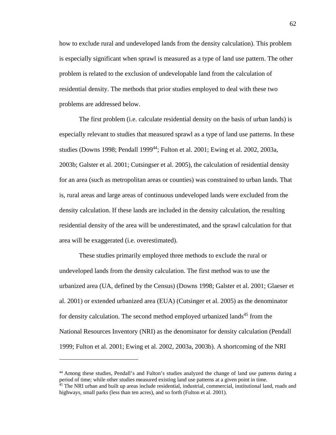how to exclude rural and undeveloped lands from the density calculation). This problem is especially significant when sprawl is measured as a type of land use pattern. The other problem is related to the exclusion of undevelopable land from the calculation of residential density. The methods that prior studies employed to deal with these two problems are addressed below.

The first problem (i.e. calculate residential density on the basis of urban lands) is especially relevant to studies that measured sprawl as a type of land use patterns. In these studies (Downs 1998; Pendall 1999<sup>44</sup>; Fulton et al. 2001; Ewing et al. 2002, 2003a, 2003b; Galster et al. 2001; Cutsingser et al. 2005), the calculation of residential density for an area (such as metropolitan areas or counties) was constrained to urban lands. That is, rural areas and large areas of continuous undeveloped lands were excluded from the density calculation. If these lands are included in the density calculation, the resulting residential density of the area will be underestimated, and the sprawl calculation for that area will be exaggerated (i.e. overestimated).

These studies primarily employed three methods to exclude the rural or undeveloped lands from the density calculation. The first method was to use the urbanized area (UA, defined by the Census) (Downs 1998; Galster et al. 2001; Glaeser et al. 2001) or extended urbanized area (EUA) (Cutsinger et al. 2005) as the denominator for density calculation. The second method employed urbanized lands<sup>45</sup> from the National Resources Inventory (NRI) as the denominator for density calculation (Pendall 1999; Fulton et al. 2001; Ewing et al. 2002, 2003a, 2003b). A shortcoming of the NRI

<sup>44</sup> Among these studies, Pendall's and Fulton's studies analyzed the change of land use patterns during a period of time; while other studies measured existing land use patterns at a given point in time.

<sup>&</sup>lt;sup>45</sup> The NRI urban and built up areas include residential, industrial, commercial, institutional land, roads and highways, small parks (less than ten acres), and so forth (Fulton et al. 2001).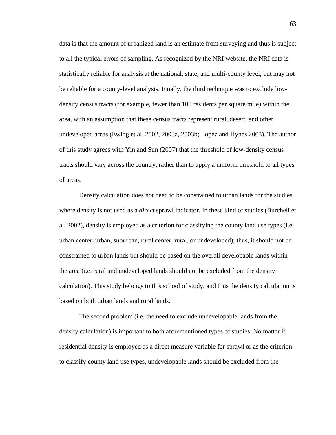data is that the amount of urbanized land is an estimate from surveying and thus is subject to all the typical errors of sampling. As recognized by the NRI website, the NRI data is statistically reliable for analysis at the national, state, and multi-county level, but may not be reliable for a county-level analysis. Finally, the third technique was to exclude lowdensity census tracts (for example, fewer than 100 residents per square mile) within the area, with an assumption that these census tracts represent rural, desert, and other undeveloped areas (Ewing et al. 2002, 2003a, 2003b; Lopez and Hynes 2003). The author of this study agrees with Yin and Sun (2007) that the threshold of low-density census tracts should vary across the country, rather than to apply a uniform threshold to all types of areas.

Density calculation does not need to be constrained to urban lands for the studies where density is not used as a *direct* sprawl indicator. In these kind of studies (Burchell et al. 2002), density is employed as a criterion for classifying the county land use types (i.e. urban center, urban, suburban, rural center, rural, or undeveloped); thus, it should not be constrained to urban lands but should be based on the overall developable lands within the area (i.e. rural and undeveloped lands should not be excluded from the density calculation). This study belongs to this school of study, and thus the density calculation is based on both urban lands and rural lands.

The second problem (i.e. the need to exclude undevelopable lands from the density calculation) is important to both aforementioned types of studies. No matter if residential density is employed as a direct measure variable for sprawl or as the criterion to classify county land use types, undevelopable lands should be excluded from the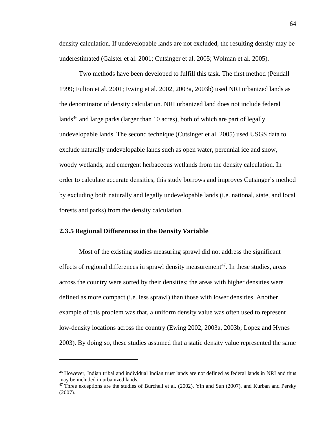density calculation. If undevelopable lands are not excluded, the resulting density may be underestimated (Galster et al. 2001; Cutsinger et al. 2005; Wolman et al. 2005).

Two methods have been developed to fulfill this task. The first method (Pendall 1999; Fulton et al. 2001; Ewing et al. 2002, 2003a, 2003b) used NRI urbanized lands as the denominator of density calculation. NRI urbanized land does not include federal lands<sup>46</sup> and large parks (larger than 10 acres), both of which are part of legally undevelopable lands. The second technique (Cutsinger et al. 2005) used USGS data to exclude naturally undevelopable lands such as open water, perennial ice and snow, woody wetlands, and emergent herbaceous wetlands from the density calculation. In order to calculate accurate densities, this study borrows and improves Cutsinger's method by excluding both naturally and legally undevelopable lands (i.e. national, state, and local forests and parks) from the density calculation.

#### **2.3.5 Regional Differences in the Density Variable**

 $\overline{a}$ 

Most of the existing studies measuring sprawl did not address the significant effects of regional differences in sprawl density measurement<sup>47</sup>. In these studies, areas across the country were sorted by their densities; the areas with higher densities were defined as more compact (i.e. less sprawl) than those with lower densities. Another example of this problem was that, a uniform density value was often used to represent low-density locations across the country (Ewing 2002, 2003a, 2003b; Lopez and Hynes 2003). By doing so, these studies assumed that a static density value represented the same

<sup>46</sup> However, Indian tribal and individual Indian trust lands are not defined as federal lands in NRI and thus may be included in urbanized lands.

 $47$  Three exceptions are the studies of Burchell et al. (2002), Yin and Sun (2007), and Kurban and Persky (2007).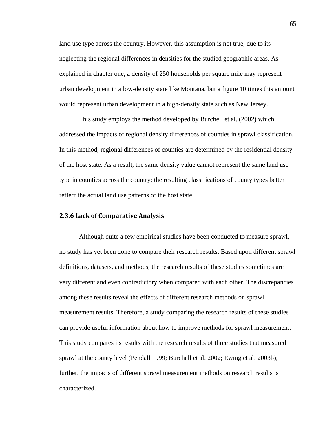land use type across the country. However, this assumption is not true, due to its neglecting the regional differences in densities for the studied geographic areas. As explained in chapter one, a density of 250 households per square mile may represent urban development in a low-density state like Montana, but a figure 10 times this amount would represent urban development in a high-density state such as New Jersey.

This study employs the method developed by Burchell et al. (2002) which addressed the impacts of regional density differences of counties in sprawl classification. In this method, regional differences of counties are determined by the residential density of the host state. As a result, the same density value cannot represent the same land use type in counties across the country; the resulting classifications of county types better reflect the actual land use patterns of the host state.

#### **2.3.6 Lack of Comparative Analysis**

Although quite a few empirical studies have been conducted to measure sprawl, no study has yet been done to compare their research results. Based upon different sprawl definitions, datasets, and methods, the research results of these studies sometimes are very different and even contradictory when compared with each other. The discrepancies among these results reveal the effects of different research methods on sprawl measurement results. Therefore, a study comparing the research results of these studies can provide useful information about how to improve methods for sprawl measurement. This study compares its results with the research results of three studies that measured sprawl at the county level (Pendall 1999; Burchell et al. 2002; Ewing et al. 2003b); further, the impacts of different sprawl measurement methods on research results is characterized.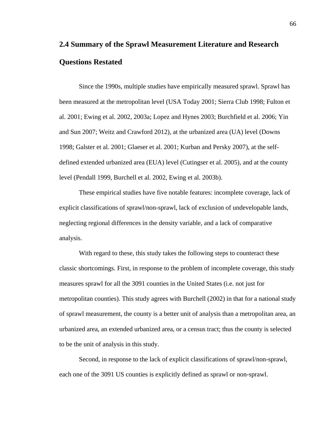# **2.4 Summary of the Sprawl Measurement Literature and Research Questions Restated**

Since the 1990s, multiple studies have empirically measured sprawl. Sprawl has been measured at the metropolitan level (USA Today 2001; Sierra Club 1998; Fulton et al. 2001; Ewing et al. 2002, 2003a; Lopez and Hynes 2003; Burchfield et al. 2006; Yin and Sun 2007; Weitz and Crawford 2012), at the urbanized area (UA) level (Downs 1998; Galster et al. 2001; Glaeser et al. 2001; Kurban and Persky 2007), at the selfdefined extended urbanized area (EUA) level (Cutingser et al. 2005), and at the county level (Pendall 1999, Burchell et al. 2002, Ewing et al. 2003b).

These empirical studies have five notable features: incomplete coverage, lack of explicit classifications of sprawl/non-sprawl, lack of exclusion of undevelopable lands, neglecting regional differences in the density variable, and a lack of comparative analysis.

With regard to these, this study takes the following steps to counteract these classic shortcomings. First, in response to the problem of incomplete coverage, this study measures sprawl for all the 3091 counties in the United States (i.e. not just for metropolitan counties). This study agrees with Burchell (2002) in that for a national study of sprawl measurement, the county is a better unit of analysis than a metropolitan area, an urbanized area, an extended urbanized area, or a census tract; thus the county is selected to be the unit of analysis in this study.

Second, in response to the lack of explicit classifications of sprawl/non-sprawl, each one of the 3091 US counties is explicitly defined as sprawl or non-sprawl.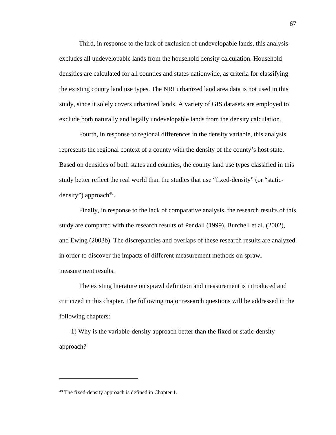Third, in response to the lack of exclusion of undevelopable lands, this analysis excludes all undevelopable lands from the household density calculation. Household densities are calculated for all counties and states nationwide, as criteria for classifying the existing county land use types. The NRI urbanized land area data is not used in this study, since it solely covers urbanized lands. A variety of GIS datasets are employed to exclude both naturally and legally undevelopable lands from the density calculation.

Fourth, in response to regional differences in the density variable, this analysis represents the regional context of a county with the density of the county's host state. Based on densities of both states and counties, the county land use types classified in this study better reflect the real world than the studies that use "fixed-density" (or "staticdensity") approach  $48$ .

Finally, in response to the lack of comparative analysis, the research results of this study are compared with the research results of Pendall (1999), Burchell et al. (2002), and Ewing (2003b). The discrepancies and overlaps of these research results are analyzed in order to discover the impacts of different measurement methods on sprawl measurement results.

The existing literature on sprawl definition and measurement is introduced and criticized in this chapter. The following major research questions will be addressed in the following chapters:

1) Why is the variable-density approach better than the fixed or static-density approach?

<sup>&</sup>lt;sup>48</sup> The fixed-density approach is defined in Chapter 1.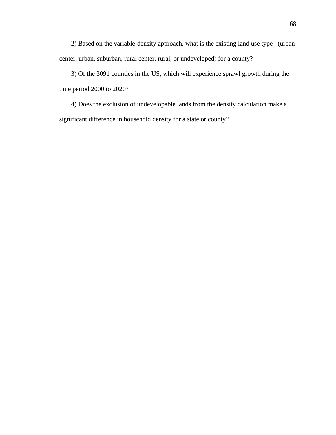2) Based on the variable-density approach, what is the existing land use type (urban center, urban, suburban, rural center, rural, or undeveloped) for a county?

3) Of the 3091 counties in the US, which will experience sprawl growth during the time period 2000 to 2020?

4) Does the exclusion of undevelopable lands from the density calculation make a significant difference in household density for a state or county?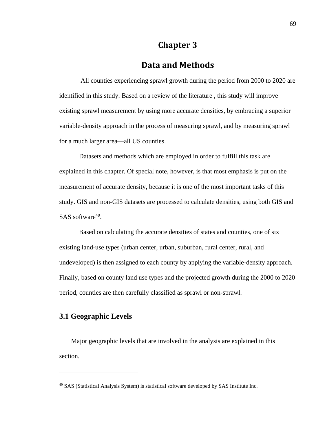## **Chapter 3**

### **Data and Methods**

 All counties experiencing sprawl growth during the period from 2000 to 2020 are identified in this study. Based on a review of the literature , this study will improve existing sprawl measurement by using more accurate densities, by embracing a superior variable-density approach in the process of measuring sprawl, and by measuring sprawl for a much larger area—all US counties.

Datasets and methods which are employed in order to fulfill this task are explained in this chapter. Of special note, however, is that most emphasis is put on the measurement of accurate density, because it is one of the most important tasks of this study. GIS and non-GIS datasets are processed to calculate densities, using both GIS and SAS software $49$ .

Based on calculating the accurate densities of states and counties, one of six existing land-use types (urban center, urban, suburban, rural center, rural, and undeveloped) is then assigned to each county by applying the variable-density approach. Finally, based on county land use types and the projected growth during the 2000 to 2020 period, counties are then carefully classified as sprawl or non-sprawl.

#### **3.1 Geographic Levels**

1

Major geographic levels that are involved in the analysis are explained in this section.

<sup>49</sup> SAS (Statistical Analysis System) is statistical software developed by SAS Institute Inc.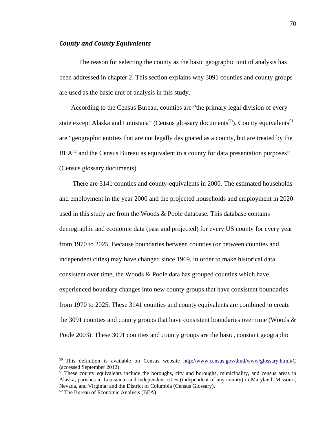#### *County and County Equivalents*

The reason for selecting the county as the basic geographic unit of analysis has been addressed in chapter 2. This section explains why 3091 counties and county groups are used as the basic unit of analysis in this study.

According to the Census Bureau, counties are "the primary legal division of every state except Alaska and Louisiana" (Census glossary documents<sup>50</sup>). County equivalents<sup>51</sup> are "geographic entities that are not legally designated as a county, but are treated by the  $BEA^{52}$  and the Census Bureau as equivalent to a county for data presentation purposes" (Census glossary documents).

 There are 3141 counties and county-equivalents in 2000. The estimated households and employment in the year 2000 and the projected households and employment in 2020 used in this study are from the Woods & Poole database. This database contains demographic and economic data (past and projected) for every US county for every year from 1970 to 2025. Because boundaries between counties (or between counties and independent cities) may have changed since 1969, in order to make historical data consistent over time, the Woods  $\&$  Poole data has grouped counties which have experienced boundary changes into new county groups that have consistent boundaries from 1970 to 2025. These 3141 counties and county equivalents are combined to create the 3091 counties and county groups that have consistent boundaries over time (Woods  $\&$ Poole 2003). These 3091 counties and county groups are the basic, constant geographic

<sup>50</sup> This definition is available on Census website http://www.census.gov/dmd/www/glossary.html#C (accessed September 2012).

<sup>&</sup>lt;sup>51</sup> These county equivalents include the boroughs, city and boroughs, municipality, and census areas in Alaska; parishes in Louisiana; and independent cities (independent of any county) in Maryland, Missouri, Nevada, and Virginia; and the District of Columbia (Census Glossary).

<sup>52</sup> The Bureau of Economic Analysis (BEA)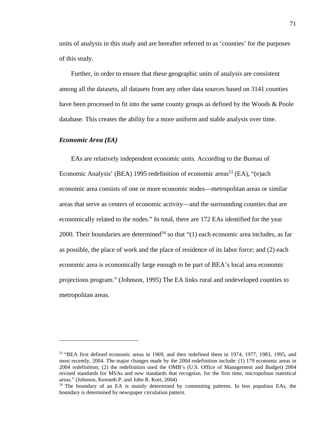units of analysis in this study and are hereafter referred to as 'counties' for the purposes of this study.

Further, in order to ensure that these geographic units of analysis are consistent among all the datasets, all datasets from any other data sources based on 3141 counties have been processed to fit into the same county groups as defined by the Woods & Poole database. This creates the ability for a more uniform and stable analysis over time.

#### *Economic Area (EA)*

 $\overline{a}$ 

EAs are relatively independent economic units. According to the Bureau of Economic Analysis' (BEA) 1995 redefinition of economic areas<sup>53</sup> (EA), "(e)ach economic area consists of one or more economic nodes—metropolitan areas or similar areas that serve as centers of economic activity—and the surrounding counties that are economically related to the nodes." In total, there are 172 EAs identified for the year 2000. Their boundaries are determined<sup>54</sup> so that " $(1)$  each economic area includes, as far as possible, the place of work and the place of residence of its labor force; and (2) each economic area is economically large enough to be part of BEA's local area economic projections program." (Johnson, 1995) The EA links rural and undeveloped counties to metropolitan areas.

<sup>53 &</sup>quot;BEA first defined economic areas in 1969, and then redefined them in 1974, 1977, 1983, 1995, and most recently, 2004. The major changes made by the 2004 redefinition include: (1) 179 economic areas in 2004 redefinition; (2) the redefinition used the OMB's (U.S. Office of Management and Budget) 2004 revised standards for MSAs and new standards that recognize, for the first time, micropolitan statistical areas." (Johnson, Kenneth P. and John R. Kort, 2004)

<sup>54</sup> The boundary of an EA is mainly determined by commuting patterns. In less populous EAs, the boundary is determined by newspaper circulation pattern.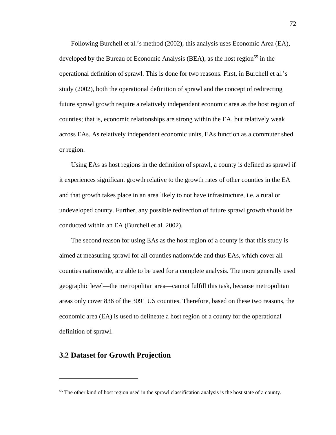Following Burchell et al.'s method (2002), this analysis uses Economic Area (EA), developed by the Bureau of Economic Analysis (BEA), as the host region<sup>55</sup> in the operational definition of sprawl. This is done for two reasons. First, in Burchell et al.'s study (2002), both the operational definition of sprawl and the concept of redirecting future sprawl growth require a relatively independent economic area as the host region of counties; that is, economic relationships are strong within the EA, but relatively weak across EAs. As relatively independent economic units, EAs function as a commuter shed or region.

Using EAs as host regions in the definition of sprawl, a county is defined as sprawl if it experiences significant growth relative to the growth rates of other counties in the EA and that growth takes place in an area likely to not have infrastructure, i.e. a rural or undeveloped county. Further, any possible redirection of future sprawl growth should be conducted within an EA (Burchell et al. 2002).

The second reason for using EAs as the host region of a county is that this study is aimed at measuring sprawl for all counties nationwide and thus EAs, which cover all counties nationwide, are able to be used for a complete analysis. The more generally used geographic level—the metropolitan area—cannot fulfill this task, because metropolitan areas only cover 836 of the 3091 US counties. Therefore, based on these two reasons, the economic area (EA) is used to delineate a host region of a county for the operational definition of sprawl.

#### **3.2 Dataset for Growth Projection**

<sup>&</sup>lt;sup>55</sup> The other kind of host region used in the sprawl classification analysis is the host state of a county.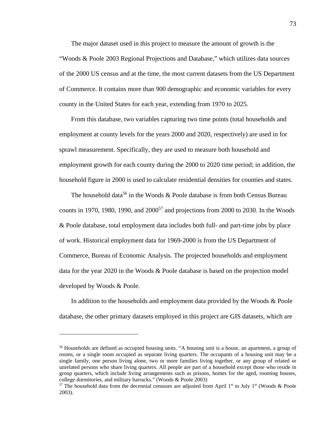The major dataset used in this project to measure the amount of growth is the "Woods & Poole 2003 Regional Projections and Database," which utilizes data sources of the 2000 US census and at the time, the most current datasets from the US Department of Commerce. It contains more than 900 demographic and economic variables for every county in the United States for each year, extending from 1970 to 2025.

From this database, two variables capturing two time points (total households and employment at county levels for the years 2000 and 2020, respectively) are used in for sprawl measurement. Specifically, they are used to measure both household and employment growth for each county during the 2000 to 2020 time period; in addition, the household figure in 2000 is used to calculate residential densities for counties and states.

The household data<sup>56</sup> in the Woods & Poole database is from both Census Bureau counts in 1970, 1980, 1990, and  $2000^{57}$  and projections from 2000 to 2030. In the Woods & Poole database, total employment data includes both full- and part-time jobs by place of work. Historical employment data for 1969-2000 is from the US Department of Commerce, Bureau of Economic Analysis. The projected households and employment data for the year 2020 in the Woods & Poole database is based on the projection model developed by Woods & Poole.

In addition to the households and employment data provided by the Woods & Poole database, the other primary datasets employed in this project are GIS datasets, which are

<sup>56</sup> Households are defined as occupied housing units. "A housing unit is a house, an apartment, a group of rooms, or a single room occupied as separate living quarters. The occupants of a housing unit may be a single family, one person living alone, two or more families living together, or any group of related or unrelated persons who share living quarters. All people are part of a household except those who reside in group quarters, which include living arrangements such as prisons, homes for the aged, rooming houses, college dormitories, and military barracks." (Woods & Poole 2003)

<sup>&</sup>lt;sup>57</sup> The household data from the decennial censuses are adjusted from April 1<sup>st</sup> to July 1<sup>st</sup> (Woods & Poole 2003).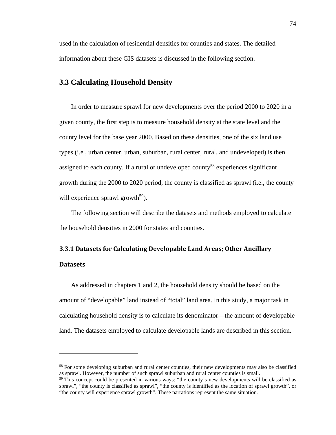used in the calculation of residential densities for counties and states. The detailed information about these GIS datasets is discussed in the following section.

#### **3.3 Calculating Household Density**

 $\overline{a}$ 

In order to measure sprawl for new developments over the period 2000 to 2020 in a given county, the first step is to measure household density at the state level and the county level for the base year 2000. Based on these densities, one of the six land use types (i.e., urban center, urban, suburban, rural center, rural, and undeveloped) is then assigned to each county. If a rural or undeveloped county<sup>58</sup> experiences significant growth during the 2000 to 2020 period, the county is classified as sprawl (i.e., the county will experience sprawl growth<sup>59</sup>).

The following section will describe the datasets and methods employed to calculate the household densities in 2000 for states and counties.

## **3.3.1 Datasets for Calculating Developable Land Areas; Other Ancillary Datasets**

As addressed in chapters 1 and 2, the household density should be based on the amount of "developable" land instead of "total" land area. In this study, a major task in calculating household density is to calculate its denominator—the amount of developable land. The datasets employed to calculate developable lands are described in this section.

<sup>&</sup>lt;sup>58</sup> For some developing suburban and rural center counties, their new developments may also be classified as sprawl. However, the number of such sprawl suburban and rural center counties is small.

 $59$  This concept could be presented in various ways: "the county's new developments will be classified as sprawl", "the county is classified as sprawl", "the county is identified as the location of sprawl growth", or "the county will experience sprawl growth". These narrations represent the same situation.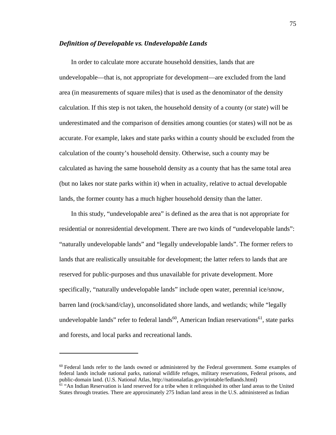#### *Definition of Developable vs. Undevelopable Lands*

In order to calculate more accurate household densities, lands that are undevelopable—that is, not appropriate for development—are excluded from the land area (in measurements of square miles) that is used as the denominator of the density calculation. If this step is not taken, the household density of a county (or state) will be underestimated and the comparison of densities among counties (or states) will not be as accurate. For example, lakes and state parks within a county should be excluded from the calculation of the county's household density. Otherwise, such a county may be calculated as having the same household density as a county that has the same total area (but no lakes nor state parks within it) when in actuality, relative to actual developable lands, the former county has a much higher household density than the latter.

In this study, "undevelopable area" is defined as the area that is not appropriate for residential or nonresidential development. There are two kinds of "undevelopable lands": "naturally undevelopable lands" and "legally undevelopable lands". The former refers to lands that are realistically unsuitable for development; the latter refers to lands that are reserved for public-purposes and thus unavailable for private development. More specifically, "naturally undevelopable lands" include open water, perennial ice/snow, barren land (rock/sand/clay), unconsolidated shore lands, and wetlands; while "legally undevelopable lands" refer to federal lands<sup>60</sup>, American Indian reservations<sup>61</sup>, state parks and forests, and local parks and recreational lands.

 $60$  Federal lands refer to the lands owned or administered by the Federal government. Some examples of federal lands include national parks, national wildlife refuges, military reservations, Federal prisons, and public-domain land. (U.S. National Atlas, http://nationalatlas.gov/printable/fedlands.html)<br><sup>61</sup> "An Indian Reservation is land reserved for a tribe when it relinquished its other land areas to the United

States through treaties. There are approximately 275 Indian land areas in the U.S. administered as Indian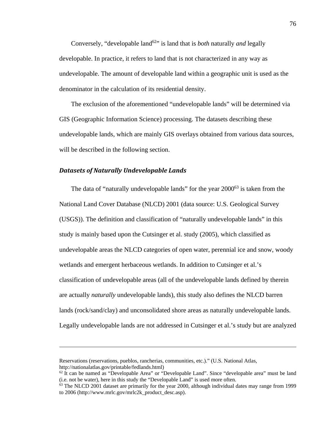Conversely, "developable land<sup>62</sup>" is land that is *both* naturally *and* legally developable. In practice, it refers to land that is not characterized in any way as undevelopable. The amount of developable land within a geographic unit is used as the denominator in the calculation of its residential density.

The exclusion of the aforementioned "undevelopable lands" will be determined via GIS (Geographic Information Science) processing. The datasets describing these undevelopable lands, which are mainly GIS overlays obtained from various data sources, will be described in the following section.

#### *Datasets of Naturally Undevelopable Lands*

<u>.</u>

The data of "naturally undevelopable lands" for the year 2000<sup>63</sup> is taken from the National Land Cover Database (NLCD) 2001 (data source: U.S. Geological Survey (USGS)). The definition and classification of "naturally undevelopable lands" in this study is mainly based upon the Cutsinger et al. study (2005), which classified as undevelopable areas the NLCD categories of open water, perennial ice and snow, woody wetlands and emergent herbaceous wetlands. In addition to Cutsinger et al.'s classification of undevelopable areas (all of the undevelopable lands defined by therein are actually *naturally* undevelopable lands), this study also defines the NLCD barren lands (rock/sand/clay) and unconsolidated shore areas as naturally undevelopable lands. Legally undevelopable lands are not addressed in Cutsinger et al.'s study but are analyzed

Reservations (reservations, pueblos, rancherias, communities, etc.)." (U.S. National Atlas, http://nationalatlas.gov/printable/fedlands.html)

 $62$  It can be named as "Developable Area" or "Developable Land". Since "developable area" must be land (i.e. not be water), here in this study the "Developable Land" is used more often.

<sup>&</sup>lt;sup>63</sup> The NLCD 2001 dataset are primarily for the year 2000, although individual dates may range from 1999 to 2006 (http://www.mrlc.gov/mrlc2k\_product\_desc.asp).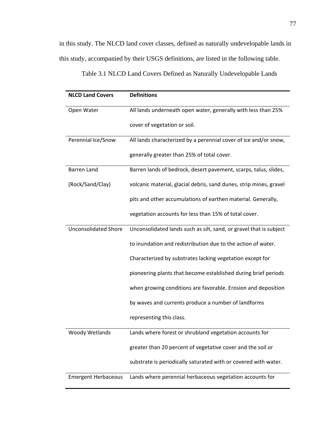in this study. The NLCD land cover classes, defined as naturally undevelopable lands in this study, accompanied by their USGS definitions, are listed in the following table.

| <b>NLCD Land Covers</b>     | <b>Definitions</b>                                                 |  |  |
|-----------------------------|--------------------------------------------------------------------|--|--|
| Open Water                  | All lands underneath open water, generally with less than 25%      |  |  |
|                             | cover of vegetation or soil.                                       |  |  |
| Perennial Ice/Snow          | All lands characterized by a perennial cover of ice and/or snow,   |  |  |
|                             | generally greater than 25% of total cover.                         |  |  |
| Barren Land                 | Barren lands of bedrock, desert pavement, scarps, talus, slides,   |  |  |
| (Rock/Sand/Clay)            | volcanic material, glacial debris, sand dunes, strip mines, gravel |  |  |
|                             | pits and other accumulations of earthen material. Generally,       |  |  |
|                             | vegetation accounts for less than 15% of total cover.              |  |  |
| <b>Unconsolidated Shore</b> | Unconsolidated lands such as silt, sand, or gravel that is subject |  |  |
|                             | to inundation and redistribution due to the action of water.       |  |  |
|                             | Characterized by substrates lacking vegetation except for          |  |  |
|                             | pioneering plants that become established during brief periods     |  |  |
|                             | when growing conditions are favorable. Erosion and deposition      |  |  |
|                             | by waves and currents produce a number of landforms                |  |  |
|                             | representing this class.                                           |  |  |
| <b>Woody Wetlands</b>       | Lands where forest or shrubland vegetation accounts for            |  |  |
|                             | greater than 20 percent of vegetative cover and the soil or        |  |  |
|                             | substrate is periodically saturated with or covered with water.    |  |  |
| <b>Emergent Herbaceous</b>  | Lands where perennial herbaceous vegetation accounts for           |  |  |

1Table 3.1 NLCD Land Covers Defined as Naturally Undevelopable Lands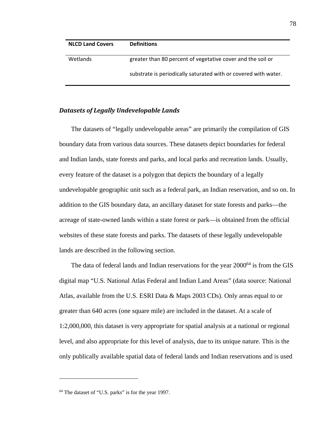| <b>NLCD Land Covers</b> | <b>Definitions</b>                                              |
|-------------------------|-----------------------------------------------------------------|
| Wetlands                | greater than 80 percent of vegetative cover and the soil or     |
|                         | substrate is periodically saturated with or covered with water. |

#### *Datasets of Legally Undevelopable Lands*

The datasets of "legally undevelopable areas" are primarily the compilation of GIS boundary data from various data sources. These datasets depict boundaries for federal and Indian lands, state forests and parks, and local parks and recreation lands. Usually, every feature of the dataset is a polygon that depicts the boundary of a legally undevelopable geographic unit such as a federal park, an Indian reservation, and so on. In addition to the GIS boundary data, an ancillary dataset for state forests and parks—the acreage of state-owned lands within a state forest or park—is obtained from the official websites of these state forests and parks. The datasets of these legally undevelopable lands are described in the following section.

The data of federal lands and Indian reservations for the year 2000<sup>64</sup> is from the GIS digital map "U.S. National Atlas Federal and Indian Land Areas" (data source: National Atlas, available from the U.S. ESRI Data & Maps 2003 CDs). Only areas equal to or greater than 640 acres (one square mile) are included in the dataset. At a scale of 1:2,000,000, this dataset is very appropriate for spatial analysis at a national or regional level, and also appropriate for this level of analysis, due to its unique nature. This is the only publically available spatial data of federal lands and Indian reservations and is used

<sup>64</sup> The dataset of "U.S. parks" is for the year 1997.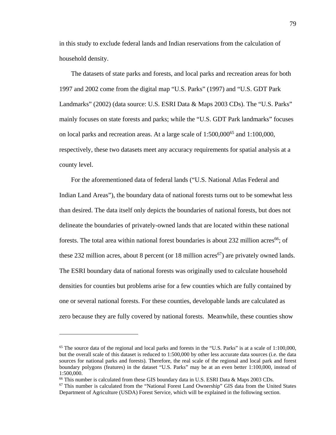in this study to exclude federal lands and Indian reservations from the calculation of household density.

The datasets of state parks and forests, and local parks and recreation areas for both 1997 and 2002 come from the digital map "U.S. Parks" (1997) and "U.S. GDT Park Landmarks" (2002) (data source: U.S. ESRI Data & Maps 2003 CDs). The "U.S. Parks" mainly focuses on state forests and parks; while the "U.S. GDT Park landmarks" focuses on local parks and recreation areas. At a large scale of  $1:500,000^{65}$  and  $1:100,000$ , respectively, these two datasets meet any accuracy requirements for spatial analysis at a county level.

For the aforementioned data of federal lands ("U.S. National Atlas Federal and Indian Land Areas"), the boundary data of national forests turns out to be somewhat less than desired. The data itself only depicts the boundaries of national forests, but does not delineate the boundaries of privately-owned lands that are located within these national forests. The total area within national forest boundaries is about 232 million acres<sup>66</sup>; of these 232 million acres, about 8 percent (or 18 million acres<sup>67</sup>) are privately owned lands. The ESRI boundary data of national forests was originally used to calculate household densities for counties but problems arise for a few counties which are fully contained by one or several national forests. For these counties, developable lands are calculated as zero because they are fully covered by national forests. Meanwhile, these counties show

<sup>&</sup>lt;sup>65</sup> The source data of the regional and local parks and forests in the "U.S. Parks" is at a scale of 1:100,000, but the overall scale of this dataset is reduced to 1:500,000 by other less accurate data sources (i.e. the data sources for national parks and forests). Therefore, the real scale of the regional and local park and forest boundary polygons (features) in the dataset "U.S. Parks" may be at an even better 1:100,000, instead of 1:500,000.

 $66$  This number is calculated from these GIS boundary data in U.S. ESRI Data & Maps 2003 CDs.

<sup>67</sup> This number is calculated from the "National Forest Land Ownership" GIS data from the United States Department of Agriculture (USDA) Forest Service, which will be explained in the following section.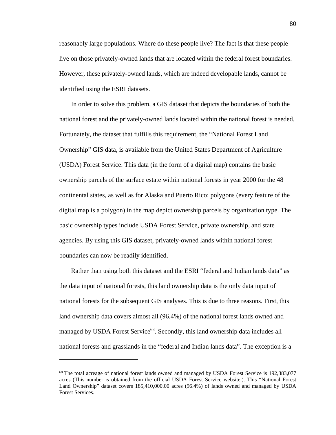reasonably large populations. Where do these people live? The fact is that these people live on those privately-owned lands that are located within the federal forest boundaries. However, these privately-owned lands, which are indeed developable lands, cannot be identified using the ESRI datasets.

In order to solve this problem, a GIS dataset that depicts the boundaries of both the national forest and the privately-owned lands located within the national forest is needed. Fortunately, the dataset that fulfills this requirement, the "National Forest Land Ownership" GIS data, is available from the United States Department of Agriculture (USDA) Forest Service. This data (in the form of a digital map) contains the basic ownership parcels of the surface estate within national forests in year 2000 for the 48 continental states, as well as for Alaska and Puerto Rico; polygons (every feature of the digital map is a polygon) in the map depict ownership parcels by organization type. The basic ownership types include USDA Forest Service, private ownership, and state agencies. By using this GIS dataset, privately-owned lands within national forest boundaries can now be readily identified.

Rather than using both this dataset and the ESRI "federal and Indian lands data" as the data input of national forests, this land ownership data is the only data input of national forests for the subsequent GIS analyses. This is due to three reasons. First, this land ownership data covers almost all (96.4%) of the national forest lands owned and managed by USDA Forest Service<sup>68</sup>. Secondly, this land ownership data includes all national forests and grasslands in the "federal and Indian lands data". The exception is a

<sup>&</sup>lt;sup>68</sup> The total acreage of national forest lands owned and managed by USDA Forest Service is 192,383,077 acres (This number is obtained from the official USDA Forest Service website.). This "National Forest Land Ownership" dataset covers 185,410,000.00 acres (96.4%) of lands owned and managed by USDA Forest Services.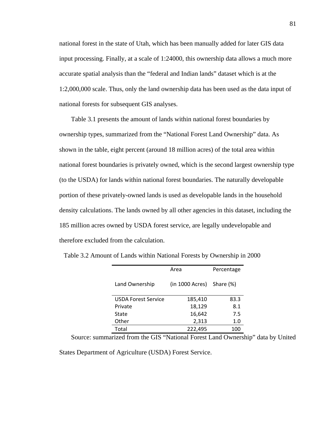national forest in the state of Utah, which has been manually added for later GIS data input processing. Finally, at a scale of 1:24000, this ownership data allows a much more accurate spatial analysis than the "federal and Indian lands" dataset which is at the 1:2,000,000 scale. Thus, only the land ownership data has been used as the data input of national forests for subsequent GIS analyses.

Table 3.1 presents the amount of lands within national forest boundaries by ownership types, summarized from the "National Forest Land Ownership" data. As shown in the table, eight percent (around 18 million acres) of the total area within national forest boundaries is privately owned, which is the second largest ownership type (to the USDA) for lands within national forest boundaries. The naturally developable portion of these privately-owned lands is used as developable lands in the household density calculations. The lands owned by all other agencies in this dataset, including the 185 million acres owned by USDA forest service, are legally undevelopable and therefore excluded from the calculation.

|                            | Area            | Percentage |
|----------------------------|-----------------|------------|
| Land Ownership             | (in 1000 Acres) | Share (%)  |
| <b>USDA Forest Service</b> | 185,410         | 83.3       |
| Private                    | 18,129          | 8.1        |
| State                      | 16,642          | 7.5        |
| Other                      | 2,313           | 1.0        |
| Total                      | 222.495         | 100        |

2 Table 3.2 Amount of Lands within National Forests by Ownership in 2000

Source: summarized from the GIS "National Forest Land Ownership" data by United

States Department of Agriculture (USDA) Forest Service.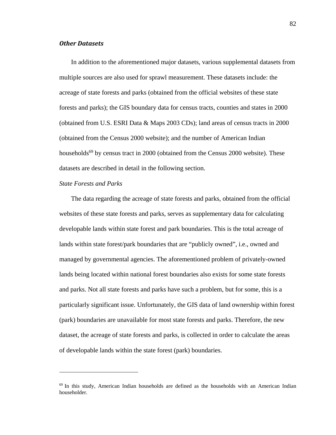#### *Other Datasets*

In addition to the aforementioned major datasets, various supplemental datasets from multiple sources are also used for sprawl measurement. These datasets include: the acreage of state forests and parks (obtained from the official websites of these state forests and parks); the GIS boundary data for census tracts, counties and states in 2000 (obtained from U.S. ESRI Data & Maps 2003 CDs); land areas of census tracts in 2000 (obtained from the Census 2000 website); and the number of American Indian households<sup>69</sup> by census tract in 2000 (obtained from the Census 2000 website). These datasets are described in detail in the following section.

#### *State Forests and Parks*

1

The data regarding the acreage of state forests and parks, obtained from the official websites of these state forests and parks, serves as supplementary data for calculating developable lands within state forest and park boundaries. This is the total acreage of lands within state forest/park boundaries that are "publicly owned", i.e., owned and managed by governmental agencies. The aforementioned problem of privately-owned lands being located within national forest boundaries also exists for some state forests and parks. Not all state forests and parks have such a problem, but for some, this is a particularly significant issue. Unfortunately, the GIS data of land ownership within forest (park) boundaries are unavailable for most state forests and parks. Therefore, the new dataset, the acreage of state forests and parks, is collected in order to calculate the areas of developable lands within the state forest (park) boundaries.

<sup>&</sup>lt;sup>69</sup> In this study, American Indian households are defined as the households with an American Indian householder.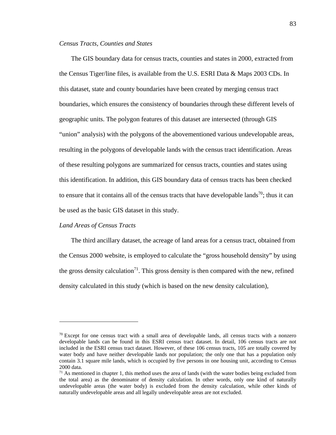#### *Census Tracts, Counties and States*

The GIS boundary data for census tracts, counties and states in 2000, extracted from the Census Tiger/line files, is available from the U.S. ESRI Data & Maps 2003 CDs. In this dataset, state and county boundaries have been created by merging census tract boundaries, which ensures the consistency of boundaries through these different levels of geographic units. The polygon features of this dataset are intersected (through GIS "union" analysis) with the polygons of the abovementioned various undevelopable areas, resulting in the polygons of developable lands with the census tract identification. Areas of these resulting polygons are summarized for census tracts, counties and states using this identification. In addition, this GIS boundary data of census tracts has been checked to ensure that it contains all of the census tracts that have developable lands<sup>70</sup>; thus it can be used as the basic GIS dataset in this study.

#### *Land Areas of Census Tracts*

 $\overline{a}$ 

The third ancillary dataset, the acreage of land areas for a census tract, obtained from the Census 2000 website, is employed to calculate the "gross household density" by using the gross density calculation<sup>71</sup>. This gross density is then compared with the new, refined density calculated in this study (which is based on the new density calculation),

 $70$  Except for one census tract with a small area of developable lands, all census tracts with a nonzero developable lands can be found in this ESRI census tract dataset. In detail, 106 census tracts are not included in the ESRI census tract dataset. However, of these 106 census tracts, 105 are totally covered by water body and have neither developable lands nor population; the only one that has a population only contain 3.1 square mile lands, which is occupied by five persons in one housing unit, according to Census 2000 data.

 $71$  As mentioned in chapter 1, this method uses the area of lands (with the water bodies being excluded from the total area) as the denominator of density calculation. In other words, only one kind of naturally undevelopable areas (the water body) is excluded from the density calculation, while other kinds of naturally undevelopable areas and all legally undevelopable areas are not excluded.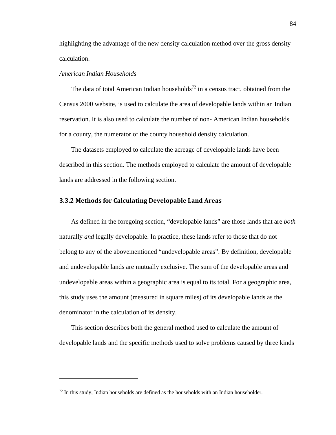highlighting the advantage of the new density calculation method over the gross density calculation.

#### *American Indian Households*

 $\overline{a}$ 

The data of total American Indian households<sup>72</sup> in a census tract, obtained from the Census 2000 website, is used to calculate the area of developable lands within an Indian reservation. It is also used to calculate the number of non- American Indian households for a county, the numerator of the county household density calculation.

The datasets employed to calculate the acreage of developable lands have been described in this section. The methods employed to calculate the amount of developable lands are addressed in the following section.

#### **3.3.2 Methods for Calculating Developable Land Areas**

As defined in the foregoing section, "developable lands" are those lands that are *both* naturally *and* legally developable. In practice, these lands refer to those that do not belong to any of the abovementioned "undevelopable areas". By definition, developable and undevelopable lands are mutually exclusive. The sum of the developable areas and undevelopable areas within a geographic area is equal to its total. For a geographic area, this study uses the amount (measured in square miles) of its developable lands as the denominator in the calculation of its density.

This section describes both the general method used to calculate the amount of developable lands and the specific methods used to solve problems caused by three kinds

 $<sup>72</sup>$  In this study, Indian households are defined as the households with an Indian householder.</sup>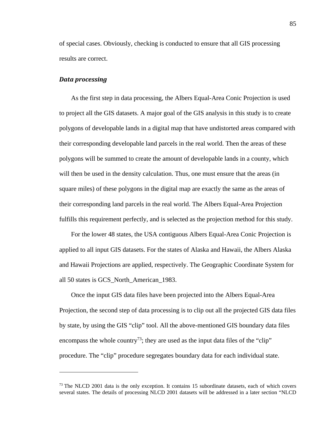of special cases. Obviously, checking is conducted to ensure that all GIS processing results are correct.

#### *Data processing*

 $\overline{a}$ 

As the first step in data processing, the Albers Equal-Area Conic Projection is used to project all the GIS datasets. A major goal of the GIS analysis in this study is to create polygons of developable lands in a digital map that have undistorted areas compared with their corresponding developable land parcels in the real world. Then the areas of these polygons will be summed to create the amount of developable lands in a county, which will then be used in the density calculation. Thus, one must ensure that the areas (in square miles) of these polygons in the digital map are exactly the same as the areas of their corresponding land parcels in the real world. The Albers Equal-Area Projection fulfills this requirement perfectly, and is selected as the projection method for this study.

For the lower 48 states, the USA contiguous Albers Equal-Area Conic Projection is applied to all input GIS datasets. For the states of Alaska and Hawaii, the Albers Alaska and Hawaii Projections are applied, respectively. The Geographic Coordinate System for all 50 states is GCS\_North\_American\_1983.

Once the input GIS data files have been projected into the Albers Equal-Area Projection, the second step of data processing is to clip out all the projected GIS data files by state, by using the GIS "clip" tool. All the above-mentioned GIS boundary data files encompass the whole country<sup>73</sup>; they are used as the input data files of the "clip" procedure. The "clip" procedure segregates boundary data for each individual state.

<sup>&</sup>lt;sup>73</sup> The NLCD 2001 data is the only exception. It contains 15 subordinate datasets, each of which covers several states. The details of processing NLCD 2001 datasets will be addressed in a later section "NLCD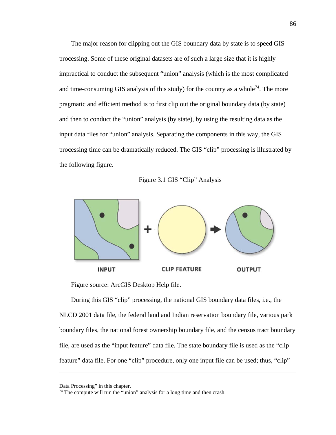The major reason for clipping out the GIS boundary data by state is to speed GIS processing. Some of these original datasets are of such a large size that it is highly impractical to conduct the subsequent "union" analysis (which is the most complicated and time-consuming GIS analysis of this study) for the country as a whole<sup>74</sup>. The more pragmatic and efficient method is to first clip out the original boundary data (by state) and then to conduct the "union" analysis (by state), by using the resulting data as the input data files for "union" analysis. Separating the components in this way, the GIS processing time can be dramatically reduced. The GIS "clip" processing is illustrated by the following figure.

Figure 3.1 GIS "Clip" Analysis



Figure source: ArcGIS Desktop Help file.

During this GIS "clip" processing, the national GIS boundary data files, i.e., the NLCD 2001 data file, the federal land and Indian reservation boundary file, various park boundary files, the national forest ownership boundary file, and the census tract boundary file, are used as the "input feature" data file. The state boundary file is used as the "clip feature" data file. For one "clip" procedure, only one input file can be used; thus, "clip"

Data Processing" in this chapter.

 $74$  The compute will run the "union" analysis for a long time and then crash.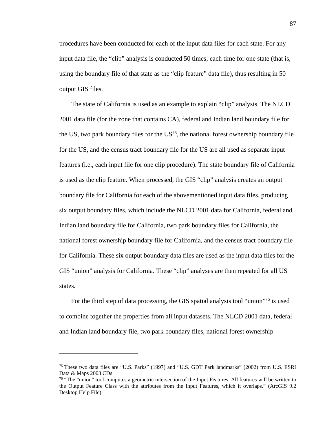procedures have been conducted for each of the input data files for each state. For any input data file, the "clip" analysis is conducted 50 times; each time for one state (that is, using the boundary file of that state as the "clip feature" data file), thus resulting in 50 output GIS files.

The state of California is used as an example to explain "clip" analysis. The NLCD 2001 data file (for the zone that contains CA), federal and Indian land boundary file for the US, two park boundary files for the  $US^{75}$ , the national forest ownership boundary file for the US, and the census tract boundary file for the US are all used as separate input features (i.e., each input file for one clip procedure). The state boundary file of California is used as the clip feature. When processed, the GIS "clip" analysis creates an output boundary file for California for each of the abovementioned input data files, producing six output boundary files, which include the NLCD 2001 data for California, federal and Indian land boundary file for California, two park boundary files for California, the national forest ownership boundary file for California, and the census tract boundary file for California. These six output boundary data files are used as the input data files for the GIS "union" analysis for California. These "clip" analyses are then repeated for all US states.

For the third step of data processing, the GIS spatial analysis tool "union"76 is used to combine together the properties from all input datasets. The NLCD 2001 data, federal and Indian land boundary file, two park boundary files, national forest ownership

<sup>75</sup> These two data files are "U.S. Parks" (1997) and "U.S. GDT Park landmarks" (2002) from U.S. ESRI Data & Maps 2003 CDs.

<sup>&</sup>lt;sup>76</sup> "The "union" tool computes a geometric intersection of the Input Features. All features will be written to the Output Feature Class with the attributes from the Input Features, which it overlaps." (ArcGIS 9.2 Desktop Help File)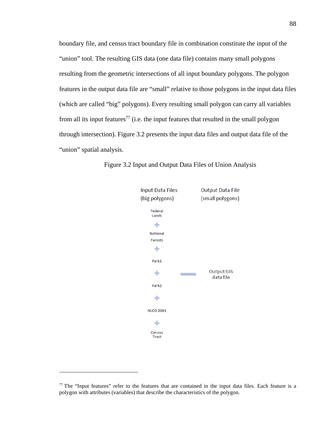boundary file, and census tract boundary file in combination constitute the input of the "union" tool. The resulting GIS data (one data file) contains many small polygons resulting from the geometric intersections of all input boundary polygons. The polygon features in the output data file are "small" relative to those polygons in the input data files (which are called "big" polygons). Every resulting small polygon can carry all variables from all its input features<sup>77</sup> (i.e. the input features that resulted in the small polygon through intersection). Figure 3.2 presents the input data files and output data file of the "union" spatial analysis.



2 Figure 3.2 Input and Output Data Files of Union Analysis

 $77$  The "Input features" refer to the features that are contained in the input data files. Each feature is a polygon with attributes (variables) that describe the characteristics of the polygon.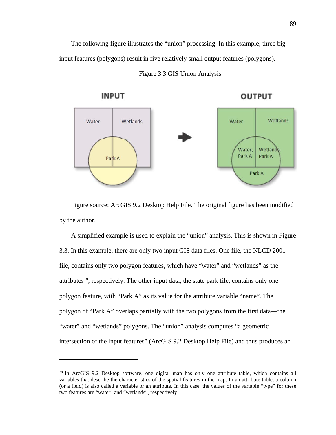The following figure illustrates the "union" processing. In this example, three big input features (polygons) result in five relatively small output features (polygons).



3 Figure 3.3 GIS Union Analysis

Figure source: ArcGIS 9.2 Desktop Help File. The original figure has been modified by the author.

A simplified example is used to explain the "union" analysis. This is shown in Figure 3.3. In this example, there are only two input GIS data files. One file, the NLCD 2001 file, contains only two polygon features, which have "water" and "wetlands" as the attributes<sup>78</sup>, respectively. The other input data, the state park file, contains only one polygon feature, with "Park A" as its value for the attribute variable "name". The polygon of "Park A" overlaps partially with the two polygons from the first data—the "water" and "wetlands" polygons. The "union" analysis computes "a geometric intersection of the input features" (ArcGIS 9.2 Desktop Help File) and thus produces an

 $78$  In ArcGIS 9.2 Desktop software, one digital map has only one attribute table, which contains all variables that describe the characteristics of the spatial features in the map. In an attribute table, a column (or a field) is also called a variable or an attribute. In this case, the values of the variable "type" for these two features are "water" and "wetlands", respectively.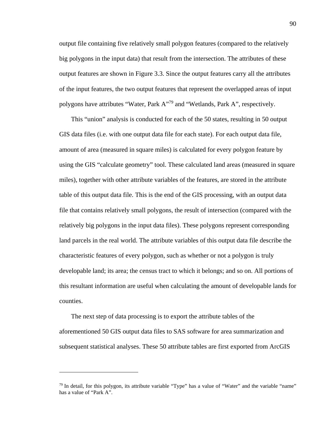output file containing five relatively small polygon features (compared to the relatively big polygons in the input data) that result from the intersection. The attributes of these output features are shown in Figure 3.3. Since the output features carry all the attributes of the input features, the two output features that represent the overlapped areas of input polygons have attributes "Water, Park A"79 and "Wetlands, Park A", respectively.

This "union" analysis is conducted for each of the 50 states, resulting in 50 output GIS data files (i.e. with one output data file for each state). For each output data file, amount of area (measured in square miles) is calculated for every polygon feature by using the GIS "calculate geometry" tool. These calculated land areas (measured in square miles), together with other attribute variables of the features, are stored in the attribute table of this output data file. This is the end of the GIS processing, with an output data file that contains relatively small polygons, the result of intersection (compared with the relatively big polygons in the input data files). These polygons represent corresponding land parcels in the real world. The attribute variables of this output data file describe the characteristic features of every polygon, such as whether or not a polygon is truly developable land; its area; the census tract to which it belongs; and so on. All portions of this resultant information are useful when calculating the amount of developable lands for counties.

The next step of data processing is to export the attribute tables of the aforementioned 50 GIS output data files to SAS software for area summarization and subsequent statistical analyses. These 50 attribute tables are first exported from ArcGIS

<sup>79</sup> In detail, for this polygon, its attribute variable "Type" has a value of "Water" and the variable "name" has a value of "Park A".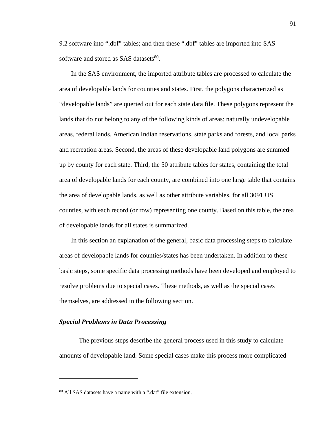9.2 software into ".dbf" tables; and then these ".dbf" tables are imported into SAS software and stored as SAS datasets<sup>80</sup>.

In the SAS environment, the imported attribute tables are processed to calculate the area of developable lands for counties and states. First, the polygons characterized as "developable lands" are queried out for each state data file. These polygons represent the lands that do not belong to any of the following kinds of areas: naturally undevelopable areas, federal lands, American Indian reservations, state parks and forests, and local parks and recreation areas. Second, the areas of these developable land polygons are summed up by county for each state. Third, the 50 attribute tables for states, containing the total area of developable lands for each county, are combined into one large table that contains the area of developable lands, as well as other attribute variables, for all 3091 US counties, with each record (or row) representing one county. Based on this table, the area of developable lands for all states is summarized.

In this section an explanation of the general, basic data processing steps to calculate areas of developable lands for counties/states has been undertaken. In addition to these basic steps, some specific data processing methods have been developed and employed to resolve problems due to special cases. These methods, as well as the special cases themselves, are addressed in the following section.

#### *Special Problems in Data Processing*

 $\overline{a}$ 

The previous steps describe the general process used in this study to calculate amounts of developable land. Some special cases make this process more complicated

<sup>80</sup> All SAS datasets have a name with a ".dat" file extension.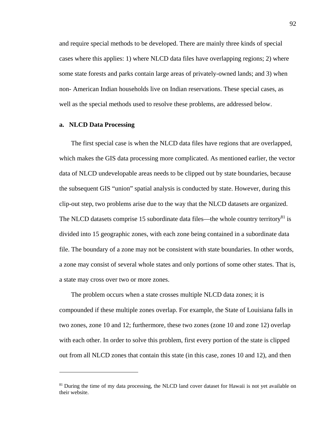and require special methods to be developed. There are mainly three kinds of special cases where this applies: 1) where NLCD data files have overlapping regions; 2) where some state forests and parks contain large areas of privately-owned lands; and 3) when non- American Indian households live on Indian reservations. These special cases, as well as the special methods used to resolve these problems, are addressed below.

#### **a. NLCD Data Processing**

 $\overline{a}$ 

The first special case is when the NLCD data files have regions that are overlapped, which makes the GIS data processing more complicated. As mentioned earlier, the vector data of NLCD undevelopable areas needs to be clipped out by state boundaries, because the subsequent GIS "union" spatial analysis is conducted by state. However, during this clip-out step, two problems arise due to the way that the NLCD datasets are organized. The NLCD datasets comprise 15 subordinate data files—the whole country territory<sup>81</sup> is divided into 15 geographic zones, with each zone being contained in a subordinate data file. The boundary of a zone may not be consistent with state boundaries. In other words, a zone may consist of several whole states and only portions of some other states. That is, a state may cross over two or more zones.

The problem occurs when a state crosses multiple NLCD data zones; it is compounded if these multiple zones overlap. For example, the State of Louisiana falls in two zones, zone 10 and 12; furthermore, these two zones (zone 10 and zone 12) overlap with each other. In order to solve this problem, first every portion of the state is clipped out from all NLCD zones that contain this state (in this case, zones 10 and 12), and then

<sup>&</sup>lt;sup>81</sup> During the time of my data processing, the NLCD land cover dataset for Hawaii is not yet available on their website.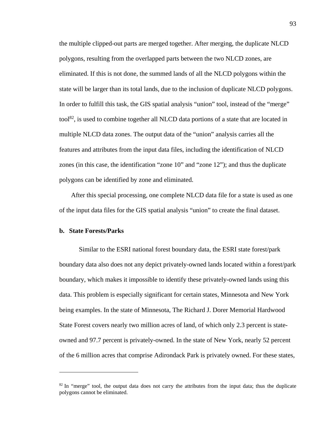the multiple clipped-out parts are merged together. After merging, the duplicate NLCD polygons, resulting from the overlapped parts between the two NLCD zones, are eliminated. If this is not done, the summed lands of all the NLCD polygons within the state will be larger than its total lands, due to the inclusion of duplicate NLCD polygons. In order to fulfill this task, the GIS spatial analysis "union" tool, instead of the "merge"  $\text{tool}^{\text{82}}$ , is used to combine together all NLCD data portions of a state that are located in multiple NLCD data zones. The output data of the "union" analysis carries all the features and attributes from the input data files, including the identification of NLCD zones (in this case, the identification "zone 10" and "zone 12"); and thus the duplicate polygons can be identified by zone and eliminated.

After this special processing, one complete NLCD data file for a state is used as one of the input data files for the GIS spatial analysis "union" to create the final dataset.

#### **b. State Forests/Parks**

1

Similar to the ESRI national forest boundary data, the ESRI state forest/park boundary data also does not any depict privately-owned lands located within a forest/park boundary, which makes it impossible to identify these privately-owned lands using this data. This problem is especially significant for certain states, Minnesota and New York being examples. In the state of Minnesota, The Richard J. Dorer Memorial Hardwood State Forest covers nearly two million acres of land, of which only 2.3 percent is stateowned and 97.7 percent is privately-owned. In the state of New York, nearly 52 percent of the 6 million acres that comprise Adirondack Park is privately owned. For these states,

 $82$  In "merge" tool, the output data does not carry the attributes from the input data; thus the duplicate polygons cannot be eliminated.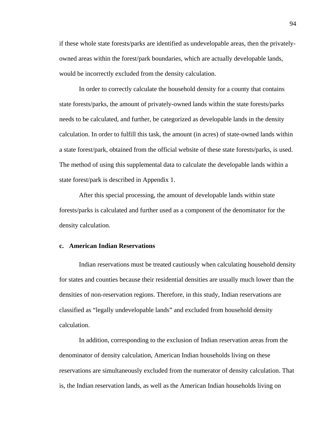if these whole state forests/parks are identified as undevelopable areas, then the privatelyowned areas within the forest/park boundaries, which are actually developable lands, would be incorrectly excluded from the density calculation.

In order to correctly calculate the household density for a county that contains state forests/parks, the amount of privately-owned lands within the state forests/parks needs to be calculated, and further, be categorized as developable lands in the density calculation. In order to fulfill this task, the amount (in acres) of state-owned lands within a state forest/park, obtained from the official website of these state forests/parks, is used. The method of using this supplemental data to calculate the developable lands within a state forest/park is described in Appendix 1.

After this special processing, the amount of developable lands within state forests/parks is calculated and further used as a component of the denominator for the density calculation.

#### **c. American Indian Reservations**

Indian reservations must be treated cautiously when calculating household density for states and counties because their residential densities are usually much lower than the densities of non-reservation regions. Therefore, in this study, Indian reservations are classified as "legally undevelopable lands" and excluded from household density calculation.

In addition, corresponding to the exclusion of Indian reservation areas from the denominator of density calculation, American Indian households living on these reservations are simultaneously excluded from the numerator of density calculation. That is, the Indian reservation lands, as well as the American Indian households living on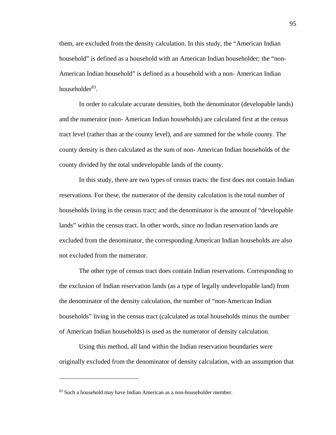them, are excluded from the density calculation. In this study, the "American Indian household" is defined as a household with an American Indian householder; the "non-American Indian household" is defined as a household with a non- American Indian householder<sup>83</sup>.

In order to calculate accurate densities, both the denominator (developable lands) and the numerator (non- American Indian households) are calculated first at the census tract level (rather than at the county level), and are summed for the whole county. The county density is then calculated as the sum of non- American Indian households of the county divided by the total undevelopable lands of the county.

In this study, there are two types of census tracts: the first does not contain Indian reservations. For these, the numerator of the density calculation is the total number of households living in the census tract; and the denominator is the amount of "developable lands" within the census tract. In other words, since no Indian reservation lands are excluded from the denominator, the corresponding American Indian households are also not excluded from the numerator.

The other type of census tract does contain Indian reservations. Corresponding to the exclusion of Indian reservation lands (as a type of legally undevelopable land) from the denominator of the density calculation, the number of "non-American Indian households" living in the census tract (calculated as total households minus the number of American Indian households) is used as the numerator of density calculation.

Using this method, all land within the Indian reservation boundaries were originally excluded from the denominator of density calculation, with an assumption that

<sup>83</sup> Such a household may have Indian American as a non-householder member.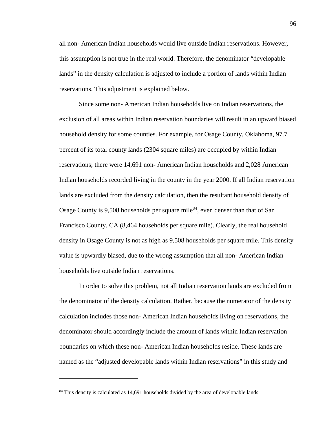all non- American Indian households would live outside Indian reservations. However, this assumption is not true in the real world. Therefore, the denominator "developable lands" in the density calculation is adjusted to include a portion of lands within Indian reservations. This adjustment is explained below.

Since some non- American Indian households live on Indian reservations, the exclusion of all areas within Indian reservation boundaries will result in an upward biased household density for some counties. For example, for Osage County, Oklahoma, 97.7 percent of its total county lands (2304 square miles) are occupied by within Indian reservations; there were 14,691 non- American Indian households and 2,028 American Indian households recorded living in the county in the year 2000. If all Indian reservation lands are excluded from the density calculation, then the resultant household density of Osage County is 9,508 households per square mile<sup>84</sup>, even denser than that of San Francisco County, CA (8,464 households per square mile). Clearly, the real household density in Osage County is not as high as 9,508 households per square mile. This density value is upwardly biased, due to the wrong assumption that all non- American Indian households live outside Indian reservations.

In order to solve this problem, not all Indian reservation lands are excluded from the denominator of the density calculation. Rather, because the numerator of the density calculation includes those non- American Indian households living on reservations, the denominator should accordingly include the amount of lands within Indian reservation boundaries on which these non- American Indian households reside. These lands are named as the "adjusted developable lands within Indian reservations" in this study and

<sup>&</sup>lt;sup>84</sup> This density is calculated as 14,691 households divided by the area of developable lands.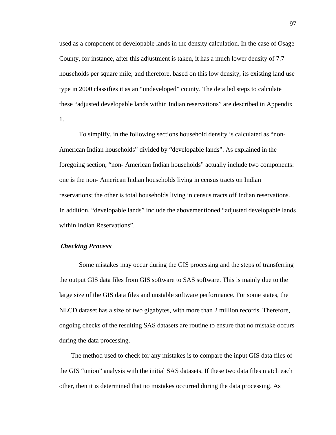used as a component of developable lands in the density calculation. In the case of Osage County, for instance, after this adjustment is taken, it has a much lower density of 7.7 households per square mile; and therefore, based on this low density, its existing land use type in 2000 classifies it as an "undeveloped" county. The detailed steps to calculate these "adjusted developable lands within Indian reservations" are described in Appendix 1.

To simplify, in the following sections household density is calculated as "non-American Indian households" divided by "developable lands". As explained in the foregoing section, "non- American Indian households" actually include two components: one is the non- American Indian households living in census tracts on Indian reservations; the other is total households living in census tracts off Indian reservations. In addition, "developable lands" include the abovementioned "adjusted developable lands within Indian Reservations".

## *Checking Process*

Some mistakes may occur during the GIS processing and the steps of transferring the output GIS data files from GIS software to SAS software. This is mainly due to the large size of the GIS data files and unstable software performance. For some states, the NLCD dataset has a size of two gigabytes, with more than 2 million records. Therefore, ongoing checks of the resulting SAS datasets are routine to ensure that no mistake occurs during the data processing.

The method used to check for any mistakes is to compare the input GIS data files of the GIS "union" analysis with the initial SAS datasets. If these two data files match each other, then it is determined that no mistakes occurred during the data processing. As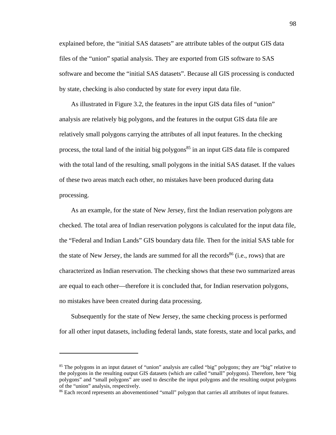explained before, the "initial SAS datasets" are attribute tables of the output GIS data files of the "union" spatial analysis. They are exported from GIS software to SAS software and become the "initial SAS datasets". Because all GIS processing is conducted by state, checking is also conducted by state for every input data file.

As illustrated in Figure 3.2, the features in the input GIS data files of "union" analysis are relatively big polygons, and the features in the output GIS data file are relatively small polygons carrying the attributes of all input features. In the checking process, the total land of the initial big polygons<sup>85</sup> in an input GIS data file is compared with the total land of the resulting, small polygons in the initial SAS dataset. If the values of these two areas match each other, no mistakes have been produced during data processing.

As an example, for the state of New Jersey, first the Indian reservation polygons are checked. The total area of Indian reservation polygons is calculated for the input data file, the "Federal and Indian Lands" GIS boundary data file. Then for the initial SAS table for the state of New Jersey, the lands are summed for all the records<sup>86</sup> (i.e., rows) that are characterized as Indian reservation. The checking shows that these two summarized areas are equal to each other—therefore it is concluded that, for Indian reservation polygons, no mistakes have been created during data processing.

Subsequently for the state of New Jersey, the same checking process is performed for all other input datasets, including federal lands, state forests, state and local parks, and

<sup>&</sup>lt;sup>85</sup> The polygons in an input dataset of "union" analysis are called "big" polygons; they are "big" relative to the polygons in the resulting output GIS datasets (which are called "small" polygons). Therefore, here "big polygons" and "small polygons" are used to describe the input polygons and the resulting output polygons of the "union" analysis, respectively.

<sup>&</sup>lt;sup>86</sup> Each record represents an abovementioned "small" polygon that carries all attributes of input features.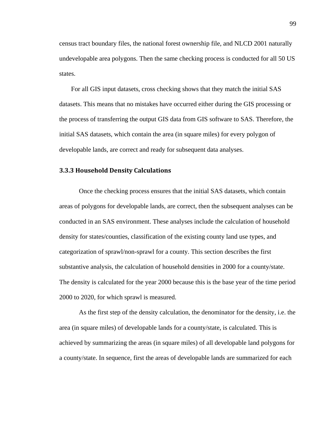census tract boundary files, the national forest ownership file, and NLCD 2001 naturally undevelopable area polygons. Then the same checking process is conducted for all 50 US states.

For all GIS input datasets, cross checking shows that they match the initial SAS datasets. This means that no mistakes have occurred either during the GIS processing or the process of transferring the output GIS data from GIS software to SAS. Therefore, the initial SAS datasets, which contain the area (in square miles) for every polygon of developable lands, are correct and ready for subsequent data analyses.

#### **3.3.3 Household Density Calculations**

Once the checking process ensures that the initial SAS datasets, which contain areas of polygons for developable lands, are correct, then the subsequent analyses can be conducted in an SAS environment. These analyses include the calculation of household density for states/counties, classification of the existing county land use types, and categorization of sprawl/non-sprawl for a county. This section describes the first substantive analysis, the calculation of household densities in 2000 for a county/state. The density is calculated for the year 2000 because this is the base year of the time period 2000 to 2020, for which sprawl is measured.

As the first step of the density calculation, the denominator for the density, i.e. the area (in square miles) of developable lands for a county/state, is calculated. This is achieved by summarizing the areas (in square miles) of all developable land polygons for a county/state. In sequence, first the areas of developable lands are summarized for each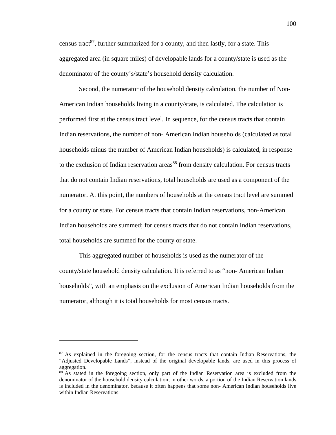census tract<sup>87</sup>, further summarized for a county, and then lastly, for a state. This aggregated area (in square miles) of developable lands for a county/state is used as the denominator of the county's/state's household density calculation.

Second, the numerator of the household density calculation, the number of Non-American Indian households living in a county/state, is calculated. The calculation is performed first at the census tract level. In sequence, for the census tracts that contain Indian reservations, the number of non- American Indian households (calculated as total households minus the number of American Indian households) is calculated, in response to the exclusion of Indian reservation areas<sup>88</sup> from density calculation. For census tracts that do not contain Indian reservations, total households are used as a component of the numerator. At this point, the numbers of households at the census tract level are summed for a county or state. For census tracts that contain Indian reservations, non-American Indian households are summed; for census tracts that do not contain Indian reservations, total households are summed for the county or state.

This aggregated number of households is used as the numerator of the county/state household density calculation. It is referred to as "non- American Indian households", with an emphasis on the exclusion of American Indian households from the numerator, although it is total households for most census tracts.

<sup>&</sup>lt;sup>87</sup> As explained in the foregoing section, for the census tracts that contain Indian Reservations, the "Adjusted Developable Lands", instead of the original developable lands, are used in this process of aggregation.

<sup>&</sup>lt;sup>88</sup> As stated in the foregoing section, only part of the Indian Reservation area is excluded from the denominator of the household density calculation; in other words, a portion of the Indian Reservation lands is included in the denominator, because it often happens that some non- American Indian households live within Indian Reservations.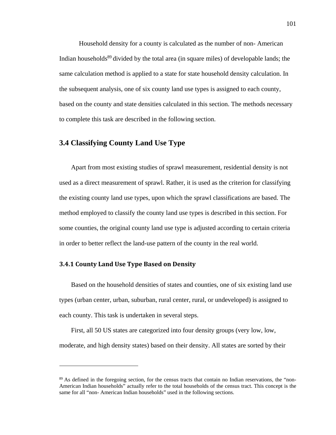Household density for a county is calculated as the number of non- American Indian households<sup>89</sup> divided by the total area (in square miles) of developable lands; the same calculation method is applied to a state for state household density calculation. In the subsequent analysis, one of six county land use types is assigned to each county, based on the county and state densities calculated in this section. The methods necessary to complete this task are described in the following section.

# **3.4 Classifying County Land Use Type**

Apart from most existing studies of sprawl measurement, residential density is not used as a direct measurement of sprawl. Rather, it is used as the criterion for classifying the existing county land use types, upon which the sprawl classifications are based. The method employed to classify the county land use types is described in this section. For some counties, the original county land use type is adjusted according to certain criteria in order to better reflect the land-use pattern of the county in the real world.

## **3.4.1 County Land Use Type Based on Density**

 $\overline{a}$ 

Based on the household densities of states and counties, one of six existing land use types (urban center, urban, suburban, rural center, rural, or undeveloped) is assigned to each county. This task is undertaken in several steps.

First, all 50 US states are categorized into four density groups (very low, low, moderate, and high density states) based on their density. All states are sorted by their

<sup>&</sup>lt;sup>89</sup> As defined in the foregoing section, for the census tracts that contain no Indian reservations, the "non-American Indian households" actually refer to the total households of the census tract. This concept is the same for all "non- American Indian households" used in the following sections.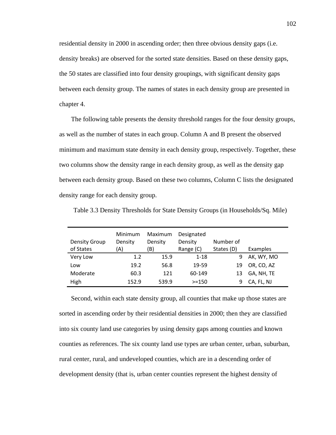residential density in 2000 in ascending order; then three obvious density gaps (i.e. density breaks) are observed for the sorted state densities. Based on these density gaps, the 50 states are classified into four density groupings, with significant density gaps between each density group. The names of states in each density group are presented in chapter 4.

The following table presents the density threshold ranges for the four density groups, as well as the number of states in each group. Column A and B present the observed minimum and maximum state density in each density group, respectively. Together, these two columns show the density range in each density group, as well as the density gap between each density group. Based on these two columns, Column C lists the designated density range for each density group.

| <b>Density Group</b> | Minimum<br>Density | Maximum<br>Density | Designated<br>Density | Number of  |            |
|----------------------|--------------------|--------------------|-----------------------|------------|------------|
| of States            | (A)                | 'B)                | Range (C)             | States (D) | Examples   |
| Very Low             | 1.2                | 15.9               | $1 - 18$              | 9          | AK, WY, MO |
| Low                  | 19.2               | 56.8               | 19-59                 | 19         | OR, CO, AZ |
| Moderate             | 60.3               | 121                | 60-149                | 13         | GA, NH, TE |
| High                 | 152.9              | 539.9              | $>=150$               | 9          | CA, FL, NJ |

3 Table 3.3 Density Thresholds for State Density Groups (in Households/Sq. Mile)

Second, within each state density group, all counties that make up those states are sorted in ascending order by their residential densities in 2000; then they are classified into six county land use categories by using density gaps among counties and known counties as references. The six county land use types are urban center, urban, suburban, rural center, rural, and undeveloped counties, which are in a descending order of development density (that is, urban center counties represent the highest density of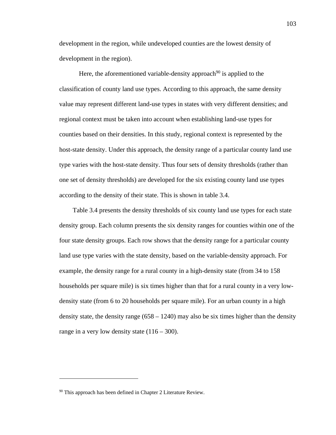development in the region, while undeveloped counties are the lowest density of development in the region).

Here, the aforementioned variable-density approach<sup>90</sup> is applied to the classification of county land use types. According to this approach, the same density value may represent different land-use types in states with very different densities; and regional context must be taken into account when establishing land-use types for counties based on their densities. In this study, regional context is represented by the host-state density. Under this approach, the density range of a particular county land use type varies with the host-state density. Thus four sets of density thresholds (rather than one set of density thresholds) are developed for the six existing county land use types according to the density of their state. This is shown in table 3.4.

 Table 3.4 presents the density thresholds of six county land use types for each state density group. Each column presents the six density ranges for counties within one of the four state density groups. Each row shows that the density range for a particular county land use type varies with the state density, based on the variable-density approach. For example, the density range for a rural county in a high-density state (from 34 to 158 households per square mile) is six times higher than that for a rural county in a very lowdensity state (from 6 to 20 households per square mile). For an urban county in a high density state, the density range  $(658 - 1240)$  may also be six times higher than the density range in a very low density state  $(116 – 300)$ .

<sup>&</sup>lt;sup>90</sup> This approach has been defined in Chapter 2 Literature Review.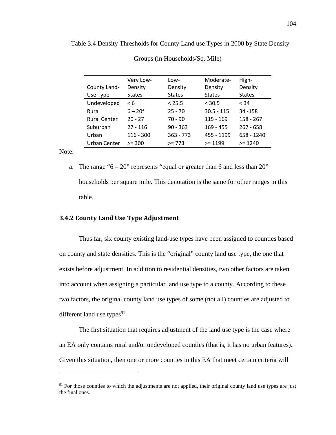| County Land-        | Very Low-<br>Density  | Low-<br>Density | Moderate-<br>Density | High-<br>Density |
|---------------------|-----------------------|-----------------|----------------------|------------------|
| Use Type            | <b>States</b>         | <b>States</b>   | <b>States</b>        | <b>States</b>    |
| Undeveloped         | $\leq 6$              | < 25.5          | $<$ 30.5             | < 34             |
| Rural               | $6 - 20$ <sup>a</sup> | $25 - 70$       | $30.5 - 115$         | 34 - 158         |
| <b>Rural Center</b> | $20 - 27$             | $70 - 90$       | $115 - 169$          | $158 - 267$      |
| Suburban            | $27 - 116$            | $90 - 363$      | $169 - 455$          | $267 - 658$      |
| Urban               | $116 - 300$           | $363 - 773$     | 455 - 1199           | 658 - 1240       |
| Urban Center        | $>= 300$              | $>= 773$        | $>= 1199$            | $>= 1240$        |

4 Table 3.4 Density Thresholds for County Land use Types in 2000 by State Density

Groups (in Households/Sq. Mile)

Note:

1

a. The range " $6 - 20$ " represents "equal or greater than 6 and less than  $20$ " households per square mile. This denotation is the same for other ranges in this table.

## **3.4.2 County Land Use Type Adjustment**

Thus far, six county existing land-use types have been assigned to counties based on county and state densities. This is the "original" county land use type, the one that exists before adjustment. In addition to residential densities, two other factors are taken into account when assigning a particular land use type to a county. According to these two factors, the original county land use types of some (not all) counties are adjusted to different land use types $91$ .

The first situation that requires adjustment of the land use type is the case where an EA only contains rural and/or undeveloped counties (that is, it has no urban features). Given this situation, then one or more counties in this EA that meet certain criteria will

<sup>&</sup>lt;sup>91</sup> For those counties to which the adjustments are not applied, their original county land use types are just the final ones.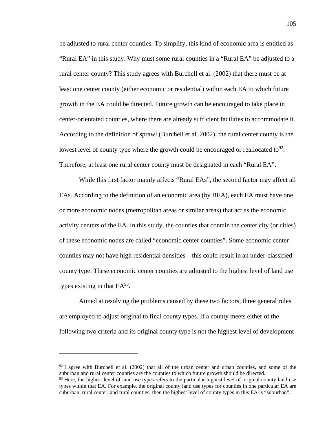be adjusted to rural center counties. To simplify, this kind of economic area is entitled as "Rural EA" in this study. Why must some rural counties in a "Rural EA" be adjusted to a rural center county? This study agrees with Burchell et al. (2002) that there must be at least one center county (either economic or residential) within each EA to which future growth in the EA could be directed. Future growth can be encouraged to take place in center-orientated counties, where there are already sufficient facilities to accommodate it. According to the definition of sprawl (Burchell et al. 2002), the rural center county is the lowest level of county type where the growth could be encouraged or reallocated to  $92$ . Therefore, at least one rural center county must be designated in each "Rural EA".

While this first factor mainly affects "Rural EAs", the second factor may affect all EAs. According to the definition of an economic area (by BEA), each EA must have one or more economic nodes (metropolitan areas or similar areas) that act as the economic activity centers of the EA. In this study, the counties that contain the center city (or cities) of these economic nodes are called "economic center counties". Some economic center counties may not have high residential densities—this could result in an under-classified county type. These economic center counties are adjusted to the highest level of land use types existing in that  $EA^{93}$ .

Aimed at resolving the problems caused by these two factors, three general rules are employed to adjust original to final county types. If a county meets either of the following two criteria and its original county type is not the highest level of development

 $92$  I agree with Burchell et al. (2002) that all of the urban center and urban counties, and some of the suburban and rural center counties are the counties to which future growth should be directed.

<sup>&</sup>lt;sup>93</sup> Here, the highest level of land use types refers to the particular highest level of original county land use types within that EA. For example, the original county land use types for counties in one particular EA are suburban, rural center, and rural counties; then the highest level of county types in this EA is "suburban".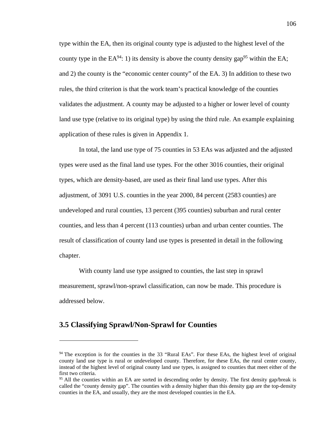type within the EA, then its original county type is adjusted to the highest level of the county type in the  $EA^{94}$ : 1) its density is above the county density gap<sup>95</sup> within the EA; and 2) the county is the "economic center county" of the EA. 3) In addition to these two rules, the third criterion is that the work team's practical knowledge of the counties validates the adjustment. A county may be adjusted to a higher or lower level of county land use type (relative to its original type) by using the third rule. An example explaining application of these rules is given in Appendix 1.

In total, the land use type of 75 counties in 53 EAs was adjusted and the adjusted types were used as the final land use types. For the other 3016 counties, their original types, which are density-based, are used as their final land use types. After this adjustment, of 3091 U.S. counties in the year 2000, 84 percent (2583 counties) are undeveloped and rural counties, 13 percent (395 counties) suburban and rural center counties, and less than 4 percent (113 counties) urban and urban center counties. The result of classification of county land use types is presented in detail in the following chapter.

With county land use type assigned to counties, the last step in sprawl measurement, sprawl/non-sprawl classification, can now be made. This procedure is addressed below.

# **3.5 Classifying Sprawl/Non-Sprawl for Counties**

<sup>&</sup>lt;sup>94</sup> The exception is for the counties in the 33 "Rural EAs". For these EAs, the highest level of original county land use type is rural or undeveloped county. Therefore, for these EAs, the rural center county, instead of the highest level of original county land use types, is assigned to counties that meet either of the first two criteria.

<sup>&</sup>lt;sup>95</sup> All the counties within an EA are sorted in descending order by density. The first density gap/break is called the "county density gap". The counties with a density higher than this density gap are the top-density counties in the EA, and usually, they are the most developed counties in the EA.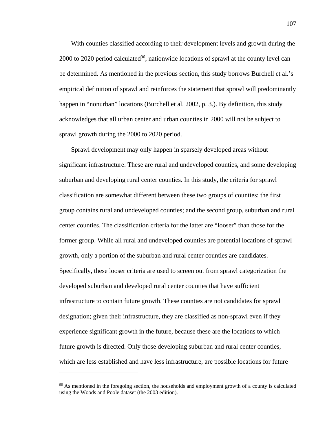With counties classified according to their development levels and growth during the 2000 to 2020 period calculated<sup>96</sup>, nationwide locations of sprawl at the county level can be determined. As mentioned in the previous section, this study borrows Burchell et al.'s empirical definition of sprawl and reinforces the statement that sprawl will predominantly happen in "nonurban" locations (Burchell et al. 2002, p. 3.). By definition, this study acknowledges that all urban center and urban counties in 2000 will not be subject to sprawl growth during the 2000 to 2020 period.

Sprawl development may only happen in sparsely developed areas without significant infrastructure. These are rural and undeveloped counties, and some developing suburban and developing rural center counties. In this study, the criteria for sprawl classification are somewhat different between these two groups of counties: the first group contains rural and undeveloped counties; and the second group, suburban and rural center counties. The classification criteria for the latter are "looser" than those for the former group. While all rural and undeveloped counties are potential locations of sprawl growth, only a portion of the suburban and rural center counties are candidates. Specifically, these looser criteria are used to screen out from sprawl categorization the developed suburban and developed rural center counties that have sufficient infrastructure to contain future growth. These counties are not candidates for sprawl designation; given their infrastructure, they are classified as non-sprawl even if they experience significant growth in the future, because these are the locations to which future growth is directed. Only those developing suburban and rural center counties, which are less established and have less infrastructure, are possible locations for future

<sup>&</sup>lt;sup>96</sup> As mentioned in the foregoing section, the households and employment growth of a county is calculated using the Woods and Poole dataset (the 2003 edition).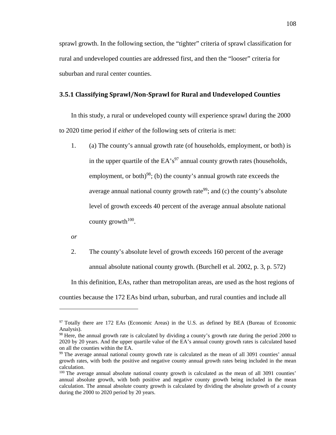sprawl growth. In the following section, the "tighter" criteria of sprawl classification for rural and undeveloped counties are addressed first, and then the "looser" criteria for suburban and rural center counties.

## **3.5.1 Classifying Sprawl/Non‐Sprawl for Rural and Undeveloped Counties**

In this study, a rural or undeveloped county will experience sprawl during the 2000 to 2020 time period if *either* of the following sets of criteria is met:

1. (a) The county's annual growth rate (of households, employment, or both) is in the upper quartile of the  $EA's<sup>97</sup>$  annual county growth rates (households, employment, or both)<sup>98</sup>; (b) the county's annual growth rate exceeds the average annual national county growth rate<sup>99</sup>; and (c) the county's absolute level of growth exceeds 40 percent of the average annual absolute national county growth<sup> $100$ </sup>.

*or* 

<u>.</u>

2. The county's absolute level of growth exceeds 160 percent of the average annual absolute national county growth. (Burchell et al. 2002, p. 3, p. 572)

In this definition, EAs, rather than metropolitan areas, are used as the host regions of counties because the 172 EAs bind urban, suburban, and rural counties and include all

<sup>97</sup> Totally there are 172 EAs (Economic Areas) in the U.S. as defined by BEA (Bureau of Economic Analysis).

<sup>&</sup>lt;sup>98</sup> Here, the annual growth rate is calculated by dividing a county's growth rate during the period 2000 to 2020 by 20 years. And the upper quartile value of the EA's annual county growth rates is calculated based on all the counties within the EA.

<sup>&</sup>lt;sup>99</sup> The average annual national county growth rate is calculated as the mean of all 3091 counties' annual growth rates, with both the positive and negative county annual growth rates being included in the mean calculation.

<sup>&</sup>lt;sup>100</sup> The average annual absolute national county growth is calculated as the mean of all 3091 counties' annual absolute growth, with both positive and negative county growth being included in the mean calculation. The annual absolute county growth is calculated by dividing the absolute growth of a county during the 2000 to 2020 period by 20 years.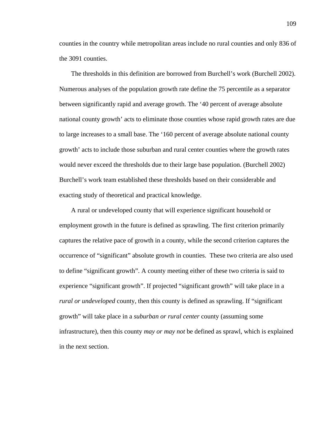counties in the country while metropolitan areas include no rural counties and only 836 of the 3091 counties.

The thresholds in this definition are borrowed from Burchell's work (Burchell 2002). Numerous analyses of the population growth rate define the 75 percentile as a separator between significantly rapid and average growth. The '40 percent of average absolute national county growth' acts to eliminate those counties whose rapid growth rates are due to large increases to a small base. The '160 percent of average absolute national county growth' acts to include those suburban and rural center counties where the growth rates would never exceed the thresholds due to their large base population. (Burchell 2002) Burchell's work team established these thresholds based on their considerable and exacting study of theoretical and practical knowledge.

A rural or undeveloped county that will experience significant household or employment growth in the future is defined as sprawling. The first criterion primarily captures the relative pace of growth in a county, while the second criterion captures the occurrence of "significant" absolute growth in counties. These two criteria are also used to define "significant growth". A county meeting either of these two criteria is said to experience "significant growth". If projected "significant growth" will take place in a *rural or undeveloped* county, then this county is defined as sprawling. If "significant" growth" will take place in a *suburban or rural center* county (assuming some infrastructure), then this county *may or may not* be defined as sprawl, which is explained in the next section.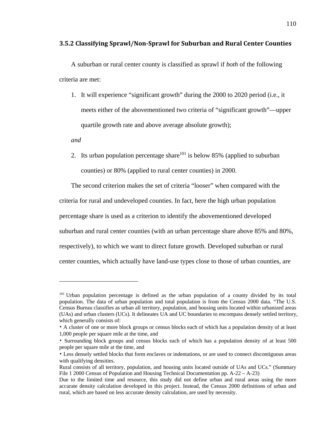## **3.5.2 Classifying Sprawl/Non‐Sprawl for Suburban and Rural Center Counties**

A suburban or rural center county is classified as sprawl if *both* of the following criteria are met:

1. It will experience "significant growth" during the 2000 to 2020 period (i.e., it meets either of the abovementioned two criteria of "significant growth"—upper quartile growth rate and above average absolute growth);

*and* 

 $\overline{a}$ 

2. Its urban population percentage share<sup>101</sup> is below 85% (applied to suburban counties) or 80% (applied to rural center counties) in 2000.

The second criterion makes the set of criteria "looser" when compared with the criteria for rural and undeveloped counties. In fact, here the high urban population percentage share is used as a criterion to identify the abovementioned developed suburban and rural center counties (with an urban percentage share above 85% and 80%, respectively), to which we want to direct future growth. Developed suburban or rural

center counties, which actually have land-use types close to those of urban counties, are

<sup>&</sup>lt;sup>101</sup> Urban population percentage is defined as the urban population of a county divided by its total population. The data of urban population and total population is from the Census 2000 data. "The U.S. Census Bureau classifies as urban all territory, population, and housing units located within urbanized areas (UAs) and urban clusters (UCs). It delineates UA and UC boundaries to encompass densely settled territory, which generally consists of:

<sup>•</sup> A cluster of one or more block groups or census blocks each of which has a population density of at least 1,000 people per square mile at the time, and

<sup>•</sup> Surrounding block groups and census blocks each of which has a population density of at least 500 people per square mile at the time, and

<sup>•</sup> Less densely settled blocks that form enclaves or indentations, or are used to connect discontiguous areas with qualifying densities.

Rural consists of all territory, population, and housing units located outside of UAs and UCs." (Summary File 1 2000 Census of Population and Housing Technical Documentation pp. A-22 – A-23)

Due to the limited time and resource, this study did not define urban and rural areas using the more accurate density calculation developed in this project. Instead, the Census 2000 definitions of urban and rural, which are based on less accurate density calculation, are used by necessity.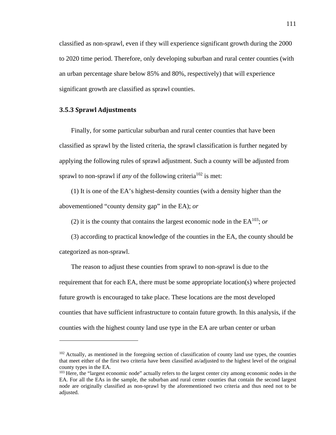classified as non-sprawl, even if they will experience significant growth during the 2000 to 2020 time period. Therefore, only developing suburban and rural center counties (with an urban percentage share below 85% and 80%, respectively) that will experience significant growth are classified as sprawl counties.

# **3.5.3 Sprawl Adjustments**

 $\overline{a}$ 

Finally, for some particular suburban and rural center counties that have been classified as sprawl by the listed criteria, the sprawl classification is further negated by applying the following rules of sprawl adjustment. Such a county will be adjusted from sprawl to non-sprawl if *any* of the following criteria<sup>102</sup> is met:

(1) It is one of the EA's highest-density counties (with a density higher than the abovementioned "county density gap" in the EA); *or*

(2) it is the county that contains the largest economic node in the  $EA^{103}$ ; *or* 

(3) according to practical knowledge of the counties in the EA, the county should be categorized as non-sprawl.

The reason to adjust these counties from sprawl to non-sprawl is due to the requirement that for each EA, there must be some appropriate location(s) where projected future growth is encouraged to take place. These locations are the most developed counties that have sufficient infrastructure to contain future growth. In this analysis, if the counties with the highest county land use type in the EA are urban center or urban

<sup>&</sup>lt;sup>102</sup> Actually, as mentioned in the foregoing section of classification of county land use types, the counties that meet either of the first two criteria have been classified as/adjusted to the highest level of the original county types in the EA.

<sup>&</sup>lt;sup>103</sup> Here, the "largest economic node" actually refers to the largest center city among economic nodes in the EA. For all the EAs in the sample, the suburban and rural center counties that contain the second largest node are originally classified as non-sprawl by the aforementioned two criteria and thus need not to be adjusted.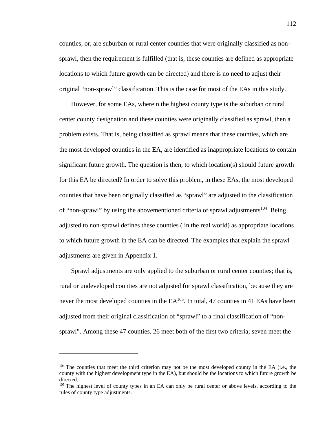counties, or, are suburban or rural center counties that were originally classified as nonsprawl, then the requirement is fulfilled (that is, these counties are defined as appropriate locations to which future growth can be directed) and there is no need to adjust their original "non-sprawl" classification. This is the case for most of the EAs in this study.

However, for some EAs, wherein the highest county type is the suburban or rural center county designation and these counties were originally classified as sprawl, then a problem exists. That is, being classified as sprawl means that these counties, which are the most developed counties in the EA, are identified as inappropriate locations to contain significant future growth. The question is then, to which location(s) should future growth for this EA be directed? In order to solve this problem, in these EAs, the most developed counties that have been originally classified as "sprawl" are adjusted to the classification of "non-sprawl" by using the abovementioned criteria of sprawl adjustments<sup>104</sup>. Being adjusted to non-sprawl defines these counties ( in the real world) as appropriate locations to which future growth in the EA can be directed. The examples that explain the sprawl adjustments are given in Appendix 1.

Sprawl adjustments are only applied to the suburban or rural center counties; that is, rural or undeveloped counties are not adjusted for sprawl classification, because they are never the most developed counties in the EA<sup>105</sup>. In total, 47 counties in 41 EAs have been adjusted from their original classification of "sprawl" to a final classification of "nonsprawl". Among these 47 counties, 26 meet both of the first two criteria; seven meet the

<sup>&</sup>lt;sup>104</sup> The counties that meet the third criterion may not be the most developed county in the EA (i.e., the county with the highest development type in the EA), but should be the locations to which future growth be directed.

<sup>&</sup>lt;sup>105</sup> The highest level of county types in an EA can only be rural center or above levels, according to the rules of county type adjustments.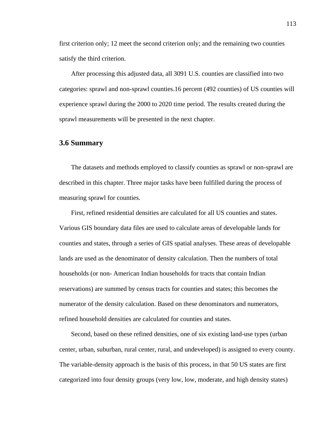first criterion only; 12 meet the second criterion only; and the remaining two counties satisfy the third criterion.

After processing this adjusted data, all 3091 U.S. counties are classified into two categories: sprawl and non-sprawl counties.16 percent (492 counties) of US counties will experience sprawl during the 2000 to 2020 time period. The results created during the sprawl measurements will be presented in the next chapter.

# **3.6 Summary**

The datasets and methods employed to classify counties as sprawl or non-sprawl are described in this chapter. Three major tasks have been fulfilled during the process of measuring sprawl for counties.

First, refined residential densities are calculated for all US counties and states. Various GIS boundary data files are used to calculate areas of developable lands for counties and states, through a series of GIS spatial analyses. These areas of developable lands are used as the denominator of density calculation. Then the numbers of total households (or non- American Indian households for tracts that contain Indian reservations) are summed by census tracts for counties and states; this becomes the numerator of the density calculation. Based on these denominators and numerators, refined household densities are calculated for counties and states.

Second, based on these refined densities, one of six existing land-use types (urban center, urban, suburban, rural center, rural, and undeveloped) is assigned to every county. The variable-density approach is the basis of this process, in that 50 US states are first categorized into four density groups (very low, low, moderate, and high density states)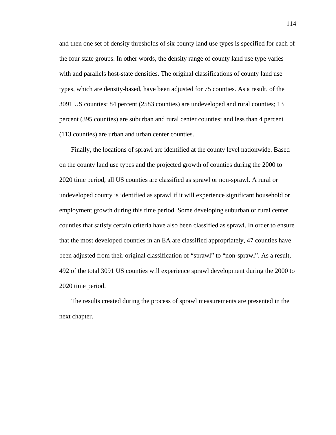and then one set of density thresholds of six county land use types is specified for each of the four state groups. In other words, the density range of county land use type varies with and parallels host-state densities. The original classifications of county land use types, which are density-based, have been adjusted for 75 counties. As a result, of the 3091 US counties: 84 percent (2583 counties) are undeveloped and rural counties; 13 percent (395 counties) are suburban and rural center counties; and less than 4 percent (113 counties) are urban and urban center counties.

Finally, the locations of sprawl are identified at the county level nationwide. Based on the county land use types and the projected growth of counties during the 2000 to 2020 time period, all US counties are classified as sprawl or non-sprawl. A rural or undeveloped county is identified as sprawl if it will experience significant household or employment growth during this time period. Some developing suburban or rural center counties that satisfy certain criteria have also been classified as sprawl. In order to ensure that the most developed counties in an EA are classified appropriately, 47 counties have been adjusted from their original classification of "sprawl" to "non-sprawl". As a result, 492 of the total 3091 US counties will experience sprawl development during the 2000 to 2020 time period.

The results created during the process of sprawl measurements are presented in the next chapter.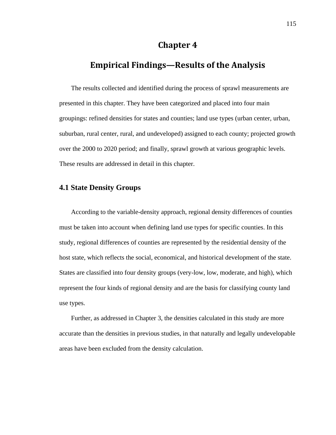# **Chapter 4**

# **Empirical Findings—Results of the Analysis**

The results collected and identified during the process of sprawl measurements are presented in this chapter. They have been categorized and placed into four main groupings: refined densities for states and counties; land use types (urban center, urban, suburban, rural center, rural, and undeveloped) assigned to each county; projected growth over the 2000 to 2020 period; and finally, sprawl growth at various geographic levels. These results are addressed in detail in this chapter.

# **4.1 State Density Groups**

According to the variable-density approach, regional density differences of counties must be taken into account when defining land use types for specific counties. In this study, regional differences of counties are represented by the residential density of the host state, which reflects the social, economical, and historical development of the state. States are classified into four density groups (very-low, low, moderate, and high), which represent the four kinds of regional density and are the basis for classifying county land use types.

Further, as addressed in Chapter 3, the densities calculated in this study are more accurate than the densities in previous studies, in that naturally and legally undevelopable areas have been excluded from the density calculation.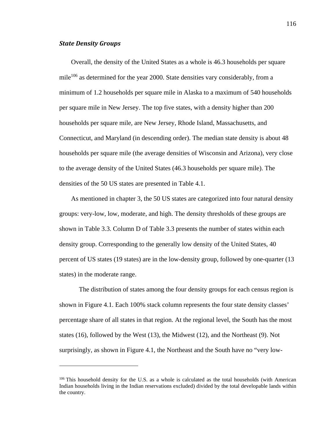#### *State Density Groups*

<u>.</u>

Overall, the density of the United States as a whole is 46.3 households per square mile<sup>106</sup> as determined for the year 2000. State densities vary considerably, from a minimum of 1.2 households per square mile in Alaska to a maximum of 540 households per square mile in New Jersey. The top five states, with a density higher than 200 households per square mile, are New Jersey, Rhode Island, Massachusetts, and Connecticut, and Maryland (in descending order). The median state density is about 48 households per square mile (the average densities of Wisconsin and Arizona), very close to the average density of the United States (46.3 households per square mile). The densities of the 50 US states are presented in Table 4.1.

As mentioned in chapter 3, the 50 US states are categorized into four natural density groups: very-low, low, moderate, and high. The density thresholds of these groups are shown in Table 3.3. Column D of Table 3.3 presents the number of states within each density group. Corresponding to the generally low density of the United States, 40 percent of US states (19 states) are in the low-density group, followed by one-quarter (13 states) in the moderate range.

The distribution of states among the four density groups for each census region is shown in Figure 4.1. Each 100% stack column represents the four state density classes' percentage share of all states in that region. At the regional level, the South has the most states (16), followed by the West (13), the Midwest (12), and the Northeast (9). Not surprisingly, as shown in Figure 4.1, the Northeast and the South have no "very low-

<sup>106</sup> This household density for the U.S. as a whole is calculated as the total households (with American Indian households living in the Indian reservations excluded) divided by the total developable lands within the country.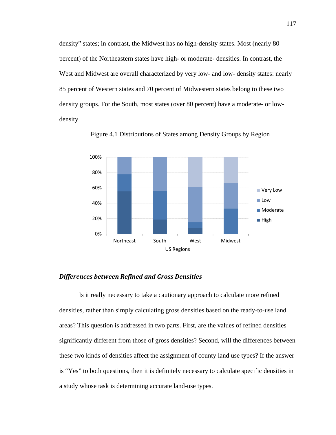density" states; in contrast, the Midwest has no high-density states. Most (nearly 80 percent) of the Northeastern states have high- or moderate- densities. In contrast, the West and Midwest are overall characterized by very low- and low- density states: nearly 85 percent of Western states and 70 percent of Midwestern states belong to these two density groups. For the South, most states (over 80 percent) have a moderate- or lowdensity.



4 Figure 4.1 Distributions of States among Density Groups by Region

#### *Differences between Refined and Gross Densities*

Is it really necessary to take a cautionary approach to calculate more refined densities, rather than simply calculating gross densities based on the ready-to-use land areas? This question is addressed in two parts. First, are the values of refined densities significantly different from those of gross densities? Second, will the differences between these two kinds of densities affect the assignment of county land use types? If the answer is "Yes" to both questions, then it is definitely necessary to calculate specific densities in a study whose task is determining accurate land-use types.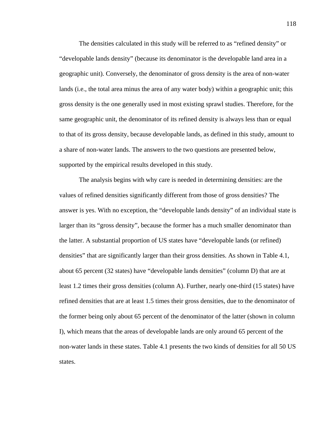The densities calculated in this study will be referred to as "refined density" or "developable lands density" (because its denominator is the developable land area in a geographic unit). Conversely, the denominator of gross density is the area of non-water lands (i.e., the total area minus the area of any water body) within a geographic unit; this gross density is the one generally used in most existing sprawl studies. Therefore, for the same geographic unit, the denominator of its refined density is always less than or equal to that of its gross density, because developable lands, as defined in this study, amount to a share of non-water lands. The answers to the two questions are presented below, supported by the empirical results developed in this study.

The analysis begins with why care is needed in determining densities: are the values of refined densities significantly different from those of gross densities? The answer is yes. With no exception, the "developable lands density" of an individual state is larger than its "gross density", because the former has a much smaller denominator than the latter. A substantial proportion of US states have "developable lands (or refined) densities" that are significantly larger than their gross densities. As shown in Table 4.1, about 65 percent (32 states) have "developable lands densities" (column D) that are at least 1.2 times their gross densities (column A). Further, nearly one-third (15 states) have refined densities that are at least 1.5 times their gross densities, due to the denominator of the former being only about 65 percent of the denominator of the latter (shown in column I), which means that the areas of developable lands are only around 65 percent of the non-water lands in these states. Table 4.1 presents the two kinds of densities for all 50 US states.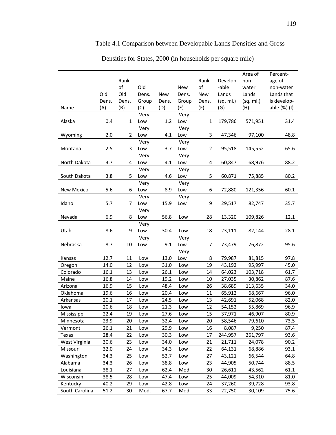# 5 Table 4.1 Comparison between Developable Lands Densities and Gross

|                |       |       |       |       |       |                |           | Area of   | Percent-     |
|----------------|-------|-------|-------|-------|-------|----------------|-----------|-----------|--------------|
|                |       | Rank  |       |       |       | Rank           | Develop   | non-      | age of       |
|                |       | of    | Old   |       | New   | of             | -able     | water     | non-water    |
|                | Old   | Old   | Dens. | New   | Dens. | New            | Lands     | Lands     | Lands that   |
|                | Dens. | Dens. | Group | Dens. | Group | Dens.          | (sq. mi.) | (sq. mi.) | is develop-  |
| Name           | (A)   | (B)   | (C)   | (D)   | (E)   | (F)            | (G)       | (H)       | able (%) (I) |
|                |       |       | Very  |       | Very  |                |           |           |              |
| Alaska         | 0.4   | 1     | Low   | 1.2   | Low   | 1              | 179,786   | 571,951   | 31.4         |
|                |       |       | Very  |       | Very  |                |           |           |              |
| Wyoming        | 2.0   | 2     | Low   | 4.1   | Low   | 3              | 47,346    | 97,100    | 48.8         |
|                |       |       | Very  |       | Very  |                |           |           |              |
| Montana        | 2.5   | 3     | Low   | 3.7   | Low   | $\overline{2}$ | 95,518    | 145,552   | 65.6         |
|                |       |       | Very  |       | Very  |                |           |           |              |
| North Dakota   | 3.7   | 4     | Low   | 4.1   | Low   | 4              | 60,847    | 68,976    | 88.2         |
|                |       |       | Very  |       | Very  |                |           |           |              |
| South Dakota   | 3.8   | 5     | Low   | 4.6   | Low   | 5              | 60,871    | 75,885    | 80.2         |
|                |       |       | Very  |       | Very  |                |           |           |              |
| New Mexico     | 5.6   | 6     | Low   | 8.9   | Low   | 6              | 72,880    | 121,356   | 60.1         |
|                |       |       | Very  |       | Very  |                |           |           |              |
| Idaho          | 5.7   | 7     | Low   | 15.9  | Low   | 9              | 29,517    | 82,747    | 35.7         |
|                |       |       | Very  |       |       |                |           |           |              |
| Nevada         | 6.9   | 8     | Low   | 56.8  | Low   | 28             | 13,320    | 109,826   | 12.1         |
|                |       |       | Very  |       |       |                |           |           |              |
| Utah           | 8.6   | 9     | Low   | 30.4  | Low   | 18             | 23,111    | 82,144    | 28.1         |
|                |       |       | Very  |       | Very  |                |           |           |              |
| Nebraska       | 8.7   | 10    | Low   | 9.1   | Low   | $\overline{7}$ | 73,479    | 76,872    | 95.6         |
|                |       |       |       |       | Very  |                |           |           |              |
| Kansas         | 12.7  | 11    | Low   | 13.0  | Low   | 8              | 79,987    | 81,815    | 97.8         |
| Oregon         | 14.0  | 12    | Low   | 31.0  | Low   | 19             | 43,192    | 95,997    | 45.0         |
| Colorado       | 16.1  | 13    | Low   | 26.1  | Low   | 14             | 64,023    | 103,718   | 61.7         |
| Maine          | 16.8  | 14    | Low   | 19.2  | Low   | 10             | 27,035    | 30,862    | 87.6         |
| Arizona        | 16.9  | 15    | Low   | 48.4  | Low   | 26             | 38,689    | 113,635   | 34.0         |
| Oklahoma       | 19.6  | 16    | Low   | 20.4  | Low   | 11             | 65,912    | 68,667    | 96.0         |
| Arkansas       | 20.1  | 17    | Low   | 24.5  | Low   | 13             | 42,691    | 52,068    | 82.0         |
| lowa           | 20.6  | 18    | Low   | 21.3  | Low   | 12             | 54,152    | 55,869    | 96.9         |
| Mississippi    | 22.4  | 19    | Low   | 27.6  | Low   | 15             | 37,971    | 46,907    | 80.9         |
| Minnesota      | 23.9  | 20    | Low   | 32.4  | Low   | 20             | 58,546    | 79,610    | 73.5         |
| Vermont        | 26.1  | 21    | Low   | 29.9  | Low   | 16             | 8,087     | 9,250     | 87.4         |
| Texas          | 28.4  | 22    | Low   | 30.3  | Low   | 17             | 244,957   | 261,797   | 93.6         |
| West Virginia  | 30.6  | 23    | Low   | 34.0  | Low   | 21             | 21,711    | 24,078    | 90.2         |
| Missouri       | 32.0  | 24    | Low   | 34.3  | Low   | 22             | 64,131    | 68,886    | 93.1         |
| Washington     | 34.3  | 25    | Low   | 52.7  | Low   | 27             | 43,121    | 66,544    | 64.8         |
| Alabama        | 34.3  | 26    | Low   | 38.8  | Low   | 23             | 44,905    | 50,744    | 88.5         |
| Louisiana      | 38.1  | 27    | Low   | 62.4  | Mod.  | 30             | 26,611    | 43,562    | 61.1         |
| Wisconsin      | 38.5  | 28    | Low   | 47.4  | Low   | 25             | 44,009    | 54,310    | 81.0         |
| Kentucky       | 40.2  | 29    | Low   | 42.8  | Low   | 24             | 37,260    | 39,728    | 93.8         |
| South Carolina | 51.2  | 30    | Mod.  | 67.7  | Mod.  | 33             | 22,750    | 30,109    | 75.6         |

Densities for States, 2000 (in households per square mile)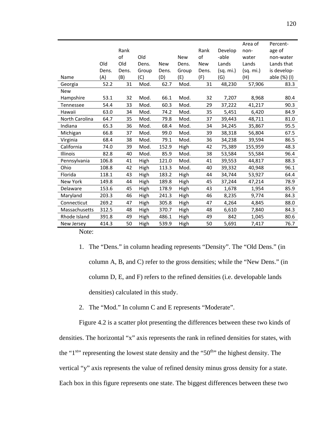|                 |       |       |       |            |            |            |           | Area of   | Percent-     |
|-----------------|-------|-------|-------|------------|------------|------------|-----------|-----------|--------------|
|                 |       | Rank  |       |            |            | Rank       | Develop   | non-      | age of       |
|                 |       | of    | Old   |            | <b>New</b> | of         | -able     | water     | non-water    |
|                 | Old   | Old   | Dens. | <b>New</b> | Dens.      | <b>New</b> | Lands     | Lands     | Lands that   |
|                 | Dens. | Dens. | Group | Dens.      | Group      | Dens.      | (sq. mi.) | (sq. mi.) | is develop-  |
| Name            | (A)   | (B)   | (C)   | (D)        | (E)        | (F)        | (G)       | (H)       | able (%) (I) |
| Georgia         | 52.2  | 31    | Mod.  | 62.7       | Mod.       | 31         | 48,230    | 57,906    | 83.3         |
| <b>New</b>      |       |       |       |            |            |            |           |           |              |
| Hampshire       | 53.1  | 32    | Mod.  | 66.1       | Mod.       | 32         | 7,207     | 8,968     | 80.4         |
| Tennessee       | 54.4  | 33    | Mod.  | 60.3       | Mod.       | 29         | 37,222    | 41,217    | 90.3         |
| Hawaii          | 63.0  | 34    | Mod.  | 74.2       | Mod.       | 35         | 5,451     | 6,420     | 84.9         |
| North Carolina  | 64.7  | 35    | Mod.  | 79.8       | Mod.       | 37         | 39,443    | 48,711    | 81.0         |
| Indiana         | 65.3  | 36    | Mod.  | 68.4       | Mod.       | 34         | 34,245    | 35,867    | 95.5         |
| Michigan        | 66.8  | 37    | Mod.  | 99.0       | Mod.       | 39         | 38,318    | 56,804    | 67.5         |
| Virginia        | 68.4  | 38    | Mod.  | 79.1       | Mod.       | 36         | 34,238    | 39,594    | 86.5         |
| California      | 74.0  | 39    | Mod.  | 152.9      | High       | 42         | 75,389    | 155,959   | 48.3         |
| Illinois        | 82.8  | 40    | Mod.  | 85.9       | Mod.       | 38         | 53,584    | 55,584    | 96.4         |
| Pennsylvania    | 106.8 | 41    | High  | 121.0      | Mod.       | 41         | 39,553    | 44,817    | 88.3         |
| Ohio            | 108.8 | 42    | High  | 113.3      | Mod.       | 40         | 39,332    | 40,948    | 96.1         |
| Florida         | 118.1 | 43    | High  | 183.2      | High       | 44         | 34,744    | 53,927    | 64.4         |
| <b>New York</b> | 149.8 | 44    | High  | 189.8      | High       | 45         | 37,244    | 47,214    | 78.9         |
| Delaware        | 153.6 | 45    | High  | 178.9      | High       | 43         | 1,678     | 1,954     | 85.9         |
| Maryland        | 203.3 | 46    | High  | 241.3      | High       | 46         | 8,235     | 9,774     | 84.3         |
| Connecticut     | 269.2 | 47    | High  | 305.8      | High       | 47         | 4,264     | 4,845     | 88.0         |
| Massachusetts   | 312.5 | 48    | High  | 370.7      | High       | 48         | 6,610     | 7,840     | 84.3         |
| Rhode Island    | 391.8 | 49    | High  | 486.1      | High       | 49         | 842       | 1,045     | 80.6         |
| New Jersey      | 414.3 | 50    | High  | 539.9      | High       | 50         | 5,691     | 7,417     | 76.7         |
|                 |       |       |       |            |            |            |           |           |              |

Note:

- 1. The "Dens." in column heading represents "Density". The "Old Dens." (in column A, B, and C) refer to the gross densities; while the "New Dens." (in column D, E, and F) refers to the refined densities (i.e. developable lands densities) calculated in this study.
- 2. The "Mod." In column C and E represents "Moderate".

Figure 4.2 is a scatter plot presenting the differences between these two kinds of densities. The horizontal "x" axis represents the rank in refined densities for states, with the "1<sup>st</sup>" representing the lowest state density and the "50<sup>th</sup>" the highest density. The vertical "y" axis represents the value of refined density minus gross density for a state. Each box in this figure represents one state. The biggest differences between these two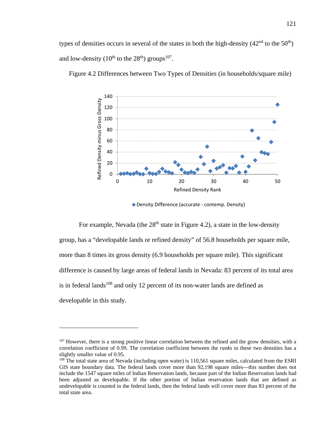types of densities occurs in several of the states in both the high-density  $(42<sup>nd</sup>$  to the  $50<sup>th</sup>$ ) and low-density ( $10^{th}$  to the  $28^{th}$ ) groups<sup>107</sup>.



5 Figure 4.2 Differences between Two Types of Densities (in households/square mile)

◆ Density Difference (accurate - contemp. Density)

For example, Nevada (the  $28<sup>th</sup>$  state in Figure 4.2), a state in the low-density group, has a "developable lands or refined density" of 56.8 households per square mile, more than 8 times its gross density (6.9 households per square mile). This significant difference is caused by large areas of federal lands in Nevada: 83 percent of its total area is in federal lands<sup>108</sup> and only 12 percent of its non-water lands are defined as developable in this study.

<sup>&</sup>lt;sup>107</sup> However, there is a strong positive linear correlation between the refined and the grow densities, with a correlation coefficient of 0.99. The correlation coefficient between the *ranks* in these two densities has a slightly smaller value of 0.95.

<sup>&</sup>lt;sup>108</sup> The total state area of Nevada (including open water) is 110,561 square miles, calculated from the ESRI GIS state boundary data. The federal lands cover more than 92,198 square miles—this number does not include the 1547 square miles of Indian Reservation lands, because part of the Indian Reservation lands had been adjusted as developable. If the other portion of Indian reservation lands that are defined as undevelopable is counted in the federal lands, then the federal lands will cover more than 83 percent of the total state area.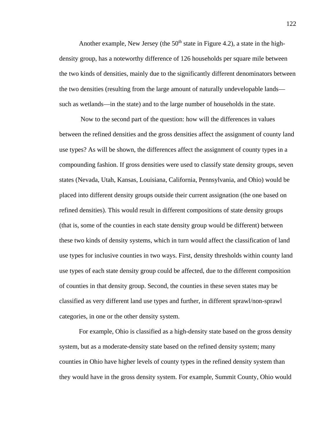Another example, New Jersey (the  $50<sup>th</sup>$  state in Figure 4.2), a state in the highdensity group, has a noteworthy difference of 126 households per square mile between the two kinds of densities, mainly due to the significantly different denominators between the two densities (resulting from the large amount of naturally undevelopable lands such as wetlands—in the state) and to the large number of households in the state.

 Now to the second part of the question: how will the differences in values between the refined densities and the gross densities affect the assignment of county land use types? As will be shown, the differences affect the assignment of county types in a compounding fashion. If gross densities were used to classify state density groups, seven states (Nevada, Utah, Kansas, Louisiana, California, Pennsylvania, and Ohio) would be placed into different density groups outside their current assignation (the one based on refined densities). This would result in different compositions of state density groups (that is, some of the counties in each state density group would be different) between these two kinds of density systems, which in turn would affect the classification of land use types for inclusive counties in two ways. First, density thresholds within county land use types of each state density group could be affected, due to the different composition of counties in that density group. Second, the counties in these seven states may be classified as very different land use types and further, in different sprawl/non-sprawl categories, in one or the other density system.

For example, Ohio is classified as a high-density state based on the gross density system, but as a moderate-density state based on the refined density system; many counties in Ohio have higher levels of county types in the refined density system than they would have in the gross density system. For example, Summit County, Ohio would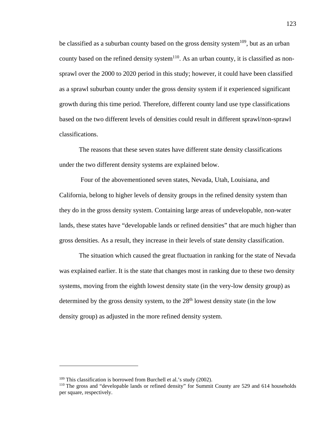be classified as a suburban county based on the gross density system<sup>109</sup>, but as an urban county based on the refined density system<sup>110</sup>. As an urban county, it is classified as nonsprawl over the 2000 to 2020 period in this study; however, it could have been classified as a sprawl suburban county under the gross density system if it experienced significant growth during this time period. Therefore, different county land use type classifications based on the two different levels of densities could result in different sprawl/non-sprawl classifications.

The reasons that these seven states have different state density classifications under the two different density systems are explained below.

 Four of the abovementioned seven states, Nevada, Utah, Louisiana, and California, belong to higher levels of density groups in the refined density system than they do in the gross density system. Containing large areas of undevelopable, non-water lands, these states have "developable lands or refined densities" that are much higher than gross densities. As a result, they increase in their levels of state density classification.

The situation which caused the great fluctuation in ranking for the state of Nevada was explained earlier. It is the state that changes most in ranking due to these two density systems, moving from the eighth lowest density state (in the very-low density group) as determined by the gross density system, to the  $28<sup>th</sup>$  lowest density state (in the low density group) as adjusted in the more refined density system.

<sup>&</sup>lt;sup>109</sup> This classification is borrowed from Burchell et al.'s study (2002).<br><sup>110</sup> The gross and "developable lands or refined density" for Summit County are 529 and 614 households per square, respectively.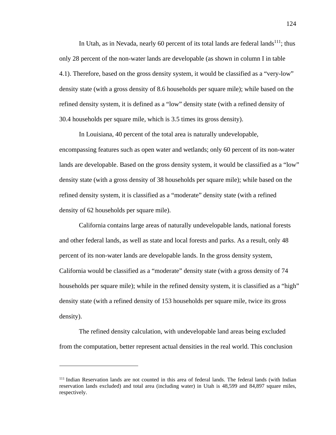In Utah, as in Nevada, nearly 60 percent of its total lands are federal lands<sup>111</sup>; thus only 28 percent of the non-water lands are developable (as shown in column I in table 4.1). Therefore, based on the gross density system, it would be classified as a "very-low" density state (with a gross density of 8.6 households per square mile); while based on the refined density system, it is defined as a "low" density state (with a refined density of 30.4 households per square mile, which is 3.5 times its gross density).

In Louisiana, 40 percent of the total area is naturally undevelopable, encompassing features such as open water and wetlands; only 60 percent of its non-water lands are developable. Based on the gross density system, it would be classified as a "low" density state (with a gross density of 38 households per square mile); while based on the refined density system, it is classified as a "moderate" density state (with a refined density of 62 households per square mile).

California contains large areas of naturally undevelopable lands, national forests and other federal lands, as well as state and local forests and parks. As a result, only 48 percent of its non-water lands are developable lands. In the gross density system, California would be classified as a "moderate" density state (with a gross density of 74 households per square mile); while in the refined density system, it is classified as a "high" density state (with a refined density of 153 households per square mile, twice its gross density).

The refined density calculation, with undevelopable land areas being excluded from the computation, better represent actual densities in the real world. This conclusion

<sup>111</sup> Indian Reservation lands are not counted in this area of federal lands. The federal lands (with Indian reservation lands excluded) and total area (including water) in Utah is 48,599 and 84,897 square miles, respectively.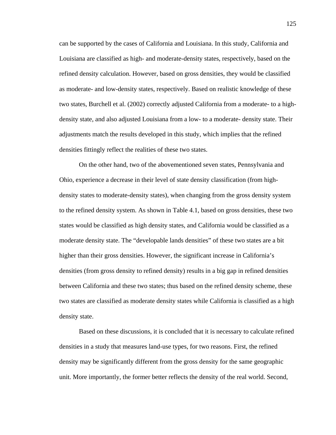can be supported by the cases of California and Louisiana. In this study, California and Louisiana are classified as high- and moderate-density states, respectively, based on the refined density calculation. However, based on gross densities, they would be classified as moderate- and low-density states, respectively. Based on realistic knowledge of these two states, Burchell et al. (2002) correctly adjusted California from a moderate- to a highdensity state, and also adjusted Louisiana from a low- to a moderate- density state. Their adjustments match the results developed in this study, which implies that the refined densities fittingly reflect the realities of these two states.

On the other hand, two of the abovementioned seven states, Pennsylvania and Ohio, experience a decrease in their level of state density classification (from highdensity states to moderate-density states), when changing from the gross density system to the refined density system. As shown in Table 4.1, based on gross densities, these two states would be classified as high density states, and California would be classified as a moderate density state. The "developable lands densities" of these two states are a bit higher than their gross densities. However, the significant increase in California's densities (from gross density to refined density) results in a big gap in refined densities between California and these two states; thus based on the refined density scheme, these two states are classified as moderate density states while California is classified as a high density state.

Based on these discussions, it is concluded that it is necessary to calculate refined densities in a study that measures land-use types, for two reasons. First, the refined density may be significantly different from the gross density for the same geographic unit. More importantly, the former better reflects the density of the real world. Second,

125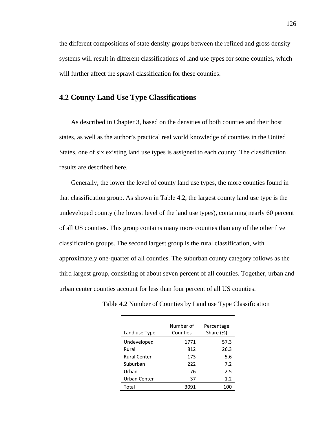the different compositions of state density groups between the refined and gross density systems will result in different classifications of land use types for some counties, which will further affect the sprawl classification for these counties.

# **4.2 County Land Use Type Classifications**

As described in Chapter 3, based on the densities of both counties and their host states, as well as the author's practical real world knowledge of counties in the United States, one of six existing land use types is assigned to each county. The classification results are described here.

Generally, the lower the level of county land use types, the more counties found in that classification group. As shown in Table 4.2, the largest county land use type is the undeveloped county (the lowest level of the land use types), containing nearly 60 percent of all US counties. This group contains many more counties than any of the other five classification groups. The second largest group is the rural classification, with approximately one-quarter of all counties. The suburban county category follows as the third largest group, consisting of about seven percent of all counties. Together, urban and urban center counties account for less than four percent of all US counties.

| Land use Type       | Number of<br>Counties | Percentage<br>Share (%) |
|---------------------|-----------------------|-------------------------|
| Undeveloped         | 1771                  | 57.3                    |
| Rural               | 812                   | 26.3                    |
| <b>Rural Center</b> | 173                   | 5.6                     |
| Suburban            | 222                   | 7.2                     |
| Urban               | 76                    | 2.5                     |
| Urban Center        | 37                    | 1.2                     |
| Total               | 3091                  | 100                     |

Table 4.2 Number of Counties by Land use Type Classification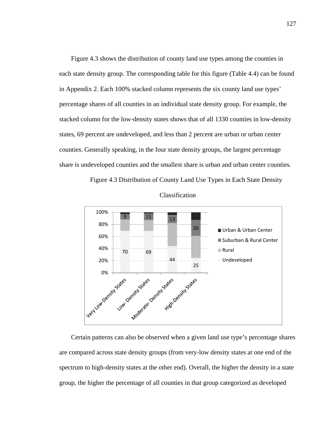Figure 4.3 shows the distribution of county land use types among the counties in each state density group. The corresponding table for this figure (Table 4.4) can be found in Appendix 2. Each 100% stacked column represents the six county land use types' percentage shares of all counties in an individual state density group. For example, the stacked column for the low-density states shows that of all 1330 counties in low-density states, 69 percent are undeveloped, and less than 2 percent are urban or urban center counties. Generally speaking, in the four state density groups, the largest percentage share is undeveloped counties and the smallest share is urban and urban center counties.







Certain patterns can also be observed when a given land use type's percentage shares are compared across state density groups (from very-low density states at one end of the spectrum to high-density states at the other end). Overall, the higher the density in a state group, the higher the percentage of all counties in that group categorized as developed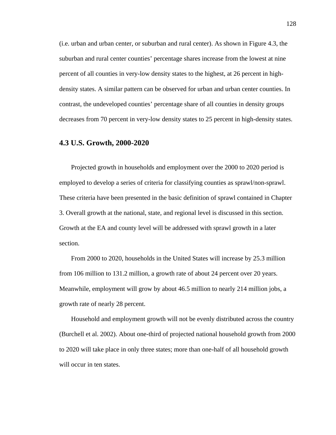(i.e. urban and urban center, or suburban and rural center). As shown in Figure 4.3, the suburban and rural center counties' percentage shares increase from the lowest at nine percent of all counties in very-low density states to the highest, at 26 percent in highdensity states. A similar pattern can be observed for urban and urban center counties. In contrast, the undeveloped counties' percentage share of all counties in density groups decreases from 70 percent in very-low density states to 25 percent in high-density states.

## **4.3 U.S. Growth, 2000-2020**

Projected growth in households and employment over the 2000 to 2020 period is employed to develop a series of criteria for classifying counties as sprawl/non-sprawl. These criteria have been presented in the basic definition of sprawl contained in Chapter 3. Overall growth at the national, state, and regional level is discussed in this section. Growth at the EA and county level will be addressed with sprawl growth in a later section.

From 2000 to 2020, households in the United States will increase by 25.3 million from 106 million to 131.2 million, a growth rate of about 24 percent over 20 years. Meanwhile, employment will grow by about 46.5 million to nearly 214 million jobs, a growth rate of nearly 28 percent.

Household and employment growth will not be evenly distributed across the country (Burchell et al. 2002). About one-third of projected national household growth from 2000 to 2020 will take place in only three states; more than one-half of all household growth will occur in ten states.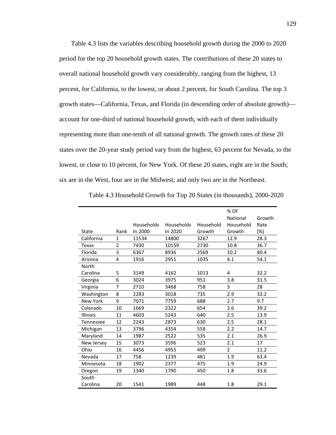Table 4.3 lists the variables describing household growth during the 2000 to 2020 period for the top 20 household growth states. The contributions of these 20 states to overall national household growth vary considerably, ranging from the highest, 13 percent, for California, to the lowest, or about 2 percent, for South Carolina. The top 3 growth states—California, Texas, and Florida (in descending order of absolute growth) account for one-third of national household growth, with each of them individually representing more than one-tenth of all national growth. The growth rates of these 20 states over the 20-year study period vary from the highest, 63 percent for Nevada, to the lowest, or close to 10 percent, for New York. Of these 20 states, eight are in the South; six are in the West, four are in the Midwest; and only two are in the Northeast.

|                 |                |                   |            |           | % Of           |        |
|-----------------|----------------|-------------------|------------|-----------|----------------|--------|
|                 |                |                   |            |           | National       | Growth |
|                 |                | <b>Households</b> | Households | Household | Household      | Rate   |
| State           | Rank           | In 2000           | In 2020    | Growth    | Growth         | $(\%)$ |
| California      | 1              | 11534             | 14800      | 3267      | 12.9           | 28.3   |
| Texas           | $\overline{2}$ | 7430              | 10159      | 2730      | 10.8           | 36.7   |
| Florida         | 3              | 6367              | 8936       | 2569      | 10.2           | 40.4   |
| Arizona         | 4              | 1916              | 2951       | 1035      | 4.1            | 54.1   |
| North           |                |                   |            |           |                |        |
| Carolina        | 5              | 3149              | 4162       | 1013      | 4              | 32.2   |
| Georgia         | 6              | 3024              | 3975       | 951       | 3.8            | 31.5   |
| Virginia        | 7              | 2710              | 3468       | 758       | 3              | 28     |
| Washington      | 8              | 2283              | 3018       | 735       | 2.9            | 32.2   |
| <b>New York</b> | 9              | 7071              | 7759       | 688       | 2.7            | 9.7    |
| Colorado        | 10             | 1669              | 2322       | 654       | 2.6            | 39.2   |
| <b>Illinois</b> | 11             | 4603              | 5243       | 640       | 2.5            | 13.9   |
| Tennessee       | 12             | 2243              | 2873       | 630       | 2.5            | 28.1   |
| Michigan        | 13             | 3796              | 4354       | 558       | 2.2            | 14.7   |
| Maryland        | 14             | 1987              | 2522       | 535       | 2.1            | 26.9   |
| New Jersey      | 15             | 3073              | 3596       | 523       | 2.1            | 17     |
| Ohio            | 16             | 4456              | 4955       | 499       | $\overline{2}$ | 11.2   |
| Nevada          | 17             | 758               | 1239       | 481       | 1.9            | 63.4   |
| Minnesota       | 18             | 1902              | 2377       | 475       | 1.9            | 24.9   |
| Oregon          | 19             | 1340              | 1790       | 450       | 1.8            | 33.6   |
| South           |                |                   |            |           |                |        |
| Carolina        | 20             | 1541              | 1989       | 448       | 1.8            | 29.1   |

7 Table 4.3 Household Growth for Top 20 States (in thousands), 2000-2020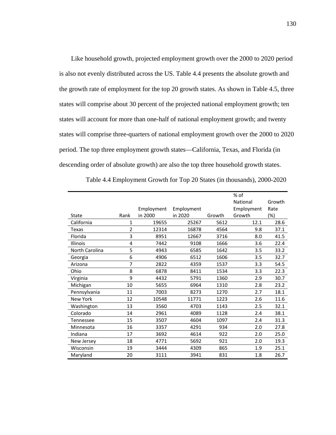Like household growth, projected employment growth over the 2000 to 2020 period is also not evenly distributed across the US. Table 4.4 presents the absolute growth and the growth rate of employment for the top 20 growth states. As shown in Table 4.5, three states will comprise about 30 percent of the projected national employment growth; ten states will account for more than one-half of national employment growth; and twenty states will comprise three-quarters of national employment growth over the 2000 to 2020 period. The top three employment growth states—California, Texas, and Florida (in descending order of absolute growth) are also the top three household growth states.

|                 |                |            |            |        | % of       |        |
|-----------------|----------------|------------|------------|--------|------------|--------|
|                 |                |            |            |        | National   | Growth |
|                 |                | Employment | Employment |        | Employment | Rate   |
| State           | Rank           | in 2000    | in 2020    | Growth | Growth     | $(\%)$ |
| California      | 1              | 19655      | 25267      | 5612   | 12.1       | 28.6   |
| <b>Texas</b>    | $\overline{2}$ | 12314      | 16878      | 4564   | 9.8        | 37.1   |
| Florida         | 3              | 8951       | 12667      | 3716   | 8.0        | 41.5   |
| Illinois        | 4              | 7442       | 9108       | 1666   | 3.6        | 22.4   |
| North Carolina  | 5              | 4943       | 6585       | 1642   | 3.5        | 33.2   |
| Georgia         | 6              | 4906       | 6512       | 1606   | 3.5        | 32.7   |
| Arizona         | 7              | 2822       | 4359       | 1537   | 3.3        | 54.5   |
| Ohio            | 8              | 6878       | 8411       | 1534   | 3.3        | 22.3   |
| Virginia        | 9              | 4432       | 5791       | 1360   | 2.9        | 30.7   |
| Michigan        | 10             | 5655       | 6964       | 1310   | 2.8        | 23.2   |
| Pennsylvania    | 11             | 7003       | 8273       | 1270   | 2.7        | 18.1   |
| <b>New York</b> | 12             | 10548      | 11771      | 1223   | 2.6        | 11.6   |
| Washington      | 13             | 3560       | 4703       | 1143   | 2.5        | 32.1   |
| Colorado        | 14             | 2961       | 4089       | 1128   | 2.4        | 38.1   |
| Tennessee       | 15             | 3507       | 4604       | 1097   | 2.4        | 31.3   |
| Minnesota       | 16             | 3357       | 4291       | 934    | 2.0        | 27.8   |
| Indiana         | 17             | 3692       | 4614       | 922    | 2.0        | 25.0   |
| New Jersey      | 18             | 4771       | 5692       | 921    | 2.0        | 19.3   |
| Wisconsin       | 19             | 3444       | 4309       | 865    | 1.9        | 25.1   |
| Maryland        | 20             | 3111       | 3941       | 831    | 1.8        | 26.7   |

8 Table 4.4 Employment Growth for Top 20 States (in thousands), 2000-2020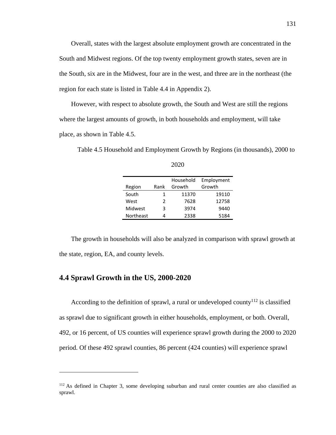Overall, states with the largest absolute employment growth are concentrated in the South and Midwest regions. Of the top twenty employment growth states, seven are in the South, six are in the Midwest, four are in the west, and three are in the northeast (the region for each state is listed in Table 4.4 in Appendix 2).

However, with respect to absolute growth, the South and West are still the regions where the largest amounts of growth, in both households and employment, will take place, as shown in Table 4.5.

Table 4.5 Household and Employment Growth by Regions (in thousands), 2000 to

|           |      | Household | Employment |
|-----------|------|-----------|------------|
| Region    | Rank | Growth    | Growth     |
| South     | 1    | 11370     | 19110      |
| West      | 2    | 7628      | 12758      |
| Midwest   | 3    | 3974      | 9440       |
| Northeast | 4    | 2338      | 5184       |

2020

The growth in households will also be analyzed in comparison with sprawl growth at the state, region, EA, and county levels.

#### **4.4 Sprawl Growth in the US, 2000-2020**

 $\overline{a}$ 

According to the definition of sprawl, a rural or undeveloped county<sup>112</sup> is classified as sprawl due to significant growth in either households, employment, or both. Overall, 492, or 16 percent, of US counties will experience sprawl growth during the 2000 to 2020 period. Of these 492 sprawl counties, 86 percent (424 counties) will experience sprawl

<sup>&</sup>lt;sup>112</sup> As defined in Chapter 3, some developing suburban and rural center counties are also classified as sprawl.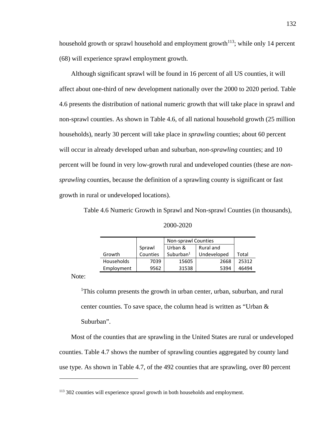household growth or sprawl household and employment growth<sup> $113$ </sup>; while only 14 percent (68) will experience sprawl employment growth.

Although significant sprawl will be found in 16 percent of all US counties, it will affect about one-third of new development nationally over the 2000 to 2020 period. Table 4.6 presents the distribution of national numeric growth that will take place in sprawl and non-sprawl counties. As shown in Table 4.6, of all national household growth (25 million households), nearly 30 percent will take place in *sprawling* counties; about 60 percent will occur in already developed urban and suburban, *non-sprawling* counties; and 10 percent will be found in very low-growth rural and undeveloped counties (these are *nonsprawling* counties, because the definition of a sprawling county is significant or fast growth in rural or undeveloped locations).

Table 4.6 Numeric Growth in Sprawl and Non-sprawl Counties (in thousands),

| 2000-2020 |
|-----------|
|-----------|

|            |          | Non-sprawl Counties |             |       |
|------------|----------|---------------------|-------------|-------|
|            | Sprawl   | Urban &             | Rural and   |       |
| Growth     | Counties | Suburban $1$        | Undeveloped | Total |
| Households | 7039     | 15605               | 2668        | 25312 |
| Employment | 9562     | 31538               | 5394        | 46494 |

Note:

 $\overline{a}$ 

<sup>1</sup>This column presents the growth in urban center, urban, suburban, and rural center counties. To save space, the column head is written as "Urban & Suburban".

Most of the counties that are sprawling in the United States are rural or undeveloped counties. Table 4.7 shows the number of sprawling counties aggregated by county land use type. As shown in Table 4.7, of the 492 counties that are sprawling, over 80 percent

<sup>113 302</sup> counties will experience sprawl growth in both households and employment.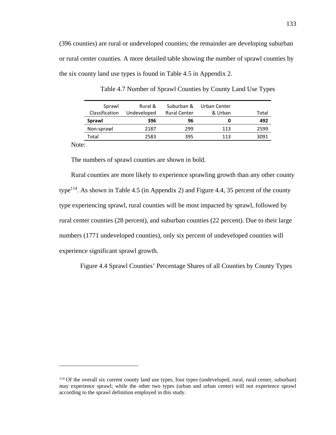(396 counties) are rural or undeveloped counties; the remainder are developing suburban or rural center counties. A more detailed table showing the number of sprawl counties by the six county land use types is found in Table 4.5 in Appendix 2.

| Rural &<br>Undeveloped | Suburban &<br><b>Rural Center</b> | Urban Center<br>& Urban | Total |
|------------------------|-----------------------------------|-------------------------|-------|
| 396                    | 96                                | 0                       | 492   |
| 2187                   | 299                               | 113                     | 2599  |
| 2583                   | 395                               | 113                     | 3091  |
|                        |                                   |                         |       |

Table 4.7 Number of Sprawl Counties by County Land Use Types

Note:

<u>.</u>

The numbers of sprawl counties are shown in bold.

Rural counties are more likely to experience sprawling growth than any other county type<sup>114</sup>. As shown in Table 4.5 (in Appendix 2) and Figure 4.4, 35 percent of the county type experiencing sprawl, rural counties will be most impacted by sprawl, followed by rural center counties (28 percent), and suburban counties (22 percent). Due to their large numbers (1771 undeveloped counties), only six percent of undeveloped counties will experience significant sprawl growth.

7 Figure 4.4 Sprawl Counties' Percentage Shares of all Counties by County Types

<sup>114</sup> Of the overall six current county land use types, four types (undeveloped, rural, rural center, suburban) may experience sprawl; while the other two types (urban and urban center) will not experience sprawl according to the sprawl definition employed in this study.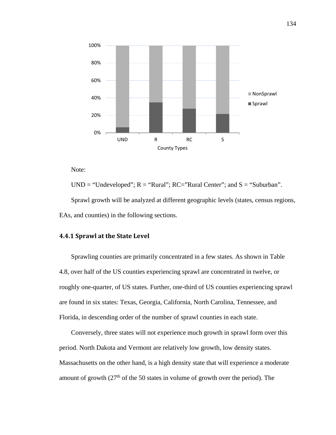

Note:

UND = "Undeveloped";  $R =$  "Rural";  $RC =$ "Rural Center"; and  $S =$  "Suburban". Sprawl growth will be analyzed at different geographic levels (states, census regions, EAs, and counties) in the following sections.

#### **4.4.1 Sprawl at the State Level**

Sprawling counties are primarily concentrated in a few states. As shown in Table 4.8, over half of the US counties experiencing sprawl are concentrated in twelve, or roughly one-quarter, of US states. Further, one-third of US counties experiencing sprawl are found in six states: Texas, Georgia, California, North Carolina, Tennessee, and Florida, in descending order of the number of sprawl counties in each state.

Conversely, three states will not experience much growth in sprawl form over this period. North Dakota and Vermont are relatively low growth, low density states. Massachusetts on the other hand, is a high density state that will experience a moderate amount of growth  $(27<sup>th</sup>$  of the 50 states in volume of growth over the period). The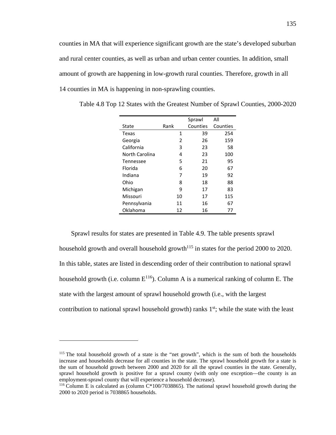counties in MA that will experience significant growth are the state's developed suburban and rural center counties, as well as urban and urban center counties. In addition, small amount of growth are happening in low-growth rural counties. Therefore, growth in all 14 counties in MA is happening in non-sprawling counties.

|                |      | Sprawl   | All      |
|----------------|------|----------|----------|
| State          | Rank | Counties | Counties |
| Texas          | 1    | 39       | 254      |
| Georgia        | 2    | 26       | 159      |
| California     | 3    | 23       | 58       |
| North Carolina | 4    | 23       | 100      |
| Tennessee      | 5    | 21       | 95       |
| Florida        | 6    | 20       | 67       |
| Indiana        | 7    | 19       | 92       |
| Ohio           | 8    | 18       | 88       |
| Michigan       | ٩    | 17       | 83       |
| Missouri       | 10   | 17       | 115      |
| Pennsylvania   | 11   | 16       | 67       |
| Oklahoma       | 12   | 16       | 77       |

12 Table 4.8 Top 12 States with the Greatest Number of Sprawl Counties, 2000-2020

Sprawl results for states are presented in Table 4.9. The table presents sprawl household growth and overall household growth<sup> $115$ </sup> in states for the period 2000 to 2020. In this table, states are listed in descending order of their contribution to national sprawl household growth (i.e. column  $E^{116}$ ). Column A is a numerical ranking of column E. The state with the largest amount of sprawl household growth (i.e., with the largest contribution to national sprawl household growth) ranks  $1<sup>st</sup>$ ; while the state with the least

<sup>&</sup>lt;sup>115</sup> The total household growth of a state is the "net growth", which is the sum of both the households increase and households decrease for all counties in the state. The sprawl household growth for a state is the sum of household growth between 2000 and 2020 for all the sprawl counties in the state. Generally, sprawl household growth is positive for a sprawl county (with only one exception—the county is an employment-sprawl county that will experience a household decrease).

<sup>&</sup>lt;sup>116</sup> Column E is calculated as (column  $C*100/7038865$ ). The national sprawl household growth during the 2000 to 2020 period is 7038865 households.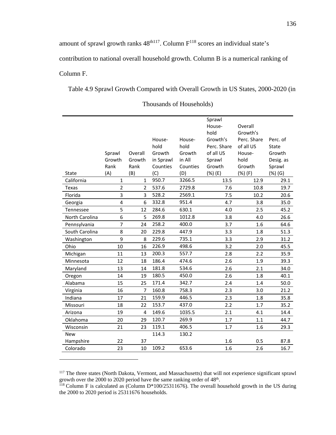amount of sprawl growth ranks  $48<sup>th117</sup>$ . Column  $F<sup>118</sup>$  scores an individual state's contribution to national overall household growth. Column B is a numerical ranking of Column F.

13 Table 4.9 Sprawl Growth Compared with Overall Growth in US States, 2000-2020 (in

|                |                |                |           |          | Sprawl      |             |           |
|----------------|----------------|----------------|-----------|----------|-------------|-------------|-----------|
|                |                |                |           |          | House-      | Overall     |           |
|                |                |                |           |          | hold        | Growth's    |           |
|                |                |                | House-    | House-   | Growth's    | Perc. Share | Perc. of  |
|                |                |                | hold      | hold     | Perc. Share | of all US   | State     |
|                | Sprawl         | Overall        | Growth    | Growth   | of all US   | House-      | Growth    |
|                | Growth         | Growth         | in Sprawl | in All   | Sprawl      | hold        | Desig. as |
|                | Rank           | Rank           | Counties  | Counties | Growth      | Growth      | Sprawl    |
| <b>State</b>   | (A)            | (B)            | (C)       | (D)      | (%) (E)     | (%) (F)     | (%) (G)   |
| California     | $\mathbf{1}$   | $\mathbf{1}$   | 950.7     | 3266.5   | 13.5        | 12.9        | 29.1      |
| <b>Texas</b>   | $\overline{2}$ | $\overline{2}$ | 537.6     | 2729.8   | 7.6         | 10.8        | 19.7      |
| Florida        | 3              | 3              | 528.2     | 2569.1   | 7.5         | 10.2        | 20.6      |
| Georgia        | 4              | 6              | 332.8     | 951.4    | 4.7         | 3.8         | 35.0      |
| Tennessee      | 5              | 12             | 284.6     | 630.1    | 4.0         | 2.5         | 45.2      |
| North Carolina | 6              | 5              | 269.8     | 1012.8   | 3.8         | 4.0         | 26.6      |
| Pennsylvania   | $\overline{7}$ | 24             | 258.2     | 400.0    | 3.7         | 1.6         | 64.6      |
| South Carolina | 8              | 20             | 229.8     | 447.9    | 3.3         | 1.8         | 51.3      |
| Washington     | 9              | 8              | 229.6     | 735.1    | 3.3         | 2.9         | 31.2      |
| Ohio           | 10             | 16             | 226.9     | 498.6    | 3.2         | 2.0         | 45.5      |
| Michigan       | 11             | 13             | 200.3     | 557.7    | 2.8         | 2.2         | 35.9      |
| Minnesota      | 12             | 18             | 186.4     | 474.6    | 2.6         | 1.9         | 39.3      |
| Maryland       | 13             | 14             | 181.8     | 534.6    | 2.6         | 2.1         | 34.0      |
| Oregon         | 14             | 19             | 180.5     | 450.0    | 2.6         | 1.8         | 40.1      |
| Alabama        | 15             | 25             | 171.4     | 342.7    | 2.4         | 1.4         | 50.0      |
| Virginia       | 16             | 7              | 160.8     | 758.3    | 2.3         | 3.0         | 21.2      |
| Indiana        | 17             | 21             | 159.9     | 446.5    | 2.3         | 1.8         | 35.8      |
| Missouri       | 18             | 22             | 153.7     | 437.0    | 2.2         | 1.7         | 35.2      |
| Arizona        | 19             | $\overline{4}$ | 149.6     | 1035.5   | 2.1         | 4.1         | 14.4      |
| Oklahoma       | 20             | 29             | 120.7     | 269.9    | 1.7         | $1.1\,$     | 44.7      |
| Wisconsin      | 21             | 23             | 119.1     | 406.5    | 1.7         | 1.6         | 29.3      |
| <b>New</b>     |                |                | 114.3     | 130.2    |             |             |           |
| Hampshire      | 22             | 37             |           |          | 1.6         | 0.5         | 87.8      |
| Colorado       | 23             | 10             | 109.2     | 653.6    | 1.6         | 2.6         | 16.7      |
|                |                |                |           |          |             |             |           |

|  | Thousands of Households) |
|--|--------------------------|
|--|--------------------------|

<sup>&</sup>lt;sup>117</sup> The three states (North Dakota, Vermont, and Massachusetts) that will not experience significant sprawl growth over the 2000 to 2020 period have the same ranking order of  $48<sup>th</sup>$ .<br><sup>118</sup> Column F is calculated as (Column D\*100/25311676). The overall household growth in the US during

the 2000 to 2020 period is 25311676 households.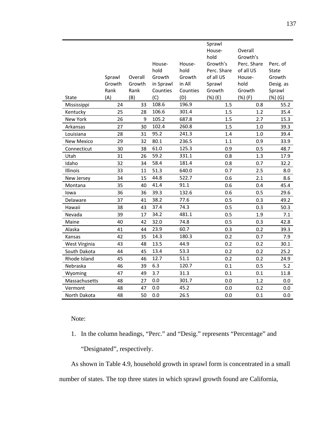|                   |        |         |           |          | Sprawl<br>House- | Overall     |           |
|-------------------|--------|---------|-----------|----------|------------------|-------------|-----------|
|                   |        |         |           |          | hold             | Growth's    |           |
|                   |        |         | House-    | House-   | Growth's         | Perc. Share | Perc. of  |
|                   |        |         | hold      | hold     | Perc. Share      | of all US   | State     |
|                   | Sprawl | Overall | Growth    | Growth   | of all US        | House-      | Growth    |
|                   | Growth | Growth  | in Sprawl | in All   | Sprawl           | hold        | Desig. as |
|                   | Rank   | Rank    | Counties  | Counties | Growth           | Growth      | Sprawl    |
| <b>State</b>      | (A)    | (B)     | (C)       | (D)      | (%) (E)          | (%) (F)     | (%) (G)   |
| Mississippi       | 24     | 33      | 108.6     | 196.9    | 1.5              | 0.8         | 55.2      |
| Kentucky          | 25     | 28      | 106.6     | 301.4    | 1.5              | 1.2         | 35.4      |
| New York          | 26     | 9       | 105.2     | 687.8    | 1.5              | 2.7         | 15.3      |
| Arkansas          | 27     | 30      | 102.4     | 260.8    | 1.5              | 1.0         | 39.3      |
| Louisiana         | 28     | 31      | 95.2      | 241.3    | 1.4              | 1.0         | 39.4      |
| <b>New Mexico</b> | 29     | 32      | 80.1      | 236.5    | 1.1              | 0.9         | 33.9      |
| Connecticut       | 30     | 38      | 61.0      | 125.3    | 0.9              | 0.5         | 48.7      |
| Utah              | 31     | 26      | 59.2      | 331.1    | 0.8              | 1.3         | 17.9      |
| Idaho             | 32     | 34      | 58.4      | 181.4    | 0.8              | 0.7         | 32.2      |
| Illinois          | 33     | 11      | 51.3      | 640.0    | 0.7              | 2.5         | 8.0       |
| New Jersey        | 34     | 15      | 44.8      | 522.7    | 0.6              | 2.1         | 8.6       |
| Montana           | 35     | 40      | 41.4      | 91.1     | 0.6              | 0.4         | 45.4      |
| lowa              | 36     | 36      | 39.3      | 132.6    | 0.6              | 0.5         | 29.6      |
| Delaware          | 37     | 41      | 38.2      | 77.6     | 0.5              | 0.3         | 49.2      |
| Hawaii            | 38     | 43      | 37.4      | 74.3     | 0.5              | 0.3         | 50.3      |
| Nevada            | 39     | 17      | 34.2      | 481.1    | 0.5              | 1.9         | 7.1       |
| Maine             | 40     | 42      | 32.0      | 74.8     | 0.5              | 0.3         | 42.8      |
| Alaska            | 41     | 44      | 23.9      | 60.7     | 0.3              | 0.2         | 39.3      |
| Kansas            | 42     | 35      | 14.3      | 180.3    | 0.2              | 0.7         | 7.9       |
| West Virginia     | 43     | 48      | 13.5      | 44.9     | 0.2              | 0.2         | 30.1      |
| South Dakota      | 44     | 45      | 13.4      | 53.3     | 0.2              | 0.2         | 25.2      |
| Rhode Island      | 45     | 46      | 12.7      | 51.1     | 0.2              | 0.2         | 24.9      |
| Nebraska          | 46     | 39      | 6.3       | 120.7    | 0.1              | 0.5         | 5.2       |
| Wyoming           | 47     | 49      | 3.7       | 31.3     | 0.1              | 0.1         | 11.8      |
| Massachusetts     | 48     | 27      | 0.0       | 301.7    | 0.0              | 1.2         | 0.0       |
| Vermont           | 48     | 47      | 0.0       | 45.2     | 0.0              | 0.2         | 0.0       |
| North Dakota      | 48     | 50      | 0.0       | 26.5     | 0.0              | 0.1         | 0.0       |

Note:

1. In the column headings, "Perc." and "Desig." represents "Percentage" and

"Designated", respectively.

As shown in Table 4.9, household growth in sprawl form is concentrated in a small number of states. The top three states in which sprawl growth found are California,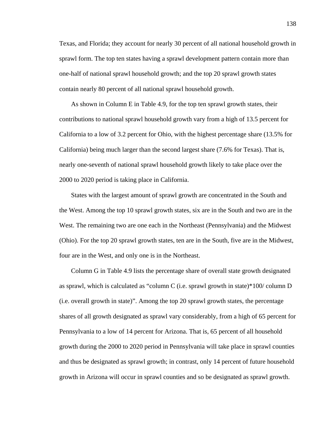Texas, and Florida; they account for nearly 30 percent of all national household growth in sprawl form. The top ten states having a sprawl development pattern contain more than one-half of national sprawl household growth; and the top 20 sprawl growth states contain nearly 80 percent of all national sprawl household growth.

As shown in Column E in Table 4.9, for the top ten sprawl growth states, their contributions to national sprawl household growth vary from a high of 13.5 percent for California to a low of 3.2 percent for Ohio, with the highest percentage share (13.5% for California) being much larger than the second largest share (7.6% for Texas). That is, nearly one-seventh of national sprawl household growth likely to take place over the 2000 to 2020 period is taking place in California.

States with the largest amount of sprawl growth are concentrated in the South and the West. Among the top 10 sprawl growth states, six are in the South and two are in the West. The remaining two are one each in the Northeast (Pennsylvania) and the Midwest (Ohio). For the top 20 sprawl growth states, ten are in the South, five are in the Midwest, four are in the West, and only one is in the Northeast.

Column G in Table 4.9 lists the percentage share of overall state growth designated as sprawl, which is calculated as "column C (i.e. sprawl growth in state)\*100/ column D (i.e. overall growth in state)". Among the top 20 sprawl growth states, the percentage shares of all growth designated as sprawl vary considerably, from a high of 65 percent for Pennsylvania to a low of 14 percent for Arizona. That is, 65 percent of all household growth during the 2000 to 2020 period in Pennsylvania will take place in sprawl counties and thus be designated as sprawl growth; in contrast, only 14 percent of future household growth in Arizona will occur in sprawl counties and so be designated as sprawl growth.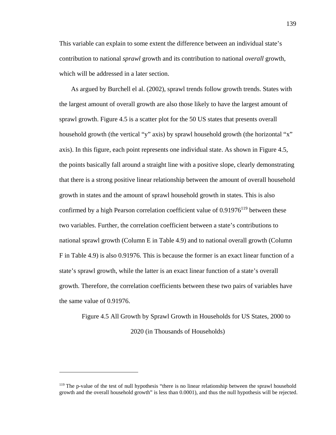This variable can explain to some extent the difference between an individual state's contribution to national *sprawl* growth and its contribution to national *overall* growth, which will be addressed in a later section.

As argued by Burchell el al. (2002), sprawl trends follow growth trends. States with the largest amount of overall growth are also those likely to have the largest amount of sprawl growth. Figure 4.5 is a scatter plot for the 50 US states that presents overall household growth (the vertical "y" axis) by sprawl household growth (the horizontal "x" axis). In this figure, each point represents one individual state. As shown in Figure 4.5, the points basically fall around a straight line with a positive slope, clearly demonstrating that there is a strong positive linear relationship between the amount of overall household growth in states and the amount of sprawl household growth in states. This is also confirmed by a high Pearson correlation coefficient value of  $0.91976^{119}$  between these two variables. Further, the correlation coefficient between a state's contributions to national sprawl growth (Column E in Table 4.9) and to national overall growth (Column F in Table 4.9) is also 0.91976. This is because the former is an exact linear function of a state's sprawl growth, while the latter is an exact linear function of a state's overall growth. Therefore, the correlation coefficients between these two pairs of variables have the same value of 0.91976.

8 Figure 4.5 All Growth by Sprawl Growth in Households for US States, 2000 to 2020 (in Thousands of Households)

<sup>&</sup>lt;sup>119</sup> The p-value of the test of null hypothesis "there is no linear relationship between the sprawl household growth and the overall household growth" is less than 0.0001), and thus the null hypothesis will be rejected.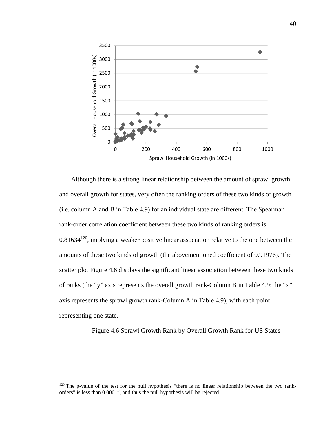

Although there is a strong linear relationship between the amount of sprawl growth and overall growth for states, very often the ranking orders of these two kinds of growth (i.e. column A and B in Table 4.9) for an individual state are different. The Spearman rank-order correlation coefficient between these two kinds of ranking orders is  $0.81634^{120}$ , implying a weaker positive linear association relative to the one between the amounts of these two kinds of growth (the abovementioned coefficient of 0.91976). The scatter plot Figure 4.6 displays the significant linear association between these two kinds of ranks (the "y" axis represents the overall growth rank-Column B in Table 4.9; the "x" axis represents the sprawl growth rank-Column A in Table 4.9), with each point representing one state.

Figure 4.6 Sprawl Growth Rank by Overall Growth Rank for US States

<sup>&</sup>lt;sup>120</sup> The p-value of the test for the null hypothesis "there is no linear relationship between the two rankorders" is less than 0.0001", and thus the null hypothesis will be rejected.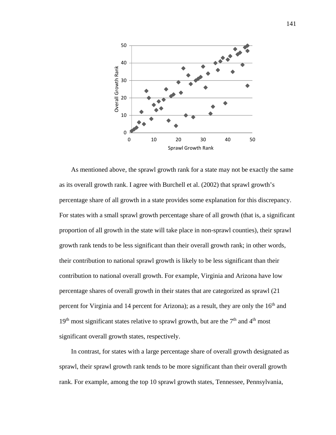

As mentioned above, the sprawl growth rank for a state may not be exactly the same as its overall growth rank. I agree with Burchell et al. (2002) that sprawl growth's percentage share of all growth in a state provides some explanation for this discrepancy. For states with a small sprawl growth percentage share of all growth (that is, a significant proportion of all growth in the state will take place in non-sprawl counties), their sprawl growth rank tends to be less significant than their overall growth rank; in other words, their contribution to national sprawl growth is likely to be less significant than their contribution to national overall growth. For example, Virginia and Arizona have low percentage shares of overall growth in their states that are categorized as sprawl (21 percent for Virginia and 14 percent for Arizona); as a result, they are only the  $16<sup>th</sup>$  and  $19<sup>th</sup>$  most significant states relative to sprawl growth, but are the  $7<sup>th</sup>$  and  $4<sup>th</sup>$  most significant overall growth states, respectively.

In contrast, for states with a large percentage share of overall growth designated as sprawl, their sprawl growth rank tends to be more significant than their overall growth rank. For example, among the top 10 sprawl growth states, Tennessee, Pennsylvania,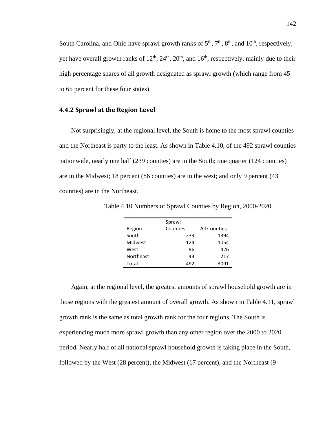South Carolina, and Ohio have sprawl growth ranks of  $5<sup>th</sup>$ ,  $7<sup>th</sup>$ ,  $8<sup>th</sup>$ , and  $10<sup>th</sup>$ , respectively, yet have overall growth ranks of  $12<sup>th</sup>$ ,  $24<sup>th</sup>$ ,  $20<sup>th</sup>$ , and  $16<sup>th</sup>$ , respectively, mainly due to their high percentage shares of all growth designated as sprawl growth (which range from 45 to 65 percent for these four states).

#### **4.4.2 Sprawl at the Region Level**

Not surprisingly, at the regional level, the South is home to the most sprawl counties and the Northeast is party to the least. As shown in Table 4.10, of the 492 sprawl counties nationwide, nearly one half (239 counties) are in the South; one quarter (124 counties) are in the Midwest; 18 percent (86 counties) are in the west; and only 9 percent (43 counties) are in the Northeast.

|                  | Sprawl   |                     |
|------------------|----------|---------------------|
| Region           | Counties | <b>All Counties</b> |
| South            | 239      | 1394                |
| Midwest          | 124      | 1054                |
| West             | 86       | 426                 |
| <b>Northeast</b> | 43       | 217                 |
| Total            | 492      | 3091                |

14 Table 4.10 Numbers of Sprawl Counties by Region, 2000-2020

Again, at the regional level, the greatest amounts of sprawl household growth are in those regions with the greatest amount of overall growth. As shown in Table 4.11, sprawl growth rank is the same as total growth rank for the four regions. The South is experiencing much more sprawl growth than any other region over the 2000 to 2020 period. Nearly half of all national sprawl household growth is taking place in the South, followed by the West (28 percent), the Midwest (17 percent), and the Northeast (9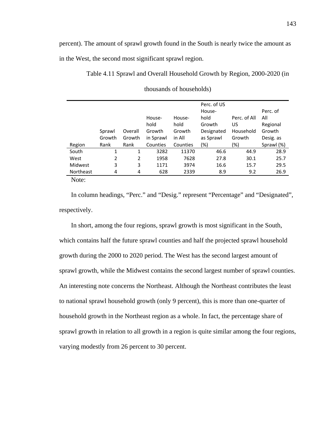percent). The amount of sprawl growth found in the South is nearly twice the amount as in the West, the second most significant sprawl region.

15 Table 4.11 Sprawl and Overall Household Growth by Region, 2000-2020 (in

|           |        |         |           |          | Perc. of US |              |            |
|-----------|--------|---------|-----------|----------|-------------|--------------|------------|
|           |        |         |           |          | House-      |              | Perc. of   |
|           |        |         | House-    | House-   | hold        | Perc. of All | All        |
|           |        |         | hold      | hold     | Growth      | US           | Regional   |
|           | Sprawl | Overall | Growth    | Growth   | Designated  | Household    | Growth     |
|           | Growth | Growth  | in Sprawl | in All   | as Sprawl   | Growth       | Desig. as  |
| Region    | Rank   | Rank    | Counties  | Counties | $(\%)$      | (%)          | Sprawl (%) |
| South     | 1      | 1       | 3282      | 11370    | 46.6        | 44.9         | 28.9       |
| West      | 2      | 2       | 1958      | 7628     | 27.8        | 30.1         | 25.7       |
| Midwest   | 3      | 3       | 1171      | 3974     | 16.6        | 15.7         | 29.5       |
| Northeast | 4      | 4       | 628       | 2339     | 8.9         | 9.2          | 26.9       |
| <b>NT</b> |        |         |           |          |             |              |            |

| thousands of households) |
|--------------------------|
|                          |

Note:

In column headings, "Perc." and "Desig." represent "Percentage" and "Designated", respectively.

In short, among the four regions, sprawl growth is most significant in the South, which contains half the future sprawl counties and half the projected sprawl household growth during the 2000 to 2020 period. The West has the second largest amount of sprawl growth, while the Midwest contains the second largest number of sprawl counties. An interesting note concerns the Northeast. Although the Northeast contributes the least to national sprawl household growth (only 9 percent), this is more than one-quarter of household growth in the Northeast region as a whole. In fact, the percentage share of sprawl growth in relation to all growth in a region is quite similar among the four regions, varying modestly from 26 percent to 30 percent.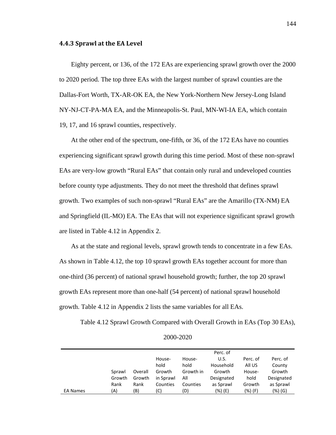#### **4.4.3 Sprawl at the EA Level**

Eighty percent, or 136, of the 172 EAs are experiencing sprawl growth over the 2000 to 2020 period. The top three EAs with the largest number of sprawl counties are the Dallas-Fort Worth, TX-AR-OK EA, the New York-Northern New Jersey-Long Island NY-NJ-CT-PA-MA EA, and the Minneapolis-St. Paul, MN-WI-IA EA, which contain 19, 17, and 16 sprawl counties, respectively.

At the other end of the spectrum, one-fifth, or 36, of the 172 EAs have no counties experiencing significant sprawl growth during this time period. Most of these non-sprawl EAs are very-low growth "Rural EAs" that contain only rural and undeveloped counties before county type adjustments. They do not meet the threshold that defines sprawl growth. Two examples of such non-sprawl "Rural EAs" are the Amarillo (TX-NM) EA and Springfield (IL-MO) EA. The EAs that will not experience significant sprawl growth are listed in Table 4.12 in Appendix 2.

As at the state and regional levels, sprawl growth tends to concentrate in a few EAs. As shown in Table 4.12, the top 10 sprawl growth EAs together account for more than one-third (36 percent) of national sprawl household growth; further, the top 20 sprawl growth EAs represent more than one-half (54 percent) of national sprawl household growth. Table 4.12 in Appendix 2 lists the same variables for all EAs.

Table 4.12 Sprawl Growth Compared with Overall Growth in EAs (Top 30 EAs),

|                 |        |         |           |           | Perc. of   |          |            |
|-----------------|--------|---------|-----------|-----------|------------|----------|------------|
|                 |        |         | House-    | House-    | U.S.       | Perc. of | Perc. of   |
|                 |        |         | hold      | hold      | Household  | All US   | County     |
|                 | Sprawl | Overall | Growth    | Growth in | Growth     | House-   | Growth     |
|                 | Growth | Growth  | in Sprawl | All       | Designated | hold     | Designated |
|                 | Rank   | Rank    | Counties  | Counties  | as Sprawl  | Growth   | as Sprawl  |
| <b>EA Names</b> | (A)    | (B)     | (C)       | (D)       | (%) (E)    | (%) (F)  | (%) (G)    |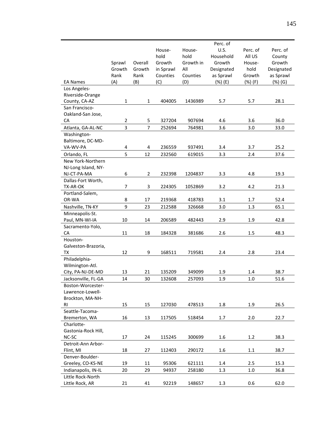|                           |                |                |           |           | Perc. of   |          |            |
|---------------------------|----------------|----------------|-----------|-----------|------------|----------|------------|
|                           |                |                | House-    | House-    | U.S.       | Perc. of | Perc. of   |
|                           |                |                | hold      | hold      | Household  | All US   | County     |
|                           | Sprawl         | Overall        | Growth    | Growth in | Growth     | House-   | Growth     |
|                           | Growth         | Growth         | in Sprawl | All       | Designated | hold     | Designated |
|                           | Rank           | Rank           | Counties  | Counties  | as Sprawl  | Growth   | as Sprawl  |
| <b>EA Names</b>           | (A)            | (B)            | (C)       | (D)       | (%) (E)    | (%) (F)  | (%) (G)    |
| Los Angeles-              |                |                |           |           |            |          |            |
| Riverside-Orange          |                |                |           |           |            |          |            |
| County, CA-AZ             | 1              | $\mathbf{1}$   | 404005    | 1436989   | 5.7        | 5.7      | 28.1       |
| San Francisco-            |                |                |           |           |            |          |            |
| Oakland-San Jose,         |                |                |           |           |            |          |            |
| CA                        | $\overline{2}$ | 5              | 327204    | 907694    | 4.6        | 3.6      | 36.0       |
| Atlanta, GA-AL-NC         | 3              | $\overline{7}$ | 252694    | 764981    | 3.6        | 3.0      | 33.0       |
| Washington-               |                |                |           |           |            |          |            |
| Baltimore, DC-MD-         |                |                |           |           |            |          |            |
| VA-WV-PA                  | 4              | 4              | 236559    | 937491    | 3.4        | 3.7      | 25.2       |
| Orlando, FL               | 5              | 12             | 232560    | 619015    | 3.3        | 2.4      | 37.6       |
| New York-Northern         |                |                |           |           |            |          |            |
| NJ-Long Island, NY-       |                |                |           |           |            |          |            |
| NJ-CT-PA-MA               | 6              | $\mathbf 2$    | 232398    | 1204837   | 3.3        | 4.8      | 19.3       |
| Dallas-Fort Worth,        |                |                |           |           |            |          |            |
| TX-AR-OK                  | 7              | $\mathsf 3$    | 224305    | 1052869   | 3.2        | 4.2      | 21.3       |
| Portland-Salem,           |                |                |           |           |            |          |            |
| OR-WA                     | 8              | 17             | 219368    | 418783    | 3.1        | 1.7      | 52.4       |
| Nashville, TN-KY          | 9              | 23             | 212588    | 326668    | 3.0        | 1.3      | 65.1       |
| Minneapolis-St.           |                |                |           |           |            |          |            |
| Paul, MN-WI-IA            | 10             | 14             | 206589    | 482443    | 2.9        | 1.9      | 42.8       |
| Sacramento-Yolo,          |                |                |           |           |            |          |            |
| CA                        | 11             | 18             | 184328    | 381686    | 2.6        | 1.5      | 48.3       |
| Houston-                  |                |                |           |           |            |          |            |
| Galveston-Brazoria,<br>ТX | 12             | 9              | 168511    | 719581    | 2.4        | 2.8      | 23.4       |
| Philadelphia-             |                |                |           |           |            |          |            |
| Wilmington-Atl.           |                |                |           |           |            |          |            |
| City, PA-NJ-DE-MD         | 13             | 21             | 135209    | 349099    | 1.9        | 1.4      | 38.7       |
| Jacksonville, FL-GA       | 14             | 30             | 132608    | 257093    | 1.9        | 1.0      | 51.6       |
| Boston-Worcester-         |                |                |           |           |            |          |            |
| Lawrence-Lowell-          |                |                |           |           |            |          |            |
| Brockton, MA-NH-          |                |                |           |           |            |          |            |
| RI                        | 15             | 15             | 127030    | 478513    | 1.8        | 1.9      | 26.5       |
| Seattle-Tacoma-           |                |                |           |           |            |          |            |
| Bremerton, WA             | 16             | 13             | 117505    | 518454    | 1.7        | 2.0      | 22.7       |
| Charlotte-                |                |                |           |           |            |          |            |
| Gastonia-Rock Hill,       |                |                |           |           |            |          |            |
| NC-SC                     | 17             | 24             | 115245    | 300699    | 1.6        | 1.2      | 38.3       |
| Detroit-Ann Arbor-        |                |                |           |           |            |          |            |
| Flint, MI                 | 18             | 27             | 112403    | 290172    | 1.6        | 1.1      | 38.7       |
| Denver-Boulder-           |                |                |           |           |            |          |            |
| Greeley, CO-KS-NE         | 19             | 11             | 95306     | 621111    | 1.4        | 2.5      | 15.3       |
| Indianapolis, IN-IL       | 20             | 29             | 94937     | 258180    | 1.3        | 1.0      | 36.8       |
| Little Rock-North         |                |                |           |           |            |          |            |
| Little Rock, AR           | 21             | 41             | 92219     | 148657    | 1.3        | 0.6      | 62.0       |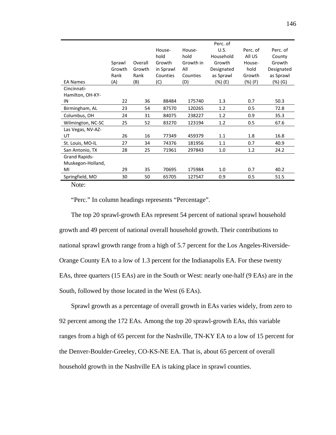|                      |        |         |           |           | Perc. of   |          |            |
|----------------------|--------|---------|-----------|-----------|------------|----------|------------|
|                      |        |         | House-    | House-    | U.S.       | Perc. of | Perc. of   |
|                      |        |         | hold      | hold      | Household  | All US   | County     |
|                      | Sprawl | Overall | Growth    | Growth in | Growth     | House-   | Growth     |
|                      | Growth | Growth  | in Sprawl | All       | Designated | hold     | Designated |
|                      | Rank   | Rank    | Counties  | Counties  | as Sprawl  | Growth   | as Sprawl  |
| <b>EA Names</b>      | (A)    | (B)     | (C)       | (D)       | (%) (E)    | (%) (F)  | (%) (G)    |
| Cincinnati-          |        |         |           |           |            |          |            |
| Hamilton, OH-KY-     |        |         |           |           |            |          |            |
| IN                   | 22     | 36      | 88484     | 175740    | 1.3        | 0.7      | 50.3       |
| Birmingham, AL       | 23     | 54      | 87570     | 120265    | 1.2        | 0.5      | 72.8       |
| Columbus, OH         | 24     | 31      | 84075     | 238227    | 1.2        | 0.9      | 35.3       |
| Wilmington, NC-SC    | 25     | 52      | 83270     | 123194    | 1.2        | 0.5      | 67.6       |
| Las Vegas, NV-AZ-    |        |         |           |           |            |          |            |
| UT                   | 26     | 16      | 77349     | 459379    | 1.1        | 1.8      | 16.8       |
| St. Louis, MO-IL     | 27     | 34      | 74376     | 181956    | 1.1        | 0.7      | 40.9       |
| San Antonio, TX      | 28     | 25      | 71961     | 297843    | 1.0        | 1.2      | 24.2       |
| <b>Grand Rapids-</b> |        |         |           |           |            |          |            |
| Muskegon-Holland,    |        |         |           |           |            |          |            |
| MI                   | 29     | 35      | 70695     | 175984    | 1.0        | 0.7      | 40.2       |
| Springfield, MO      | 30     | 50      | 65705     | 127547    | 0.9        | 0.5      | 51.5       |
| <b>NT</b>            |        |         |           |           |            |          |            |

Note:

"Perc." In column headings represents "Percentage".

The top 20 sprawl-growth EAs represent 54 percent of national sprawl household growth and 49 percent of national overall household growth. Their contributions to national sprawl growth range from a high of 5.7 percent for the Los Angeles-Riverside-Orange County EA to a low of 1.3 percent for the Indianapolis EA. For these twenty EAs, three quarters (15 EAs) are in the South or West: nearly one-half (9 EAs) are in the South, followed by those located in the West (6 EAs).

Sprawl growth as a percentage of overall growth in EAs varies widely, from zero to 92 percent among the 172 EAs. Among the top 20 sprawl-growth EAs, this variable ranges from a high of 65 percent for the Nashville, TN-KY EA to a low of 15 percent for the Denver-Boulder-Greeley, CO-KS-NE EA. That is, about 65 percent of overall household growth in the Nashville EA is taking place in sprawl counties.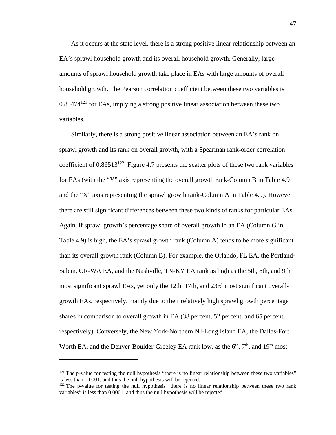As it occurs at the state level, there is a strong positive linear relationship between an EA's sprawl household growth and its overall household growth. Generally, large amounts of sprawl household growth take place in EAs with large amounts of overall household growth. The Pearson correlation coefficient between these two variables is  $0.85474^{121}$  for EAs, implying a strong positive linear association between these two variables.

Similarly, there is a strong positive linear association between an EA's rank on sprawl growth and its rank on overall growth, with a Spearman rank-order correlation coefficient of  $0.86513^{122}$ . Figure 4.7 presents the scatter plots of these two rank variables for EAs (with the "Y" axis representing the overall growth rank-Column B in Table 4.9 and the "X" axis representing the sprawl growth rank-Column A in Table 4.9). However, there are still significant differences between these two kinds of ranks for particular EAs. Again, if sprawl growth's percentage share of overall growth in an EA (Column G in Table 4.9) is high, the EA's sprawl growth rank (Column A) tends to be more significant than its overall growth rank (Column B). For example, the Orlando, FL EA, the Portland-Salem, OR-WA EA, and the Nashville, TN-KY EA rank as high as the 5th, 8th, and 9th most significant sprawl EAs, yet only the 12th, 17th, and 23rd most significant overallgrowth EAs, respectively, mainly due to their relatively high sprawl growth percentage shares in comparison to overall growth in EA (38 percent, 52 percent, and 65 percent, respectively). Conversely, the New York-Northern NJ-Long Island EA, the Dallas-Fort Worth EA, and the Denver-Boulder-Greeley EA rank low, as the  $6<sup>th</sup>$ ,  $7<sup>th</sup>$ , and  $19<sup>th</sup>$  most

1

 $121$  The p-value for testing the null hypothesis "there is no linear relationship between these two variables" is less than 0.0001, and thus the null hypothesis will be rejected.

<sup>&</sup>lt;sup>122</sup> The p-value for testing the null hypothesis "there is no linear relationship between these two rank variables" is less than 0.0001, and thus the null hypothesis will be rejected.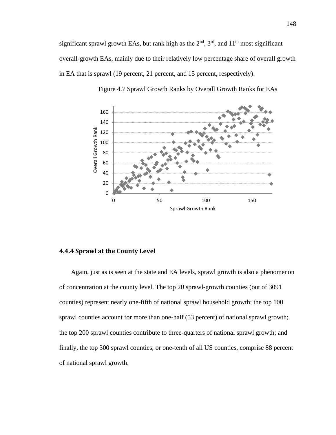significant sprawl growth EAs, but rank high as the  $2<sup>nd</sup>$ ,  $3<sup>rd</sup>$ , and  $11<sup>th</sup>$  most significant overall-growth EAs, mainly due to their relatively low percentage share of overall growth in EA that is sprawl (19 percent, 21 percent, and 15 percent, respectively).





### **4.4.4 Sprawl at the County Level**

Again, just as is seen at the state and EA levels, sprawl growth is also a phenomenon of concentration at the county level. The top 20 sprawl-growth counties (out of 3091 counties) represent nearly one-fifth of national sprawl household growth; the top 100 sprawl counties account for more than one-half (53 percent) of national sprawl growth; the top 200 sprawl counties contribute to three-quarters of national sprawl growth; and finally, the top 300 sprawl counties, or one-tenth of all US counties, comprise 88 percent of national sprawl growth.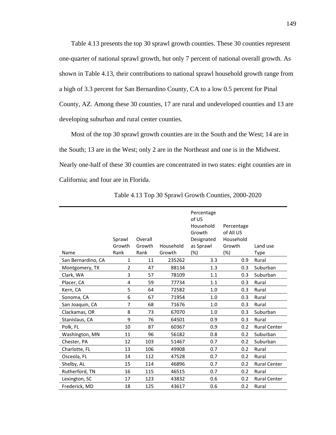Table 4.13 presents the top 30 sprawl growth counties. These 30 counties represent one-quarter of national sprawl growth, but only 7 percent of national overall growth. As shown in Table 4.13, their contributions to national sprawl household growth range from a high of 3.3 percent for San Bernardino County, CA to a low 0.5 percent for Pinal County, AZ. Among these 30 counties, 17 are rural and undeveloped counties and 13 are developing suburban and rural center counties.

Most of the top 30 sprawl growth counties are in the South and the West; 14 are in the South; 13 are in the West; only 2 are in the Northeast and one is in the Midwest. Nearly one-half of these 30 counties are concentrated in two states: eight counties are in California; and four are in Florida.

|                    |                |         |           | Percentage<br>of US<br>Household<br>Growth | Percentage<br>of All US |                     |
|--------------------|----------------|---------|-----------|--------------------------------------------|-------------------------|---------------------|
|                    | Sprawl         | Overall |           | Designated                                 | Household               |                     |
|                    | Growth         | Growth  | Household | as Sprawl                                  | Growth                  | Land use            |
| Name               | Rank           | Rank    | Growth    | $(\%)$                                     | $(\%)$                  | <b>Type</b>         |
| San Bernardino, CA | 1              | 11      | 235262    | 3.3                                        | 0.9                     | Rural               |
| Montgomery, TX     | $\overline{2}$ | 47      | 88134     | 1.3                                        | 0.3                     | Suburban            |
| Clark, WA          | 3              | 57      | 78109     | 1.1                                        | 0.3                     | Suburban            |
| Placer, CA         | 4              | 59      | 77734     | 1.1                                        | 0.3                     | Rural               |
| Kern, CA           | 5              | 64      | 72582     | 1.0                                        | 0.3                     | Rural               |
| Sonoma, CA         | 6              | 67      | 71954     | 1.0                                        | 0.3                     | Rural               |
| San Joaquin, CA    | 7              | 68      | 71676     | 1.0                                        | 0.3                     | Rural               |
| Clackamas, OR      | 8              | 73      | 67070     | 1.0                                        | 0.3                     | Suburban            |
| Stanislaus, CA     | 9              | 76      | 64501     | 0.9                                        | 0.3                     | Rural               |
| Polk, FL           | 10             | 87      | 60367     | 0.9                                        | 0.2                     | <b>Rural Center</b> |
| Washington, MN     | 11             | 96      | 56182     | 0.8                                        | 0.2                     | Suburban            |
| Chester, PA        | 12             | 103     | 51467     | 0.7                                        | 0.2                     | Suburban            |
| Charlotte, FL      | 13             | 106     | 49908     | 0.7                                        | 0.2                     | Rural               |
| Osceola, FL        | 14             | 112     | 47528     | 0.7                                        | 0.2                     | Rural               |
| Shelby, AL         | 15             | 114     | 46896     | 0.7                                        | 0.2                     | <b>Rural Center</b> |
| Rutherford, TN     | 16             | 115     | 46515     | 0.7                                        | 0.2                     | Rural               |
| Lexington, SC      | 17             | 123     | 43832     | 0.6                                        | 0.2                     | <b>Rural Center</b> |
| Frederick, MD      | 18             | 125     | 43617     | 0.6                                        | 0.2                     | Rural               |
|                    |                |         |           |                                            |                         |                     |

17 Table 4.13 Top 30 Sprawl Growth Counties, 2000-2020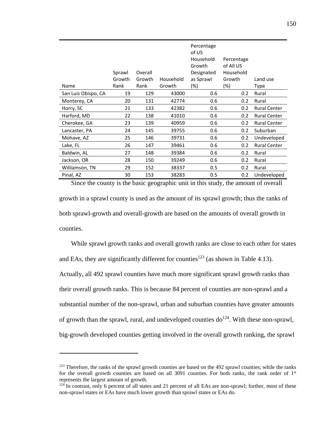| Name                | Sprawl<br>Growth<br>Rank | Overall<br>Growth<br>Rank | Household<br>Growth | Percentage<br>of US<br>Household<br>Growth<br>Designated<br>as Sprawl<br>(%) | Percentage<br>of All US<br>Household<br>Growth<br>(%) | Land use<br>Type    |
|---------------------|--------------------------|---------------------------|---------------------|------------------------------------------------------------------------------|-------------------------------------------------------|---------------------|
| San Luis Obispo, CA | 19                       | 129                       | 43000               | 0.6                                                                          | 0.2                                                   | Rural               |
| Monterey, CA        | 20                       | 131                       | 42774               | 0.6                                                                          | 0.2                                                   | Rural               |
| Horry, SC           | 21                       | 133                       | 42382               | 0.6                                                                          | 0.2                                                   | <b>Rural Center</b> |
| Harford, MD         | 22                       | 138                       | 41010               | 0.6                                                                          | 0.2                                                   | <b>Rural Center</b> |
| Cherokee, GA        | 23                       | 139                       | 40959               | 0.6                                                                          | 0.2                                                   | <b>Rural Center</b> |
| Lancaster, PA       | 24                       | 145                       | 39755               | 0.6                                                                          | 0.2                                                   | Suburban            |
| Mohave, AZ          | 25                       | 146                       | 39731               | 0.6                                                                          | 0.2                                                   | Undeveloped         |
| Lake, FL            | 26                       | 147                       | 39461               | 0.6                                                                          | 0.2                                                   | <b>Rural Center</b> |
| Baldwin, AL         | 27                       | 148                       | 39384               | 0.6                                                                          | 0.2                                                   | Rural               |
| Jackson, OR         | 28                       | 150                       | 39249               | 0.6                                                                          | 0.2                                                   | Rural               |
| Williamson, TN      | 29                       | 152                       | 38337               | 0.5                                                                          | 0.2                                                   | Rural               |
| Pinal, AZ           | 30                       | 153                       | 38283               | 0.5                                                                          | 0.2                                                   | Undeveloped         |

Since the county is the basic geographic unit in this study, the amount of overall growth in a sprawl county is used as the amount of its sprawl growth; thus the ranks of both sprawl-growth and overall-growth are based on the amounts of overall growth in counties.

While sprawl growth ranks and overall growth ranks are close to each other for states and EAs, they are significantly different for counties<sup>123</sup> (as shown in Table 4.13). Actually, all 492 sprawl counties have much more significant sprawl growth ranks than their overall growth ranks. This is because 84 percent of counties are non-sprawl and a substantial number of the non-sprawl, urban and suburban counties have greater amounts of growth than the sprawl, rural, and undeveloped counties  $d\sigma^{124}$ . With these non-sprawl, big-growth developed counties getting involved in the overall growth ranking, the sprawl

<sup>&</sup>lt;sup>123</sup> Therefore, the ranks of the sprawl growth counties are based on the 492 sprawl counties; while the ranks for the overall growth counties are based on all  $3091$  counties. For both ranks, the rank order of  $1<sup>st</sup>$ represents the largest amount of growth.

<sup>&</sup>lt;sup>124</sup> In contrast, only 6 percent of all states and 21 percent of all EAs are non-sprawl; further, most of these non-sprawl states or EAs have much lower growth than sprawl states or EAs do.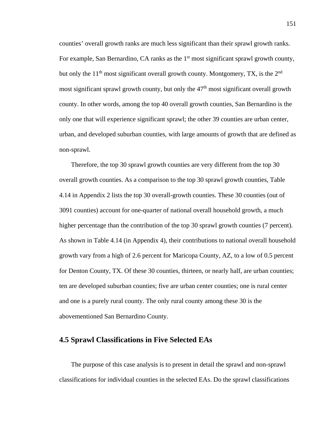counties' overall growth ranks are much less significant than their sprawl growth ranks. For example, San Bernardino, CA ranks as the  $1<sup>st</sup>$  most significant sprawl growth county, but only the  $11<sup>th</sup>$  most significant overall growth county. Montgomery, TX, is the  $2<sup>nd</sup>$ most significant sprawl growth county, but only the  $47<sup>th</sup>$  most significant overall growth county. In other words, among the top 40 overall growth counties, San Bernardino is the only one that will experience significant sprawl; the other 39 counties are urban center, urban, and developed suburban counties, with large amounts of growth that are defined as non-sprawl.

Therefore, the top 30 sprawl growth counties are very different from the top 30 overall growth counties. As a comparison to the top 30 sprawl growth counties, Table 4.14 in Appendix 2 lists the top 30 overall-growth counties. These 30 counties (out of 3091 counties) account for one-quarter of national overall household growth, a much higher percentage than the contribution of the top 30 sprawl growth counties (7 percent). As shown in Table 4.14 (in Appendix 4), their contributions to national overall household growth vary from a high of 2.6 percent for Maricopa County, AZ, to a low of 0.5 percent for Denton County, TX. Of these 30 counties, thirteen, or nearly half, are urban counties; ten are developed suburban counties; five are urban center counties; one is rural center and one is a purely rural county. The only rural county among these 30 is the abovementioned San Bernardino County.

## **4.5 Sprawl Classifications in Five Selected EAs**

The purpose of this case analysis is to present in detail the sprawl and non-sprawl classifications for individual counties in the selected EAs. Do the sprawl classifications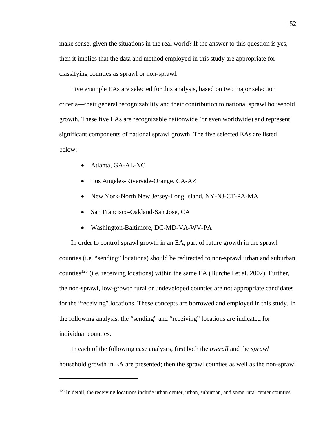make sense, given the situations in the real world? If the answer to this question is yes, then it implies that the data and method employed in this study are appropriate for classifying counties as sprawl or non-sprawl.

Five example EAs are selected for this analysis, based on two major selection criteria—their general recognizability and their contribution to national sprawl household growth. These five EAs are recognizable nationwide (or even worldwide) and represent significant components of national sprawl growth. The five selected EAs are listed below:

Atlanta, GA-AL-NC

 $\overline{a}$ 

- Los Angeles-Riverside-Orange, CA-AZ
- New York-North New Jersey-Long Island, NY-NJ-CT-PA-MA
- San Francisco-Oakland-San Jose, CA
- Washington-Baltimore, DC-MD-VA-WV-PA

In order to control sprawl growth in an EA, part of future growth in the sprawl counties (i.e. "sending" locations) should be redirected to non-sprawl urban and suburban counties<sup>125</sup> (i.e. receiving locations) within the same EA (Burchell et al. 2002). Further, the non-sprawl, low-growth rural or undeveloped counties are not appropriate candidates for the "receiving" locations. These concepts are borrowed and employed in this study. In the following analysis, the "sending" and "receiving" locations are indicated for individual counties.

In each of the following case analyses, first both the *overall* and the *sprawl* household growth in EA are presented; then the sprawl counties as well as the non-sprawl

<sup>&</sup>lt;sup>125</sup> In detail, the receiving locations include urban center, urban, suburban, and some rural center counties.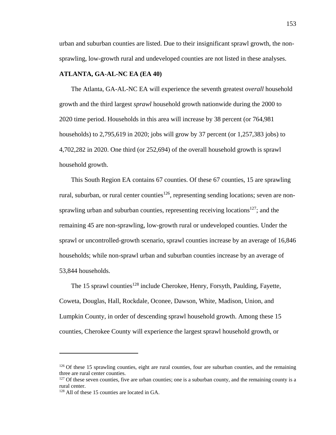urban and suburban counties are listed. Due to their insignificant sprawl growth, the nonsprawling, low-growth rural and undeveloped counties are not listed in these analyses.

#### **ATLANTA, GA-AL-NC EA (EA 40)**

The Atlanta, GA-AL-NC EA will experience the seventh greatest *overall* household growth and the third largest *sprawl* household growth nationwide during the 2000 to 2020 time period. Households in this area will increase by 38 percent (or 764,981 households) to 2,795,619 in 2020; jobs will grow by 37 percent (or 1,257,383 jobs) to 4,702,282 in 2020. One third (or 252,694) of the overall household growth is sprawl household growth.

This South Region EA contains 67 counties. Of these 67 counties, 15 are sprawling rural, suburban, or rural center counties<sup>126</sup>, representing sending locations; seven are nonsprawling urban and suburban counties, representing receiving locations<sup>127</sup>; and the remaining 45 are non-sprawling, low-growth rural or undeveloped counties. Under the sprawl or uncontrolled-growth scenario, sprawl counties increase by an average of 16,846 households; while non-sprawl urban and suburban counties increase by an average of 53,844 households.

The 15 sprawl counties<sup>128</sup> include Cherokee, Henry, Forsyth, Paulding, Fayette, Coweta, Douglas, Hall, Rockdale, Oconee, Dawson, White, Madison, Union, and Lumpkin County, in order of descending sprawl household growth. Among these 15 counties, Cherokee County will experience the largest sprawl household growth, or

1

<sup>&</sup>lt;sup>126</sup> Of these 15 sprawling counties, eight are rural counties, four are suburban counties, and the remaining three are rural center counties.

<sup>&</sup>lt;sup>127</sup> Of these seven counties, five are urban counties; one is a suburban county, and the remaining county is a rural center.

<sup>128</sup> All of these 15 counties are located in GA.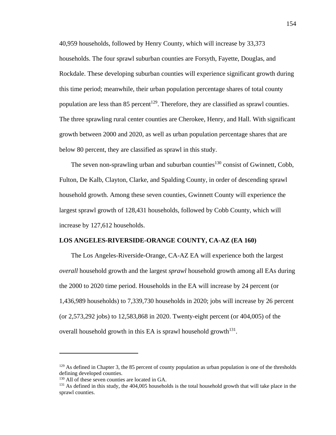40,959 households, followed by Henry County, which will increase by 33,373 households. The four sprawl suburban counties are Forsyth, Fayette, Douglas, and Rockdale. These developing suburban counties will experience significant growth during this time period; meanwhile, their urban population percentage shares of total county population are less than 85 percent<sup>129</sup>. Therefore, they are classified as sprawl counties. The three sprawling rural center counties are Cherokee, Henry, and Hall. With significant growth between 2000 and 2020, as well as urban population percentage shares that are below 80 percent, they are classified as sprawl in this study.

The seven non-sprawling urban and suburban counties<sup>130</sup> consist of Gwinnett, Cobb, Fulton, De Kalb, Clayton, Clarke, and Spalding County, in order of descending sprawl household growth. Among these seven counties, Gwinnett County will experience the largest sprawl growth of 128,431 households, followed by Cobb County, which will increase by 127,612 households.

#### **LOS ANGELES-RIVERSIDE-ORANGE COUNTY, CA-AZ (EA 160)**

The Los Angeles-Riverside-Orange, CA-AZ EA will experience both the largest *overall* household growth and the largest *sprawl* household growth among all EAs during the 2000 to 2020 time period. Households in the EA will increase by 24 percent (or 1,436,989 households) to 7,339,730 households in 2020; jobs will increase by 26 percent (or 2,573,292 jobs) to 12,583,868 in 2020. Twenty-eight percent (or 404,005) of the overall household growth in this EA is sprawl household growth<sup>131</sup>.

<sup>&</sup>lt;sup>129</sup> As defined in Chapter 3, the 85 percent of county population as urban population is one of the thresholds defining developed counties.

 $130$  All of these seven counties are located in GA.<br> $131$  As defined in this study, the 404,005 households is the total household growth that will take place in the sprawl counties.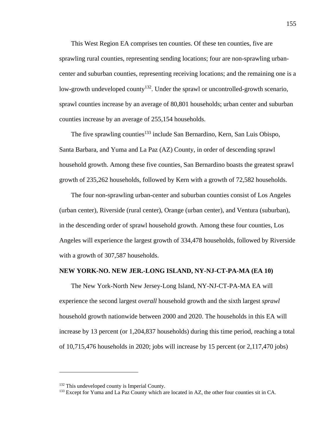This West Region EA comprises ten counties. Of these ten counties, five are sprawling rural counties, representing sending locations; four are non-sprawling urbancenter and suburban counties, representing receiving locations; and the remaining one is a low-growth undeveloped county<sup>132</sup>. Under the sprawl or uncontrolled-growth scenario, sprawl counties increase by an average of 80,801 households; urban center and suburban counties increase by an average of 255,154 households.

The five sprawling counties<sup>133</sup> include San Bernardino, Kern, San Luis Obispo, Santa Barbara, and Yuma and La Paz (AZ) County, in order of descending sprawl household growth. Among these five counties, San Bernardino boasts the greatest sprawl growth of 235,262 households, followed by Kern with a growth of 72,582 households.

The four non-sprawling urban-center and suburban counties consist of Los Angeles (urban center), Riverside (rural center), Orange (urban center), and Ventura (suburban), in the descending order of sprawl household growth. Among these four counties, Los Angeles will experience the largest growth of 334,478 households, followed by Riverside with a growth of 307,587 households.

#### **NEW YORK-NO. NEW JER.-LONG ISLAND, NY-NJ-CT-PA-MA (EA 10)**

The New York-North New Jersey-Long Island, NY-NJ-CT-PA-MA EA will experience the second largest *overall* household growth and the sixth largest *sprawl* household growth nationwide between 2000 and 2020. The households in this EA will increase by 13 percent (or 1,204,837 households) during this time period, reaching a total of 10,715,476 households in 2020; jobs will increase by 15 percent (or 2,117,470 jobs)

 $132$  This undeveloped county is Imperial County.<br>  $133$  Except for Yuma and La Paz County which are located in AZ, the other four counties sit in CA.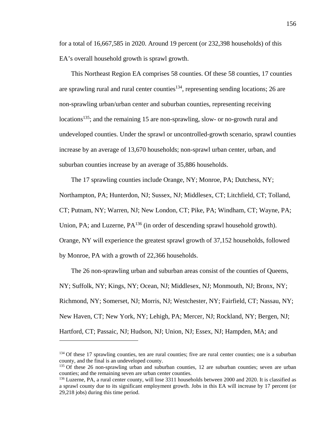for a total of 16,667,585 in 2020. Around 19 percent (or 232,398 households) of this EA's overall household growth is sprawl growth.

This Northeast Region EA comprises 58 counties. Of these 58 counties, 17 counties are sprawling rural and rural center counties<sup>134</sup>, representing sending locations; 26 are non-sprawling urban/urban center and suburban counties, representing receiving locations<sup>135</sup>; and the remaining 15 are non-sprawling, slow- or no-growth rural and undeveloped counties. Under the sprawl or uncontrolled-growth scenario, sprawl counties increase by an average of 13,670 households; non-sprawl urban center, urban, and suburban counties increase by an average of 35,886 households.

The 17 sprawling counties include Orange, NY; Monroe, PA; Dutchess, NY;

Northampton, PA; Hunterdon, NJ; Sussex, NJ; Middlesex, CT; Litchfield, CT; Tolland,

CT; Putnam, NY; Warren, NJ; New London, CT; Pike, PA; Windham, CT; Wayne, PA;

Union, PA; and Luzerne, PA<sup>136</sup> (in order of descending sprawl household growth).

Orange, NY will experience the greatest sprawl growth of 37,152 households, followed

by Monroe, PA with a growth of 22,366 households.

 $\overline{a}$ 

The 26 non-sprawling urban and suburban areas consist of the counties of Queens, NY; Suffolk, NY; Kings, NY; Ocean, NJ; Middlesex, NJ; Monmouth, NJ; Bronx, NY; Richmond, NY; Somerset, NJ; Morris, NJ; Westchester, NY; Fairfield, CT; Nassau, NY; New Haven, CT; New York, NY; Lehigh, PA; Mercer, NJ; Rockland, NY; Bergen, NJ; Hartford, CT; Passaic, NJ; Hudson, NJ; Union, NJ; Essex, NJ; Hampden, MA; and

<sup>&</sup>lt;sup>134</sup> Of these 17 sprawling counties, ten are rural counties; five are rural center counties; one is a suburban county, and the final is an undeveloped county.

<sup>&</sup>lt;sup>135</sup> Of these 26 non-sprawling urban and suburban counties, 12 are suburban counties; seven are urban counties; and the remaining seven are urban center counties.

<sup>136</sup> Luzerne, PA, a rural center county, will lose 3311 households between 2000 and 2020. It is classified as a sprawl county due to its significant employment growth. Jobs in this EA will increase by 17 percent (or 29,218 jobs) during this time period.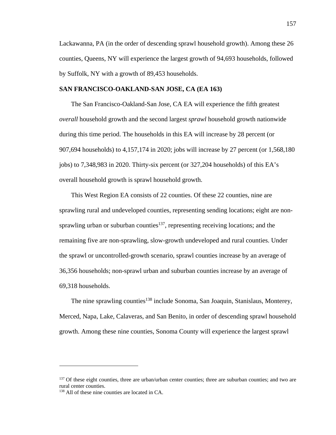Lackawanna, PA (in the order of descending sprawl household growth). Among these 26 counties, Queens, NY will experience the largest growth of 94,693 households, followed by Suffolk, NY with a growth of 89,453 households.

#### **SAN FRANCISCO-OAKLAND-SAN JOSE, CA (EA 163)**

The San Francisco-Oakland-San Jose, CA EA will experience the fifth greatest *overall* household growth and the second largest *sprawl* household growth nationwide during this time period. The households in this EA will increase by 28 percent (or 907,694 households) to 4,157,174 in 2020; jobs will increase by 27 percent (or 1,568,180 jobs) to 7,348,983 in 2020. Thirty-six percent (or 327,204 households) of this EA's overall household growth is sprawl household growth.

This West Region EA consists of 22 counties. Of these 22 counties, nine are sprawling rural and undeveloped counties, representing sending locations; eight are nonsprawling urban or suburban counties<sup>137</sup>, representing receiving locations; and the remaining five are non-sprawling, slow-growth undeveloped and rural counties. Under the sprawl or uncontrolled-growth scenario, sprawl counties increase by an average of 36,356 households; non-sprawl urban and suburban counties increase by an average of 69,318 households.

The nine sprawling counties<sup>138</sup> include Sonoma, San Joaquin, Stanislaus, Monterey, Merced, Napa, Lake, Calaveras, and San Benito, in order of descending sprawl household growth. Among these nine counties, Sonoma County will experience the largest sprawl

<sup>&</sup>lt;sup>137</sup> Of these eight counties, three are urban/urban center counties; three are suburban counties; and two are rural center counties.

<sup>138</sup> All of these nine counties are located in CA.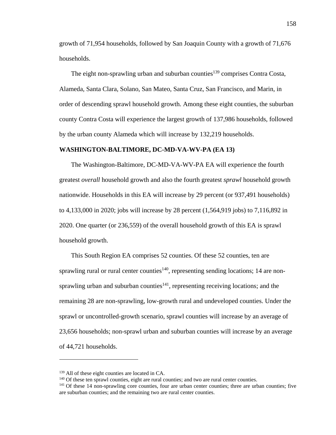growth of 71,954 households, followed by San Joaquin County with a growth of 71,676 households.

The eight non-sprawling urban and suburban counties<sup>139</sup> comprises Contra Costa, Alameda, Santa Clara, Solano, San Mateo, Santa Cruz, San Francisco, and Marin, in order of descending sprawl household growth. Among these eight counties, the suburban county Contra Costa will experience the largest growth of 137,986 households, followed by the urban county Alameda which will increase by 132,219 households.

#### **WASHINGTON-BALTIMORE, DC-MD-VA-WV-PA (EA 13)**

The Washington-Baltimore, DC-MD-VA-WV-PA EA will experience the fourth greatest *overall* household growth and also the fourth greatest *sprawl* household growth nationwide. Households in this EA will increase by 29 percent (or 937,491 households) to 4,133,000 in 2020; jobs will increase by 28 percent (1,564,919 jobs) to 7,116,892 in 2020. One quarter (or 236,559) of the overall household growth of this EA is sprawl household growth.

This South Region EA comprises 52 counties. Of these 52 counties, ten are sprawling rural or rural center counties<sup>140</sup>, representing sending locations; 14 are nonsprawling urban and suburban counties $141$ , representing receiving locations; and the remaining 28 are non-sprawling, low-growth rural and undeveloped counties. Under the sprawl or uncontrolled-growth scenario, sprawl counties will increase by an average of 23,656 households; non-sprawl urban and suburban counties will increase by an average of 44,721 households.

 $^{139}$  All of these eight counties are located in CA.<br><sup>140</sup> Of these ten sprawl counties, eight are rural counties; and two are rural center counties.<br><sup>141</sup> Of these 14 non-sprawling core counties, four are urban center are suburban counties; and the remaining two are rural center counties.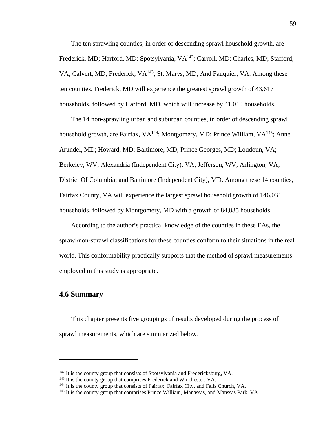The ten sprawling counties, in order of descending sprawl household growth, are Frederick, MD; Harford, MD; Spotsylvania, VA<sup>142</sup>; Carroll, MD; Charles, MD; Stafford, VA; Calvert, MD; Frederick, VA<sup>143</sup>; St. Marys, MD; And Fauquier, VA. Among these ten counties, Frederick, MD will experience the greatest sprawl growth of 43,617 households, followed by Harford, MD, which will increase by 41,010 households.

The 14 non-sprawling urban and suburban counties, in order of descending sprawl household growth, are Fairfax, VA<sup>144</sup>; Montgomery, MD; Prince William, VA<sup>145</sup>; Anne Arundel, MD; Howard, MD; Baltimore, MD; Prince Georges, MD; Loudoun, VA; Berkeley, WV; Alexandria (Independent City), VA; Jefferson, WV; Arlington, VA; District Of Columbia; and Baltimore (Independent City), MD. Among these 14 counties, Fairfax County, VA will experience the largest sprawl household growth of 146,031 households, followed by Montgomery, MD with a growth of 84,885 households.

According to the author's practical knowledge of the counties in these EAs, the sprawl/non-sprawl classifications for these counties conform to their situations in the real world. This conformability practically supports that the method of sprawl measurements employed in this study is appropriate.

## **4.6 Summary**

 $\overline{a}$ 

This chapter presents five groupings of results developed during the process of sprawl measurements, which are summarized below.

<sup>&</sup>lt;sup>142</sup> It is the county group that consists of Spotsylvania and Fredericksburg, VA.<br><sup>143</sup> It is the county group that comprises Frederick and Winchester, VA.<br><sup>143</sup> It is the county group that consists of Fairfax, Fairfax C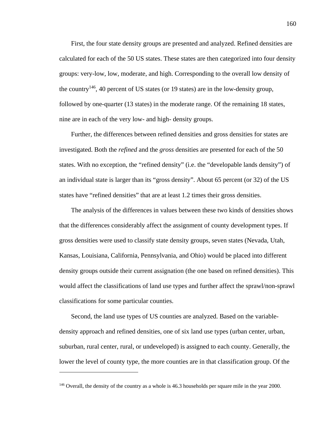First, the four state density groups are presented and analyzed. Refined densities are calculated for each of the 50 US states. These states are then categorized into four density groups: very-low, low, moderate, and high. Corresponding to the overall low density of the country146, 40 percent of US states (or 19 states) are in the low-density group, followed by one-quarter (13 states) in the moderate range. Of the remaining 18 states, nine are in each of the very low- and high- density groups.

Further, the differences between refined densities and gross densities for states are investigated. Both the *refined* and the *gross* densities are presented for each of the 50 states. With no exception, the "refined density" (i.e. the "developable lands density") of an individual state is larger than its "gross density". About 65 percent (or 32) of the US states have "refined densities" that are at least 1.2 times their gross densities.

The analysis of the differences in values between these two kinds of densities shows that the differences considerably affect the assignment of county development types. If gross densities were used to classify state density groups, seven states (Nevada, Utah, Kansas, Louisiana, California, Pennsylvania, and Ohio) would be placed into different density groups outside their current assignation (the one based on refined densities). This would affect the classifications of land use types and further affect the sprawl/non-sprawl classifications for some particular counties.

Second, the land use types of US counties are analyzed. Based on the variabledensity approach and refined densities, one of six land use types (urban center, urban, suburban, rural center, rural, or undeveloped) is assigned to each county. Generally, the lower the level of county type, the more counties are in that classification group. Of the

1

<sup>&</sup>lt;sup>146</sup> Overall, the density of the country as a whole is 46.3 households per square mile in the year 2000.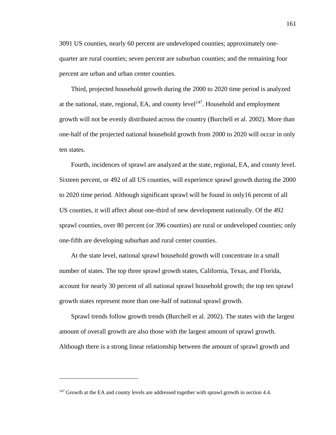3091 US counties, nearly 60 percent are undeveloped counties; approximately onequarter are rural counties; seven percent are suburban counties; and the remaining four percent are urban and urban center counties.

Third, projected household growth during the 2000 to 2020 time period is analyzed at the national, state, regional, EA, and county  $level<sup>147</sup>$ . Household and employment growth will not be evenly distributed across the country (Burchell et al. 2002). More than one-half of the projected national household growth from 2000 to 2020 will occur in only ten states.

Fourth, incidences of sprawl are analyzed at the state, regional, EA, and county level. Sixteen percent, or 492 of all US counties, will experience sprawl growth during the 2000 to 2020 time period. Although significant sprawl will be found in only16 percent of all US counties, it will affect about one-third of new development nationally. Of the 492 sprawl counties, over 80 percent (or 396 counties) are rural or undeveloped counties; only one-fifth are developing suburban and rural center counties.

At the state level, national sprawl household growth will concentrate in a small number of states. The top three sprawl growth states, California, Texas, and Florida, account for nearly 30 percent of all national sprawl household growth; the top ten sprawl growth states represent more than one-half of national sprawl growth.

Sprawl trends follow growth trends (Burchell et al. 2002). The states with the largest amount of overall growth are also those with the largest amount of sprawl growth. Although there is a strong linear relationship between the amount of sprawl growth and

1

 $147$  Growth at the EA and county levels are addressed together with sprawl growth in section 4.4.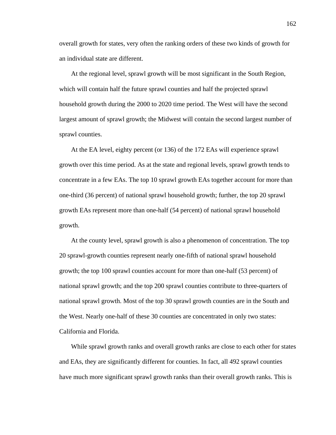overall growth for states, very often the ranking orders of these two kinds of growth for an individual state are different.

At the regional level, sprawl growth will be most significant in the South Region, which will contain half the future sprawl counties and half the projected sprawl household growth during the 2000 to 2020 time period. The West will have the second largest amount of sprawl growth; the Midwest will contain the second largest number of sprawl counties.

At the EA level, eighty percent (or 136) of the 172 EAs will experience sprawl growth over this time period. As at the state and regional levels, sprawl growth tends to concentrate in a few EAs. The top 10 sprawl growth EAs together account for more than one-third (36 percent) of national sprawl household growth; further, the top 20 sprawl growth EAs represent more than one-half (54 percent) of national sprawl household growth.

At the county level, sprawl growth is also a phenomenon of concentration. The top 20 sprawl-growth counties represent nearly one-fifth of national sprawl household growth; the top 100 sprawl counties account for more than one-half (53 percent) of national sprawl growth; and the top 200 sprawl counties contribute to three-quarters of national sprawl growth. Most of the top 30 sprawl growth counties are in the South and the West. Nearly one-half of these 30 counties are concentrated in only two states: California and Florida.

While sprawl growth ranks and overall growth ranks are close to each other for states and EAs, they are significantly different for counties. In fact, all 492 sprawl counties have much more significant sprawl growth ranks than their overall growth ranks. This is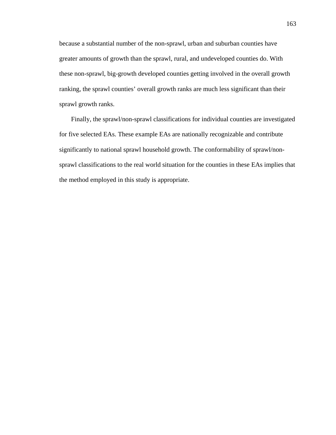because a substantial number of the non-sprawl, urban and suburban counties have greater amounts of growth than the sprawl, rural, and undeveloped counties do. With these non-sprawl, big-growth developed counties getting involved in the overall growth ranking, the sprawl counties' overall growth ranks are much less significant than their sprawl growth ranks.

Finally, the sprawl/non-sprawl classifications for individual counties are investigated for five selected EAs. These example EAs are nationally recognizable and contribute significantly to national sprawl household growth. The conformability of sprawl/nonsprawl classifications to the real world situation for the counties in these EAs implies that the method employed in this study is appropriate.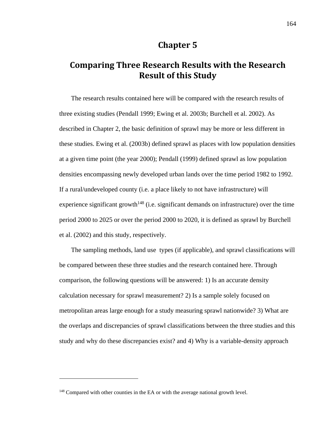# **Chapter 5**

# **Comparing Three Research Results with the Research Result of this Study**

The research results contained here will be compared with the research results of three existing studies (Pendall 1999; Ewing et al. 2003b; Burchell et al. 2002). As described in Chapter 2, the basic definition of sprawl may be more or less different in these studies. Ewing et al. (2003b) defined sprawl as places with low population densities at a given time point (the year 2000); Pendall (1999) defined sprawl as low population densities encompassing newly developed urban lands over the time period 1982 to 1992. If a rural/undeveloped county (i.e. a place likely to not have infrastructure) will experience significant growth<sup>148</sup> (i.e. significant demands on infrastructure) over the time period 2000 to 2025 or over the period 2000 to 2020, it is defined as sprawl by Burchell et al. (2002) and this study, respectively.

The sampling methods, land use types (if applicable), and sprawl classifications will be compared between these three studies and the research contained here. Through comparison, the following questions will be answered: 1) Is an accurate density calculation necessary for sprawl measurement? 2) Is a sample solely focused on metropolitan areas large enough for a study measuring sprawl nationwide? 3) What are the overlaps and discrepancies of sprawl classifications between the three studies and this study and why do these discrepancies exist? and 4) Why is a variable-density approach

<sup>&</sup>lt;sup>148</sup> Compared with other counties in the EA or with the average national growth level.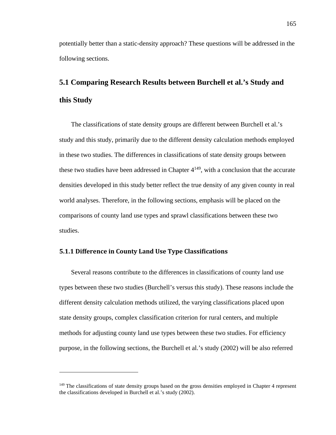potentially better than a static-density approach? These questions will be addressed in the following sections.

# **5.1 Comparing Research Results between Burchell et al.'s Study and this Study**

The classifications of state density groups are different between Burchell et al.'s study and this study, primarily due to the different density calculation methods employed in these two studies. The differences in classifications of state density groups between these two studies have been addressed in Chapter  $4^{149}$ , with a conclusion that the accurate densities developed in this study better reflect the true density of any given county in real world analyses. Therefore, in the following sections, emphasis will be placed on the comparisons of county land use types and sprawl classifications between these two studies.

#### **5.1.1 Difference in County Land Use Type Classifications**

 $\overline{a}$ 

Several reasons contribute to the differences in classifications of county land use types between these two studies (Burchell's versus this study). These reasons include the different density calculation methods utilized, the varying classifications placed upon state density groups, complex classification criterion for rural centers, and multiple methods for adjusting county land use types between these two studies. For efficiency purpose, in the following sections, the Burchell et al.'s study (2002) will be also referred

<sup>&</sup>lt;sup>149</sup> The classifications of state density groups based on the gross densities employed in Chapter 4 represent the classifications developed in Burchell et al.'s study (2002).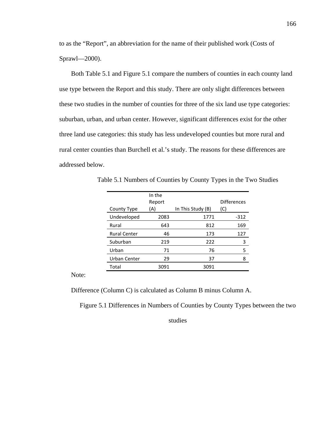to as the "Report", an abbreviation for the name of their published work (Costs of Sprawl—2000).

Both Table 5.1 and Figure 5.1 compare the numbers of counties in each county land use type between the Report and this study. There are only slight differences between these two studies in the number of counties for three of the six land use type categories: suburban, urban, and urban center. However, significant differences exist for the other three land use categories: this study has less undeveloped counties but more rural and rural center counties than Burchell et al.'s study. The reasons for these differences are addressed below.

|                     | In the |                   |                    |
|---------------------|--------|-------------------|--------------------|
|                     | Report |                   | <b>Differences</b> |
| County Type         | (A)    | In This Study (B) | (C)                |
| Undeveloped         | 2083   | 1771              | $-312$             |
| Rural               | 643    | 812               | 169                |
| <b>Rural Center</b> | 46     | 173               | 127                |
| Suburban            | 219    | 222               | 3                  |
| Urban               | 71     | 76                | 5                  |
| Urban Center        | 29     | 37                | 8                  |
| Total               | 3091   | 3091              |                    |

Table 5.1 Numbers of Counties by County Types in the Two Studies

Note:

Difference (Column C) is calculated as Column B minus Column A.

Figure 5.1 Differences in Numbers of Counties by County Types between the two

studies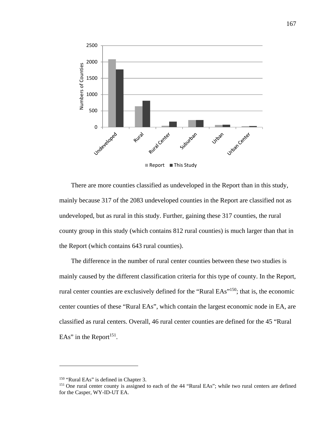

There are more counties classified as undeveloped in the Report than in this study, mainly because 317 of the 2083 undeveloped counties in the Report are classified not as undeveloped, but as rural in this study. Further, gaining these 317 counties, the rural county group in this study (which contains 812 rural counties) is much larger than that in the Report (which contains 643 rural counties).

The difference in the number of rural center counties between these two studies is mainly caused by the different classification criteria for this type of county. In the Report, rural center counties are exclusively defined for the "Rural EAs"150; that is, the economic center counties of these "Rural EAs", which contain the largest economic node in EA, are classified as rural centers. Overall, 46 rural center counties are defined for the 45 "Rural EAs" in the Report<sup>151</sup>.

<sup>&</sup>lt;sup>150</sup> "Rural EAs" is defined in Chapter 3.<br><sup>151</sup> One rural center county is assigned to each of the 44 "Rural EAs"; while two rural centers are defined for the Casper, WY-ID-UT EA.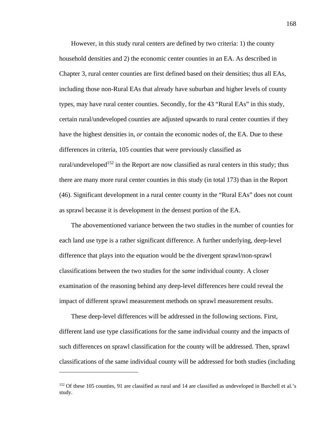However, in this study rural centers are defined by two criteria: 1) the county household densities and 2) the economic center counties in an EA. As described in Chapter 3, rural center counties are first defined based on their densities; thus all EAs, including those non-Rural EAs that already have suburban and higher levels of county types, may have rural center counties. Secondly, for the 43 "Rural EAs" in this study, certain rural/undeveloped counties are adjusted upwards to rural center counties if they have the highest densities in, *or* contain the economic nodes of, the EA. Due to these differences in criteria, 105 counties that were previously classified as rural/undeveloped<sup>152</sup> in the Report are now classified as rural centers in this study; thus there are many more rural center counties in this study (in total 173) than in the Report (46). Significant development in a rural center county in the "Rural EAs" does not count as sprawl because it is development in the densest portion of the EA.

The abovementioned variance between the two studies in the number of counties for each land use type is a rather significant difference. A further underlying, deep-level difference that plays into the equation would be the divergent sprawl/non-sprawl classifications between the two studies for the *same* individual county. A closer examination of the reasoning behind any deep-level differences here could reveal the impact of different sprawl measurement methods on sprawl measurement results.

These deep-level differences will be addressed in the following sections. First, different land use type classifications for the same individual county and the impacts of such differences on sprawl classification for the county will be addressed. Then, sprawl classifications of the same individual county will be addressed for both studies (including

<sup>&</sup>lt;sup>152</sup> Of these 105 counties, 91 are classified as rural and 14 are classified as undeveloped in Burchell et al.'s study.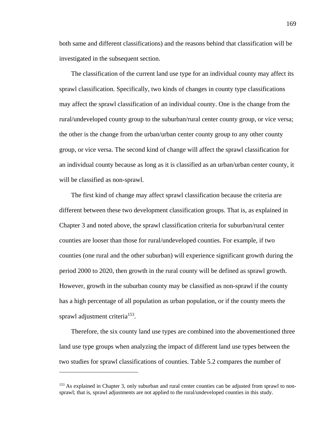both same and different classifications) and the reasons behind that classification will be investigated in the subsequent section.

The classification of the current land use type for an individual county may affect its sprawl classification. Specifically, two kinds of changes in county type classifications may affect the sprawl classification of an individual county. One is the change from the rural/undeveloped county group to the suburban/rural center county group, or vice versa; the other is the change from the urban/urban center county group to any other county group, or vice versa. The second kind of change will affect the sprawl classification for an individual county because as long as it is classified as an urban/urban center county, it will be classified as non-sprawl.

The first kind of change may affect sprawl classification because the criteria are different between these two development classification groups. That is, as explained in Chapter 3 and noted above, the sprawl classification criteria for suburban/rural center counties are looser than those for rural/undeveloped counties. For example, if two counties (one rural and the other suburban) will experience significant growth during the period 2000 to 2020, then growth in the rural county will be defined as sprawl growth. However, growth in the suburban county may be classified as non-sprawl if the county has a high percentage of all population as urban population, or if the county meets the sprawl adjustment criteria<sup>153</sup>.

Therefore, the six county land use types are combined into the abovementioned three land use type groups when analyzing the impact of different land use types between the two studies for sprawl classifications of counties. Table 5.2 compares the number of

<sup>&</sup>lt;sup>153</sup> As explained in Chapter 3, only suburban and rural center counties can be adjusted from sprawl to nonsprawl; that is, sprawl adjustments are not applied to the rural/undeveloped counties in this study.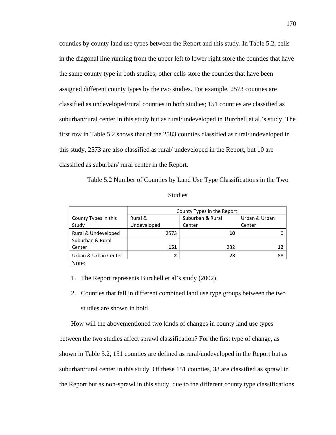counties by county land use types between the Report and this study. In Table 5.2, cells in the diagonal line running from the upper left to lower right store the counties that have the same county type in both studies; other cells store the counties that have been assigned different county types by the two studies. For example, 2573 counties are classified as undeveloped/rural counties in both studies; 151 counties are classified as suburban/rural center in this study but as rural/undeveloped in Burchell et al.'s study. The first row in Table 5.2 shows that of the 2583 counties classified as rural/undeveloped in this study, 2573 are also classified as rural/ undeveloped in the Report, but 10 are classified as suburban/ rural center in the Report.

Table 5.2 Number of Counties by Land Use Type Classifications in the Two

|                      | County Types in the Report |      |                  |     |               |    |
|----------------------|----------------------------|------|------------------|-----|---------------|----|
| County Types in this | Rural &                    |      | Suburban & Rural |     | Urban & Urban |    |
| Study                | Undeveloped                |      | Center           |     | Center        |    |
| Rural & Undeveloped  |                            | 2573 |                  | 10  |               |    |
| Suburban & Rural     |                            |      |                  |     |               |    |
| Center               |                            | 151  |                  | 232 |               | 12 |
| Urban & Urban Center |                            |      |                  | 23  |               | 88 |

Note:

- 1. The Report represents Burchell et al's study (2002).
- 2. Counties that fall in different combined land use type groups between the two studies are shown in bold.

How will the abovementioned two kinds of changes in county land use types

between the two studies affect sprawl classification? For the first type of change, as

shown in Table 5.2, 151 counties are defined as rural/undeveloped in the Report but as

suburban/rural center in this study. Of these 151 counties, 38 are classified as sprawl in

the Report but as non-sprawl in this study, due to the different county type classifications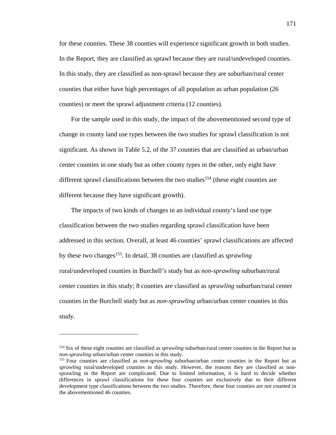for these counties. These 38 counties will experience significant growth in both studies. In the Report, they are classified as sprawl because they are rural/undeveloped counties. In this study, they are classified as non-sprawl because they are suburban/rural center counties that either have high percentages of all population as urban population (26 counties) or meet the sprawl adjustment criteria (12 counties).

For the sample used in this study, the impact of the abovementioned second type of change in county land use types between the two studies for sprawl classification is not significant. As shown in Table 5.2, of the 37 counties that are classified as urban/urban center counties in one study but as other county types in the other, only eight have different sprawl classifications between the two studies<sup>154</sup> (these eight counties are different because they have significant growth).

The impacts of two kinds of changes in an individual county's land use type classification between the two studies regarding sprawl classification have been addressed in this section. Overall, at least 46 counties' sprawl classifications are affected by these two changes155. In detail, 38 counties are classified as *sprawling* rural/undeveloped counties in Burchell's study but as *non-sprawling* suburban/rural center counties in this study; 8 counties are classified as *sprawling* suburban/rural center counties in the Burchell study but as *non-sprawling* urban/urban center counties in this study.

<sup>154</sup> Six of these eight counties are classified as *sprawling* suburban/rural center counties in the Report but as *non-sprawling* urban/urban center counties in this study.<br><sup>155</sup> Four counties are classified as *non-sprawling* suburban/urban center counties in the Report but as

*sprawling* rural/undeveloped counties in this study. However, the reasons they are classified as nonsprawling in the Report are complicated. Due to limited information, it is hard to decide whether differences in sprawl classifications for these four counties are exclusively due to their different development type classifications between the two studies. Therefore, these four counties are *not* counted in the abovementioned 46 counties.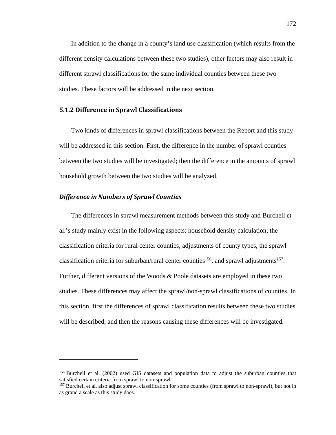In addition to the change in a county's land use classification (which results from the different density calculations between these two studies), other factors may also result in different sprawl classifications for the same individual counties between these two studies. These factors will be addressed in the next section.

## **5.1.2 Difference in Sprawl Classifications**

Two kinds of differences in sprawl classifications between the Report and this study will be addressed in this section. First, the difference in the number of sprawl counties between the two studies will be investigated; then the difference in the amounts of sprawl household growth between the two studies will be analyzed.

## *Difference in Numbers of Sprawl Counties*

1

The differences in sprawl measurement methods between this study and Burchell et al.'s study mainly exist in the following aspects: household density calculation, the classification criteria for rural center counties, adjustments of county types, the sprawl classification criteria for suburban/rural center counties<sup>156</sup>, and sprawl adjustments<sup>157</sup>. Further, different versions of the Woods & Poole datasets are employed in these two studies. These differences may affect the sprawl/non-sprawl classifications of counties. In this section, first the differences of sprawl classification results between these two studies will be described, and then the reasons causing these differences will be investigated.

<sup>&</sup>lt;sup>156</sup> Burchell et al. (2002) used GIS datasets and population data to adjust the suburban counties that satisfied certain criteria from sprawl to non-sprawl.

<sup>&</sup>lt;sup>157</sup> Burchell et al. also adjust sprawl classification for some counties (from sprawl to non-sprawl), but not in as grand a scale as this study does.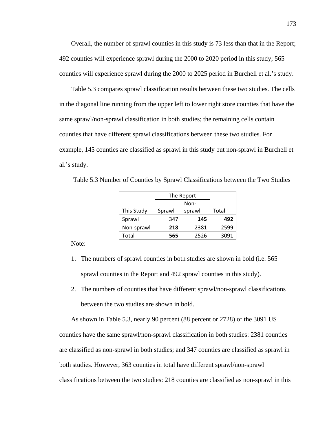Overall, the number of sprawl counties in this study is 73 less than that in the Report; 492 counties will experience sprawl during the 2000 to 2020 period in this study; 565 counties will experience sprawl during the 2000 to 2025 period in Burchell et al.'s study.

Table 5.3 compares sprawl classification results between these two studies. The cells in the diagonal line running from the upper left to lower right store counties that have the same sprawl/non-sprawl classification in both studies; the remaining cells contain counties that have different sprawl classifications between these two studies. For example, 145 counties are classified as sprawl in this study but non-sprawl in Burchell et al.'s study.

|            | The Report |        |       |
|------------|------------|--------|-------|
|            | Non-       |        |       |
| This Study | Sprawl     | sprawl | Total |
| Sprawl     | 347        | 145    | 492   |
| Non-sprawl | 218        | 2381   | 2599  |
| Total      | 565        | 2526   | 3091  |

Table 5.3 Number of Counties by Sprawl Classifications between the Two Studies

Note:

- 1. The numbers of sprawl counties in both studies are shown in bold (i.e. 565 sprawl counties in the Report and 492 sprawl counties in this study).
- 2. The numbers of counties that have different sprawl/non-sprawl classifications between the two studies are shown in bold.

As shown in Table 5.3, nearly 90 percent (88 percent or 2728) of the 3091 US counties have the same sprawl/non-sprawl classification in both studies: 2381 counties are classified as non-sprawl in both studies; and 347 counties are classified as sprawl in both studies. However, 363 counties in total have different sprawl/non-sprawl classifications between the two studies: 218 counties are classified as non-sprawl in this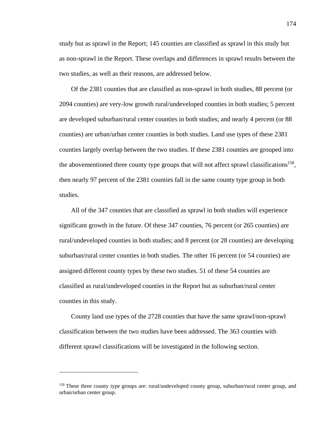study but as sprawl in the Report; 145 counties are classified as sprawl in this study but as non-sprawl in the Report. These overlaps and differences in sprawl results between the two studies, as well as their reasons, are addressed below.

Of the 2381 counties that are classified as non-sprawl in both studies, 88 percent (or 2094 counties) are very-low growth rural/undeveloped counties in both studies; 5 percent are developed suburban/rural center counties in both studies; and nearly 4 percent (or 88 counties) are urban/urban center counties in both studies. Land use types of these 2381 counties largely overlap between the two studies. If these 2381 counties are grouped into the abovementioned three county type groups that will not affect sprawl classifications<sup>158</sup>, then nearly 97 percent of the 2381 counties fall in the same county type group in both studies.

All of the 347 counties that are classified as sprawl in both studies will experience significant growth in the future. Of these 347 counties, 76 percent (or 265 counties) are rural/undeveloped counties in both studies; and 8 percent (or 28 counties) are developing suburban/rural center counties in both studies. The other 16 percent (or 54 counties) are assigned different county types by these two studies. 51 of these 54 counties are classified as rural/undeveloped counties in the Report but as suburban/rural center counties in this study.

County land use types of the 2728 counties that have the same sprawl/non-sprawl classification between the two studies have been addressed. The 363 counties with different sprawl classifications will be investigated in the following section.

1

<sup>158</sup> These three county type groups are: rural/undeveloped county group, suburban/rural center group, and urban/urban center group.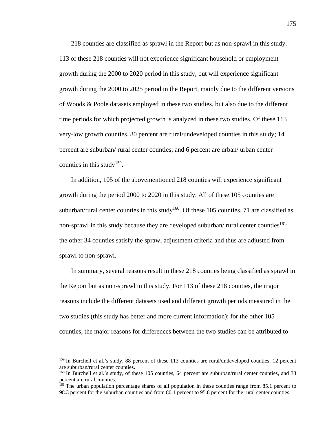218 counties are classified as sprawl in the Report but as non-sprawl in this study. 113 of these 218 counties will not experience significant household or employment growth during the 2000 to 2020 period in this study, but will experience significant growth during the 2000 to 2025 period in the Report, mainly due to the different versions of Woods & Poole datasets employed in these two studies, but also due to the different time periods for which projected growth is analyzed in these two studies. Of these 113 very-low growth counties, 80 percent are rural/undeveloped counties in this study; 14 percent are suburban/ rural center counties; and 6 percent are urban/ urban center counties in this study<sup>159</sup>.

In addition, 105 of the abovementioned 218 counties will experience significant growth during the period 2000 to 2020 in this study. All of these 105 counties are suburban/rural center counties in this study<sup>160</sup>. Of these 105 counties, 71 are classified as non-sprawl in this study because they are developed suburban/ rural center counties<sup>161</sup>; the other 34 counties satisfy the sprawl adjustment criteria and thus are adjusted from sprawl to non-sprawl.

In summary, several reasons result in these 218 counties being classified as sprawl in the Report but as non-sprawl in this study. For 113 of these 218 counties, the major reasons include the different datasets used and different growth periods measured in the two studies (this study has better and more current information); for the other 105 counties, the major reasons for differences between the two studies can be attributed to

<sup>159</sup> In Burchell et al.'s study, 88 percent of these 113 counties are rural/undeveloped counties; 12 percent are suburban/rural center counties.

<sup>160</sup> In Burchell et al.'s study, of these 105 counties, 64 percent are suburban/rural center counties, and 33 percent are rural counties.

<sup>&</sup>lt;sup>161</sup> The urban population percentage shares of all population in these counties range from 85.1 percent to 98.3 percent for the suburban counties and from 80.1 percent to 95.8 percent for the rural center counties.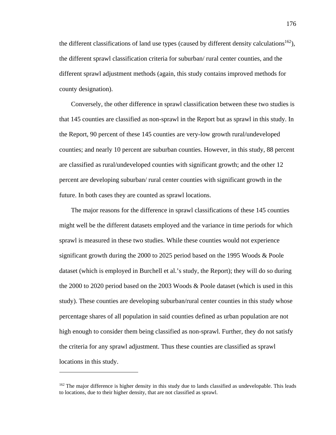the different classifications of land use types (caused by different density calculations<sup>162</sup>), the different sprawl classification criteria for suburban/ rural center counties, and the different sprawl adjustment methods (again, this study contains improved methods for county designation).

Conversely, the other difference in sprawl classification between these two studies is that 145 counties are classified as non-sprawl in the Report but as sprawl in this study. In the Report, 90 percent of these 145 counties are very-low growth rural/undeveloped counties; and nearly 10 percent are suburban counties. However, in this study, 88 percent are classified as rural/undeveloped counties with significant growth; and the other 12 percent are developing suburban/ rural center counties with significant growth in the future. In both cases they are counted as sprawl locations.

The major reasons for the difference in sprawl classifications of these 145 counties might well be the different datasets employed and the variance in time periods for which sprawl is measured in these two studies. While these counties would not experience significant growth during the 2000 to 2025 period based on the 1995 Woods & Poole dataset (which is employed in Burchell et al.'s study, the Report); they will do so during the 2000 to 2020 period based on the 2003 Woods & Poole dataset (which is used in this study). These counties are developing suburban/rural center counties in this study whose percentage shares of all population in said counties defined as urban population are not high enough to consider them being classified as non-sprawl. Further, they do not satisfy the criteria for any sprawl adjustment. Thus these counties are classified as sprawl locations in this study.

1

<sup>&</sup>lt;sup>162</sup> The major difference is higher density in this study due to lands classified as undevelopable. This leads to locations, due to their higher density, that are not classified as sprawl.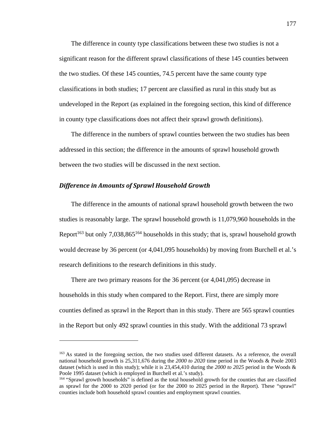The difference in county type classifications between these two studies is not a significant reason for the different sprawl classifications of these 145 counties between the two studies. Of these 145 counties, 74.5 percent have the same county type classifications in both studies; 17 percent are classified as rural in this study but as undeveloped in the Report (as explained in the foregoing section, this kind of difference in county type classifications does not affect their sprawl growth definitions).

The difference in the numbers of sprawl counties between the two studies has been addressed in this section; the difference in the amounts of sprawl household growth between the two studies will be discussed in the next section.

## *Difference in Amounts of Sprawl Household Growth*

 $\overline{a}$ 

The difference in the amounts of national sprawl household growth between the two studies is reasonably large. The sprawl household growth is 11,079,960 households in the Report<sup>163</sup> but only 7,038,865<sup>164</sup> households in this study; that is, sprawl household growth would decrease by 36 percent (or 4,041,095 households) by moving from Burchell et al.'s research definitions to the research definitions in this study.

There are two primary reasons for the 36 percent (or 4,041,095) decrease in households in this study when compared to the Report. First, there are simply more counties defined as sprawl in the Report than in this study. There are 565 sprawl counties in the Report but only 492 sprawl counties in this study. With the additional 73 sprawl

<sup>&</sup>lt;sup>163</sup> As stated in the foregoing section, the two studies used different datasets. As a reference, the overall national household growth is 25,311,676 during the *2000 to 2020* time period in the Woods & Poole 2003 dataset (which is used in this study); while it is 23,454,410 during the *2000 to 2025* period in the Woods & Poole 1995 dataset (which is employed in Burchell et al.'s study).

<sup>164 &</sup>quot;Sprawl growth households" is defined as the total household growth for the counties that are classified as sprawl for the 2000 to 2020 period (or for the 2000 to 2025 period in the Report). These "sprawl" counties include both household sprawl counties and employment sprawl counties.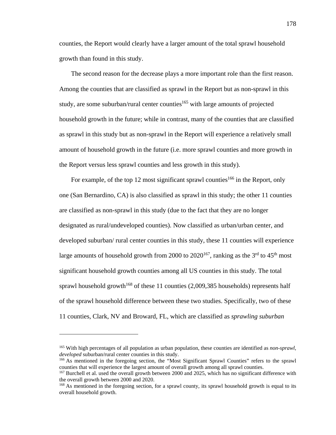counties, the Report would clearly have a larger amount of the total sprawl household growth than found in this study.

The second reason for the decrease plays a more important role than the first reason. Among the counties that are classified as sprawl in the Report but as non-sprawl in this study, are some suburban/rural center counties<sup>165</sup> with large amounts of projected household growth in the future; while in contrast, many of the counties that are classified as sprawl in this study but as non-sprawl in the Report will experience a relatively small amount of household growth in the future (i.e. more sprawl counties and more growth in the Report versus less sprawl counties and less growth in this study).

For example, of the top 12 most significant sprawl counties<sup>166</sup> in the Report, only one (San Bernardino, CA) is also classified as sprawl in this study; the other 11 counties are classified as non-sprawl in this study (due to the fact that they are no longer designated as rural/undeveloped counties). Now classified as urban/urban center, and developed suburban/ rural center counties in this study, these 11 counties will experience large amounts of household growth from 2000 to  $2020^{167}$ , ranking as the 3<sup>rd</sup> to 45<sup>th</sup> most significant household growth counties among all US counties in this study. The total sprawl household growth<sup>168</sup> of these 11 counties  $(2,009,385)$  households) represents half of the sprawl household difference between these two studies. Specifically, two of these 11 counties, Clark, NV and Broward, FL, which are classified as *sprawling suburban* 

<sup>165</sup> With high percentages of all population as urban population, these counties are identified as *non-sprawl, developed* suburban/rural center counties in this study.<br><sup>166</sup> As mentioned in the foregoing section, the "Most Significant Sprawl Counties" refers to the sprawl

counties that will experience the largest amount of overall growth among all sprawl counties. 167 Burchell et al. used the overall growth between 2000 and 2025, which has no significant difference with

the overall growth between 2000 and 2020.

<sup>&</sup>lt;sup>168</sup> As mentioned in the foregoing section, for a sprawl county, its sprawl household growth is equal to its overall household growth.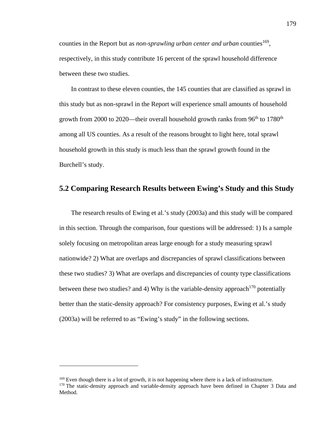counties in the Report but as *non-sprawling urban center and urban* counties<sup>169</sup>, respectively, in this study contribute 16 percent of the sprawl household difference between these two studies.

In contrast to these eleven counties, the 145 counties that are classified as sprawl in this study but as non-sprawl in the Report will experience small amounts of household growth from 2000 to 2020—their overall household growth ranks from  $96<sup>th</sup>$  to 1780<sup>th</sup> among all US counties. As a result of the reasons brought to light here, total sprawl household growth in this study is much less than the sprawl growth found in the Burchell's study.

# **5.2 Comparing Research Results between Ewing's Study and this Study**

The research results of Ewing et al.'s study (2003a) and this study will be compared in this section. Through the comparison, four questions will be addressed: 1) Is a sample solely focusing on metropolitan areas large enough for a study measuring sprawl nationwide? 2) What are overlaps and discrepancies of sprawl classifications between these two studies? 3) What are overlaps and discrepancies of county type classifications between these two studies? and 4) Why is the variable-density approach<sup>170</sup> potentially better than the static-density approach? For consistency purposes, Ewing et al.'s study (2003a) will be referred to as "Ewing's study" in the following sections.

<sup>&</sup>lt;sup>169</sup> Even though there is a lot of growth, it is not happening where there is a lack of infrastructure.<br><sup>170</sup> The static-density approach and variable-density approach have been defined in Chapter 3 Data and Method.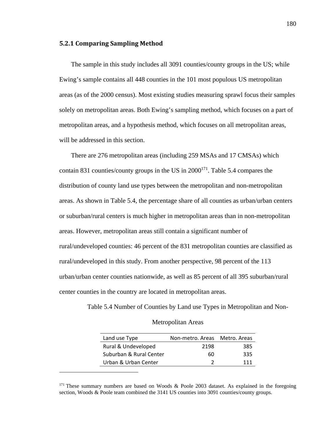#### **5.2.1 Comparing Sampling Method**

 $\overline{a}$ 

The sample in this study includes all 3091 counties/county groups in the US; while Ewing's sample contains all 448 counties in the 101 most populous US metropolitan areas (as of the 2000 census). Most existing studies measuring sprawl focus their samples solely on metropolitan areas. Both Ewing's sampling method, which focuses on a part of metropolitan areas, and a hypothesis method, which focuses on all metropolitan areas, will be addressed in this section.

There are 276 metropolitan areas (including 259 MSAs and 17 CMSAs) which contain 831 counties/county groups in the US in  $2000^{171}$ . Table 5.4 compares the distribution of county land use types between the metropolitan and non-metropolitan areas. As shown in Table 5.4, the percentage share of all counties as urban/urban centers or suburban/rural centers is much higher in metropolitan areas than in non-metropolitan areas. However, metropolitan areas still contain a significant number of rural/undeveloped counties: 46 percent of the 831 metropolitan counties are classified as rural/undeveloped in this study. From another perspective, 98 percent of the 113 urban/urban center counties nationwide, as well as 85 percent of all 395 suburban/rural center counties in the country are located in metropolitan areas.

Table 5.4 Number of Counties by Land use Types in Metropolitan and Non-

|  |  | <b>Metropolitan Areas</b> |  |
|--|--|---------------------------|--|
|--|--|---------------------------|--|

| Land use Type           | Non-metro, Areas Metro, Areas |     |
|-------------------------|-------------------------------|-----|
| Rural & Undeveloped     | 2198                          | 385 |
| Suburban & Rural Center | 60                            | 335 |
| Urban & Urban Center    |                               | 111 |

<sup>&</sup>lt;sup>171</sup> These summary numbers are based on Woods & Poole 2003 dataset. As explained in the foregoing section, Woods & Poole team combined the 3141 US counties into 3091 counties/county groups.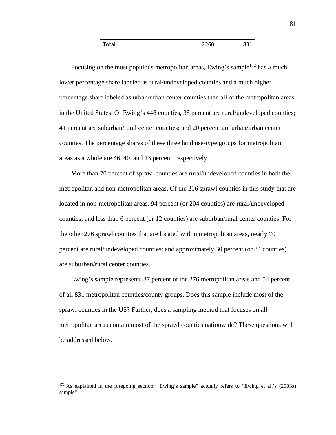| otal <sup>-</sup> | con<br>◡ |  |
|-------------------|----------|--|
|                   |          |  |

Focusing on the most populous metropolitan areas, Ewing's sample<sup>172</sup> has a much lower percentage share labeled as rural/undeveloped counties and a much higher percentage share labeled as urban/urban center counties than all of the metropolitan areas in the United States. Of Ewing's 448 counties, 38 percent are rural/undeveloped counties; 41 percent are suburban/rural center counties; and 20 percent are urban/urban center counties. The percentage shares of these three land use-type groups for metropolitan areas as a whole are 46, 40, and 13 percent, respectively.

More than 70 percent of sprawl counties are rural/undeveloped counties in both the metropolitan and non-metropolitan areas. Of the 216 sprawl counties in this study that are located in non-metropolitan areas, 94 percent (or 204 counties) are rural/undeveloped counties; and less than 6 percent (or 12 counties) are suburban/rural center counties. For the other 276 sprawl counties that are located within metropolitan areas, nearly 70 percent are rural/undeveloped counties; and approximately 30 percent (or 84 counties) are suburban/rural center counties.

Ewing's sample represents 37 percent of the 276 metropolitan areas and 54 percent of all 831 metropolitan counties/county groups. Does this sample include most of the sprawl counties in the US? Further, does a sampling method that focuses on all metropolitan areas contain most of the sprawl counties nationwide? These questions will be addressed below.

<sup>172</sup> As explained in the foregoing section, "Ewing's sample" actually refers to "Ewing et al.'s (2003a) sample".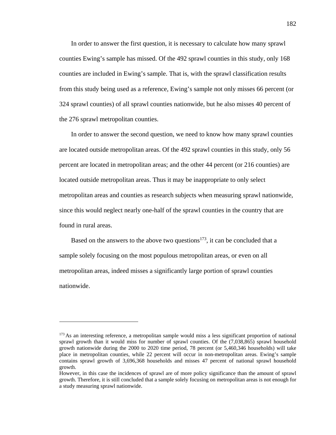In order to answer the first question, it is necessary to calculate how many sprawl counties Ewing's sample has missed. Of the 492 sprawl counties in this study, only 168 counties are included in Ewing's sample. That is, with the sprawl classification results from this study being used as a reference, Ewing's sample not only misses 66 percent (or 324 sprawl counties) of all sprawl counties nationwide, but he also misses 40 percent of the 276 sprawl metropolitan counties.

In order to answer the second question, we need to know how many sprawl counties are located outside metropolitan areas. Of the 492 sprawl counties in this study, only 56 percent are located in metropolitan areas; and the other 44 percent (or 216 counties) are located outside metropolitan areas. Thus it may be inappropriate to only select metropolitan areas and counties as research subjects when measuring sprawl nationwide, since this would neglect nearly one-half of the sprawl counties in the country that are found in rural areas.

Based on the answers to the above two questions<sup>173</sup>, it can be concluded that a sample solely focusing on the most populous metropolitan areas, or even on all metropolitan areas, indeed misses a significantly large portion of sprawl counties nationwide.

<sup>&</sup>lt;sup>173</sup> As an interesting reference, a metropolitan sample would miss a less significant proportion of national sprawl growth than it would miss for number of sprawl counties. Of the (7,038,865) sprawl household growth nationwide during the 2000 to 2020 time period, 78 percent (or 5,460,346 households) will take place in metropolitan counties, while 22 percent will occur in non-metropolitan areas. Ewing's sample contains sprawl growth of 3,696,368 households and misses 47 percent of national sprawl household growth.

However, in this case the incidences of sprawl are of more policy significance than the amount of sprawl growth. Therefore, it is still concluded that a sample solely focusing on metropolitan areas is not enough for a study measuring sprawl nationwide.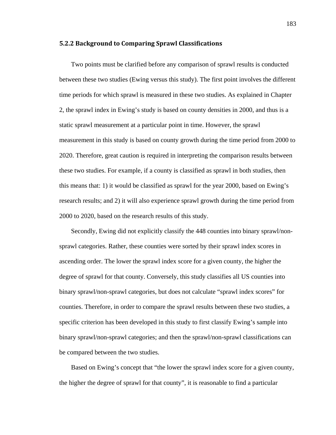#### **5.2.2 Background to Comparing Sprawl Classifications**

Two points must be clarified before any comparison of sprawl results is conducted between these two studies (Ewing versus this study). The first point involves the different time periods for which sprawl is measured in these two studies. As explained in Chapter 2, the sprawl index in Ewing's study is based on county densities in 2000, and thus is a static sprawl measurement at a particular point in time. However, the sprawl measurement in this study is based on county growth during the time period from 2000 to 2020. Therefore, great caution is required in interpreting the comparison results between these two studies. For example, if a county is classified as sprawl in both studies, then this means that: 1) it would be classified as sprawl for the year 2000, based on Ewing's research results; and 2) it will also experience sprawl growth during the time period from 2000 to 2020, based on the research results of this study.

Secondly, Ewing did not explicitly classify the 448 counties into binary sprawl/nonsprawl categories. Rather, these counties were sorted by their sprawl index scores in ascending order. The lower the sprawl index score for a given county, the higher the degree of sprawl for that county. Conversely, this study classifies all US counties into binary sprawl/non-sprawl categories, but does not calculate "sprawl index scores" for counties. Therefore, in order to compare the sprawl results between these two studies, a specific criterion has been developed in this study to first classify Ewing's sample into binary sprawl/non-sprawl categories; and then the sprawl/non-sprawl classifications can be compared between the two studies.

Based on Ewing's concept that "the lower the sprawl index score for a given county, the higher the degree of sprawl for that county", it is reasonable to find a particular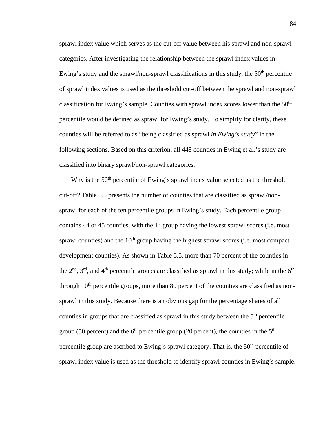sprawl index value which serves as the cut-off value between his sprawl and non-sprawl categories. After investigating the relationship between the sprawl index values in Ewing's study and the sprawl/non-sprawl classifications in this study, the  $50<sup>th</sup>$  percentile of sprawl index values is used as the threshold cut-off between the sprawl and non-sprawl classification for Ewing's sample. Counties with sprawl index scores lower than the  $50<sup>th</sup>$ percentile would be defined as sprawl for Ewing's study. To simplify for clarity, these counties will be referred to as "being classified as sprawl *in Ewing's study*" in the following sections. Based on this criterion, all 448 counties in Ewing et al.'s study are classified into binary sprawl/non-sprawl categories.

Why is the 50<sup>th</sup> percentile of Ewing's sprawl index value selected as the threshold cut-off? Table 5.5 presents the number of counties that are classified as sprawl/nonsprawl for each of the ten percentile groups in Ewing's study. Each percentile group contains 44 or 45 counties, with the  $1<sup>st</sup>$  group having the lowest sprawl scores (i.e. most sprawl counties) and the  $10<sup>th</sup>$  group having the highest sprawl scores (i.e. most compact development counties). As shown in Table 5.5, more than 70 percent of the counties in the  $2<sup>nd</sup>$ ,  $3<sup>rd</sup>$ , and  $4<sup>th</sup>$  percentile groups are classified as sprawl in this study; while in the  $6<sup>th</sup>$ through  $10<sup>th</sup>$  percentile groups, more than 80 percent of the counties are classified as nonsprawl in this study. Because there is an obvious gap for the percentage shares of all counties in groups that are classified as sprawl in this study between the  $5<sup>th</sup>$  percentile group (50 percent) and the  $6<sup>th</sup>$  percentile group (20 percent), the counties in the  $5<sup>th</sup>$ percentile group are ascribed to Ewing's sprawl category. That is, the  $50<sup>th</sup>$  percentile of sprawl index value is used as the threshold to identify sprawl counties in Ewing's sample.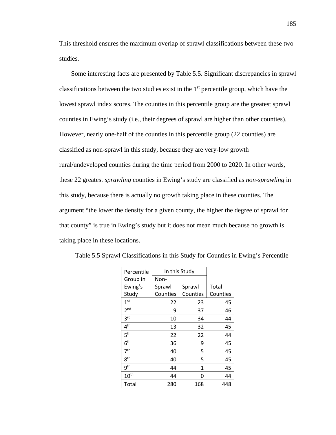This threshold ensures the maximum overlap of sprawl classifications between these two studies.

Some interesting facts are presented by Table 5.5. Significant discrepancies in sprawl classifications between the two studies exist in the  $1<sup>st</sup>$  percentile group, which have the lowest sprawl index scores. The counties in this percentile group are the greatest sprawl counties in Ewing's study (i.e., their degrees of sprawl are higher than other counties). However, nearly one-half of the counties in this percentile group (22 counties) are classified as non-sprawl in this study, because they are very-low growth rural/undeveloped counties during the time period from 2000 to 2020. In other words, these 22 greatest *sprawling* counties in Ewing's study are classified as *non-sprawling* in this study, because there is actually no growth taking place in these counties. The argument "the lower the density for a given county, the higher the degree of sprawl for that county" is true in Ewing's study but it does not mean much because no growth is taking place in these locations.

| Percentile       | In this Study |          |          |
|------------------|---------------|----------|----------|
| Group in         | Non-          |          |          |
| Ewing's          | Sprawl        | Sprawl   | Total    |
| Study            | Counties      | Counties | Counties |
| 1 <sup>st</sup>  | 22            | 23       | 45       |
| 2 <sub>nd</sub>  | 9             | 37       | 46       |
| 3 <sup>rd</sup>  | 10            | 34       | 44       |
| 4 <sup>th</sup>  | 13            | 32       | 45       |
| ις th            | 22            | 22       | 44       |
| 6 <sup>th</sup>  | 36            | 9        | 45       |
| 7 <sup>th</sup>  | 40            | 5        | 45       |
| 8 <sup>th</sup>  | 40            | 5        | 45       |
| qth              | 44            | 1        | 45       |
| $10^{\text{th}}$ | 44            | 0        | 44       |
| Total            | 280           | 168      | 448      |

Table 5.5 Sprawl Classifications in this Study for Counties in Ewing's Percentile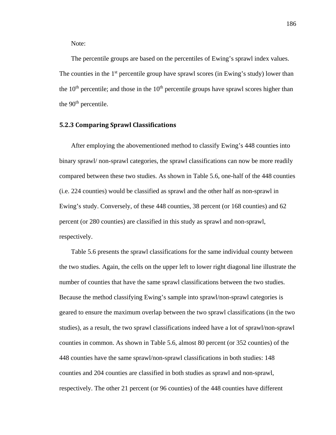Note:

The percentile groups are based on the percentiles of Ewing's sprawl index values. The counties in the  $1<sup>st</sup>$  percentile group have sprawl scores (in Ewing's study) lower than the  $10<sup>th</sup>$  percentile; and those in the  $10<sup>th</sup>$  percentile groups have sprawl scores higher than the 90<sup>th</sup> percentile.

# **5.2.3 Comparing Sprawl Classifications**

After employing the abovementioned method to classify Ewing's 448 counties into binary sprawl/ non-sprawl categories, the sprawl classifications can now be more readily compared between these two studies. As shown in Table 5.6, one-half of the 448 counties (i.e. 224 counties) would be classified as sprawl and the other half as non-sprawl in Ewing's study. Conversely, of these 448 counties, 38 percent (or 168 counties) and 62 percent (or 280 counties) are classified in this study as sprawl and non-sprawl, respectively.

Table 5.6 presents the sprawl classifications for the same individual county between the two studies. Again, the cells on the upper left to lower right diagonal line illustrate the number of counties that have the same sprawl classifications between the two studies. Because the method classifying Ewing's sample into sprawl/non-sprawl categories is geared to ensure the maximum overlap between the two sprawl classifications (in the two studies), as a result, the two sprawl classifications indeed have a lot of sprawl/non-sprawl counties in common. As shown in Table 5.6, almost 80 percent (or 352 counties) of the 448 counties have the same sprawl/non-sprawl classifications in both studies: 148 counties and 204 counties are classified in both studies as sprawl and non-sprawl, respectively. The other 21 percent (or 96 counties) of the 448 counties have different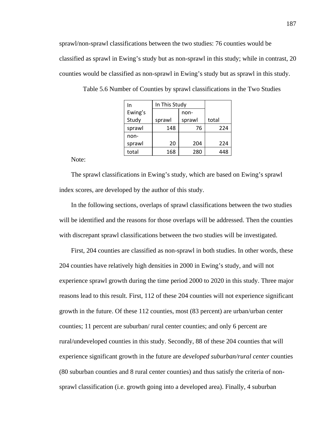sprawl/non-sprawl classifications between the two studies: 76 counties would be classified as sprawl in Ewing's study but as non-sprawl in this study; while in contrast, 20 counties would be classified as non-sprawl in Ewing's study but as sprawl in this study.

| In      | In This Study |        |       |
|---------|---------------|--------|-------|
| Ewing's | non-          |        |       |
| Study   | sprawl        | sprawl | total |
| sprawl  | 148<br>76     |        | 224   |
| non-    |               |        |       |
| sprawl  | 20            | 204    | 224   |
| total   | 168           | 280    | 448   |

Table 5.6 Number of Counties by sprawl classifications in the Two Studies

Note:

The sprawl classifications in Ewing's study, which are based on Ewing's sprawl index scores, are developed by the author of this study.

In the following sections, overlaps of sprawl classifications between the two studies will be identified and the reasons for those overlaps will be addressed. Then the counties with discrepant sprawl classifications between the two studies will be investigated.

First, 204 counties are classified as non-sprawl in both studies. In other words, these 204 counties have relatively high densities in 2000 in Ewing's study, and will not experience sprawl growth during the time period 2000 to 2020 in this study. Three major reasons lead to this result. First, 112 of these 204 counties will not experience significant growth in the future. Of these 112 counties, most (83 percent) are urban/urban center counties; 11 percent are suburban/ rural center counties; and only 6 percent are rural/undeveloped counties in this study. Secondly, 88 of these 204 counties that will experience significant growth in the future are *developed suburban/rural center* counties (80 suburban counties and 8 rural center counties) and thus satisfy the criteria of nonsprawl classification (i.e. growth going into a developed area). Finally, 4 suburban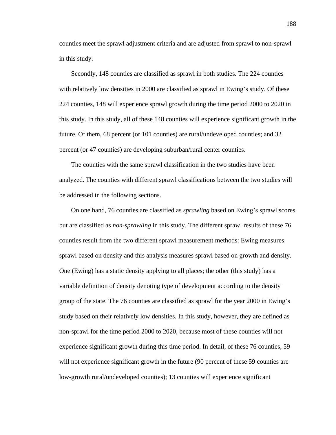counties meet the sprawl adjustment criteria and are adjusted from sprawl to non-sprawl in this study.

Secondly, 148 counties are classified as sprawl in both studies. The 224 counties with relatively low densities in 2000 are classified as sprawl in Ewing's study. Of these 224 counties, 148 will experience sprawl growth during the time period 2000 to 2020 in this study. In this study, all of these 148 counties will experience significant growth in the future. Of them, 68 percent (or 101 counties) are rural/undeveloped counties; and 32 percent (or 47 counties) are developing suburban/rural center counties.

The counties with the same sprawl classification in the two studies have been analyzed. The counties with different sprawl classifications between the two studies will be addressed in the following sections.

On one hand, 76 counties are classified as *sprawling* based on Ewing's sprawl scores but are classified as *non-sprawling* in this study. The different sprawl results of these 76 counties result from the two different sprawl measurement methods: Ewing measures sprawl based on density and this analysis measures sprawl based on growth and density. One (Ewing) has a static density applying to all places; the other (this study) has a variable definition of density denoting type of development according to the density group of the state. The 76 counties are classified as sprawl for the year 2000 in Ewing's study based on their relatively low densities. In this study, however, they are defined as non-sprawl for the time period 2000 to 2020, because most of these counties will not experience significant growth during this time period. In detail, of these 76 counties, 59 will not experience significant growth in the future (90 percent of these 59 counties are low-growth rural/undeveloped counties); 13 counties will experience significant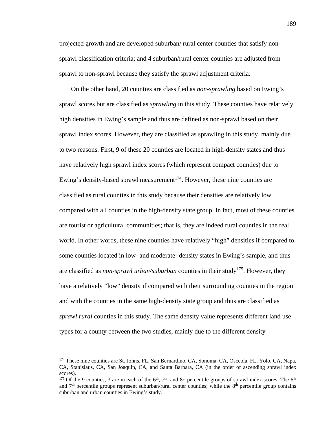projected growth and are developed suburban/ rural center counties that satisfy nonsprawl classification criteria; and 4 suburban/rural center counties are adjusted from sprawl to non-sprawl because they satisfy the sprawl adjustment criteria.

On the other hand, 20 counties are classified as *non-sprawling* based on Ewing's sprawl scores but are classified as *sprawling* in this study. These counties have relatively high densities in Ewing's sample and thus are defined as non-sprawl based on their sprawl index scores. However, they are classified as sprawling in this study, mainly due to two reasons. First, 9 of these 20 counties are located in high-density states and thus have relatively high sprawl index scores (which represent compact counties) due to Ewing's density-based sprawl measurement<sup>174</sup>. However, these nine counties are classified as rural counties in this study because their densities are relatively low compared with all counties in the high-density state group. In fact, most of these counties are tourist or agricultural communities; that is, they are indeed rural counties in the real world. In other words, these nine counties have relatively "high" densities if compared to some counties located in low- and moderate- density states in Ewing's sample, and thus are classified as *non-sprawl urban/suburban* counties in their study<sup>175</sup>. However, they have a relatively "low" density if compared with their surrounding counties in the region and with the counties in the same high-density state group and thus are classified as *sprawl rural* counties in this study. The same density value represents different land use types for a county between the two studies, mainly due to the different density

<sup>174</sup> These nine counties are St. Johns, FL, San Bernardino, CA, Sonoma, CA, Osceola, FL, Yolo, CA, Napa, CA, Stanislaus, CA, San Joaquin, CA, and Santa Barbara, CA (in the order of ascending sprawl index scores).

<sup>&</sup>lt;sup>175</sup> Of the 9 counties, 3 are in each of the  $6<sup>th</sup>$ ,  $7<sup>th</sup>$ , and  $8<sup>th</sup>$  percentile groups of sprawl index scores. The  $6<sup>th</sup>$ and  $7<sup>th</sup>$  percentile groups represent suburban/rural center counties; while the  $8<sup>th</sup>$  percentile group contains suburban and urban counties in Ewing's study.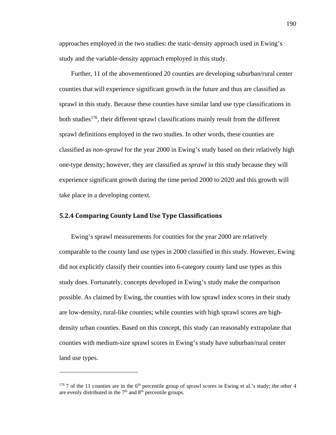approaches employed in the two studies: the static-density approach used in Ewing's study and the variable-density approach employed in this study.

Further, 11 of the abovementioned 20 counties are developing suburban/rural center counties that will experience significant growth in the future and thus are classified as sprawl in this study. Because these counties have similar land use type classifications in both studies<sup>176</sup>, their different sprawl classifications mainly result from the different sprawl definitions employed in the two studies. In other words, these counties are classified as *non-sprawl* for the year 2000 in Ewing's study based on their relatively high one-type density; however, they are classified as *sprawl* in this study because they will experience significant growth during the time period 2000 to 2020 and this growth will take place in a developing context.

# **5.2.4 Comparing County Land Use Type Classifications**

 $\overline{a}$ 

Ewing's sprawl measurements for counties for the year 2000 are relatively comparable to the county land use types in 2000 classified in this study. However, Ewing did not explicitly classify their counties into 6-category county land use types as this study does. Fortunately, concepts developed in Ewing's study make the comparison possible. As claimed by Ewing, the counties with low sprawl index scores in their study are low-density, rural-like counties; while counties with high sprawl scores are highdensity urban counties. Based on this concept, this study can reasonably extrapolate that counties with medium-size sprawl scores in Ewing's study have suburban/rural center land use types.

<sup>176 7</sup> of the 11 counties are in the 6<sup>th</sup> percentile group of sprawl scores in Ewing et al.'s study; the other 4 are evenly distributed in the  $7<sup>th</sup>$  and  $8<sup>th</sup>$  percentile groups.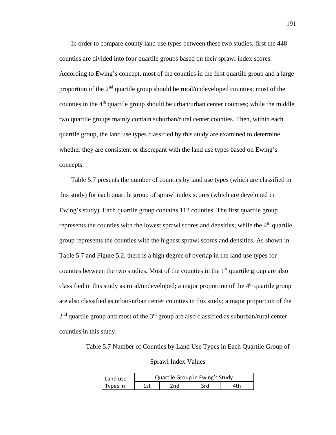In order to compare county land use types between these two studies, first the 448 counties are divided into four quartile groups based on their sprawl index scores. According to Ewing's concept, most of the counties in the first quartile group and a large proportion of the  $2<sup>nd</sup>$  quartile group should be rural/undeveloped counties; most of the counties in the  $4<sup>th</sup>$  quartile group should be urban/urban center counties; while the middle two quartile groups mainly contain suburban/rural center counties. Then, within each quartile group, the land use types classified by this study are examined to determine whether they are consistent or discrepant with the land use types based on Ewing's concepts.

Table 5.7 presents the number of counties by land use types (which are classified in this study) for each quartile group of sprawl index scores (which are developed in Ewing's study). Each quartile group contains 112 counties. The first quartile group represents the counties with the lowest sprawl scores and densities; while the  $4<sup>th</sup>$  quartile group represents the counties with the highest sprawl scores and densities. As shown in Table 5.7 and Figure 5.2, there is a high degree of overlap in the land use types for counties between the two studies. Most of the counties in the  $1<sup>st</sup>$  quartile group are also classified in this study as rural/undeveloped; a major proportion of the  $4<sup>th</sup>$  quartile group are also classified as urban/urban center counties in this study; a major proportion of the  $2<sup>nd</sup>$  quartile group and most of the  $3<sup>rd</sup>$  group are also classified as suburban/rural center counties in this study.

Table 5.7 Number of Counties by Land Use Types in Each Quartile Group of

Sprawl Index Values

| Land use | Quartile Group in Ewing's Study |     |     |     |  |
|----------|---------------------------------|-----|-----|-----|--|
| Types in | 1st                             | 2nd | 3rd | 4th |  |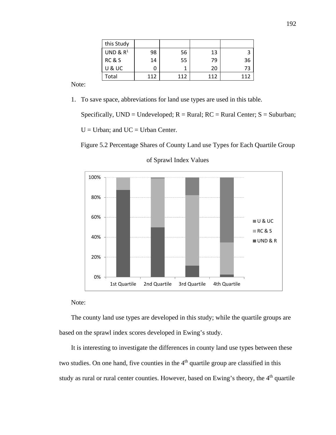| this Study  |     |     |     |     |
|-------------|-----|-----|-----|-----|
| UND & $R^1$ | 98  | 56  | 13  |     |
| RC & S      | 14  | 55  | 79  | 36  |
| U & UC      |     |     | 20  | 73  |
| Total       | 112 | 112 | 112 | 112 |

Note:

1. To save space, abbreviations for land use types are used in this table.

Specifically,  $UND = Undeveloped; R = Rural; RC = Rural Center; S = Suburban;$  $U =$  Urban; and  $UC =$  Urban Center.

12 Figure 5.2 Percentage Shares of County Land use Types for Each Quartile Group



of Sprawl Index Values

# Note:

The county land use types are developed in this study; while the quartile groups are based on the sprawl index scores developed in Ewing's study.

It is interesting to investigate the differences in county land use types between these two studies. On one hand, five counties in the 4<sup>th</sup> quartile group are classified in this study as rural or rural center counties. However, based on Ewing's theory, the 4<sup>th</sup> quartile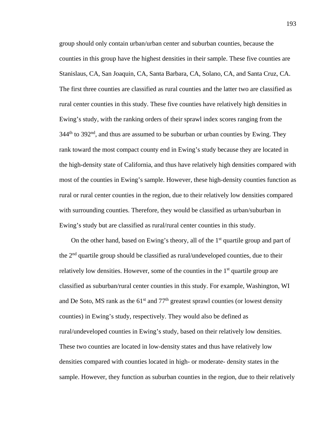group should only contain urban/urban center and suburban counties, because the counties in this group have the highest densities in their sample. These five counties are Stanislaus, CA, San Joaquin, CA, Santa Barbara, CA, Solano, CA, and Santa Cruz, CA. The first three counties are classified as rural counties and the latter two are classified as rural center counties in this study. These five counties have relatively high densities in Ewing's study, with the ranking orders of their sprawl index scores ranging from the  $344<sup>th</sup>$  to  $392<sup>nd</sup>$ , and thus are assumed to be suburban or urban counties by Ewing. They rank toward the most compact county end in Ewing's study because they are located in the high-density state of California, and thus have relatively high densities compared with most of the counties in Ewing's sample. However, these high-density counties function as rural or rural center counties in the region, due to their relatively low densities compared with surrounding counties. Therefore, they would be classified as urban/suburban in Ewing's study but are classified as rural/rural center counties in this study.

On the other hand, based on Ewing's theory, all of the  $1<sup>st</sup>$  quartile group and part of the  $2<sup>nd</sup>$  quartile group should be classified as rural/undeveloped counties, due to their relatively low densities. However, some of the counties in the  $1<sup>st</sup>$  quartile group are classified as suburban/rural center counties in this study. For example, Washington, WI and De Soto, MS rank as the  $61<sup>st</sup>$  and  $77<sup>th</sup>$  greatest sprawl counties (or lowest density counties) in Ewing's study, respectively. They would also be defined as rural/undeveloped counties in Ewing's study, based on their relatively low densities. These two counties are located in low-density states and thus have relatively low densities compared with counties located in high- or moderate- density states in the sample. However, they function as suburban counties in the region, due to their relatively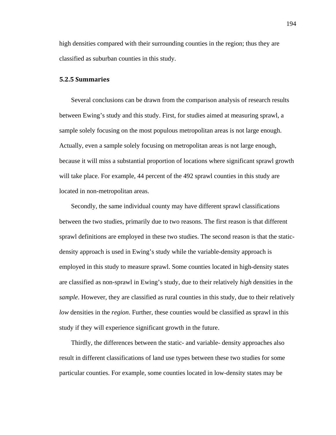high densities compared with their surrounding counties in the region; thus they are classified as suburban counties in this study.

#### **5.2.5 Summaries**

Several conclusions can be drawn from the comparison analysis of research results between Ewing's study and this study. First, for studies aimed at measuring sprawl, a sample solely focusing on the most populous metropolitan areas is not large enough. Actually, even a sample solely focusing on metropolitan areas is not large enough, because it will miss a substantial proportion of locations where significant sprawl growth will take place. For example, 44 percent of the 492 sprawl counties in this study are located in non-metropolitan areas.

Secondly, the same individual county may have different sprawl classifications between the two studies, primarily due to two reasons. The first reason is that different sprawl definitions are employed in these two studies. The second reason is that the staticdensity approach is used in Ewing's study while the variable-density approach is employed in this study to measure sprawl. Some counties located in high-density states are classified as non-sprawl in Ewing's study, due to their relatively *high* densities in the *sample*. However, they are classified as rural counties in this study, due to their relatively *low* densities in the *region*. Further, these counties would be classified as sprawl in this study if they will experience significant growth in the future.

Thirdly, the differences between the static- and variable- density approaches also result in different classifications of land use types between these two studies for some particular counties. For example, some counties located in low-density states may be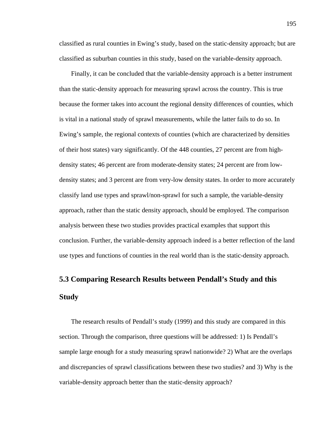classified as rural counties in Ewing's study, based on the static-density approach; but are classified as suburban counties in this study, based on the variable-density approach.

Finally, it can be concluded that the variable-density approach is a better instrument than the static-density approach for measuring sprawl across the country. This is true because the former takes into account the regional density differences of counties, which is vital in a national study of sprawl measurements, while the latter fails to do so. In Ewing's sample, the regional contexts of counties (which are characterized by densities of their host states) vary significantly. Of the 448 counties, 27 percent are from highdensity states; 46 percent are from moderate-density states; 24 percent are from lowdensity states; and 3 percent are from very-low density states. In order to more accurately classify land use types and sprawl/non-sprawl for such a sample, the variable-density approach, rather than the static density approach, should be employed. The comparison analysis between these two studies provides practical examples that support this conclusion. Further, the variable-density approach indeed is a better reflection of the land use types and functions of counties in the real world than is the static-density approach.

# **5.3 Comparing Research Results between Pendall's Study and this Study**

The research results of Pendall's study (1999) and this study are compared in this section. Through the comparison, three questions will be addressed: 1) Is Pendall's sample large enough for a study measuring sprawl nationwide? 2) What are the overlaps and discrepancies of sprawl classifications between these two studies? and 3) Why is the variable-density approach better than the static-density approach?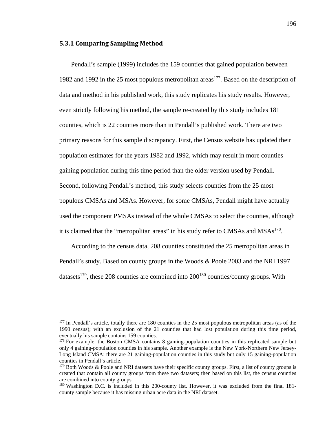### **5.3.1 Comparing Sampling Method**

<u>.</u>

Pendall's sample (1999) includes the 159 counties that gained population between 1982 and 1992 in the 25 most populous metropolitan areas<sup>177</sup>. Based on the description of data and method in his published work, this study replicates his study results. However, even strictly following his method, the sample re-created by this study includes 181 counties, which is 22 counties more than in Pendall's published work. There are two primary reasons for this sample discrepancy. First, the Census website has updated their population estimates for the years 1982 and 1992, which may result in more counties gaining population during this time period than the older version used by Pendall. Second, following Pendall's method, this study selects counties from the 25 most populous CMSAs and MSAs. However, for some CMSAs, Pendall might have actually used the component PMSAs instead of the whole CMSAs to select the counties, although it is claimed that the "metropolitan areas" in his study refer to CMSAs and  $MSAs<sup>178</sup>$ .

According to the census data, 208 counties constituted the 25 metropolitan areas in Pendall's study. Based on county groups in the Woods & Poole 2003 and the NRI 1997 datasets<sup>179</sup>, these 208 counties are combined into  $200^{180}$  counties/county groups. With

<sup>&</sup>lt;sup>177</sup> In Pendall's article, totally there are 180 counties in the 25 most populous metropolitan areas (as of the 1990 census); with an exclusion of the 21 counties that had lost population during this time period, eventually his sample contains 159 counties.

<sup>&</sup>lt;sup>178</sup> For example, the Boston CMSA contains 8 gaining-population counties in this replicated sample but only 4 gaining-population counties in his sample. Another example is the New York-Northern New Jersey-Long Island CMSA: there are 21 gaining-population counties in this study but only 15 gaining-population counties in Pendall's article.

<sup>&</sup>lt;sup>179</sup> Both Woods & Poole and NRI datasets have their specific county groups. First, a list of county groups is created that contain all county groups from these two datasets; then based on this list, the census counties are combined into county groups.

<sup>180</sup> Washington D.C. is included in this 200-county list. However, it was excluded from the final 181 county sample because it has missing urban acre data in the NRI dataset.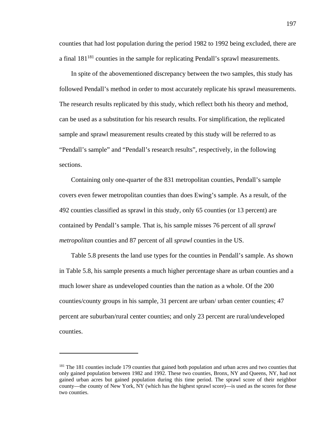counties that had lost population during the period 1982 to 1992 being excluded, there are a final  $181^{181}$  counties in the sample for replicating Pendall's sprawl measurements.

In spite of the abovementioned discrepancy between the two samples, this study has followed Pendall's method in order to most accurately replicate his sprawl measurements. The research results replicated by this study, which reflect both his theory and method, can be used as a substitution for his research results. For simplification, the replicated sample and sprawl measurement results created by this study will be referred to as "Pendall's sample" and "Pendall's research results", respectively, in the following sections.

Containing only one-quarter of the 831 metropolitan counties, Pendall's sample covers even fewer metropolitan counties than does Ewing's sample. As a result, of the 492 counties classified as sprawl in this study, only 65 counties (or 13 percent) are contained by Pendall's sample. That is, his sample misses 76 percent of all *sprawl metropolitan* counties and 87 percent of all *sprawl* counties in the US.

Table 5.8 presents the land use types for the counties in Pendall's sample. As shown in Table 5.8, his sample presents a much higher percentage share as urban counties and a much lower share as undeveloped counties than the nation as a whole. Of the 200 counties/county groups in his sample, 31 percent are urban/ urban center counties; 47 percent are suburban/rural center counties; and only 23 percent are rural/undeveloped counties.

<sup>&</sup>lt;sup>181</sup> The 181 counties include 179 counties that gained both population and urban acres and two counties that only gained population between 1982 and 1992. These two counties, Bronx, NY and Queens, NY, had not gained urban acres but gained population during this time period. The sprawl score of their neighbor county—the county of New York, NY (which has the highest sprawl score)—is used as the scores for these two counties.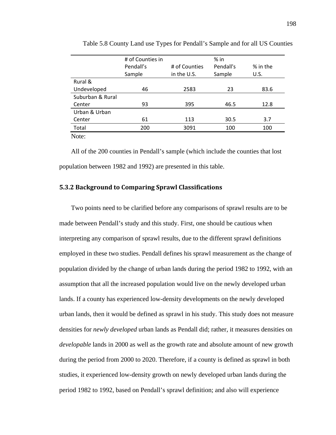|                  | # of Counties in |               | $%$ in    |          |
|------------------|------------------|---------------|-----------|----------|
|                  | Pendall's        | # of Counties | Pendall's | % in the |
|                  | Sample           | in the U.S.   | Sample    | U.S.     |
| Rural &          |                  |               |           |          |
| Undeveloped      | 46               | 2583          | 23        | 83.6     |
| Suburban & Rural |                  |               |           |          |
| Center           | 93               | 395           | 46.5      | 12.8     |
| Urban & Urban    |                  |               |           |          |
| Center           | 61               | 113           | 30.5      | 3.7      |
| Total            | 200              | 3091          | 100       | 100      |
| $N_{0}$ to       |                  |               |           |          |

25 Table 5.8 County Land use Types for Pendall's Sample and for all US Counties

Note:

All of the 200 counties in Pendall's sample (which include the counties that lost population between 1982 and 1992) are presented in this table.

## **5.3.2 Background to Comparing Sprawl Classifications**

Two points need to be clarified before any comparisons of sprawl results are to be made between Pendall's study and this study. First, one should be cautious when interpreting any comparison of sprawl results, due to the different sprawl definitions employed in these two studies. Pendall defines his sprawl measurement as the change of population divided by the change of urban lands during the period 1982 to 1992, with an assumption that all the increased population would live on the newly developed urban lands. If a county has experienced low-density developments on the newly developed urban lands, then it would be defined as sprawl in his study. This study does not measure densities for *newly developed* urban lands as Pendall did; rather, it measures densities on *developable* lands in 2000 as well as the growth rate and absolute amount of new growth during the period from 2000 to 2020. Therefore, if a county is defined as sprawl in both studies, it experienced low-density growth on newly developed urban lands during the period 1982 to 1992, based on Pendall's sprawl definition; and also will experience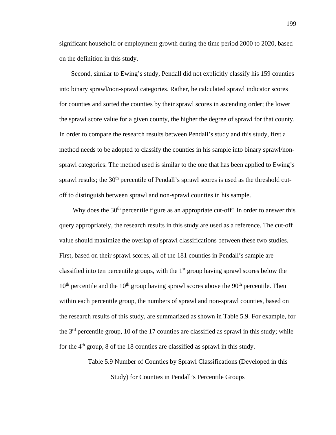significant household or employment growth during the time period 2000 to 2020, based on the definition in this study.

Second, similar to Ewing's study, Pendall did not explicitly classify his 159 counties into binary sprawl/non-sprawl categories. Rather, he calculated sprawl indicator scores for counties and sorted the counties by their sprawl scores in ascending order; the lower the sprawl score value for a given county, the higher the degree of sprawl for that county. In order to compare the research results between Pendall's study and this study, first a method needs to be adopted to classify the counties in his sample into binary sprawl/nonsprawl categories. The method used is similar to the one that has been applied to Ewing's sprawl results; the 30<sup>th</sup> percentile of Pendall's sprawl scores is used as the threshold cutoff to distinguish between sprawl and non-sprawl counties in his sample.

Why does the  $30<sup>th</sup>$  percentile figure as an appropriate cut-off? In order to answer this query appropriately, the research results in this study are used as a reference. The cut-off value should maximize the overlap of sprawl classifications between these two studies. First, based on their sprawl scores, all of the 181 counties in Pendall's sample are classified into ten percentile groups, with the  $1<sup>st</sup>$  group having sprawl scores below the  $10<sup>th</sup>$  percentile and the  $10<sup>th</sup>$  group having sprawl scores above the  $90<sup>th</sup>$  percentile. Then within each percentile group, the numbers of sprawl and non-sprawl counties, based on the research results of this study, are summarized as shown in Table 5.9. For example, for the  $3<sup>rd</sup>$  percentile group, 10 of the 17 counties are classified as sprawl in this study; while for the  $4<sup>th</sup>$  group, 8 of the 18 counties are classified as sprawl in this study.

> Table 5.9 Number of Counties by Sprawl Classifications (Developed in this Study) for Counties in Pendall's Percentile Groups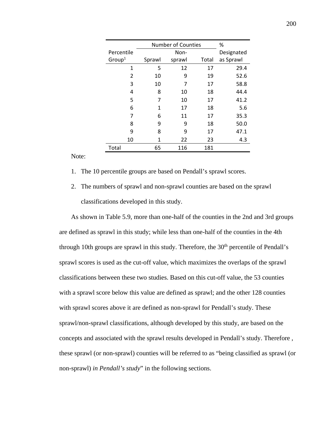|                    |        | <b>Number of Counties</b> |       |            |  |
|--------------------|--------|---------------------------|-------|------------|--|
| Percentile         |        | Non-                      |       | Designated |  |
| Group <sup>1</sup> | Sprawl | sprawl                    | Total | as Sprawl  |  |
| 1                  | 5      | 12                        | 17    | 29.4       |  |
| 2                  | 10     | 9                         | 19    | 52.6       |  |
| 3                  | 10     | 7                         | 17    | 58.8       |  |
| 4                  | 8      | 10                        | 18    | 44.4       |  |
| 5                  | 7      | 10                        | 17    | 41.2       |  |
| 6                  | 1      | 17                        | 18    | 5.6        |  |
| 7                  | 6      | 11                        | 17    | 35.3       |  |
| 8                  | 9      | 9                         | 18    | 50.0       |  |
| 9                  | 8      | 9                         | 17    | 47.1       |  |
| 10                 | 1      | 22                        | 23    | 4.3        |  |
| Total              | 65     | 116                       | 181   |            |  |

Note:

- 1. The 10 percentile groups are based on Pendall's sprawl scores.
- 2. The numbers of sprawl and non-sprawl counties are based on the sprawl classifications developed in this study.

As shown in Table 5.9, more than one-half of the counties in the 2nd and 3rd groups are defined as sprawl in this study; while less than one-half of the counties in the 4th through 10th groups are sprawl in this study. Therefore, the  $30<sup>th</sup>$  percentile of Pendall's sprawl scores is used as the cut-off value, which maximizes the overlaps of the sprawl classifications between these two studies. Based on this cut-off value, the 53 counties with a sprawl score below this value are defined as sprawl; and the other 128 counties with sprawl scores above it are defined as non-sprawl for Pendall's study. These sprawl/non-sprawl classifications, although developed by this study, are based on the concepts and associated with the sprawl results developed in Pendall's study. Therefore , these sprawl (or non-sprawl) counties will be referred to as "being classified as sprawl (or non-sprawl) *in Pendall's study*" in the following sections.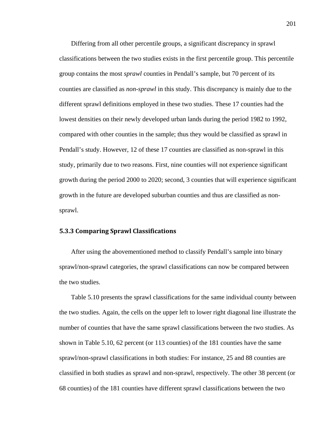Differing from all other percentile groups, a significant discrepancy in sprawl classifications between the two studies exists in the first percentile group. This percentile group contains the most *sprawl* counties in Pendall's sample, but 70 percent of its counties are classified as *non-sprawl* in this study. This discrepancy is mainly due to the different sprawl definitions employed in these two studies. These 17 counties had the lowest densities on their newly developed urban lands during the period 1982 to 1992, compared with other counties in the sample; thus they would be classified as sprawl in Pendall's study. However, 12 of these 17 counties are classified as non-sprawl in this study, primarily due to two reasons. First, nine counties will not experience significant growth during the period 2000 to 2020; second, 3 counties that will experience significant growth in the future are developed suburban counties and thus are classified as nonsprawl.

## **5.3.3 Comparing Sprawl Classifications**

After using the abovementioned method to classify Pendall's sample into binary sprawl/non-sprawl categories, the sprawl classifications can now be compared between the two studies.

Table 5.10 presents the sprawl classifications for the same individual county between the two studies. Again, the cells on the upper left to lower right diagonal line illustrate the number of counties that have the same sprawl classifications between the two studies. As shown in Table 5.10, 62 percent (or 113 counties) of the 181 counties have the same sprawl/non-sprawl classifications in both studies: For instance, 25 and 88 counties are classified in both studies as sprawl and non-sprawl, respectively. The other 38 percent (or 68 counties) of the 181 counties have different sprawl classifications between the two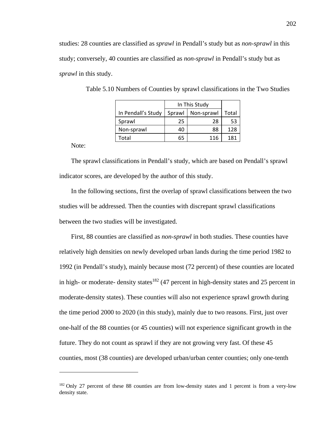studies: 28 counties are classified as *sprawl* in Pendall's study but as *non-sprawl* in this study; conversely, 40 counties are classified as *non-sprawl* in Pendall's study but as *sprawl* in this study.

|                    | In This Study |            |       |
|--------------------|---------------|------------|-------|
| In Pendall's Study | Sprawl        | Non-sprawl | Total |
| Sprawl             | 25            | 28         | 53    |
| Non-sprawl         | 40            | 88         | 128   |
| Total              | 65            | 116        | 181   |

Table 5.10 Numbers of Counties by sprawl classifications in the Two Studies

Note:

1

The sprawl classifications in Pendall's study, which are based on Pendall's sprawl indicator scores, are developed by the author of this study.

In the following sections, first the overlap of sprawl classifications between the two studies will be addressed. Then the counties with discrepant sprawl classifications between the two studies will be investigated.

First, 88 counties are classified as *non-sprawl* in both studies. These counties have relatively high densities on newly developed urban lands during the time period 1982 to 1992 (in Pendall's study), mainly because most (72 percent) of these counties are located in high- or moderate- density states<sup>182</sup> (47 percent in high-density states and 25 percent in moderate-density states). These counties will also not experience sprawl growth during the time period 2000 to 2020 (in this study), mainly due to two reasons. First, just over one-half of the 88 counties (or 45 counties) will not experience significant growth in the future. They do not count as sprawl if they are not growing very fast. Of these 45 counties, most (38 counties) are developed urban/urban center counties; only one-tenth

<sup>&</sup>lt;sup>182</sup> Only 27 percent of these 88 counties are from low-density states and 1 percent is from a very-low density state.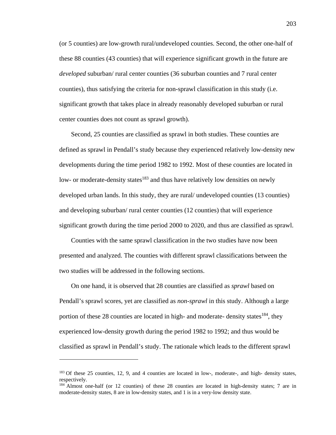(or 5 counties) are low-growth rural/undeveloped counties. Second, the other one-half of these 88 counties (43 counties) that will experience significant growth in the future are *developed* suburban/ rural center counties (36 suburban counties and 7 rural center counties), thus satisfying the criteria for non-sprawl classification in this study (i.e. significant growth that takes place in already reasonably developed suburban or rural center counties does not count as sprawl growth).

Second, 25 counties are classified as sprawl in both studies. These counties are defined as sprawl in Pendall's study because they experienced relatively low-density new developments during the time period 1982 to 1992. Most of these counties are located in low- or moderate-density states<sup>183</sup> and thus have relatively low densities on newly developed urban lands. In this study, they are rural/ undeveloped counties (13 counties) and developing suburban/ rural center counties (12 counties) that will experience significant growth during the time period 2000 to 2020, and thus are classified as sprawl.

Counties with the same sprawl classification in the two studies have now been presented and analyzed. The counties with different sprawl classifications between the two studies will be addressed in the following sections.

On one hand, it is observed that 28 counties are classified as *sprawl* based on Pendall's sprawl scores, yet are classified as *non-sprawl* in this study. Although a large portion of these 28 counties are located in high- and moderate- density states $184$ , they experienced low-density growth during the period 1982 to 1992; and thus would be classified as sprawl in Pendall's study. The rationale which leads to the different sprawl

<sup>183</sup> Of these 25 counties, 12, 9, and 4 counties are located in low-, moderate-, and high- density states, respectively.

<sup>184</sup> Almost one-half (or 12 counties) of these 28 counties are located in high-density states; 7 are in moderate-density states, 8 are in low-density states, and 1 is in a very-low density state.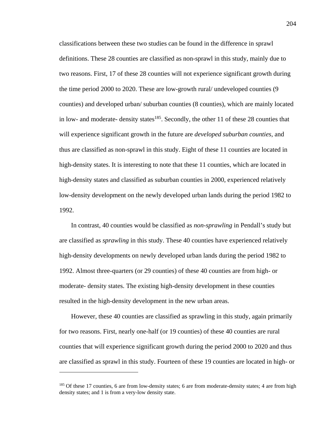classifications between these two studies can be found in the difference in sprawl definitions. These 28 counties are classified as non-sprawl in this study, mainly due to two reasons. First, 17 of these 28 counties will not experience significant growth during the time period 2000 to 2020. These are low-growth rural/ undeveloped counties (9 counties) and developed urban/ suburban counties (8 counties), which are mainly located in low- and moderate- density states<sup>185</sup>. Secondly, the other 11 of these 28 counties that will experience significant growth in the future are *developed suburban counties*, and thus are classified as non-sprawl in this study. Eight of these 11 counties are located in high-density states. It is interesting to note that these 11 counties, which are located in high-density states and classified as suburban counties in 2000, experienced relatively low-density development on the newly developed urban lands during the period 1982 to 1992.

In contrast, 40 counties would be classified as *non-sprawling* in Pendall's study but are classified as *sprawling* in this study. These 40 counties have experienced relatively high-density developments on newly developed urban lands during the period 1982 to 1992. Almost three-quarters (or 29 counties) of these 40 counties are from high- or moderate- density states. The existing high-density development in these counties resulted in the high-density development in the new urban areas.

However, these 40 counties are classified as sprawling in this study, again primarily for two reasons. First, nearly one-half (or 19 counties) of these 40 counties are rural counties that will experience significant growth during the period 2000 to 2020 and thus are classified as sprawl in this study. Fourteen of these 19 counties are located in high- or

<sup>&</sup>lt;sup>185</sup> Of these 17 counties, 6 are from low-density states; 6 are from moderate-density states; 4 are from high density states; and 1 is from a very-low density state.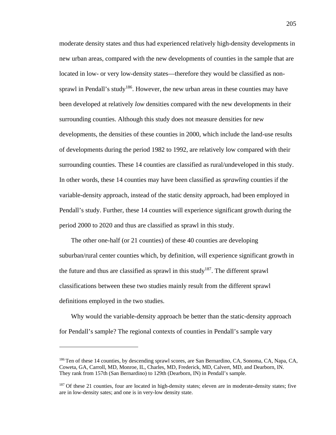moderate density states and thus had experienced relatively high-density developments in new urban areas, compared with the new developments of counties in the sample that are located in low- or very low-density states—therefore they would be classified as nonsprawl in Pendall's study<sup>186</sup>. However, the new urban areas in these counties may have been developed at relatively *low* densities compared with the new developments in their surrounding counties. Although this study does not measure densities for new developments, the densities of these counties in 2000, which include the land-use results of developments during the period 1982 to 1992, are relatively low compared with their surrounding counties. These 14 counties are classified as rural/undeveloped in this study. In other words, these 14 counties may have been classified as *sprawling* counties if the variable-density approach, instead of the static density approach, had been employed in Pendall's study. Further, these 14 counties will experience significant growth during the period 2000 to 2020 and thus are classified as sprawl in this study.

The other one-half (or 21 counties) of these 40 counties are developing suburban/rural center counties which, by definition, will experience significant growth in the future and thus are classified as sprawl in this study<sup>187</sup>. The different sprawl classifications between these two studies mainly result from the different sprawl definitions employed in the two studies.

Why would the variable-density approach be better than the static-density approach for Pendall's sample? The regional contexts of counties in Pendall's sample vary

<u>.</u>

<sup>186</sup> Ten of these 14 counties, by descending sprawl scores, are San Bernardino, CA, Sonoma, CA, Napa, CA, Coweta, GA, Carroll, MD, Monroe, IL, Charles, MD, Frederick, MD, Calvert, MD, and Dearborn, IN. They rank from 157th (San Bernardino) to 129th (Dearborn, IN) in Pendall's sample.

<sup>&</sup>lt;sup>187</sup> Of these 21 counties, four are located in high-density states; eleven are in moderate-density states; five are in low-density sates; and one is in very-low density state.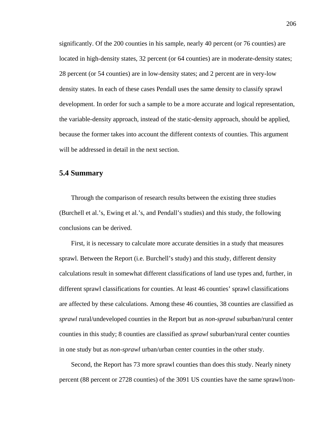significantly. Of the 200 counties in his sample, nearly 40 percent (or 76 counties) are located in high-density states, 32 percent (or 64 counties) are in moderate-density states; 28 percent (or 54 counties) are in low-density states; and 2 percent are in very-low density states. In each of these cases Pendall uses the same density to classify sprawl development. In order for such a sample to be a more accurate and logical representation, the variable-density approach, instead of the static-density approach, should be applied, because the former takes into account the different contexts of counties. This argument will be addressed in detail in the next section.

## **5.4 Summary**

Through the comparison of research results between the existing three studies (Burchell et al.'s, Ewing et al.'s, and Pendall's studies) and this study, the following conclusions can be derived.

First, it is necessary to calculate more accurate densities in a study that measures sprawl. Between the Report (i.e. Burchell's study) and this study, different density calculations result in somewhat different classifications of land use types and, further, in different sprawl classifications for counties. At least 46 counties' sprawl classifications are affected by these calculations. Among these 46 counties, 38 counties are classified as *sprawl* rural/undeveloped counties in the Report but as *non-sprawl* suburban/rural center counties in this study; 8 counties are classified as *sprawl* suburban/rural center counties in one study but as *non-sprawl* urban/urban center counties in the other study.

Second, the Report has 73 more sprawl counties than does this study. Nearly ninety percent (88 percent or 2728 counties) of the 3091 US counties have the same sprawl/non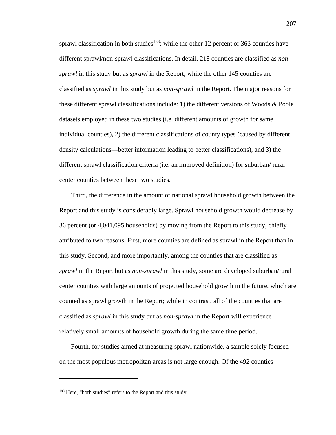sprawl classification in both studies<sup>188</sup>; while the other 12 percent or 363 counties have different sprawl/non-sprawl classifications. In detail, 218 counties are classified as *nonsprawl* in this study but as *sprawl* in the Report; while the other 145 counties are classified as *sprawl* in this study but as *non-sprawl* in the Report. The major reasons for these different sprawl classifications include: 1) the different versions of Woods & Poole datasets employed in these two studies (i.e. different amounts of growth for same individual counties), 2) the different classifications of county types (caused by different density calculations—better information leading to better classifications), and 3) the different sprawl classification criteria (i.e. an improved definition) for suburban/ rural center counties between these two studies.

Third, the difference in the amount of national sprawl household growth between the Report and this study is considerably large. Sprawl household growth would decrease by 36 percent (or 4,041,095 households) by moving from the Report to this study, chiefly attributed to two reasons. First, more counties are defined as sprawl in the Report than in this study. Second, and more importantly, among the counties that are classified as *sprawl* in the Report but as *non-sprawl* in this study, some are developed suburban/rural center counties with large amounts of projected household growth in the future, which are counted as sprawl growth in the Report; while in contrast, all of the counties that are classified as *sprawl* in this study but as *non-sprawl* in the Report will experience relatively small amounts of household growth during the same time period.

Fourth, for studies aimed at measuring sprawl nationwide, a sample solely focused on the most populous metropolitan areas is not large enough. Of the 492 counties

<sup>&</sup>lt;sup>188</sup> Here, "both studies" refers to the Report and this study.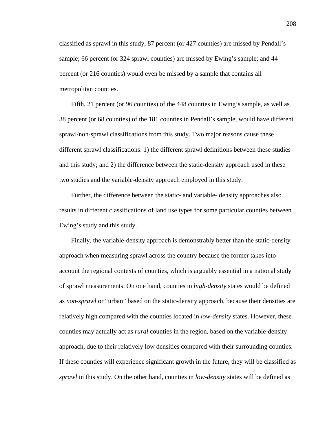classified as sprawl in this study, 87 percent (or 427 counties) are missed by Pendall's sample; 66 percent (or 324 sprawl counties) are missed by Ewing's sample; and 44 percent (or 216 counties) would even be missed by a sample that contains all metropolitan counties.

Fifth, 21 percent (or 96 counties) of the 448 counties in Ewing's sample, as well as 38 percent (or 68 counties) of the 181 counties in Pendall's sample, would have different sprawl/non-sprawl classifications from this study. Two major reasons cause these different sprawl classifications: 1) the different sprawl definitions between these studies and this study; and 2) the difference between the static-density approach used in these two studies and the variable-density approach employed in this study.

Further, the difference between the static- and variable- density approaches also results in different classifications of land use types for some particular counties between Ewing's study and this study.

Finally, the variable-density approach is demonstrably better than the static-density approach when measuring sprawl across the country because the former takes into account the regional contexts of counties, which is arguably essential in a national study of sprawl measurements. On one hand, counties in *high-density* states would be defined as *non-sprawl* or "urban" based on the static-density approach, because their densities are relatively high compared with the counties located in *low-density* states. However, these counties may actually act as *rural* counties in the region, based on the variable-density approach, due to their relatively low densities compared with their surrounding counties. If these counties will experience significant growth in the future, they will be classified as *sprawl* in this study. On the other hand, counties in *low-density* states will be defined as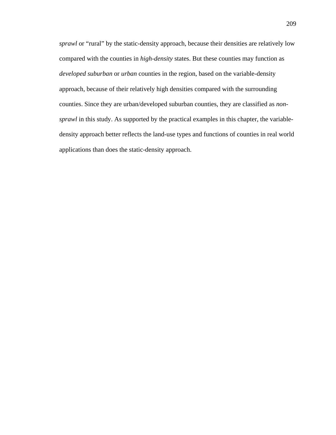*sprawl* or "rural" by the static-density approach, because their densities are relatively low compared with the counties in *high-density* states. But these counties may function as *developed suburban* or *urban* counties in the region, based on the variable-density approach, because of their relatively high densities compared with the surrounding counties. Since they are urban/developed suburban counties, they are classified as *nonsprawl* in this study. As supported by the practical examples in this chapter, the variabledensity approach better reflects the land-use types and functions of counties in real world applications than does the static-density approach.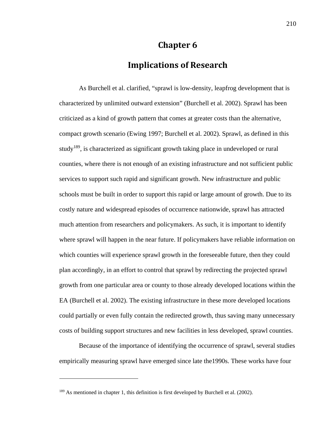# **Chapter 6**

# **Implications of Research**

As Burchell et al. clarified, "sprawl is low-density, leapfrog development that is characterized by unlimited outward extension" (Burchell et al. 2002). Sprawl has been criticized as a kind of growth pattern that comes at greater costs than the alternative, compact growth scenario (Ewing 1997; Burchell et al. 2002). Sprawl, as defined in this study<sup>189</sup>, is characterized as significant growth taking place in undeveloped or rural counties, where there is not enough of an existing infrastructure and not sufficient public services to support such rapid and significant growth. New infrastructure and public schools must be built in order to support this rapid or large amount of growth. Due to its costly nature and widespread episodes of occurrence nationwide, sprawl has attracted much attention from researchers and policymakers. As such, it is important to identify where sprawl will happen in the near future. If policymakers have reliable information on which counties will experience sprawl growth in the foreseeable future, then they could plan accordingly, in an effort to control that sprawl by redirecting the projected sprawl growth from one particular area or county to those already developed locations within the EA (Burchell et al. 2002). The existing infrastructure in these more developed locations could partially or even fully contain the redirected growth, thus saving many unnecessary costs of building support structures and new facilities in less developed, sprawl counties.

Because of the importance of identifying the occurrence of sprawl, several studies empirically measuring sprawl have emerged since late the1990s. These works have four

<sup>&</sup>lt;sup>189</sup> As mentioned in chapter 1, this definition is first developed by Burchell et al. (2002).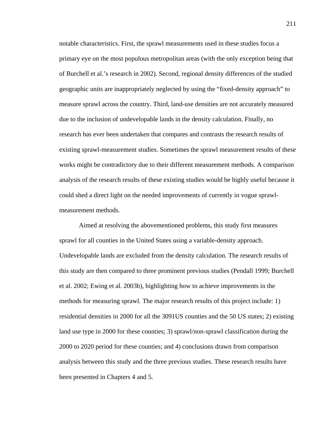notable characteristics. First, the sprawl measurements used in these studies focus a primary eye on the most populous metropolitan areas (with the only exception being that of Burchell et al.'s research in 2002). Second, regional density differences of the studied geographic units are inappropriately neglected by using the "fixed-density approach" to measure sprawl across the country. Third, land-use densities are not accurately measured due to the inclusion of undevelopable lands in the density calculation. Finally, no research has ever been undertaken that compares and contrasts the research results of existing sprawl-measurement studies. Sometimes the sprawl measurement results of these works might be contradictory due to their different measurement methods. A comparison analysis of the research results of these existing studies would be highly useful because it could shed a direct light on the needed improvements of currently in vogue sprawlmeasurement methods.

Aimed at resolving the abovementioned problems, this study first measures sprawl for all counties in the United States using a variable-density approach. Undevelopable lands are excluded from the density calculation. The research results of this study are then compared to three prominent previous studies (Pendall 1999; Burchell et al. 2002; Ewing et al. 2003b), highlighting how to achieve improvements in the methods for measuring sprawl. The major research results of this project include: 1) residential densities in 2000 for all the 3091US counties and the 50 US states; 2) existing land use type in 2000 for these counties; 3) sprawl/non-sprawl classification during the 2000 to 2020 period for these counties; and 4) conclusions drawn from comparison analysis between this study and the three previous studies. These research results have been presented in Chapters 4 and 5.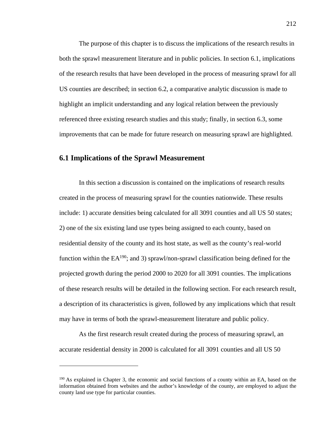The purpose of this chapter is to discuss the implications of the research results in both the sprawl measurement literature and in public policies. In section 6.1, implications of the research results that have been developed in the process of measuring sprawl for all US counties are described; in section 6.2, a comparative analytic discussion is made to highlight an implicit understanding and any logical relation between the previously referenced three existing research studies and this study; finally, in section 6.3, some improvements that can be made for future research on measuring sprawl are highlighted.

## **6.1 Implications of the Sprawl Measurement**

 $\overline{a}$ 

In this section a discussion is contained on the implications of research results created in the process of measuring sprawl for the counties nationwide. These results include: 1) accurate densities being calculated for all 3091 counties and all US 50 states; 2) one of the six existing land use types being assigned to each county, based on residential density of the county and its host state, as well as the county's real-world function within the  $EA^{190}$ ; and 3) sprawl/non-sprawl classification being defined for the projected growth during the period 2000 to 2020 for all 3091 counties. The implications of these research results will be detailed in the following section. For each research result, a description of its characteristics is given, followed by any implications which that result may have in terms of both the sprawl-measurement literature and public policy.

As the first research result created during the process of measuring sprawl, an accurate residential density in 2000 is calculated for all 3091 counties and all US 50

<sup>190</sup> As explained in Chapter 3, the economic and social functions of a county within an EA, based on the information obtained from websites and the author's knowledge of the county, are employed to adjust the county land use type for particular counties.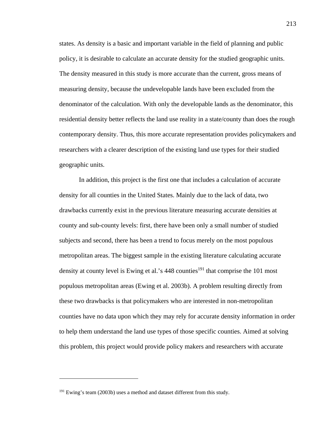states. As density is a basic and important variable in the field of planning and public policy, it is desirable to calculate an accurate density for the studied geographic units. The density measured in this study is more accurate than the current, gross means of measuring density, because the undevelopable lands have been excluded from the denominator of the calculation. With only the developable lands as the denominator, this residential density better reflects the land use reality in a state/county than does the rough contemporary density. Thus, this more accurate representation provides policymakers and researchers with a clearer description of the existing land use types for their studied geographic units.

In addition, this project is the first one that includes a calculation of accurate density for all counties in the United States. Mainly due to the lack of data, two drawbacks currently exist in the previous literature measuring accurate densities at county and sub-county levels: first, there have been only a small number of studied subjects and second, there has been a trend to focus merely on the most populous metropolitan areas. The biggest sample in the existing literature calculating accurate density at county level is Ewing et al.'s  $448$  counties<sup>191</sup> that comprise the 101 most populous metropolitan areas (Ewing et al. 2003b). A problem resulting directly from these two drawbacks is that policymakers who are interested in non-metropolitan counties have no data upon which they may rely for accurate density information in order to help them understand the land use types of those specific counties. Aimed at solving this problem, this project would provide policy makers and researchers with accurate

<sup>&</sup>lt;sup>191</sup> Ewing's team (2003b) uses a method and dataset different from this study.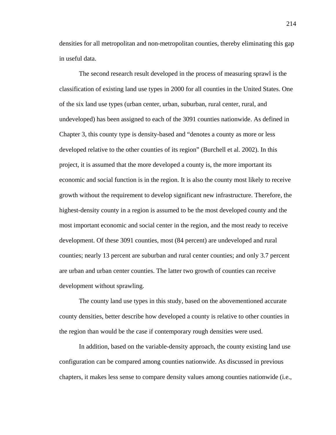densities for all metropolitan and non-metropolitan counties, thereby eliminating this gap in useful data.

The second research result developed in the process of measuring sprawl is the classification of existing land use types in 2000 for all counties in the United States. One of the six land use types (urban center, urban, suburban, rural center, rural, and undeveloped) has been assigned to each of the 3091 counties nationwide. As defined in Chapter 3, this county type is density-based and "denotes a county as more or less developed relative to the other counties of its region" (Burchell et al. 2002). In this project, it is assumed that the more developed a county is, the more important its economic and social function is in the region. It is also the county most likely to receive growth without the requirement to develop significant new infrastructure. Therefore, the highest-density county in a region is assumed to be the most developed county and the most important economic and social center in the region, and the most ready to receive development. Of these 3091 counties, most (84 percent) are undeveloped and rural counties; nearly 13 percent are suburban and rural center counties; and only 3.7 percent are urban and urban center counties. The latter two growth of counties can receive development without sprawling.

The county land use types in this study, based on the abovementioned accurate county densities, better describe how developed a county is relative to other counties in the region than would be the case if contemporary rough densities were used.

In addition, based on the variable-density approach, the county existing land use configuration can be compared among counties nationwide. As discussed in previous chapters, it makes less sense to compare density values among counties nationwide (i.e.,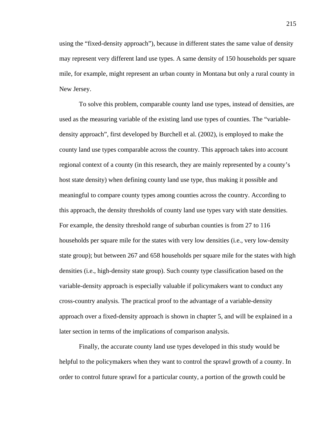using the "fixed-density approach"), because in different states the same value of density may represent very different land use types. A same density of 150 households per square mile, for example, might represent an urban county in Montana but only a rural county in New Jersey.

To solve this problem, comparable county land use types, instead of densities, are used as the measuring variable of the existing land use types of counties. The "variabledensity approach", first developed by Burchell et al. (2002), is employed to make the county land use types comparable across the country. This approach takes into account regional context of a county (in this research, they are mainly represented by a county's host state density) when defining county land use type, thus making it possible and meaningful to compare county types among counties across the country. According to this approach, the density thresholds of county land use types vary with state densities. For example, the density threshold range of suburban counties is from 27 to 116 households per square mile for the states with very low densities (i.e., very low-density state group); but between 267 and 658 households per square mile for the states with high densities (i.e., high-density state group). Such county type classification based on the variable-density approach is especially valuable if policymakers want to conduct any cross-country analysis. The practical proof to the advantage of a variable-density approach over a fixed-density approach is shown in chapter 5, and will be explained in a later section in terms of the implications of comparison analysis.

Finally, the accurate county land use types developed in this study would be helpful to the policymakers when they want to control the sprawl growth of a county. In order to control future sprawl for a particular county, a portion of the growth could be

215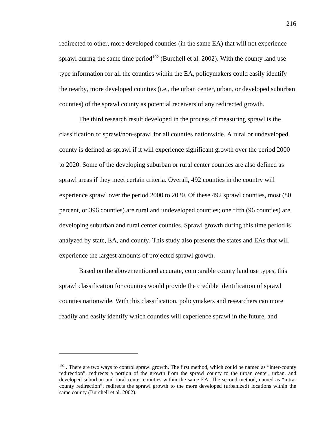redirected to other, more developed counties (in the same EA) that will not experience sprawl during the same time period<sup>192</sup> (Burchell et al. 2002). With the county land use type information for all the counties within the EA, policymakers could easily identify the nearby, more developed counties (i.e., the urban center, urban, or developed suburban counties) of the sprawl county as potential receivers of any redirected growth.

The third research result developed in the process of measuring sprawl is the classification of sprawl/non-sprawl for all counties nationwide. A rural or undeveloped county is defined as sprawl if it will experience significant growth over the period 2000 to 2020. Some of the developing suburban or rural center counties are also defined as sprawl areas if they meet certain criteria. Overall, 492 counties in the country will experience sprawl over the period 2000 to 2020. Of these 492 sprawl counties, most (80 percent, or 396 counties) are rural and undeveloped counties; one fifth (96 counties) are developing suburban and rural center counties. Sprawl growth during this time period is analyzed by state, EA, and county. This study also presents the states and EAs that will experience the largest amounts of projected sprawl growth.

Based on the abovementioned accurate, comparable county land use types, this sprawl classification for counties would provide the credible identification of sprawl counties nationwide. With this classification, policymakers and researchers can more readily and easily identify which counties will experience sprawl in the future, and

<sup>&</sup>lt;sup>192</sup>. There are two ways to control sprawl growth. The first method, which could be named as "inter-county" redirection", redirects a portion of the growth from the sprawl county to the urban center, urban, and developed suburban and rural center counties within the same EA. The second method, named as "intracounty redirection", redirects the sprawl growth to the more developed (urbanized) locations within the same county (Burchell et al. 2002).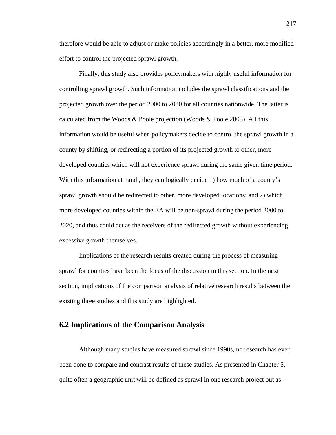therefore would be able to adjust or make policies accordingly in a better, more modified effort to control the projected sprawl growth.

Finally, this study also provides policymakers with highly useful information for controlling sprawl growth. Such information includes the sprawl classifications and the projected growth over the period 2000 to 2020 for all counties nationwide. The latter is calculated from the Woods & Poole projection (Woods & Poole 2003). All this information would be useful when policymakers decide to control the sprawl growth in a county by shifting, or redirecting a portion of its projected growth to other, more developed counties which will not experience sprawl during the same given time period. With this information at hand , they can logically decide 1) how much of a county's sprawl growth should be redirected to other, more developed locations; and 2) which more developed counties within the EA will be non-sprawl during the period 2000 to 2020, and thus could act as the receivers of the redirected growth without experiencing excessive growth themselves.

Implications of the research results created during the process of measuring sprawl for counties have been the focus of the discussion in this section. In the next section, implications of the comparison analysis of relative research results between the existing three studies and this study are highlighted.

### **6.2 Implications of the Comparison Analysis**

Although many studies have measured sprawl since 1990s, no research has ever been done to compare and contrast results of these studies. As presented in Chapter 5, quite often a geographic unit will be defined as sprawl in one research project but as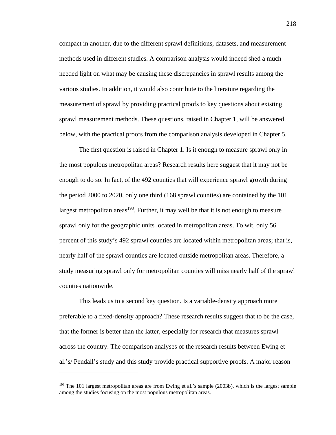compact in another, due to the different sprawl definitions, datasets, and measurement methods used in different studies. A comparison analysis would indeed shed a much needed light on what may be causing these discrepancies in sprawl results among the various studies. In addition, it would also contribute to the literature regarding the measurement of sprawl by providing practical proofs to key questions about existing sprawl measurement methods. These questions, raised in Chapter 1, will be answered below, with the practical proofs from the comparison analysis developed in Chapter 5.

The first question is raised in Chapter 1. Is it enough to measure sprawl only in the most populous metropolitan areas? Research results here suggest that it may not be enough to do so. In fact, of the 492 counties that will experience sprawl growth during the period 2000 to 2020, only one third (168 sprawl counties) are contained by the 101 largest metropolitan areas<sup>193</sup>. Further, it may well be that it is not enough to measure sprawl only for the geographic units located in metropolitan areas. To wit, only 56 percent of this study's 492 sprawl counties are located within metropolitan areas; that is, nearly half of the sprawl counties are located outside metropolitan areas. Therefore, a study measuring sprawl only for metropolitan counties will miss nearly half of the sprawl counties nationwide.

This leads us to a second key question. Is a variable-density approach more preferable to a fixed-density approach? These research results suggest that to be the case, that the former is better than the latter, especially for research that measures sprawl across the country. The comparison analyses of the research results between Ewing et al.'s/ Pendall's study and this study provide practical supportive proofs. A major reason

<sup>&</sup>lt;sup>193</sup> The 101 largest metropolitan areas are from Ewing et al.'s sample (2003b), which is the largest sample among the studies focusing on the most populous metropolitan areas.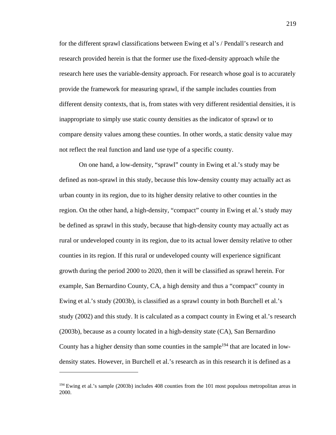for the different sprawl classifications between Ewing et al's / Pendall's research and research provided herein is that the former use the fixed-density approach while the research here uses the variable-density approach. For research whose goal is to accurately provide the framework for measuring sprawl, if the sample includes counties from different density contexts, that is, from states with very different residential densities, it is inappropriate to simply use static county densities as the indicator of sprawl or to compare density values among these counties. In other words, a static density value may not reflect the real function and land use type of a specific county.

On one hand, a low-density, "sprawl" county in Ewing et al.'s study may be defined as non-sprawl in this study, because this low-density county may actually act as urban county in its region, due to its higher density relative to other counties in the region. On the other hand, a high-density, "compact" county in Ewing et al.'s study may be defined as sprawl in this study, because that high-density county may actually act as rural or undeveloped county in its region, due to its actual lower density relative to other counties in its region. If this rural or undeveloped county will experience significant growth during the period 2000 to 2020, then it will be classified as sprawl herein. For example, San Bernardino County, CA, a high density and thus a "compact" county in Ewing et al.'s study (2003b), is classified as a sprawl county in both Burchell et al.'s study (2002) and this study. It is calculated as a compact county in Ewing et al.'s research (2003b), because as a county located in a high-density state (CA), San Bernardino County has a higher density than some counties in the sample<sup>194</sup> that are located in lowdensity states. However, in Burchell et al.'s research as in this research it is defined as a

<sup>&</sup>lt;sup>194</sup> Ewing et al.'s sample (2003b) includes 408 counties from the 101 most populous metropolitan areas in 2000.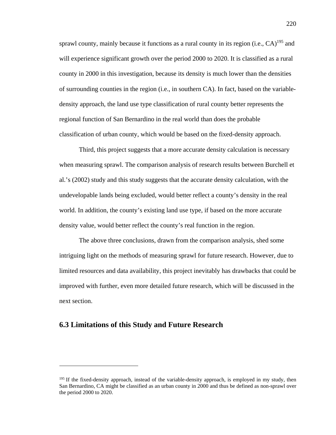sprawl county, mainly because it functions as a rural county in its region (i.e.,  $CA$ )<sup>195</sup> and will experience significant growth over the period 2000 to 2020. It is classified as a rural county in 2000 in this investigation, because its density is much lower than the densities of surrounding counties in the region (i.e., in southern CA). In fact, based on the variabledensity approach, the land use type classification of rural county better represents the regional function of San Bernardino in the real world than does the probable classification of urban county, which would be based on the fixed-density approach.

Third, this project suggests that a more accurate density calculation is necessary when measuring sprawl. The comparison analysis of research results between Burchell et al.'s (2002) study and this study suggests that the accurate density calculation, with the undevelopable lands being excluded, would better reflect a county's density in the real world. In addition, the county's existing land use type, if based on the more accurate density value, would better reflect the county's real function in the region.

The above three conclusions, drawn from the comparison analysis, shed some intriguing light on the methods of measuring sprawl for future research. However, due to limited resources and data availability, this project inevitably has drawbacks that could be improved with further, even more detailed future research, which will be discussed in the next section.

### **6.3 Limitations of this Study and Future Research**

<sup>&</sup>lt;sup>195</sup> If the fixed-density approach, instead of the variable-density approach, is employed in my study, then San Bernardino, CA might be classified as an urban county in 2000 and thus be defined as non-sprawl over the period 2000 to 2020.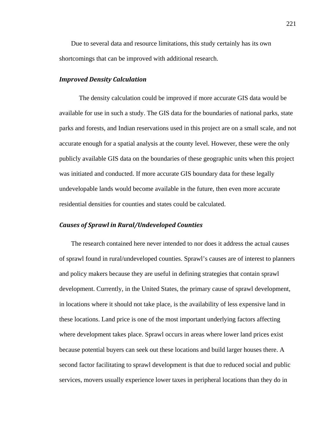Due to several data and resource limitations, this study certainly has its own shortcomings that can be improved with additional research.

#### *Improved Density Calculation*

The density calculation could be improved if more accurate GIS data would be available for use in such a study. The GIS data for the boundaries of national parks, state parks and forests, and Indian reservations used in this project are on a small scale, and not accurate enough for a spatial analysis at the county level. However, these were the only publicly available GIS data on the boundaries of these geographic units when this project was initiated and conducted. If more accurate GIS boundary data for these legally undevelopable lands would become available in the future, then even more accurate residential densities for counties and states could be calculated.

#### *Causes of Sprawl in Rural/Undeveloped Counties*

The research contained here never intended to nor does it address the actual causes of sprawl found in rural/undeveloped counties. Sprawl's causes are of interest to planners and policy makers because they are useful in defining strategies that contain sprawl development. Currently, in the United States, the primary cause of sprawl development, in locations where it should not take place, is the availability of less expensive land in these locations. Land price is one of the most important underlying factors affecting where development takes place. Sprawl occurs in areas where lower land prices exist because potential buyers can seek out these locations and build larger houses there. A second factor facilitating to sprawl development is that due to reduced social and public services, movers usually experience lower taxes in peripheral locations than they do in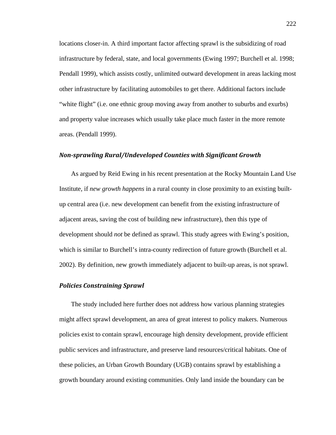locations closer-in. A third important factor affecting sprawl is the subsidizing of road infrastructure by federal, state, and local governments (Ewing 1997; Burchell et al. 1998; Pendall 1999), which assists costly, unlimited outward development in areas lacking most other infrastructure by facilitating automobiles to get there. Additional factors include "white flight" (i.e. one ethnic group moving away from another to suburbs and exurbs) and property value increases which usually take place much faster in the more remote areas. (Pendall 1999).

#### *Non‐sprawling Rural/Undeveloped Counties with Significant Growth*

As argued by Reid Ewing in his recent presentation at the Rocky Mountain Land Use Institute, if *new growth happens* in a rural county in close proximity to an existing builtup central area (i.e. new development can benefit from the existing infrastructure of adjacent areas, saving the cost of building new infrastructure), then this type of development should *not* be defined as sprawl. This study agrees with Ewing's position, which is similar to Burchell's intra-county redirection of future growth (Burchell et al. 2002). By definition, new growth immediately adjacent to built-up areas, is not sprawl.

#### *Policies Constraining Sprawl*

The study included here further does not address how various planning strategies might affect sprawl development, an area of great interest to policy makers. Numerous policies exist to contain sprawl, encourage high density development, provide efficient public services and infrastructure, and preserve land resources/critical habitats. One of these policies, an Urban Growth Boundary (UGB) contains sprawl by establishing a growth boundary around existing communities. Only land inside the boundary can be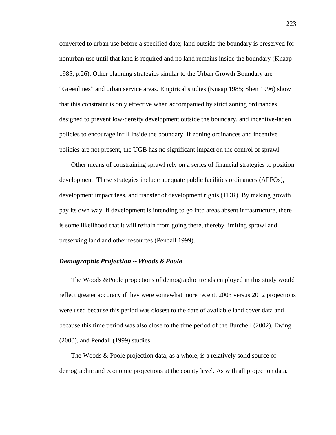converted to urban use before a specified date; land outside the boundary is preserved for nonurban use until that land is required and no land remains inside the boundary (Knaap 1985, p.26). Other planning strategies similar to the Urban Growth Boundary are "Greenlines" and urban service areas. Empirical studies (Knaap 1985; Shen 1996) show that this constraint is only effective when accompanied by strict zoning ordinances designed to prevent low-density development outside the boundary, and incentive-laden policies to encourage infill inside the boundary. If zoning ordinances and incentive policies are not present, the UGB has no significant impact on the control of sprawl.

Other means of constraining sprawl rely on a series of financial strategies to position development. These strategies include adequate public facilities ordinances (APFOs), development impact fees, and transfer of development rights (TDR). By making growth pay its own way, if development is intending to go into areas absent infrastructure, there is some likelihood that it will refrain from going there, thereby limiting sprawl and preserving land and other resources (Pendall 1999).

#### *Demographic Projection ‐‐ Woods & Poole*

The Woods &Poole projections of demographic trends employed in this study would reflect greater accuracy if they were somewhat more recent. 2003 versus 2012 projections were used because this period was closest to the date of available land cover data and because this time period was also close to the time period of the Burchell (2002), Ewing (2000), and Pendall (1999) studies.

The Woods & Poole projection data, as a whole, is a relatively solid source of demographic and economic projections at the county level. As with all projection data,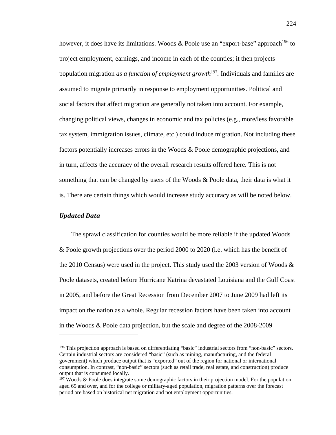however, it does have its limitations. Woods & Poole use an "export-base" approach<sup>196</sup> to project employment, earnings, and income in each of the counties; it then projects population migration *as a function of employment growth*<sup>197</sup>*.* Individuals and families are assumed to migrate primarily in response to employment opportunities. Political and social factors that affect migration are generally not taken into account. For example, changing political views, changes in economic and tax policies (e.g., more/less favorable tax system, immigration issues, climate, etc.) could induce migration. Not including these factors potentially increases errors in the Woods & Poole demographic projections, and in turn, affects the accuracy of the overall research results offered here. This is not something that can be changed by users of the Woods  $\&$  Poole data, their data is what it is. There are certain things which would increase study accuracy as will be noted below.

#### *Updated Data*

 $\overline{a}$ 

The sprawl classification for counties would be more reliable if the updated Woods & Poole growth projections over the period 2000 to 2020 (i.e. which has the benefit of the 2010 Census) were used in the project. This study used the 2003 version of Woods  $\&$ Poole datasets, created before Hurricane Katrina devastated Louisiana and the Gulf Coast in 2005, and before the Great Recession from December 2007 to June 2009 had left its impact on the nation as a whole. Regular recession factors have been taken into account in the Woods & Poole data projection, but the scale and degree of the 2008-2009

<sup>196</sup> This projection approach is based on differentiating "basic" industrial sectors from "non-basic" sectors. Certain industrial sectors are considered "basic" (such as mining, manufacturing, and the federal government) which produce output that is "exported" out of the region for national or international consumption. In contrast, "non-basic" sectors (such as retail trade, real estate, and construction) produce output that is consumed locally.

 $197$  Woods & Poole does integrate some demographic factors in their projection model. For the population aged 65 and over, and for the college or military-aged population, migration patterns over the forecast period are based on historical net migration and not employment opportunities.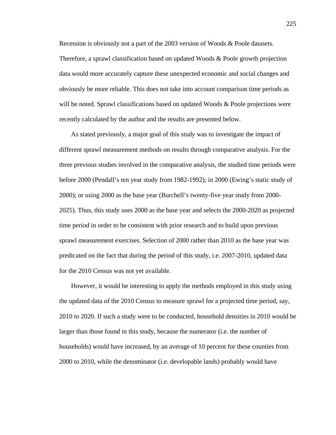Recession is obviously not a part of the 2003 version of Woods & Poole datasets. Therefore, a sprawl classification based on updated Woods & Poole growth projection data would more accurately capture these unexpected economic and social changes and obviously be more reliable. This does not take into account comparison time periods as will be noted. Sprawl classifications based on updated Woods & Poole projections were recently calculated by the author and the results are presented below.

As stated previously, a major goal of this study was to investigate the impact of different sprawl measurement methods on results through comparative analysis. For the three previous studies involved in the comparative analysis, the studied time periods were before 2000 (Pendall's ten year study from 1982-1992); in 2000 (Ewing's static study of 2000); or using 2000 as the base year (Burchell's twenty-five year study from 2000- 2025). Thus, this study uses 2000 as the base year and selects the 2000-2020 as projected time period in order to be consistent with prior research and to build upon previous sprawl measurement exercises. Selection of 2000 rather than 2010 as the base year was predicated on the fact that during the period of this study, i.e. 2007-2010, updated data for the 2010 Census was not yet available.

However, it would be interesting to apply the methods employed in this study using the updated data of the 2010 Census to measure sprawl for a projected time period, say, 2010 to 2020. If such a study were to be conducted, household densities in 2010 would be larger than those found in this study, because the numerator (i.e. the number of households) would have increased, by an average of 10 percent for these counties from 2000 to 2010, while the denominator (i.e. developable lands) probably would have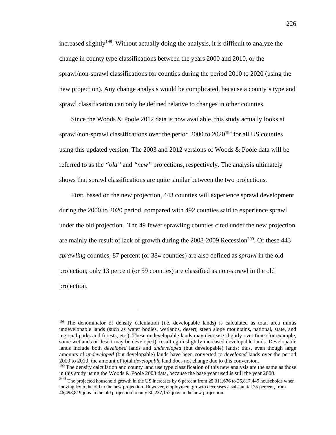increased slightly<sup>198</sup>. Without actually doing the analysis, it is difficult to analyze the change in county type classifications between the years 2000 and 2010, or the sprawl/non-sprawl classifications for counties during the period 2010 to 2020 (using the new projection). Any change analysis would be complicated, because a county's type and sprawl classification can only be defined relative to changes in other counties.

Since the Woods & Poole 2012 data is now available, this study actually looks at sprawl/non-sprawl classifications over the period  $2000$  to  $2020^{199}$  for all US counties using this updated version. The 2003 and 2012 versions of Woods & Poole data will be referred to as the *"old"* and *"new"* projections, respectively. The analysis ultimately shows that sprawl classifications are quite similar between the two projections.

First, based on the new projection, 443 counties will experience sprawl development during the 2000 to 2020 period, compared with 492 counties said to experience sprawl under the old projection. The 49 fewer sprawling counties cited under the new projection are mainly the result of lack of growth during the  $2008-2009$  Recession<sup>200</sup>. Of these  $443$ *sprawling* counties, 87 percent (or 384 counties) are also defined as *sprawl* in the old projection; only 13 percent (or 59 counties) are classified as non-sprawl in the old projection.

<sup>&</sup>lt;sup>198</sup> The denominator of density calculation (i.e. developable lands) is calculated as total area minus undevelopable lands (such as water bodies, wetlands, desert, steep slope mountains, national, state, and regional parks and forests, etc.). These undevelopable lands may decrease slightly over time (for example, some wetlands or desert may be developed), resulting in slightly increased developable lands. Developable lands include both *developed* lands and *undeveloped* (but developable) lands; thus, even though large amounts of *undeveloped* (but developable) lands have been converted to *developed* lands over the period 2000 to 2010, the amount of total *developable* land does not change due to this conversion.

<sup>&</sup>lt;sup>199</sup> The density calculation and county land use type classification of this new analysis are the same as those in this study using the Woods & Poole 2003 data, because the base year used is still the year 2000.

<sup>&</sup>lt;sup>200</sup> The projected household growth in the US increases by 6 percent from 25,311,676 to 26,817,449 households when moving from the old to the new projection. However, employment growth decreases a substantial 35 percent, from 46,493,819 jobs in the old projection to only 30,227,152 jobs in the new projection.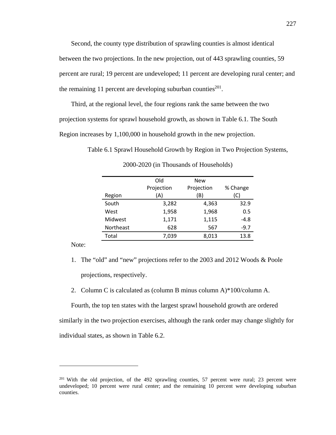Second, the county type distribution of sprawling counties is almost identical between the two projections. In the new projection, out of 443 sprawling counties, 59 percent are rural; 19 percent are undeveloped; 11 percent are developing rural center; and the remaining 11 percent are developing suburban counties $^{201}$ .

Third, at the regional level, the four regions rank the same between the two projection systems for sprawl household growth, as shown in Table 6.1. The South Region increases by 1,100,000 in household growth in the new projection.

Table 6.1 Sprawl Household Growth by Region in Two Projection Systems,

|           | Old        | <b>New</b> |          |  |
|-----------|------------|------------|----------|--|
|           | Projection | Projection | % Change |  |
| Region    | (A)        | (B)        | (C)      |  |
| South     | 3,282      | 4,363      | 32.9     |  |
| West      | 1,958      | 1,968      | 0.5      |  |
| Midwest   | 1,171      | 1,115      | $-4.8$   |  |
| Northeast | 628        | 567        | $-9.7$   |  |
| Total     | 7,039      | 8,013      | 13.8     |  |
|           |            |            |          |  |

2000-2020 (in Thousands of Households)

Note:

 $\overline{a}$ 

- 1. The "old" and "new" projections refer to the 2003 and 2012 Woods & Poole projections, respectively.
- 2. Column C is calculated as (column B minus column A)\*100/column A.

Fourth, the top ten states with the largest sprawl household growth are ordered similarly in the two projection exercises, although the rank order may change slightly for individual states, as shown in Table 6.2.

<sup>&</sup>lt;sup>201</sup> With the old projection, of the 492 sprawling counties, 57 percent were rural; 23 percent were undeveloped; 10 percent were rural center; and the remaining 10 percent were developing suburban counties.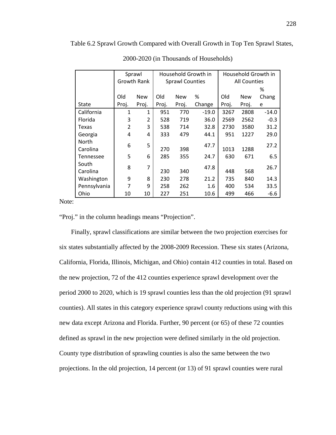Table 6.2 Sprawl Growth Compared with Overall Growth in Top Ten Sprawl States,

|                  | Sprawl         |            | Household Growth in    |            | Household Growth in |                     |            |         |
|------------------|----------------|------------|------------------------|------------|---------------------|---------------------|------------|---------|
|                  | Growth Rank    |            | <b>Sprawl Counties</b> |            |                     | <b>All Counties</b> |            |         |
|                  |                |            |                        |            |                     | ℅                   |            |         |
|                  | Old            | <b>New</b> | Old                    | <b>New</b> | %                   | Old                 | <b>New</b> | Chang   |
| <b>State</b>     | Proj.          | Proj.      | Proj.                  | Proj.      | Change              | Proj.               | Proj.      | e       |
| California       | 1              | 1          | 951                    | 770        | $-19.0$             | 3267                | 2808       | $-14.0$ |
| Florida          | 3              | 2          | 528                    | 719        | 36.0                | 2569                | 2562       | $-0.3$  |
| Texas            | $\overline{2}$ | 3          | 538                    | 714        | 32.8                | 2730                | 3580       | 31.2    |
| Georgia          | 4              | 4          | 333                    | 479        | 44.1                | 951                 | 1227       | 29.0    |
| <b>North</b>     | 6              | 5          |                        |            | 47.7                |                     |            | 27.2    |
| Carolina         |                |            | 270                    | 398        |                     | 1013                | 1288       |         |
| <b>Tennessee</b> | 5              | 6          | 285                    | 355        | 24.7                | 630                 | 671        | 6.5     |
| South            | 8              | 7          |                        |            | 47.8                |                     |            | 26.7    |
| Carolina         |                |            | 230                    | 340        |                     | 448                 | 568        |         |
| Washington       | 9              | 8          | 230                    | 278        | 21.2                | 735                 | 840        | 14.3    |
| Pennsylvania     | 7              | 9          | 258                    | 262        | 1.6                 | 400                 | 534        | 33.5    |
| Ohio             | 10             | 10         | 227                    | 251        | 10.6                | 499                 | 466        | $-6.6$  |

2000-2020 (in Thousands of Households)

Note:

"Proj." in the column headings means "Projection".

Finally, sprawl classifications are similar between the two projection exercises for six states substantially affected by the 2008-2009 Recession. These six states (Arizona, California, Florida, Illinois, Michigan, and Ohio) contain 412 counties in total. Based on the new projection, 72 of the 412 counties experience sprawl development over the period 2000 to 2020, which is 19 sprawl counties less than the old projection (91 sprawl counties). All states in this category experience sprawl county reductions using with this new data except Arizona and Florida. Further, 90 percent (or 65) of these 72 counties defined as sprawl in the new projection were defined similarly in the old projection. County type distribution of sprawling counties is also the same between the two projections. In the old projection, 14 percent (or 13) of 91 sprawl counties were rural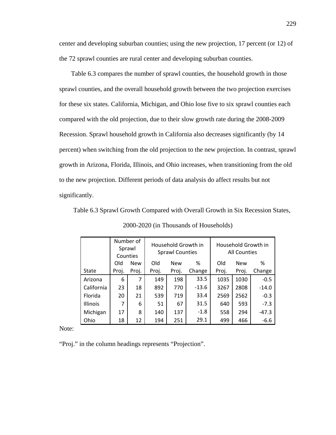center and developing suburban counties; using the new projection, 17 percent (or 12) of the 72 sprawl counties are rural center and developing suburban counties.

Table 6.3 compares the number of sprawl counties, the household growth in those sprawl counties, and the overall household growth between the two projection exercises for these six states. California, Michigan, and Ohio lose five to six sprawl counties each compared with the old projection, due to their slow growth rate during the 2008-2009 Recession. Sprawl household growth in California also decreases significantly (by 14 percent) when switching from the old projection to the new projection. In contrast, sprawl growth in Arizona, Florida, Illinois, and Ohio increases, when transitioning from the old to the new projection. Different periods of data analysis do affect results but not significantly.

Table 6.3 Sprawl Growth Compared with Overall Growth in Six Recession States,

|                 |       | Number of<br>Sprawl<br>Counties | Household Growth in<br><b>Sprawl Counties</b> |            |         | Household Growth in<br><b>All Counties</b> |            |         |
|-----------------|-------|---------------------------------|-----------------------------------------------|------------|---------|--------------------------------------------|------------|---------|
|                 | Old   | <b>New</b>                      | Old                                           | <b>New</b> | %       | Old                                        | <b>New</b> | %       |
| <b>State</b>    | Proj. | Proj.                           | Proj.                                         | Proj.      | Change  | Proj.                                      | Proj.      | Change  |
| Arizona         | 6     | 7                               | 149                                           | 198        | 33.5    | 1035                                       | 1030       | $-0.5$  |
| California      | 23    | 18                              | 892                                           | 770        | $-13.6$ | 3267                                       | 2808       | $-14.0$ |
| Florida         | 20    | 21                              | 539                                           | 719        | 33.4    | 2569                                       | 2562       | $-0.3$  |
| <b>Illinois</b> | 7     | 6                               | 51                                            | 67         | 31.5    | 640                                        | 593        | $-7.3$  |
| Michigan        | 17    | 8                               | 140                                           | 137        | $-1.8$  | 558                                        | 294        | $-47.3$ |
| Ohio            | 18    | 12                              | 194                                           | 251        | 29.1    | 499                                        | 466        | $-6.6$  |

2000-2020 (in Thousands of Households)

Note:

"Proj." in the column headings represents "Projection".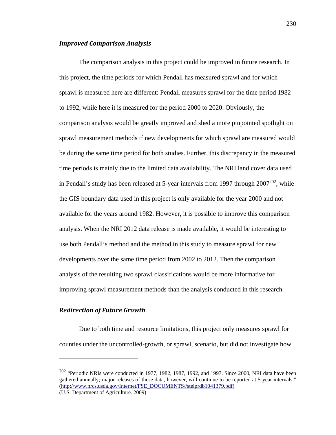#### *Improved Comparison Analysis*

The comparison analysis in this project could be improved in future research. In this project, the time periods for which Pendall has measured sprawl and for which sprawl is measured here are different: Pendall measures sprawl for the time period 1982 to 1992, while here it is measured for the period 2000 to 2020. Obviously, the comparison analysis would be greatly improved and shed a more pinpointed spotlight on sprawl measurement methods if new developments for which sprawl are measured would be during the same time period for both studies. Further, this discrepancy in the measured time periods is mainly due to the limited data availability. The NRI land cover data used in Pendall's study has been released at 5-year intervals from 1997 through  $2007^{202}$ , while the GIS boundary data used in this project is only available for the year 2000 and not available for the years around 1982. However, it is possible to improve this comparison analysis. When the NRI 2012 data release is made available, it would be interesting to use both Pendall's method and the method in this study to measure sprawl for new developments over the same time period from 2002 to 2012. Then the comparison analysis of the resulting two sprawl classifications would be more informative for improving sprawl measurement methods than the analysis conducted in this research.

#### *Redirection of Future Growth*

1

Due to both time and resource limitations, this project only measures sprawl for counties under the uncontrolled-growth, or sprawl, scenario, but did not investigate how

 $202$  "Periodic NRIs were conducted in 1977, 1982, 1987, 1992, and 1997. Since 2000, NRI data have been gathered annually; major releases of these data, however, will continue to be reported at 5-year intervals." (http://www.nrcs.usda.gov/Internet/FSE\_DOCUMENTS//stelprdb1041379.pdf) (U.S. Department of Agriculture. 2009)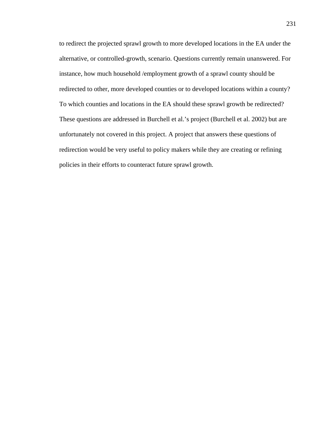to redirect the projected sprawl growth to more developed locations in the EA under the alternative, or controlled-growth, scenario. Questions currently remain unanswered. For instance, how much household /employment growth of a sprawl county should be redirected to other, more developed counties or to developed locations within a county? To which counties and locations in the EA should these sprawl growth be redirected? These questions are addressed in Burchell et al.'s project (Burchell et al. 2002) but are unfortunately not covered in this project. A project that answers these questions of redirection would be very useful to policy makers while they are creating or refining policies in their efforts to counteract future sprawl growth.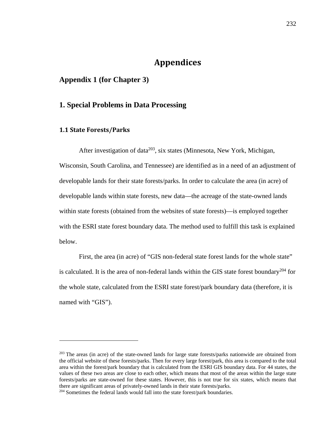# **Appendices**

## **Appendix 1 (for Chapter 3)**

## **1. Special Problems in Data Processing**

#### **1.1 State Forests/Parks**

1

After investigation of data<sup>203</sup>, six states (Minnesota, New York, Michigan, Wisconsin, South Carolina, and Tennessee) are identified as in a need of an adjustment of developable lands for their state forests/parks. In order to calculate the area (in acre) of developable lands within state forests, new data—the acreage of the state-owned lands within state forests (obtained from the websites of state forests)—is employed together with the ESRI state forest boundary data. The method used to fulfill this task is explained below.

First, the area (in acre) of "GIS non-federal state forest lands for the whole state" is calculated. It is the area of non-federal lands within the GIS state forest boundary<sup>204</sup> for the whole state, calculated from the ESRI state forest/park boundary data (therefore, it is named with "GIS").

<sup>&</sup>lt;sup>203</sup> The areas (in acre) of the state-owned lands for large state forests/parks nationwide are obtained from the official website of these forests/parks. Then for every large forest/park, this area is compared to the total area within the forest/park boundary that is calculated from the ESRI GIS boundary data. For 44 states, the values of these two areas are close to each other, which means that most of the areas within the large state forests/parks are state-owned for these states. However, this is not true for six states, which means that there are significant areas of privately-owned lands in their state forests/parks. 204 Sometimes the federal lands would fall into the state forest/park boundaries.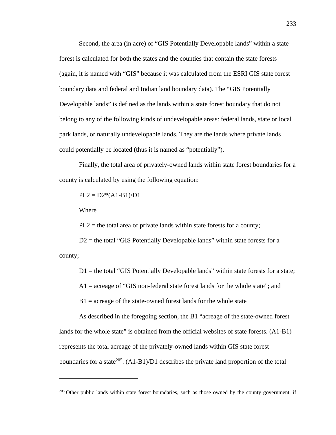Second, the area (in acre) of "GIS Potentially Developable lands" within a state forest is calculated for both the states and the counties that contain the state forests (again, it is named with "GIS" because it was calculated from the ESRI GIS state forest boundary data and federal and Indian land boundary data). The "GIS Potentially Developable lands" is defined as the lands within a state forest boundary that do not belong to any of the following kinds of undevelopable areas: federal lands, state or local park lands, or naturally undevelopable lands. They are the lands where private lands could potentially be located (thus it is named as "potentially").

Finally, the total area of privately-owned lands within state forest boundaries for a county is calculated by using the following equation:

 $PL2 = D2*(A1-B1)/D1$ 

Where

 $\overline{a}$ 

 $PL2$  = the total area of private lands within state forests for a county;

 $D2$  = the total "GIS Potentially Developable lands" within state forests for a county;

 $D1$  = the total "GIS Potentially Developable lands" within state forests for a state;

 $A1$  = acreage of "GIS non-federal state forest lands for the whole state"; and

 $B1$  = acreage of the state-owned forest lands for the whole state

As described in the foregoing section, the B1 "acreage of the state-owned forest lands for the whole state" is obtained from the official websites of state forests. (A1-B1) represents the total acreage of the privately-owned lands within GIS state forest boundaries for a state<sup>205</sup>.  $(A1-B1)/D1$  describes the private land proportion of the total

 $205$  Other public lands within state forest boundaries, such as those owned by the county government, if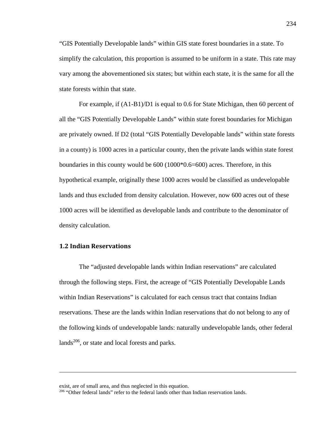"GIS Potentially Developable lands" within GIS state forest boundaries in a state. To simplify the calculation, this proportion is assumed to be uniform in a state. This rate may vary among the abovementioned six states; but within each state, it is the same for all the state forests within that state.

For example, if (A1-B1)/D1 is equal to 0.6 for State Michigan, then 60 percent of all the "GIS Potentially Developable Lands" within state forest boundaries for Michigan are privately owned. If D2 (total "GIS Potentially Developable lands" within state forests in a county) is 1000 acres in a particular county, then the private lands within state forest boundaries in this county would be 600 (1000\*0.6=600) acres. Therefore, in this hypothetical example, originally these 1000 acres would be classified as undevelopable lands and thus excluded from density calculation. However, now 600 acres out of these 1000 acres will be identified as developable lands and contribute to the denominator of density calculation.

## **1.2 Indian Reservations**

 $\overline{a}$ 

The "adjusted developable lands within Indian reservations" are calculated through the following steps. First, the acreage of "GIS Potentially Developable Lands within Indian Reservations" is calculated for each census tract that contains Indian reservations. These are the lands within Indian reservations that do not belong to any of the following kinds of undevelopable lands: naturally undevelopable lands, other federal lands $206$ , or state and local forests and parks.

exist, are of small area, and thus neglected in this equation.<br><sup>206</sup> "Other federal lands" refer to the federal lands other than Indian reservation lands.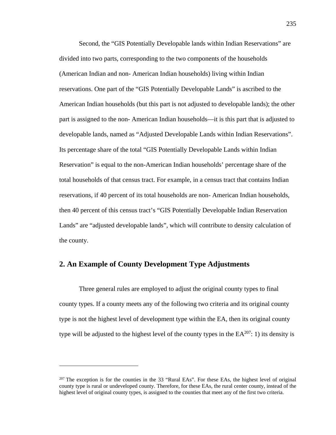Second, the "GIS Potentially Developable lands within Indian Reservations" are divided into two parts, corresponding to the two components of the households (American Indian and non- American Indian households) living within Indian reservations. One part of the "GIS Potentially Developable Lands" is ascribed to the American Indian households (but this part is not adjusted to developable lands); the other part is assigned to the non- American Indian households—it is this part that is adjusted to developable lands, named as "Adjusted Developable Lands within Indian Reservations". Its percentage share of the total "GIS Potentially Developable Lands within Indian Reservation" is equal to the non-American Indian households' percentage share of the total households of that census tract. For example, in a census tract that contains Indian reservations, if 40 percent of its total households are non- American Indian households, then 40 percent of this census tract's "GIS Potentially Developable Indian Reservation Lands" are "adjusted developable lands", which will contribute to density calculation of the county.

## **2. An Example of County Development Type Adjustments**

<u>.</u>

Three general rules are employed to adjust the original county types to final county types. If a county meets any of the following two criteria and its original county type is not the highest level of development type within the EA, then its original county type will be adjusted to the highest level of the county types in the  $EA^{207}$ : 1) its density is

<sup>&</sup>lt;sup>207</sup> The exception is for the counties in the 33 "Rural EAs". For these EAs, the highest level of original county type is rural or undeveloped county. Therefore, for these EAs, the rural center county, instead of the highest level of original county types, is assigned to the counties that meet any of the first two criteria.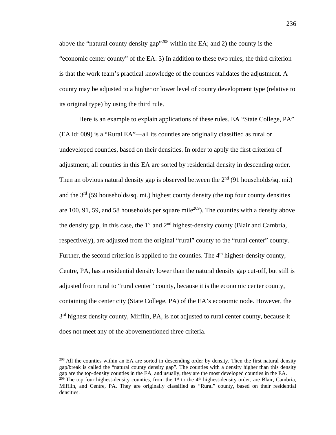above the "natural county density gap"208 within the EA; and 2) the county is the "economic center county" of the EA. 3) In addition to these two rules, the third criterion is that the work team's practical knowledge of the counties validates the adjustment. A county may be adjusted to a higher or lower level of county development type (relative to its original type) by using the third rule.

Here is an example to explain applications of these rules. EA "State College, PA" (EA id: 009) is a "Rural EA"—all its counties are originally classified as rural or undeveloped counties, based on their densities. In order to apply the first criterion of adjustment, all counties in this EA are sorted by residential density in descending order. Then an obvious natural density gap is observed between the  $2<sup>nd</sup>$  (91 households/sq. mi.) and the  $3<sup>rd</sup>$  (59 households/sq. mi.) highest county density (the top four county densities are 100, 91, 59, and 58 households per square mile<sup>209</sup>). The counties with a density above the density gap, in this case, the  $1<sup>st</sup>$  and  $2<sup>nd</sup>$  highest-density county (Blair and Cambria, respectively), are adjusted from the original "rural" county to the "rural center" county. Further, the second criterion is applied to the counties. The  $4<sup>th</sup>$  highest-density county, Centre, PA, has a residential density lower than the natural density gap cut-off, but still is adjusted from rural to "rural center" county, because it is the economic center county, containing the center city (State College, PA) of the EA's economic node. However, the  $3<sup>rd</sup>$  highest density county, Mifflin, PA, is not adjusted to rural center county, because it does not meet any of the abovementioned three criteria.

<sup>208</sup> All the counties within an EA are sorted in descending order by density. Then the first natural density gap/break is called the "natural county density gap". The counties with a density higher than this density gap are the top-density counties in the EA, and usually, they are the most developed counties in the EA.  $^{209}$  The top four highest-density counties, from the 1<sup>st</sup> to the 4<sup>th</sup> highest-density order, are Blair, Cambria,

<u>.</u>

Mifflin, and Centre, PA. They are originally classified as "Rural" county, based on their residential densities.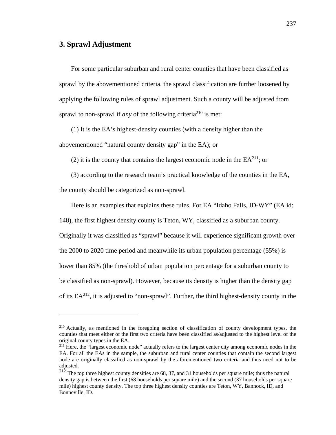## **3. Sprawl Adjustment**

 $\overline{a}$ 

For some particular suburban and rural center counties that have been classified as sprawl by the abovementioned criteria, the sprawl classification are further loosened by applying the following rules of sprawl adjustment. Such a county will be adjusted from sprawl to non-sprawl if *any* of the following criteria<sup>210</sup> is met:

(1) It is the EA's highest-density counties (with a density higher than the abovementioned "natural county density gap" in the EA); or

(2) it is the county that contains the largest economic node in the  $EA^{211}$ ; or

(3) according to the research team's practical knowledge of the counties in the EA, the county should be categorized as non-sprawl.

Here is an examples that explains these rules. For EA "Idaho Falls, ID-WY" (EA id:

148), the first highest density county is Teton, WY, classified as a suburban county.

Originally it was classified as "sprawl" because it will experience significant growth over the 2000 to 2020 time period and meanwhile its urban population percentage (55%) is lower than 85% (the threshold of urban population percentage for a suburban county to be classified as non-sprawl). However, because its density is higher than the density gap of its  $EA^{212}$ , it is adjusted to "non-sprawl". Further, the third highest-density county in the

<sup>210</sup> Actually, as mentioned in the foregoing section of classification of county development types, the counties that meet either of the first two criteria have been classified as/adjusted to the highest level of the original county types in the EA.

<sup>&</sup>lt;sup>211</sup> Here, the "largest economic node" actually refers to the largest center city among economic nodes in the EA. For all the EAs in the sample, the suburban and rural center counties that contain the second largest node are originally classified as non-sprawl by the aforementioned two criteria and thus need not to be adjusted.

 $212$  The top three highest county densities are 68, 37, and 31 households per square mile; thus the natural density gap is between the first (68 households per square mile) and the second (37 households per square mile) highest county density. The top three highest density counties are Teton, WY, Bannock, ID, and Bonneville, ID.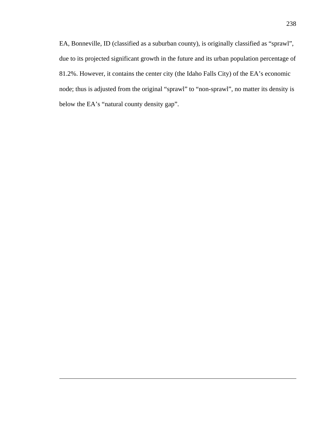EA, Bonneville, ID (classified as a suburban county), is originally classified as "sprawl", due to its projected significant growth in the future and its urban population percentage of 81.2%. However, it contains the center city (the Idaho Falls City) of the EA's economic node; thus is adjusted from the original "sprawl" to "non-sprawl", no matter its density is below the EA's "natural county density gap".

1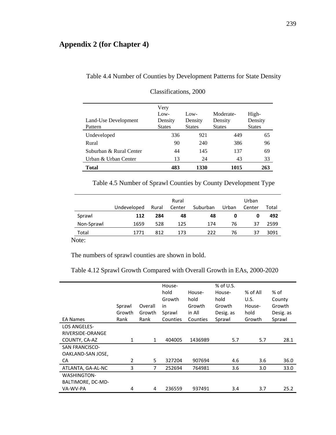### **Appendix 2 (for Chapter 4)**

| Total                           | 483                                      | 1330                               | 1015                                  | 263                               |
|---------------------------------|------------------------------------------|------------------------------------|---------------------------------------|-----------------------------------|
| Urban & Urban Center            | 13                                       | 24                                 | 43                                    | 33                                |
| Suburban & Rural Center         | 44                                       | 145                                | 137                                   | 69                                |
| Rural                           | 90                                       | 240                                | 386                                   | 96                                |
| Undeveloped                     | 336                                      | 921                                | 449                                   | 65                                |
| Land-Use Development<br>Pattern | Very<br>Low-<br>Density<br><b>States</b> | $Low-$<br>Density<br><b>States</b> | Moderate-<br>Density<br><b>States</b> | High-<br>Density<br><b>States</b> |

# Table 4.4 Number of Counties by Development Patterns for State Density

| Classifications, 2000 |  |
|-----------------------|--|
|                       |  |

Table 4.5 Number of Sprawl Counties by County Development Type

|            |             |       | Rural  |          |       | Urban  |       |
|------------|-------------|-------|--------|----------|-------|--------|-------|
|            | Undeveloped | Rural | Center | Suburban | Urban | Center | Total |
| Sprawl     | 112         | 284   | 48     | 48       | O     | O      | 492   |
| Non-Sprawl | 1659        | 528   | 125    | 174      | 76    | 37     | 2599  |
| Total      | 1771        | 812   | 173    | 222      | 76    | 37     | 3091  |
| $\sqrt{1}$ |             |       |        |          |       |        |       |

Note:

The numbers of sprawl counties are shown in bold.

#### Table 4.12 Sprawl Growth Compared with Overall Growth in EAs, 2000-2020

|                                            | Sprawl<br>Growth | Overall<br>Growth | House-<br>hold<br>Growth<br>in<br>Sprawl | House-<br>hold<br>Growth<br>in All | $%$ of U.S.<br>House-<br>hold<br>Growth<br>Desig. as | $%$ of All<br>U.S.<br>House-<br>hold | % of<br>County<br>Growth<br>Desig. as |
|--------------------------------------------|------------------|-------------------|------------------------------------------|------------------------------------|------------------------------------------------------|--------------------------------------|---------------------------------------|
| <b>EA Names</b>                            | Rank             | Rank              | Counties                                 | Counties                           | Sprawl                                               | Growth                               | Sprawl                                |
| <b>LOS ANGELES-</b>                        |                  |                   |                                          |                                    |                                                      |                                      |                                       |
| RIVERSIDE-ORANGE                           |                  |                   |                                          |                                    |                                                      |                                      |                                       |
| COUNTY, CA-AZ                              | $\mathbf{1}$     | $\mathbf{1}$      | 404005                                   | 1436989                            | 5.7                                                  | 5.7                                  | 28.1                                  |
| <b>SAN FRANCISCO-</b><br>OAKLAND-SAN JOSE, |                  |                   |                                          |                                    |                                                      |                                      |                                       |
| CA                                         | 2                | 5.                | 327204                                   | 907694                             | 4.6                                                  | 3.6                                  | 36.0                                  |
| ATLANTA, GA-AL-NC                          | 3                | 7                 | 252694                                   | 764981                             | 3.6                                                  | 3.0                                  | 33.0                                  |
| <b>WASHINGTON-</b><br>BALTIMORE, DC-MD-    |                  |                   |                                          |                                    |                                                      |                                      |                                       |
| VA-WV-PA                                   | 4                | 4                 | 236559                                   | 937491                             | 3.4                                                  | 3.7                                  | 25.2                                  |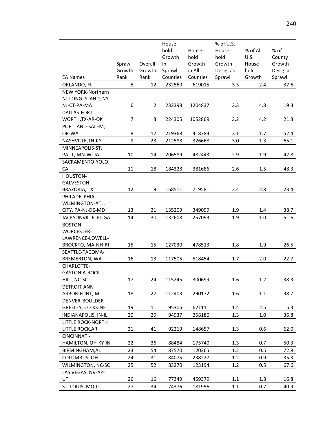|                            |        |                | House-   |          | % of U.S. |          |           |
|----------------------------|--------|----------------|----------|----------|-----------|----------|-----------|
|                            |        |                | hold     | House-   | House-    | % of All | % of      |
|                            |        |                | Growth   | hold     | hold      | U.S.     | County    |
|                            | Sprawl | Overall        | in       | Growth   | Growth    | House-   | Growth    |
|                            | Growth | Growth         | Sprawl   | in All   | Desig. as | hold     | Desig. as |
| <b>EA Names</b>            | Rank   | Rank           | Counties | Counties | Sprawl    | Growth   | Sprawl    |
| ORLANDO, FL                | 5      | 12             | 232560   | 619015   | 3.3       | 2.4      | 37.6      |
| NEW YORK-Northern          |        |                |          |          |           |          |           |
| NJ-LONG ISLAND, NY-        |        |                |          |          |           |          |           |
| NJ-CT-PA-MA                | 6      | $\overline{2}$ | 232398   | 1204837  | 3.3       | 4.8      | 19.3      |
| DALLAS-FORT                |        |                |          |          |           |          |           |
| WORTH, TX-AR-OK            | 7      | 3              | 224305   | 1052869  | 3.2       | 4.2      | 21.3      |
| PORTLAND-SALEM,            |        |                |          |          |           |          |           |
| OR-WA                      | 8      | 17             | 219368   | 418783   | 3.1       | 1.7      | 52.4      |
| NASHVILLE, TN-KY           | 9      | 23             | 212588   | 326668   | 3.0       | 1.3      | 65.1      |
| MINNEAPOLIS-ST.            |        |                |          |          |           |          |           |
| PAUL, MN-WI-IA             | 10     | 14             | 206589   | 482443   | 2.9       | 1.9      | 42.8      |
| SACRAMENTO-YOLO,           |        |                |          |          |           |          |           |
| CA                         | 11     | 18             | 184328   | 381686   | 2.6       | 1.5      | 48.3      |
| HOUSTON-                   |        |                |          |          |           |          |           |
| GALVESTON-                 |        |                |          |          |           |          |           |
| BRAZORIA, TX               | 12     | 9              | 168511   | 719581   | 2.4       | 2.8      | 23.4      |
| PHILADELPHIA-              |        |                |          |          |           |          |           |
| WILMINGTON-ATL.            |        |                |          |          |           |          |           |
| CITY, PA-NJ-DE-MD          | 13     | 21             | 135209   | 349099   | 1.9       | 1.4      | 38.7      |
| JACKSONVILLE, FL-GA        | 14     | 30             | 132608   | 257093   | 1.9       | 1.0      | 51.6      |
| BOSTON-                    |        |                |          |          |           |          |           |
| WORCESTER-                 |        |                |          |          |           |          |           |
| LAWRENCE-LOWELL-           |        |                |          |          |           |          |           |
| <b>BROCKTO, MA-NH-RI</b>   | 15     | 15             | 127030   | 478513   | 1.8       | 1.9      | 26.5      |
| SEATTLE-TACOMA-            |        |                |          |          |           |          |           |
| <b>BREMERTON, WA</b>       | 16     | 13             | 117505   | 518454   | 1.7       | 2.0      | 22.7      |
| CHARLOTTE-                 |        |                |          |          |           |          |           |
| <b>GASTONIA-ROCK</b>       |        |                |          |          |           |          |           |
| HILL, NC-SC                | 17     | 24             | 115245   | 300699   | 1.6       | 1.2      | 38.3      |
| DETROIT-ANN                |        |                |          |          |           |          |           |
| ARBOR-FLINT, MI            | 18     | 27             | 112403   | 290172   | 1.6       | 1.1      | 38.7      |
| DENVER-BOULDER-            |        |                |          |          |           |          |           |
| GREELEY, CO-KS-NE          | 19     | 11             | 95306    | 621111   | 1.4       | 2.5      | 15.3      |
| <b>INDIANAPOLIS, IN-IL</b> | 20     | 29             | 94937    | 258180   | 1.3       | 1.0      | 36.8      |
| LITTLE ROCK-NORTH          |        |                |          |          |           |          |           |
| LITTLE ROCK, AR            | 21     | 41             | 92219    | 148657   | 1.3       | 0.6      | 62.0      |
| CINCINNATI-                |        |                |          |          |           |          |           |
| HAMILTON, OH-KY-IN         | 22     | 36             | 88484    | 175740   | 1.3       | 0.7      | 50.3      |
| BIRMINGHAM, AL             | 23     | 54             | 87570    | 120265   | 1.2       | 0.5      | 72.8      |
| COLUMBUS, OH               | 24     | 31             | 84075    | 238227   | 1.2       | 0.9      | 35.3      |
| WILMINGTON, NC-SC          | 25     | 52             | 83270    | 123194   | 1.2       | 0.5      | 67.6      |
| LAS VEGAS, NV-AZ-          |        |                |          |          |           |          |           |
| UT                         | 26     | 16             | 77349    | 459379   | $1.1\,$   | 1.8      | 16.8      |
| ST. LOUIS, MO-IL           | 27     | 34             | 74376    | 181956   | 1.1       | 0.7      | 40.9      |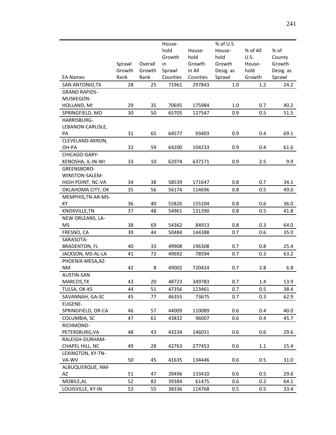|                      |        |         | House-   |          | % of U.S. |          |           |
|----------------------|--------|---------|----------|----------|-----------|----------|-----------|
|                      |        |         | hold     | House-   | House-    | % of All | % of      |
|                      |        |         | Growth   | hold     | hold      | U.S.     | County    |
|                      | Sprawl | Overall | in       | Growth   | Growth    | House-   | Growth    |
|                      | Growth | Growth  | Sprawl   | in All   | Desig. as | hold     | Desig. as |
| <b>EA Names</b>      | Rank   | Rank    | Counties | Counties | Sprawl    | Growth   | Sprawl    |
| SAN ANTONIO, TX      | 28     | 25      | 71961    | 297843   | 1.0       | 1.2      | 24.2      |
| <b>GRAND RAPIDS-</b> |        |         |          |          |           |          |           |
| MUSKEGON-            |        |         |          |          |           |          |           |
| HOLLAND, MI          | 29     | 35      | 70695    | 175984   | $1.0\,$   | 0.7      | 40.2      |
| SPRINGFIELD, MO      | 30     | 50      | 65705    | 127547   | 0.9       | 0.5      | 51.5      |
| HARRISBURG-          |        |         |          |          |           |          |           |
| LEBANON-CARLISLE,    |        |         |          |          |           |          |           |
| PA                   | 31     | 65      | 64577    | 93403    | 0.9       | 0.4      | 69.1      |
| CLEVELAND-AKRON,     |        |         |          |          |           |          |           |
| OH-PA                | 32     | 59      | 64200    | 104233   | 0.9       | 0.4      | 61.6      |
| CHICAGO-GARY-        |        |         |          |          |           |          |           |
| KENOSHA, IL-IN-WI    | 33     | 10      | 62974    | 637171   | 0.9       | 2.5      | 9.9       |
| GREENSBORO-          |        |         |          |          |           |          |           |
| WINSTON-SALEM-       |        |         |          |          |           |          |           |
| HIGH POINT, NC-VA    | 34     | 38      | 58539    | 171647   | 0.8       | 0.7      | 34.1      |
| OKLAHOMA CITY, OK    | 35     | 56      | 56174    | 114696   | 0.8       | 0.5      | 49.0      |
| MEMPHIS, TN-AR-MS-   |        |         |          |          |           |          |           |
| KY                   | 36     | 40      | 55826    | 155104   | 0.8       | 0.6      | 36.0      |
| KNOXVILLE, TN        | 37     | 48      | 54961    | 131390   | 0.8       | 0.5      | 41.8      |
| NEW ORLEANS, LA-     |        |         |          |          |           |          |           |
| <b>MS</b>            | 38     | 69      | 54362    | 84913    | 0.8       | 0.3      | 64.0      |
| FRESNO, CA           | 39     | 44      | 50484    | 144388   | 0.7       | 0.6      | 35.0      |
| SARASOTA-            |        |         |          |          |           |          |           |
| <b>BRADENTON, FL</b> | 40     | 33      | 49908    | 196308   | 0.7       | 0.8      | 25.4      |
| JACKSON, MS-AL-LA    | 41     | 72      | 49692    | 78594    | 0.7       | 0.3      | 63.2      |
| PHOENIX-MESA, AZ-    |        |         |          |          |           |          |           |
| ΝM                   | 42     | 8       | 49002    | 720424   | 0.7       | 2.8      | 6.8       |
| AUSTIN-SAN           |        |         |          |          |           |          |           |
| MARCOS, TX           | 43     | 20      | 48723    | 349783   | 0.7       | 1.4      | 13.9      |
| TULSA, OK-KS         | 44     | 51      | 47356    | 123461   | 0.7       | 0.5      | 38.4      |
| SAVANNAH, GA-SC      | 45     | 77      | 46355    | 73675    | 0.7       | 0.3      | 62.9      |
| <b>EUGENE-</b>       |        |         |          |          |           |          |           |
| SPRINGFIELD, OR-CA   | 46     | 57      | 44009    | 110089   | 0.6       | 0.4      | 40.0      |
| COLUMBIA, SC         | 47     | 61      | 43832    | 96007    | 0.6       | 0.4      | 45.7      |
| RICHMOND-            |        |         |          |          |           |          |           |
| PETERSBURG, VA       | 48     | 43      | 43234    | 146031   | 0.6       | 0.6      | 29.6      |
| RALEIGH-DURHAM-      |        |         |          |          |           |          |           |
| CHAPEL HILL, NC      | 49     | 28      | 42763    | 277453   | 0.6       | 1.1      | 15.4      |
| LEXINGTON, KY-TN-    |        |         |          |          |           |          |           |
| VA-WV                | 50     | 45      | 41635    | 134446   | 0.6       | 0.5      | 31.0      |
| ALBUQUERQUE, NM-     |        |         |          |          |           |          |           |
| AZ                   | 51     | 47      | 39496    | 133410   | 0.6       | 0.5      | 29.6      |
| MOBILE, AL           | 52     | 82      | 39384    | 61475    | 0.6       | 0.2      | 64.1      |
| LOUISVILLE, KY-IN    | 53     | 55      | 38336    | 114768   | 0.5       | 0.5      | 33.4      |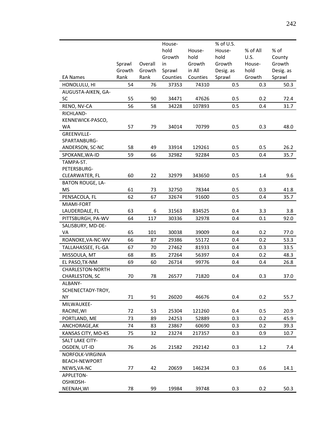|                         |        |         | House-   |          | % of U.S. |          |           |
|-------------------------|--------|---------|----------|----------|-----------|----------|-----------|
|                         |        |         | hold     | House-   | House-    | % of All | % of      |
|                         |        |         | Growth   | hold     | hold      | U.S.     | County    |
|                         | Sprawl | Overall | in       | Growth   | Growth    | House-   | Growth    |
|                         | Growth | Growth  | Sprawl   | in All   | Desig. as | hold     | Desig. as |
| <b>EA Names</b>         | Rank   | Rank    | Counties | Counties | Sprawl    | Growth   | Sprawl    |
| HONOLULU, HI            | 54     | 76      | 37353    | 74310    | 0.5       | 0.3      | 50.3      |
| AUGUSTA-AIKEN, GA-      |        |         |          |          |           |          |           |
| SC                      | 55     | 90      | 34471    | 47626    | 0.5       | 0.2      | 72.4      |
| RENO, NV-CA             | 56     | 58      | 34228    | 107893   | 0.5       | 0.4      | 31.7      |
| RICHLAND-               |        |         |          |          |           |          |           |
| KENNEWICK-PASCO,        |        |         |          |          |           |          |           |
| <b>WA</b>               | 57     | 79      | 34014    | 70799    | 0.5       | 0.3      | 48.0      |
| <b>GREENVILLE-</b>      |        |         |          |          |           |          |           |
| SPARTANBURG-            |        |         |          |          |           |          |           |
| ANDERSON, SC-NC         | 58     | 49      | 33914    | 129261   | 0.5       | 0.5      | 26.2      |
| SPOKANE, WA-ID          | 59     | 66      | 32982    | 92284    | 0.5       | 0.4      | 35.7      |
| TAMPA-ST.               |        |         |          |          |           |          |           |
| PETERSBURG-             |        |         |          |          |           |          |           |
| CLEARWATER, FL          | 60     | 22      | 32979    | 343650   | 0.5       | 1.4      | 9.6       |
| <b>BATON ROUGE, LA-</b> |        |         |          |          |           |          |           |
| <b>MS</b>               | 61     | 73      | 32750    | 78344    | 0.5       | 0.3      | 41.8      |
| PENSACOLA, FL           | 62     | 67      | 32674    | 91600    | 0.5       | 0.4      | 35.7      |
| MIAMI-FORT              |        |         |          |          |           |          |           |
| LAUDERDALE, FL          | 63     | 6       | 31563    | 834525   | 0.4       | 3.3      | 3.8       |
| PITTSBURGH, PA-WV       | 64     | 117     | 30336    | 32978    | 0.4       | 0.1      | 92.0      |
| SALISBURY, MD-DE-       |        |         |          |          |           |          |           |
| VA                      | 65     | 101     | 30038    | 39009    | 0.4       | 0.2      | 77.0      |
| ROANOKE, VA-NC-WV       | 66     | 87      | 29386    | 55172    | 0.4       | 0.2      | 53.3      |
| TALLAHASSEE, FL-GA      | 67     | 70      | 27462    | 81933    | 0.4       | 0.3      | 33.5      |
| MISSOULA, MT            | 68     | 85      | 27264    | 56397    | 0.4       | 0.2      | 48.3      |
| EL PASO, TX-NM          | 69     | 60      | 26714    | 99776    | 0.4       | 0.4      | 26.8      |
| <b>CHARLESTON-NORTH</b> |        |         |          |          |           |          |           |
| CHARLESTON, SC          | 70     | 78      | 26577    | 71820    | 0.4       | 0.3      | 37.0      |
| ALBANY-                 |        |         |          |          |           |          |           |
| SCHENECTADY-TROY,       |        |         |          |          |           |          |           |
| <b>NY</b>               | 71     | 91      | 26020    | 46676    | 0.4       | 0.2      | 55.7      |
| MILWAUKEE-              |        |         |          |          |           |          |           |
| RACINE, WI              | 72     | 53      | 25304    | 121260   | 0.4       | 0.5      | 20.9      |
| PORTLAND, ME            | 73     | 89      | 24253    | 52889    | 0.3       | 0.2      | 45.9      |
| ANCHORAGE, AK           | 74     | 83      | 23867    | 60690    | 0.3       | 0.2      | 39.3      |
| KANSAS CITY, MO-KS      | 75     | 32      | 23274    | 217357   | 0.3       | 0.9      | 10.7      |
| SALT LAKE CITY-         |        |         |          |          |           |          |           |
| OGDEN, UT-ID            | 76     | 26      | 21582    | 292142   | 0.3       | 1.2      | 7.4       |
| NORFOLK-VIRGINIA        |        |         |          |          |           |          |           |
| <b>BEACH-NEWPORT</b>    |        |         |          |          |           |          |           |
| NEWS, VA-NC             | 77     | 42      | 20659    | 146234   | 0.3       | 0.6      | 14.1      |
| APPLETON-               |        |         |          |          |           |          |           |
| OSHKOSH-                |        |         |          |          |           |          |           |
| NEENAH, WI              | 78     | 99      | 19984    | 39748    | 0.3       | 0.2      | 50.3      |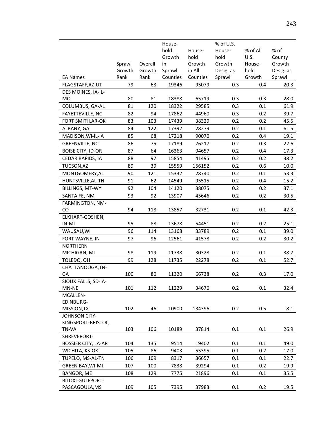|                                |        |         | House-   |          | % of U.S. |          |           |
|--------------------------------|--------|---------|----------|----------|-----------|----------|-----------|
|                                |        |         | hold     | House-   | House-    | % of All | % of      |
|                                |        |         | Growth   | hold     | hold      | U.S.     | County    |
|                                | Sprawl | Overall | in       | Growth   | Growth    | House-   | Growth    |
|                                | Growth | Growth  | Sprawl   | in All   | Desig. as | hold     | Desig. as |
| <b>EA Names</b>                | Rank   | Rank    | Counties | Counties | Sprawl    | Growth   | Sprawl    |
| FLAGSTAFF, AZ-UT               | 79     | 63      | 19346    | 95079    | 0.3       | 0.4      | 20.3      |
| DES MOINES, IA-IL-             |        |         |          |          |           |          |           |
| <b>MO</b>                      | 80     | 81      | 18388    | 65719    | 0.3       | 0.3      | 28.0      |
| COLUMBUS, GA-AL                | 81     | 120     | 18322    | 29585    | 0.3       | 0.1      | 61.9      |
| <b>FAYETTEVILLE, NC</b>        | 82     | 94      | 17862    | 44960    | 0.3       | 0.2      | 39.7      |
| FORT SMITH, AR-OK              | 83     | 103     | 17439    | 38329    | 0.2       | 0.2      | 45.5      |
| ALBANY, GA                     | 84     | 122     | 17392    | 28279    | 0.2       | 0.1      | 61.5      |
| MADISON, WI-IL-IA              | 85     | 68      | 17218    | 90070    | 0.2       | 0.4      | 19.1      |
| <b>GREENVILLE, NC</b>          | 86     | 75      | 17189    | 76217    | 0.2       | 0.3      | 22.6      |
| <b>BOISE CITY, ID-OR</b>       | 87     | 64      | 16363    | 94657    | 0.2       | 0.4      | 17.3      |
| CEDAR RAPIDS, IA               | 88     | 97      | 15854    | 41495    | 0.2       | 0.2      | 38.2      |
| TUCSON, AZ                     | 89     | 39      | 15559    | 156152   | 0.2       | 0.6      | 10.0      |
| MONTGOMERY, AL                 | 90     | 121     | 15332    | 28740    | 0.2       | 0.1      | 53.3      |
| HUNTSVILLE, AL-TN              | 91     | 62      | 14549    | 95515    | 0.2       | 0.4      | 15.2      |
| BILLINGS, MT-WY                | 92     | 104     | 14120    | 38075    | 0.2       | 0.2      | 37.1      |
| SANTA FE, NM                   | 93     | 92      | 13907    | 45646    | 0.2       | 0.2      | 30.5      |
| FARMINGTON, NM-                |        |         |          |          |           |          |           |
| CO                             | 94     | 118     | 13857    | 32731    | 0.2       | 0.1      | 42.3      |
| ELKHART-GOSHEN,                |        |         |          |          |           |          |           |
| IN-MI                          | 95     | 88      | 13678    | 54451    | 0.2       | 0.2      | 25.1      |
| WAUSAU, WI                     | 96     | 114     | 13168    | 33789    | 0.2       | 0.1      | 39.0      |
| FORT WAYNE, IN                 | 97     | 96      | 12561    | 41578    | 0.2       | 0.2      | 30.2      |
| <b>NORTHERN</b>                |        |         |          |          |           |          |           |
| MICHIGAN, MI                   | 98     | 119     | 11738    | 30328    | 0.2       | 0.1      | 38.7      |
| TOLEDO, OH                     | 99     | 128     | 11735    | 22278    | 0.2       | 0.1      | 52.7      |
| CHATTANOOGA,TN-                |        |         |          |          |           |          |           |
| GA                             | 100    | 80      | 11320    | 66738    | 0.2       | 0.3      | 17.0      |
| SIOUX FALLS, SD-IA-            |        |         |          |          |           |          |           |
| MN-NE                          | 101    | 112     | 11229    | 34676    | 0.2       | 0.1      | 32.4      |
| MCALLEN-                       |        |         |          |          |           |          |           |
| EDINBURG-                      |        |         |          |          |           |          |           |
| MISSION, TX                    | 102    | 46      | 10900    | 134396   | 0.2       | 0.5      | 8.1       |
| JOHNSON CITY-                  |        |         |          |          |           |          |           |
| KINGSPORT-BRISTOL,             |        | 106     |          | 37814    | 0.1       | 0.1      |           |
| TN-VA<br>SHREVEPORT-           | 103    |         | 10189    |          |           |          | 26.9      |
| <b>BOSSIER CITY, LA-AR</b>     | 104    | 135     | 9514     | 19402    | 0.1       | 0.1      | 49.0      |
| WICHITA, KS-OK                 | 105    | 86      | 9403     | 55395    | 0.1       | 0.2      | 17.0      |
| TUPELO, MS-AL-TN               | 106    | 109     | 8317     | 36657    | 0.1       | 0.1      | 22.7      |
| <b>GREEN BAY, WI-MI</b>        | 107    | 100     | 7838     | 39294    | 0.1       | 0.2      | 19.9      |
|                                |        |         |          |          | 0.1       |          |           |
| BANGOR, ME<br>BILOXI-GULFPORT- | 108    | 129     | 7775     | 21896    |           | 0.1      | 35.5      |
|                                | 109    | 105     | 7395     | 37983    | 0.1       | 0.2      | 19.5      |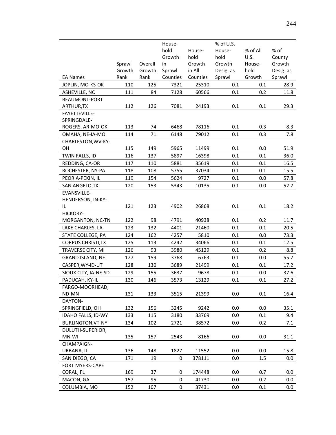|                           |        |         | House-   |          | % of U.S. |          |           |
|---------------------------|--------|---------|----------|----------|-----------|----------|-----------|
|                           |        |         | hold     | House-   | House-    | % of All | % of      |
|                           |        |         | Growth   | hold     | hold      | U.S.     | County    |
|                           | Sprawl | Overall | in       | Growth   | Growth    | House-   | Growth    |
|                           | Growth | Growth  | Sprawl   | in All   | Desig. as | hold     | Desig. as |
| <b>EA Names</b>           | Rank   | Rank    | Counties | Counties | Sprawl    | Growth   | Sprawl    |
| JOPLIN, MO-KS-OK          | 110    | 125     | 7321     | 25310    | 0.1       | 0.1      | 28.9      |
| ASHEVILLE, NC             | 111    | 84      | 7128     | 60566    | $0.1\,$   | 0.2      | 11.8      |
| BEAUMONT-PORT             |        |         |          |          |           |          |           |
| ARTHUR, TX                | 112    | 126     | 7081     | 24193    | 0.1       | 0.1      | 29.3      |
| FAYETTEVILLE-             |        |         |          |          |           |          |           |
| SPRINGDALE-               |        |         |          |          |           |          |           |
| ROGERS, AR-MO-OK          | 113    | 74      | 6468     | 78116    | 0.1       | 0.3      | 8.3       |
| OMAHA, NE-IA-MO           | 114    | 71      | 6148     | 79012    | 0.1       | 0.3      | 7.8       |
| CHARLESTON, WV-KY-        |        |         |          |          |           |          |           |
| ΟH                        | 115    | 149     | 5965     | 11499    | 0.1       | 0.0      | 51.9      |
| TWIN FALLS, ID            | 116    | 137     | 5897     | 16398    | 0.1       | 0.1      | 36.0      |
| REDDING, CA-OR            | 117    | 110     | 5881     | 35619    | 0.1       | 0.1      | 16.5      |
| ROCHESTER, NY-PA          | 118    | 108     | 5755     | 37034    | 0.1       | 0.1      | 15.5      |
| PEORIA-PEKIN, IL          | 119    | 154     | 5624     | 9727     | 0.1       | 0.0      | 57.8      |
| SAN ANGELO, TX            | 120    | 153     | 5343     | 10135    | 0.1       | 0.0      | 52.7      |
| EVANSVILLE-               |        |         |          |          |           |          |           |
| HENDERSON, IN-KY-         |        |         |          |          |           |          |           |
| IL                        | 121    | 123     | 4902     | 26868    | 0.1       | 0.1      | 18.2      |
| HICKORY-                  |        |         |          |          |           |          |           |
| MORGANTON, NC-TN          | 122    | 98      | 4791     | 40938    | 0.1       | 0.2      | 11.7      |
| LAKE CHARLES, LA          | 123    | 132     | 4401     | 21460    | 0.1       | 0.1      | 20.5      |
| STATE COLLEGE, PA         | 124    | 162     | 4257     | 5810     | 0.1       | 0.0      | 73.3      |
| <b>CORPUS CHRISTI, TX</b> | 125    | 113     | 4242     | 34066    | 0.1       | 0.1      | 12.5      |
| TRAVERSE CITY, MI         | 126    | 93      | 3980     | 45129    | 0.1       | 0.2      | 8.8       |
| <b>GRAND ISLAND, NE</b>   | 127    | 159     | 3768     | 6763     | 0.1       | 0.0      | 55.7      |
| CASPER, WY-ID-UT          | 128    | 130     | 3689     | 21499    | 0.1       | 0.1      | 17.2      |
| SIOUX CITY, IA-NE-SD      | 129    | 155     | 3637     | 9678     | 0.1       | 0.0      | 37.6      |
| PADUCAH, KY-IL            | 130    | 146     | 3573     | 13129    | 0.1       | 0.1      | 27.2      |
| FARGO-MOORHEAD,           |        |         |          |          |           |          |           |
| ND-MN                     | 131    | 133     | 3515     | 21399    | 0.0       | 0.1      | 16.4      |
| DAYTON-                   |        |         |          |          |           |          |           |
| SPRINGFIELD, OH           | 132    | 156     | 3245     | 9242     | 0.0       | 0.0      | 35.1      |
| IDAHO FALLS, ID-WY        | 133    | 115     | 3180     | 33769    | 0.0       | 0.1      | 9.4       |
| <b>BURLINGTON, VT-NY</b>  | 134    | 102     | 2721     | 38572    | 0.0       | 0.2      | 7.1       |
| DULUTH-SUPERIOR,          |        |         |          |          |           |          |           |
| MN-WI                     | 135    | 157     | 2543     | 8166     | 0.0       | 0.0      | 31.1      |
| CHAMPAIGN-                |        |         |          |          |           |          |           |
| URBANA, IL                | 136    | 148     | 1827     | 11552    | 0.0       | 0.0      | 15.8      |
| SAN DIEGO, CA             | 171    | 19      | 0        | 378111   | 0.0       | 1.5      | $0.0\,$   |
| <b>FORT MYERS-CAPE</b>    |        |         |          |          |           |          |           |
| CORAL, FL                 | 169    | 37      | 0        | 174448   | 0.0       | 0.7      | 0.0       |
| MACON, GA                 | 157    | 95      | 0        | 41730    | 0.0       | 0.2      | $0.0\,$   |
| COLUMBIA, MO              | 152    | 107     | 0        | 37431    | $0.0\,$   | 0.1      | $0.0\,$   |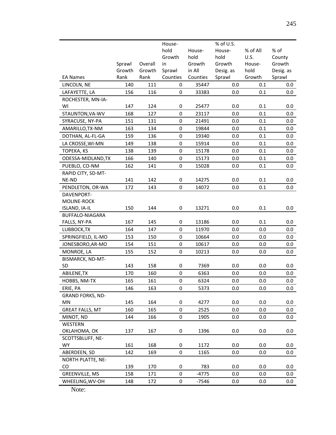|                                |        |         | House-      |          | % of U.S. |          |           |
|--------------------------------|--------|---------|-------------|----------|-----------|----------|-----------|
|                                |        |         | hold        | House-   | House-    | % of All | % of      |
|                                |        |         | Growth      | hold     | hold      | U.S.     | County    |
|                                | Sprawl | Overall | in          | Growth   | Growth    | House-   | Growth    |
|                                | Growth | Growth  | Sprawl      | in All   | Desig. as | hold     | Desig. as |
| <b>EA Names</b>                | Rank   | Rank    | Counties    | Counties | Sprawl    | Growth   | Sprawl    |
| LINCOLN, NE                    | 140    | 111     | 0           | 35447    | 0.0       | 0.1      | 0.0       |
| LAFAYETTE, LA                  | 156    | 116     | 0           | 33383    | 0.0       | 0.1      | 0.0       |
| ROCHESTER, MN-IA-              |        |         |             |          |           |          |           |
| WI                             | 147    | 124     | 0           | 25477    | 0.0       | 0.1      | $0.0\,$   |
| STAUNTON, VA-WV                | 168    | 127     | 0           | 23117    | 0.0       | 0.1      | 0.0       |
| SYRACUSE, NY-PA                | 151    | 131     | $\mathbf 0$ | 21491    | 0.0       | 0.1      | 0.0       |
| AMARILLO, TX-NM                | 163    | 134     | 0           | 19844    | 0.0       | 0.1      | 0.0       |
| DOTHAN, AL-FL-GA               | 159    | 136     | 0           | 19340    | 0.0       | 0.1      | 0.0       |
| LA CROSSE, WI-MN               | 149    | 138     | 0           | 15914    | 0.0       | 0.1      | 0.0       |
| <b>TOPEKA, KS</b>              | 138    | 139     | 0           | 15178    | 0.0       | 0.1      | 0.0       |
| ODESSA-MIDLAND, TX             | 166    | 140     | $\pmb{0}$   | 15173    | 0.0       | 0.1      | $0.0\,$   |
| PUEBLO, CO-NM                  | 162    | 141     | 0           | 15028    | 0.0       | 0.1      | 0.0       |
| RAPID CITY, SD-MT-             |        |         |             |          |           |          |           |
| NE-ND                          | 141    | 142     | 0           | 14275    | 0.0       | 0.1      | 0.0       |
| PENDLETON, OR-WA               | 172    | 143     | 0           | 14072    | 0.0       | 0.1      | $0.0\,$   |
| DAVENPORT-                     |        |         |             |          |           |          |           |
| MOLINE-ROCK                    |        |         |             |          |           |          |           |
| ISLAND, IA-IL                  | 150    | 144     | 0           | 13271    | 0.0       | 0.1      | $0.0\,$   |
| <b>BUFFALO-NIAGARA</b>         |        |         |             |          |           |          |           |
| FALLS, NY-PA                   | 167    | 145     | 0           | 13186    | 0.0       | 0.1      | 0.0       |
| LUBBOCK, TX                    | 164    | 147     | 0           | 11970    | 0.0       | 0.0      | $0.0\,$   |
| SPRINGFIELD, IL-MO             | 153    | 150     | 0           | 10664    | 0.0       | 0.0      | 0.0       |
| JONESBORO, AR-MO               | 154    | 151     | 0           | 10617    | 0.0       | 0.0      | $0.0\,$   |
| MONROE, LA                     | 155    | 152     | 0           | 10213    | 0.0       | 0.0      | $0.0\,$   |
| BISMARCK, ND-MT-               |        |         |             |          |           |          |           |
| SD                             | 143    | 158     | 0           | 7369     | 0.0       | 0.0      | 0.0       |
| ABILENE, TX                    | 170    | 160     | $\pmb{0}$   | 6363     | 0.0       | 0.0      | 0.0       |
| HOBBS, NM-TX                   | 165    | 161     | 0           | 6324     | 0.0       | 0.0      | $0.0\,$   |
| ERIE, PA                       | 146    | 163     | 0           | 5373     | 0.0       | 0.0      | 0.0       |
| <b>GRAND FORKS, ND-</b>        |        |         |             |          |           |          |           |
| MN                             | 145    | 164     | 0           | 4277     | 0.0       | 0.0      | $0.0\,$   |
| <b>GREAT FALLS, MT</b>         | 160    | 165     | $\pmb{0}$   | 2525     | 0.0       | 0.0      | 0.0       |
| MINOT, ND                      | 144    | 166     | 0           | 1905     | 0.0       | 0.0      | $0.0\,$   |
| WESTERN                        |        |         |             |          |           |          |           |
| OKLAHOMA, OK                   | 137    | 167     | 0           | 1396     | 0.0       | 0.0      | 0.0       |
| SCOTTSBLUFF, NE-<br><b>WY</b>  | 161    | 168     | 0           | 1172     | 0.0       | 0.0      | $0.0\,$   |
|                                |        |         |             |          |           |          |           |
| ABERDEEN, SD                   | 142    | 169     | 0           | 1165     | 0.0       | 0.0      | 0.0       |
| <b>NORTH PLATTE, NE-</b><br>CO | 139    | 170     | 0           | 783      | 0.0       | 0.0      | $0.0\,$   |
| GREENVILLE, MS                 | 158    | 171     | 0           | -4775    | 0.0       | 0.0      | 0.0       |
|                                |        |         |             |          |           |          |           |
| WHEELING, WV-OH                | 148    | 172     | 0           | -7546    | 0.0       | 0.0      | $0.0\,$   |

Note: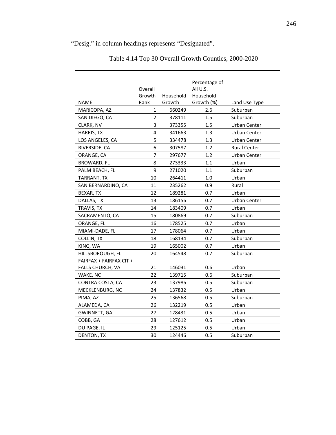# "Desig." in column headings represents "Designated".

|                         |                |           | Percentage of |                     |
|-------------------------|----------------|-----------|---------------|---------------------|
|                         | Overall        |           | All U.S.      |                     |
|                         | Growth         | Household | Household     |                     |
| <b>NAME</b>             | Rank           | Growth    | Growth (%)    | Land Use Type       |
| MARICOPA, AZ            | 1              | 660249    | 2.6           | Suburban            |
| SAN DIEGO, CA           | $\overline{2}$ | 378111    | 1.5           | Suburban            |
| CLARK, NV               | 3              | 373355    | 1.5           | Urban Center        |
| HARRIS, TX              | 4              | 341663    | 1.3           | Urban Center        |
| LOS ANGELES, CA         | 5              | 334478    | 1.3           | Urban Center        |
| RIVERSIDE, CA           | 6              | 307587    | 1.2           | <b>Rural Center</b> |
| ORANGE, CA              | $\overline{7}$ | 297677    | 1.2           | Urban Center        |
| <b>BROWARD, FL</b>      | 8              | 273333    | 1.1           | Urban               |
| PALM BEACH, FL          | 9              | 271020    | 1.1           | Suburban            |
| TARRANT, TX             | 10             | 264411    | 1.0           | Urban               |
| SAN BERNARDINO, CA      | 11             | 235262    | 0.9           | Rural               |
| BEXAR, TX               | 12             | 189281    | 0.7           | Urban               |
| DALLAS, TX              | 13             | 186156    | 0.7           | Urban Center        |
| TRAVIS, TX              | 14             | 183409    | 0.7           | Urban               |
| SACRAMENTO, CA          | 15             | 180869    | 0.7           | Suburban            |
| ORANGE, FL              | 16             | 178525    | 0.7           | Urban               |
| MIAMI-DADE, FL          | 17             | 178064    | 0.7           | Urban               |
| COLLIN, TX              | 18             | 168134    | 0.7           | Suburban            |
| KING, WA                | 19             | 165002    | 0.7           | Urban               |
| HILLSBOROUGH, FL        | 20             | 164548    | 0.7           | Suburban            |
| FAIRFAX + FAIRFAX CIT + |                |           |               |                     |
| FALLS CHURCH, VA        | 21             | 146031    | 0.6           | Urban               |
| WAKE, NC                | 22             | 139715    | 0.6           | Suburban            |
| CONTRA COSTA, CA        | 23             | 137986    | 0.5           | Suburban            |
| MECKLENBURG, NC         | 24             | 137832    | 0.5           | Urban               |
| PIMA, AZ                | 25             | 136568    | 0.5           | Suburban            |
| ALAMEDA, CA             | 26             | 132219    | 0.5           | Urban               |
| GWINNETT, GA            | 27             | 128431    | 0.5           | Urban               |
| COBB, GA                | 28             | 127612    | 0.5           | Urban               |
| DU PAGE, IL             | 29             | 125125    | 0.5           | Urban               |
| DENTON, TX              | 30             | 124446    | 0.5           | Suburban            |

Table 4.14 Top 30 Overall Growth Counties, 2000-2020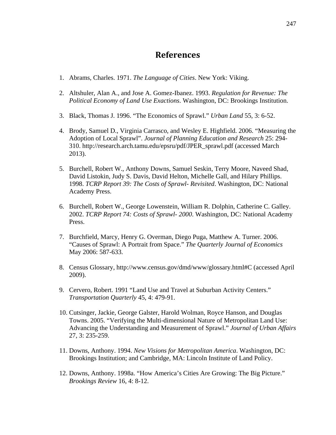### **References**

- 1. Abrams, Charles. 1971. *The Language of Cities*. New York: Viking.
- 2. Altshuler, Alan A., and Jose A. Gomez-Ibanez. 1993. *Regulation for Revenue: The Political Economy of Land Use Exactions*. Washington, DC: Brookings Institution.
- 3. Black, Thomas J. 1996. "The Economics of Sprawl." *Urban Land* 55, 3: 6-52.
- 4. Brody, Samuel D., Virginia Carrasco, and Wesley E. Highfield. 2006. "Measuring the Adoption of Local Sprawl". *Journal of Planning Education and Research* 25: 294- 310. http://research.arch.tamu.edu/epsru/pdf/JPER\_sprawl.pdf (accessed March 2013).
- 5. Burchell, Robert W., Anthony Downs, Samuel Seskin, Terry Moore, Naveed Shad, David Listokin, Judy S. Davis, David Helton, Michelle Gall, and Hilary Phillips. 1998. *TCRP Report 39: The Costs of Sprawl- Revisited*. Washington, DC: National Academy Press.
- 6. Burchell, Robert W., George Lowenstein, William R. Dolphin, Catherine C. Galley. 2002. *TCRP Report 74: Costs of Sprawl- 2000*. Washington, DC: National Academy Press.
- 7. Burchfield, Marcy, Henry G. Overman, Diego Puga, Matthew A. Turner. 2006. "Causes of Sprawl: A Portrait from Space." *The Quarterly Journal of Economics* May 2006: 587-633.
- 8. Census Glossary, http://www.census.gov/dmd/www/glossary.html#C (accessed April 2009).
- 9. Cervero, Robert. 1991 "Land Use and Travel at Suburban Activity Centers." *Transportation Quarterly* 45, 4: 479-91.
- 10. Cutsinger, Jackie, George Galster, Harold Wolman, Royce Hanson, and Douglas Towns. 2005. "Verifying the Multi-dimensional Nature of Metropolitan Land Use: Advancing the Understanding and Measurement of Sprawl." *Journal of Urban Affairs* 27, 3: 235-259.
- 11. Downs, Anthony. 1994. *New Visions for Metropolitan America*. Washington, DC: Brookings Institution; and Cambridge, MA: Lincoln Institute of Land Policy.
- 12. Downs, Anthony. 1998a. "How America's Cities Are Growing: The Big Picture." *Brookings Review* 16, 4: 8-12.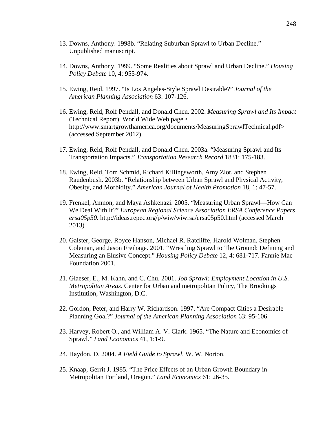- 13. Downs, Anthony. 1998b. "Relating Suburban Sprawl to Urban Decline." Unpublished manuscript.
- 14. Downs, Anthony. 1999. "Some Realities about Sprawl and Urban Decline." *Housing Policy Debate* 10, 4: 955-974.
- 15. Ewing, Reid. 1997. "Is Los Angeles-Style Sprawl Desirable?" *Journal of the American Planning Association* 63: 107-126.
- 16. Ewing, Reid, Rolf Pendall, and Donald Chen. 2002. *Measuring Sprawl and Its Impact* (Technical Report). World Wide Web page < http://www.smartgrowthamerica.org/documents/MeasuringSprawlTechnical.pdf> (accessed September 2012).
- 17. Ewing, Reid, Rolf Pendall, and Donald Chen. 2003a. "Measuring Sprawl and Its Transportation Impacts." *Transportation Research Record* 1831: 175-183.
- 18. Ewing, Reid, Tom Schmid, Richard Killingsworth, Amy Zlot, and Stephen Raudenbush. 2003b. "Relationship between Urban Sprawl and Physical Activity, Obesity, and Morbidity." *American Journal of Health Promotion* 18, 1: 47-57.
- 19. Frenkel, Amnon, and Maya Ashkenazi. 2005. "Measuring Urban Sprawl—How Can We Deal With It?" *European Regional Science Association ERSA Conference Papers ersa05p50*. http://ideas.repec.org/p/wiw/wiwrsa/ersa05p50.html (accessed March 2013)
- 20. Galster, George, Royce Hanson, Michael R. Ratcliffe, Harold Wolman, Stephen Coleman, and Jason Freihage. 2001. "Wrestling Sprawl to The Ground: Defining and Measuring an Elusive Concept." *Housing Policy Debate* 12, 4: 681-717. Fannie Mae Foundation 2001.
- 21. Glaeser, E., M. Kahn, and C. Chu. 2001. *Job Sprawl: Employment Location in U.S. Metropolitan Areas*. Center for Urban and metropolitan Policy, The Brookings Institution, Washington, D.C.
- 22. Gordon, Peter, and Harry W. Richardson. 1997. "Are Compact Cities a Desirable Planning Goal?" *Journal of the American Planning Association* 63: 95-106.
- 23. Harvey, Robert O., and William A. V. Clark. 1965. "The Nature and Economics of Sprawl." *Land Economics* 41, 1:1-9.
- 24. Haydon, D. 2004. *A Field Guide to Sprawl*. W. W. Norton.
- 25. Knaap, Gerrit J. 1985. "The Price Effects of an Urban Growth Boundary in Metropolitan Portland, Oregon." *Land Economics* 61: 26-35.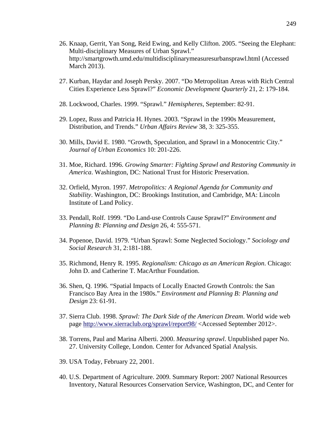- 26. Knaap, Gerrit, Yan Song, Reid Ewing, and Kelly Clifton. 2005. "Seeing the Elephant: Multi-disciplinary Measures of Urban Sprawl." http://smartgrowth.umd.edu/multidisciplinarymeasuresurbansprawl.html (Accessed March 2013).
- 27. Kurban, Haydar and Joseph Persky. 2007. "Do Metropolitan Areas with Rich Central Cities Experience Less Sprawl?" *Economic Development Quarterly* 21, 2: 179-184.
- 28. Lockwood, Charles. 1999. "Sprawl." *Hemispheres*, September: 82-91.
- 29. Lopez, Russ and Patricia H. Hynes. 2003. "Sprawl in the 1990s Measurement, Distribution, and Trends." *Urban Affairs Review* 38, 3: 325-355.
- 30. Mills, David E. 1980. "Growth, Speculation, and Sprawl in a Monocentric City." *Journal of Urban Economics* 10: 201-226.
- 31. Moe, Richard. 1996. *Growing Smarter: Fighting Sprawl and Restoring Community in America*. Washington, DC: National Trust for Historic Preservation.
- 32. Orfield, Myron. 1997. *Metropolitics: A Regional Agenda for Community and Stability*. Washington, DC: Brookings Institution, and Cambridge, MA: Lincoln Institute of Land Policy.
- 33. Pendall, Rolf. 1999. "Do Land-use Controls Cause Sprawl?" *Environment and Planning B: Planning and Design* 26, 4: 555-571.
- 34. Popenoe, David. 1979. "Urban Sprawl: Some Neglected Sociology." *Sociology and Social Research* 31, 2:181-188.
- 35. Richmond, Henry R. 1995. *Regionalism: Chicago as an American Region*. Chicago: John D. and Catherine T. MacArthur Foundation.
- 36. Shen, Q. 1996. "Spatial Impacts of Locally Enacted Growth Controls: the San Francisco Bay Area in the 1980s." *Environment and Planning B: Planning and Design* 23: 61-91.
- 37. Sierra Club. 1998. *Sprawl: The Dark Side of the American Dream*. World wide web page http://www.sierraclub.org/sprawl/report98/ <Accessed September 2012>.
- 38. Torrens, Paul and Marina Alberti. 2000. *Measuring sprawl*. Unpublished paper No. 27. University College, London. Center for Advanced Spatial Analysis.
- 39. USA Today, February 22, 2001.
- 40. U.S. Department of Agriculture. 2009. Summary Report: 2007 National Resources Inventory, Natural Resources Conservation Service, Washington, DC, and Center for